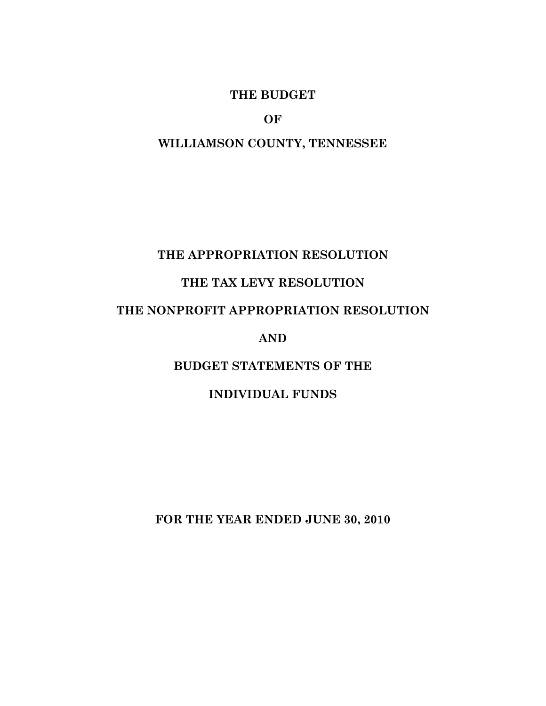## **THE BUDGET**

**OF** 

## **WILLIAMSON COUNTY, TENNESSEE**

## **THE APPROPRIATION RESOLUTION**

# **THE TAX LEVY RESOLUTION**

# **THE NONPROFIT APPROPRIATION RESOLUTION**

#### **AND**

## **BUDGET STATEMENTS OF THE**

## **INDIVIDUAL FUNDS**

**FOR THE YEAR ENDED JUNE 30, 2010**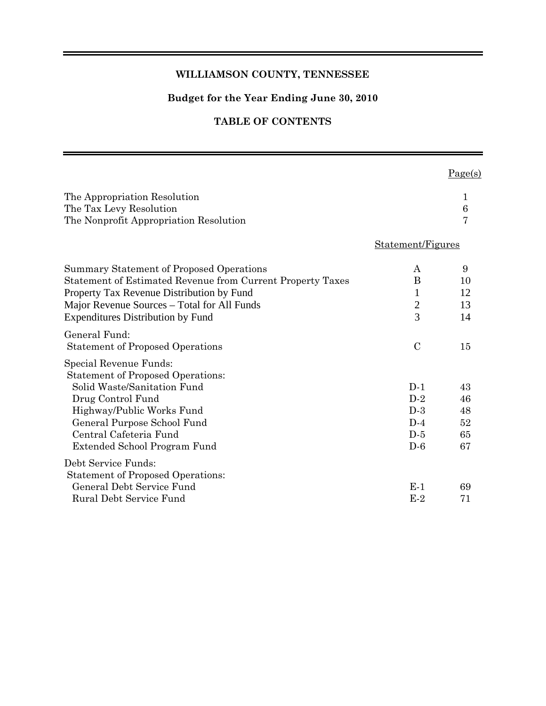#### **WILLIAMSON COUNTY, TENNESSEE**

### **Budget for the Year Ending June 30, 2010**

### **TABLE OF CONTENTS**

|                                                                                                                                                                                                                                                |                                                    | Page(s)                          |
|------------------------------------------------------------------------------------------------------------------------------------------------------------------------------------------------------------------------------------------------|----------------------------------------------------|----------------------------------|
| The Appropriation Resolution<br>The Tax Levy Resolution<br>The Nonprofit Appropriation Resolution                                                                                                                                              |                                                    | 1<br>$\boldsymbol{6}$<br>7       |
|                                                                                                                                                                                                                                                | Statement/Figures                                  |                                  |
| Summary Statement of Proposed Operations<br>Statement of Estimated Revenue from Current Property Taxes<br>Property Tax Revenue Distribution by Fund<br>Major Revenue Sources – Total for All Funds<br><b>Expenditures Distribution by Fund</b> | A<br>B<br>1<br>$\overline{c}$<br>$\overline{3}$    | 9<br>10<br>12<br>13<br>14        |
| General Fund:<br><b>Statement of Proposed Operations</b>                                                                                                                                                                                       | $\mathcal{C}$                                      | 15                               |
| Special Revenue Funds:<br><b>Statement of Proposed Operations:</b><br>Solid Waste/Sanitation Fund<br>Drug Control Fund<br>Highway/Public Works Fund<br>General Purpose School Fund<br>Central Cafeteria Fund<br>Extended School Program Fund   | $D-1$<br>$D-2$<br>$D-3$<br>$D-4$<br>$D-5$<br>$D-6$ | 43<br>46<br>48<br>52<br>65<br>67 |
| Debt Service Funds:<br><b>Statement of Proposed Operations:</b><br>General Debt Service Fund<br>Rural Debt Service Fund                                                                                                                        | $E-1$<br>$E-2$                                     | 69<br>71                         |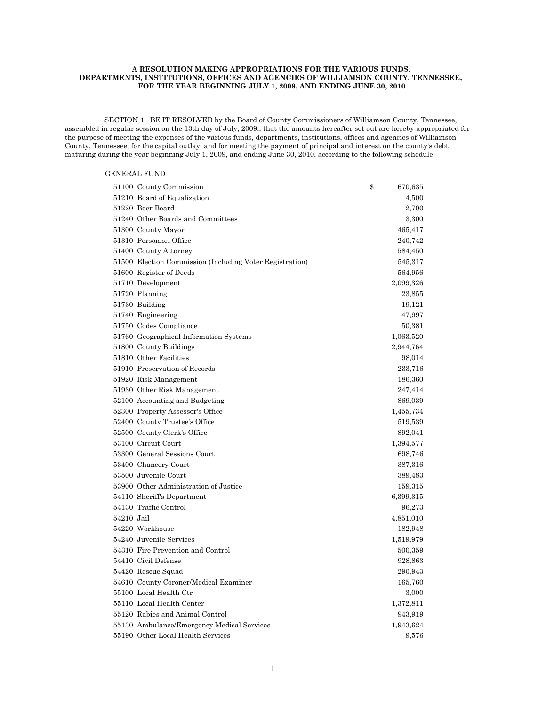#### **A RESOLUTION MAKING APPROPRIATIONS FOR THE VARIOUS FUNDS, DEPARTMENTS, INSTITUTIONS, OFFICES AND AGENCIES OF WILLIAMSON COUNTY, TENNESSEE, FOR THE YEAR BEGINNING JULY 1, 2009, AND ENDING JUNE 30, 2010**

 SECTION 1. BE IT RESOLVED by the Board of County Commissioners of Williamson County, Tennessee, assembled in regular session on the 13th day of July, 2009., that the amounts hereafter set out are hereby appropriated for the purpose of meeting the expenses of the various funds, departments, institutions, offices and agencies of Williamson County, Tennessee, for the capital outlay, and for meeting the payment of principal and interest on the county's debt maturing during the year beginning July 1, 2009, and ending June 30, 2010, according to the following schedule:

#### GENERAL FUND

|            | 51100 County Commission                                  | \$<br>670,635 |
|------------|----------------------------------------------------------|---------------|
|            | 51210 Board of Equalization                              | 4,500         |
|            | 51220 Beer Board                                         | 2,700         |
|            | 51240 Other Boards and Committees                        | 3,300         |
|            | 51300 County Mayor                                       | 465,417       |
|            | 51310 Personnel Office                                   | 240,742       |
|            | 51400 County Attorney                                    | 584,450       |
|            | 51500 Election Commission (Including Voter Registration) | 545,317       |
|            | 51600 Register of Deeds                                  | 564,956       |
|            | 51710 Development                                        | 2,099,326     |
|            | 51720 Planning                                           | 23,855        |
|            | 51730 Building                                           | 19,121        |
|            | 51740 Engineering                                        | 47,997        |
|            | 51750 Codes Compliance                                   | 50,381        |
|            | 51760 Geographical Information Systems                   | 1,063,520     |
|            | 51800 County Buildings                                   | 2,944,764     |
|            | 51810 Other Facilities                                   | 98,014        |
|            | 51910 Preservation of Records                            | 233,716       |
|            | 51920 Risk Management                                    | 186,360       |
|            | 51930 Other Risk Management                              | 247,414       |
|            | 52100 Accounting and Budgeting                           | 869,039       |
|            | 52300 Property Assessor's Office                         | 1,455,734     |
|            | 52400 County Trustee's Office                            | 519,539       |
|            | 52500 County Clerk's Office                              | 892,041       |
|            | 53100 Circuit Court                                      | 1,394,577     |
|            | 53300 General Sessions Court                             | 698,746       |
|            | 53400 Chancery Court                                     | 387,316       |
|            | 53500 Juvenile Court                                     | 389,483       |
|            | 53900 Other Administration of Justice                    | 159,315       |
|            | 54110 Sheriff's Department                               | 6,399,315     |
|            | 54130 Traffic Control                                    | 96,273        |
| 54210 Jail |                                                          | 4,851,010     |
|            | 54220 Workhouse                                          | 182,948       |
|            | 54240 Juvenile Services                                  | 1,519,979     |
|            | 54310 Fire Prevention and Control                        | 500,359       |
|            | 54410 Civil Defense                                      | 928,863       |
|            | 54420 Rescue Squad                                       | 290,943       |
|            | 54610 County Coroner/Medical Examiner                    | 165,760       |
|            | 55100 Local Health Ctr                                   | 3,000         |
|            | 55110 Local Health Center                                | 1,372,811     |
|            | 55120 Rabies and Animal Control                          | 943,919       |
|            | 55130 Ambulance/Emergency Medical Services               | 1,943,624     |
|            | 55190 Other Local Health Services                        | 9,576         |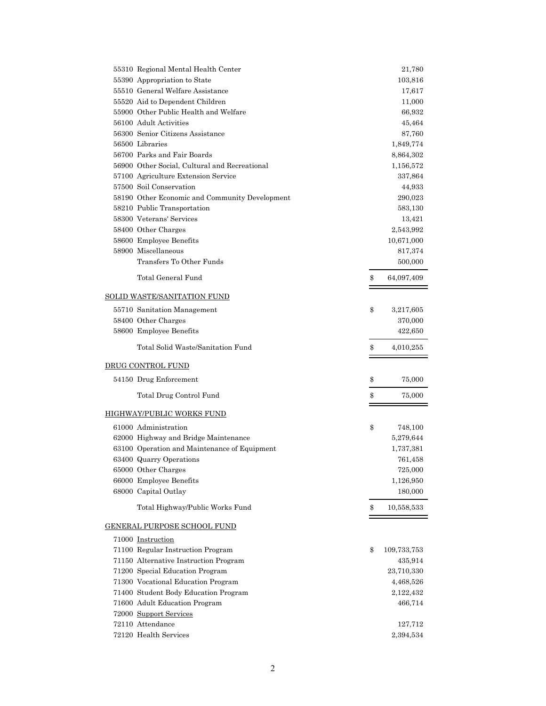| 55310 Regional Mental Health Center            | 21,780            |
|------------------------------------------------|-------------------|
| 55390 Appropriation to State                   | 103,816           |
| 55510 General Welfare Assistance               | 17,617            |
| 55520 Aid to Dependent Children                | 11,000            |
| 55900 Other Public Health and Welfare          | 66,932            |
| 56100 Adult Activities                         | 45,464            |
| 56300 Senior Citizens Assistance               | 87,760            |
| 56500 Libraries                                | 1,849,774         |
| 56700 Parks and Fair Boards                    | 8,864,302         |
| 56900 Other Social, Cultural and Recreational  | 1,156,572         |
| 57100 Agriculture Extension Service            | 337,864           |
| 57500 Soil Conservation                        | 44,933            |
| 58190 Other Economic and Community Development | 290,023           |
| 58210 Public Transportation                    | 583,130           |
| 58300 Veterans' Services                       | 13,421            |
| 58400 Other Charges                            | 2,543,992         |
| 58600 Employee Benefits                        | 10,671,000        |
| 58900 Miscellaneous                            | 817,374           |
| Transfers To Other Funds                       | 500,000           |
| Total General Fund                             | \$<br>64,097,409  |
| <b>SOLID WASTE/SANITATION FUND</b>             |                   |
|                                                |                   |
| 55710 Sanitation Management                    | \$<br>3,217,605   |
| 58400 Other Charges                            | 370,000           |
| 58600 Employee Benefits                        | 422,650           |
| Total Solid Waste/Sanitation Fund              | \$<br>4,010,255   |
| <b>DRUG CONTROL FUND</b>                       |                   |
| 54150 Drug Enforcement                         | \$<br>75,000      |
| Total Drug Control Fund                        | \$<br>75,000      |
| <b>HIGHWAY/PUBLIC WORKS FUND</b>               |                   |
| 61000 Administration                           | \$<br>748,100     |
| 62000 Highway and Bridge Maintenance           | 5,279,644         |
| 63100 Operation and Maintenance of Equipment   | 1,737,381         |
| 63400 Quarry Operations                        | 761,458           |
| 65000 Other Charges                            | 725,000           |
| 66000 Employee Benefits                        | 1,126,950         |
| 68000 Capital Outlay                           | 180,000           |
| Total Highway/Public Works Fund                | \$<br>10,558,533  |
| GENERAL PURPOSE SCHOOL FUND                    |                   |
|                                                |                   |
| 71000 Instruction                              |                   |
| 71100 Regular Instruction Program              | \$<br>109,733,753 |
| 71150 Alternative Instruction Program          | 435,914           |
| 71200 Special Education Program                | 23,710,330        |
| 71300 Vocational Education Program             | 4,468,526         |
| 71400 Student Body Education Program           | 2,122,432         |
| 71600 Adult Education Program                  | 466,714           |
| 72000 Support Services                         |                   |
| 72110 Attendance                               | 127,712           |
| 72120 Health Services                          | 2,394,534         |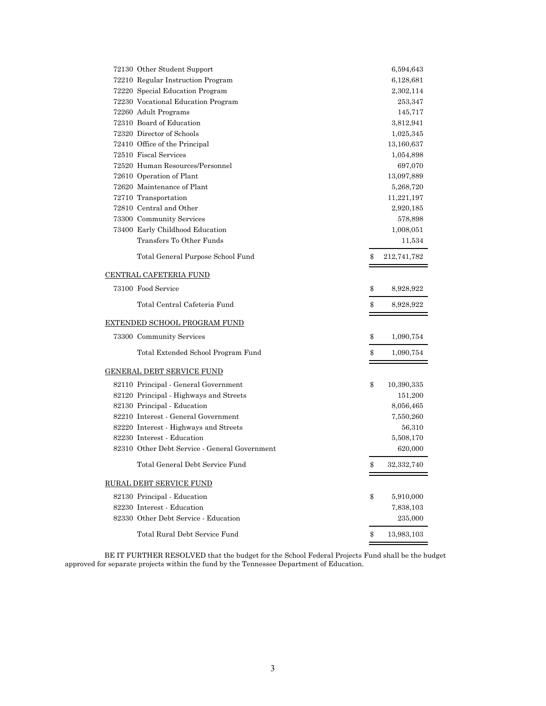| 72130 Other Student Support                   | 6,594,643         |
|-----------------------------------------------|-------------------|
| 72210 Regular Instruction Program             | 6,128,681         |
| 72220 Special Education Program               | 2,302,114         |
| 72230 Vocational Education Program            | 253,347           |
| 72260 Adult Programs                          | 145,717           |
| 72310 Board of Education                      | 3,812,941         |
| 72320 Director of Schools                     | 1,025,345         |
| 72410 Office of the Principal                 | 13,160,637        |
| 72510 Fiscal Services                         | 1,054,898         |
| 72520 Human Resources/Personnel               | 697,070           |
| 72610 Operation of Plant                      | 13,097,889        |
| 72620 Maintenance of Plant                    | 5,268,720         |
| 72710 Transportation                          | 11,221,197        |
| 72810 Central and Other                       | 2,920,185         |
| 73300 Community Services                      | 578,898           |
| 73400 Early Childhood Education               | 1,008,051         |
| Transfers To Other Funds                      | 11,534            |
| Total General Purpose School Fund             | \$<br>212,741,782 |
| <u>CENTRAL CAFETERIA FUND</u>                 |                   |
| 73100 Food Service                            | \$<br>8,928,922   |
| Total Central Cafeteria Fund                  | \$<br>8,928,922   |
| <u>EXTENDED SCHOOL PROGRAM FUND</u>           |                   |
| 73300 Community Services                      | \$<br>1,090,754   |
| Total Extended School Program Fund            | \$<br>1,090,754   |
| <u>GENERAL DEBT SERVICE FUND</u>              |                   |
| 82110 Principal - General Government          | \$<br>10,390,335  |
| 82120 Principal - Highways and Streets        | 151,200           |
| 82130 Principal - Education                   | 8,056,465         |
| 82210 Interest - General Government           | 7,550,260         |
| 82220 Interest - Highways and Streets         | 56,310            |
| 82230 Interest - Education                    | 5,508,170         |
| 82310 Other Debt Service - General Government | 620,000           |
| Total General Debt Service Fund               | \$<br>32,332,740  |
| <u>RURAL DEBT SERVICE FUND</u>                |                   |
| 82130 Principal - Education                   | \$<br>5,910,000   |
| 82230 Interest - Education                    | 7,838,103         |
| 82330 Other Debt Service - Education          | 235,000           |
| Total Rural Debt Service Fund                 | \$<br>13,983,103  |
|                                               |                   |

 BE IT FURTHER RESOLVED that the budget for the School Federal Projects Fund shall be the budget approved for separate projects within the fund by the Tennessee Department of Education.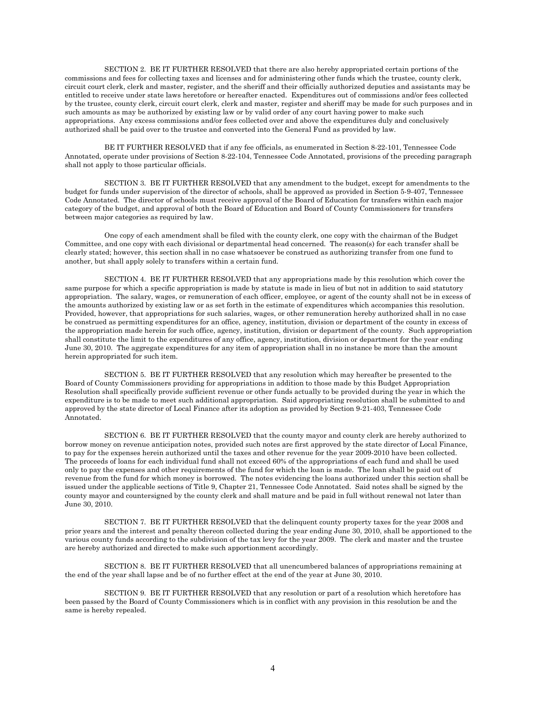SECTION 2. BE IT FURTHER RESOLVED that there are also hereby appropriated certain portions of the commissions and fees for collecting taxes and licenses and for administering other funds which the trustee, county clerk, circuit court clerk, clerk and master, register, and the sheriff and their officially authorized deputies and assistants may be entitled to receive under state laws heretofore or hereafter enacted. Expenditures out of commissions and/or fees collected by the trustee, county clerk, circuit court clerk, clerk and master, register and sheriff may be made for such purposes and in such amounts as may be authorized by existing law or by valid order of any court having power to make such appropriations. Any excess commissions and/or fees collected over and above the expenditures duly and conclusively authorized shall be paid over to the trustee and converted into the General Fund as provided by law.

 BE IT FURTHER RESOLVED that if any fee officials, as enumerated in Section 8-22-101, Tennessee Code Annotated, operate under provisions of Section 8-22-104, Tennessee Code Annotated, provisions of the preceding paragraph shall not apply to those particular officials.

 SECTION 3. BE IT FURTHER RESOLVED that any amendment to the budget, except for amendments to the budget for funds under supervision of the director of schools, shall be approved as provided in Section 5-9-407, Tennessee Code Annotated. The director of schools must receive approval of the Board of Education for transfers within each major category of the budget, and approval of both the Board of Education and Board of County Commissioners for transfers between major categories as required by law.

 One copy of each amendment shall be filed with the county clerk, one copy with the chairman of the Budget Committee, and one copy with each divisional or departmental head concerned. The reason(s) for each transfer shall be clearly stated; however, this section shall in no case whatsoever be construed as authorizing transfer from one fund to another, but shall apply solely to transfers within a certain fund.

 SECTION 4. BE IT FURTHER RESOLVED that any appropriations made by this resolution which cover the same purpose for which a specific appropriation is made by statute is made in lieu of but not in addition to said statutory appropriation. The salary, wages, or remuneration of each officer, employee, or agent of the county shall not be in excess of the amounts authorized by existing law or as set forth in the estimate of expenditures which accompanies this resolution. Provided, however, that appropriations for such salaries, wages, or other remuneration hereby authorized shall in no case be construed as permitting expenditures for an office, agency, institution, division or department of the county in excess of the appropriation made herein for such office, agency, institution, division or department of the county. Such appropriation shall constitute the limit to the expenditures of any office, agency, institution, division or department for the year ending June 30, 2010. The aggregate expenditures for any item of appropriation shall in no instance be more than the amount herein appropriated for such item.

 SECTION 5. BE IT FURTHER RESOLVED that any resolution which may hereafter be presented to the Board of County Commissioners providing for appropriations in addition to those made by this Budget Appropriation Resolution shall specifically provide sufficient revenue or other funds actually to be provided during the year in which the expenditure is to be made to meet such additional appropriation. Said appropriating resolution shall be submitted to and approved by the state director of Local Finance after its adoption as provided by Section 9-21-403, Tennessee Code Annotated.

 SECTION 6. BE IT FURTHER RESOLVED that the county mayor and county clerk are hereby authorized to borrow money on revenue anticipation notes, provided such notes are first approved by the state director of Local Finance, to pay for the expenses herein authorized until the taxes and other revenue for the year 2009-2010 have been collected. The proceeds of loans for each individual fund shall not exceed 60% of the appropriations of each fund and shall be used only to pay the expenses and other requirements of the fund for which the loan is made. The loan shall be paid out of revenue from the fund for which money is borrowed. The notes evidencing the loans authorized under this section shall be issued under the applicable sections of Title 9, Chapter 21, Tennessee Code Annotated. Said notes shall be signed by the county mayor and countersigned by the county clerk and shall mature and be paid in full without renewal not later than June 30, 2010.

 SECTION 7. BE IT FURTHER RESOLVED that the delinquent county property taxes for the year 2008 and prior years and the interest and penalty thereon collected during the year ending June 30, 2010, shall be apportioned to the various county funds according to the subdivision of the tax levy for the year 2009. The clerk and master and the trustee are hereby authorized and directed to make such apportionment accordingly.

 SECTION 8. BE IT FURTHER RESOLVED that all unencumbered balances of appropriations remaining at the end of the year shall lapse and be of no further effect at the end of the year at June 30, 2010.

 SECTION 9. BE IT FURTHER RESOLVED that any resolution or part of a resolution which heretofore has been passed by the Board of County Commissioners which is in conflict with any provision in this resolution be and the same is hereby repealed.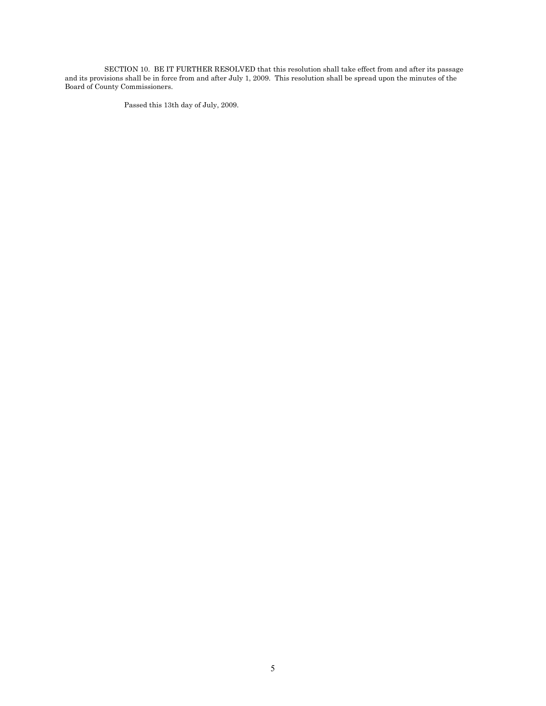SECTION 10. BE IT FURTHER RESOLVED that this resolution shall take effect from and after its passage and its provisions shall be in force from and after July 1, 2009. This resolution shall be spread upon the minutes of the Board of County Commissioners.

Passed this 13th day of July, 2009.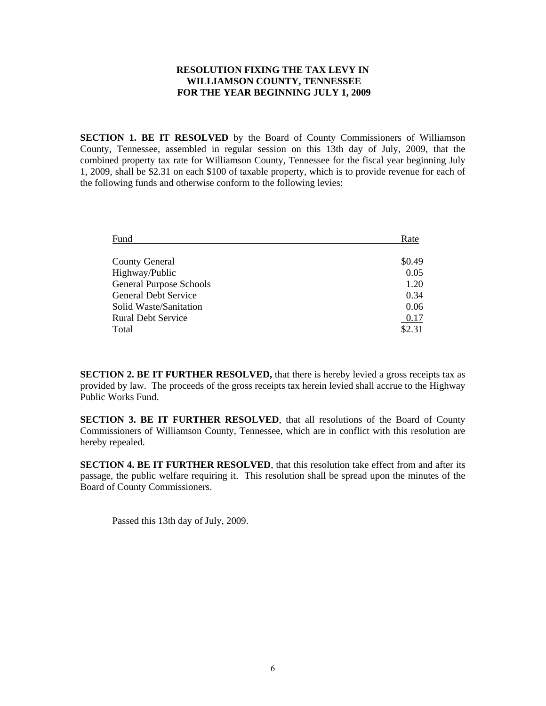#### **RESOLUTION FIXING THE TAX LEVY IN WILLIAMSON COUNTY, TENNESSEE FOR THE YEAR BEGINNING JULY 1, 2009**

**SECTION 1. BE IT RESOLVED** by the Board of County Commissioners of Williamson County, Tennessee, assembled in regular session on this 13th day of July, 2009, that the combined property tax rate for Williamson County, Tennessee for the fiscal year beginning July 1, 2009, shall be \$2.31 on each \$100 of taxable property, which is to provide revenue for each of the following funds and otherwise conform to the following levies:

| Fund                           | Rate   |
|--------------------------------|--------|
|                                |        |
| <b>County General</b>          | \$0.49 |
| Highway/Public                 | 0.05   |
| <b>General Purpose Schools</b> | 1.20   |
| <b>General Debt Service</b>    | 0.34   |
| Solid Waste/Sanitation         | 0.06   |
| <b>Rural Debt Service</b>      | 0.17   |
| Total                          | \$2.31 |

**SECTION 2. BE IT FURTHER RESOLVED,** that there is hereby levied a gross receipts tax as provided by law. The proceeds of the gross receipts tax herein levied shall accrue to the Highway Public Works Fund.

**SECTION 3. BE IT FURTHER RESOLVED**, that all resolutions of the Board of County Commissioners of Williamson County, Tennessee, which are in conflict with this resolution are hereby repealed.

**SECTION 4. BE IT FURTHER RESOLVED**, that this resolution take effect from and after its passage, the public welfare requiring it. This resolution shall be spread upon the minutes of the Board of County Commissioners.

Passed this 13th day of July, 2009.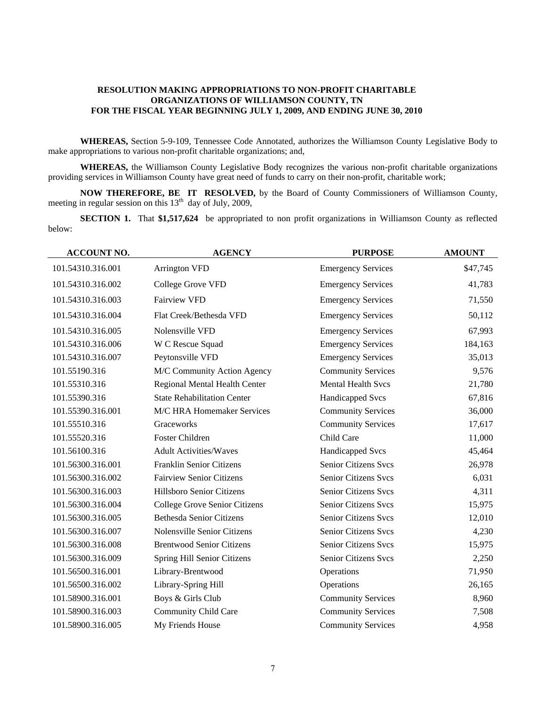#### **RESOLUTION MAKING APPROPRIATIONS TO NON-PROFIT CHARITABLE ORGANIZATIONS OF WILLIAMSON COUNTY, TN FOR THE FISCAL YEAR BEGINNING JULY 1, 2009, AND ENDING JUNE 30, 2010**

**WHEREAS,** Section 5-9-109, Tennessee Code Annotated, authorizes the Williamson County Legislative Body to make appropriations to various non-profit charitable organizations; and,

**WHEREAS,** the Williamson County Legislative Body recognizes the various non-profit charitable organizations providing services in Williamson County have great need of funds to carry on their non-profit, charitable work;

**NOW THEREFORE, BE IT RESOLVED,** by the Board of County Commissioners of Williamson County, meeting in regular session on this  $13<sup>th</sup>$  day of July, 2009,

**SECTION 1.** That \$1,517,624 be appropriated to non profit organizations in Williamson County as reflected below:

| <b>ACCOUNT NO.</b> | <b>AGENCY</b>                      | <b>PURPOSE</b>              | <b>AMOUNT</b> |
|--------------------|------------------------------------|-----------------------------|---------------|
| 101.54310.316.001  | <b>Arrington VFD</b>               | <b>Emergency Services</b>   | \$47,745      |
| 101.54310.316.002  | College Grove VFD                  | <b>Emergency Services</b>   | 41,783        |
| 101.54310.316.003  | <b>Fairview VFD</b>                | <b>Emergency Services</b>   | 71,550        |
| 101.54310.316.004  | Flat Creek/Bethesda VFD            | <b>Emergency Services</b>   | 50,112        |
| 101.54310.316.005  | Nolensville VFD                    | <b>Emergency Services</b>   | 67,993        |
| 101.54310.316.006  | W C Rescue Squad                   | <b>Emergency Services</b>   | 184,163       |
| 101.54310.316.007  | Peytonsville VFD                   | <b>Emergency Services</b>   | 35,013        |
| 101.55190.316      | M/C Community Action Agency        | <b>Community Services</b>   | 9,576         |
| 101.55310.316      | Regional Mental Health Center      | <b>Mental Health Svcs</b>   | 21,780        |
| 101.55390.316      | <b>State Rehabilitation Center</b> | Handicapped Svcs            | 67,816        |
| 101.55390.316.001  | M/C HRA Homemaker Services         | <b>Community Services</b>   | 36,000        |
| 101.55510.316      | Graceworks                         | <b>Community Services</b>   | 17,617        |
| 101.55520.316      | Foster Children                    | Child Care                  | 11,000        |
| 101.56100.316      | <b>Adult Activities/Waves</b>      | <b>Handicapped Svcs</b>     | 45,464        |
| 101.56300.316.001  | Franklin Senior Citizens           | Senior Citizens Svcs        | 26,978        |
| 101.56300.316.002  | <b>Fairview Senior Citizens</b>    | <b>Senior Citizens Svcs</b> | 6,031         |
| 101.56300.316.003  | Hillsboro Senior Citizens          | Senior Citizens Svcs        | 4,311         |
| 101.56300.316.004  | College Grove Senior Citizens      | Senior Citizens Svcs        | 15,975        |
| 101.56300.316.005  | <b>Bethesda Senior Citizens</b>    | Senior Citizens Svcs        | 12,010        |
| 101.56300.316.007  | Nolensville Senior Citizens        | <b>Senior Citizens Svcs</b> | 4,230         |
| 101.56300.316.008  | <b>Brentwood Senior Citizens</b>   | <b>Senior Citizens Svcs</b> | 15,975        |
| 101.56300.316.009  | Spring Hill Senior Citizens        | Senior Citizens Svcs        | 2,250         |
| 101.56500.316.001  | Library-Brentwood                  | Operations                  | 71,950        |
| 101.56500.316.002  | Library-Spring Hill                | Operations                  | 26,165        |
| 101.58900.316.001  | Boys & Girls Club                  | <b>Community Services</b>   | 8,960         |
| 101.58900.316.003  | <b>Community Child Care</b>        | <b>Community Services</b>   | 7,508         |
| 101.58900.316.005  | My Friends House                   | <b>Community Services</b>   | 4,958         |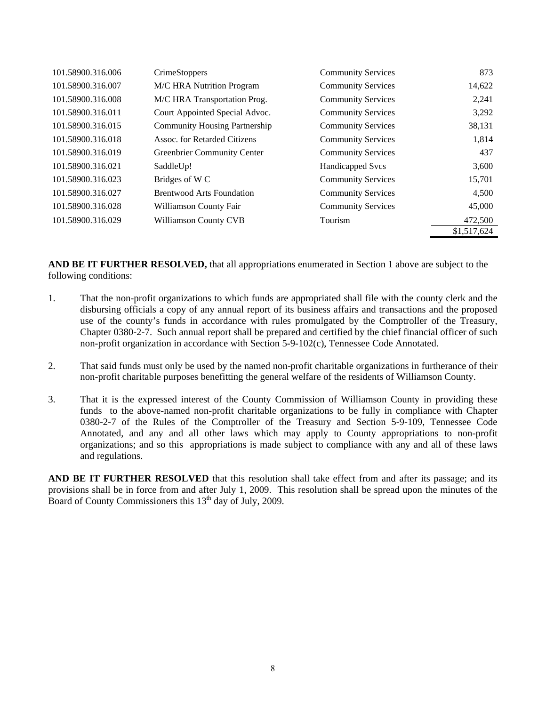| 101.58900.316.006 | <b>CrimeStoppers</b>                 | <b>Community Services</b> | 873         |
|-------------------|--------------------------------------|---------------------------|-------------|
| 101.58900.316.007 | M/C HRA Nutrition Program            | <b>Community Services</b> | 14,622      |
| 101.58900.316.008 | M/C HRA Transportation Prog.         | <b>Community Services</b> | 2,241       |
| 101.58900.316.011 | Court Appointed Special Advoc.       | <b>Community Services</b> | 3,292       |
| 101.58900.316.015 | <b>Community Housing Partnership</b> | <b>Community Services</b> | 38,131      |
| 101.58900.316.018 | Assoc. for Retarded Citizens         | <b>Community Services</b> | 1,814       |
| 101.58900.316.019 | <b>Greenbrier Community Center</b>   | <b>Community Services</b> | 437         |
| 101.58900.316.021 | SaddleUp!                            | <b>Handicapped Svcs</b>   | 3,600       |
| 101.58900.316.023 | Bridges of W <sub>C</sub>            | <b>Community Services</b> | 15,701      |
| 101.58900.316.027 | <b>Brentwood Arts Foundation</b>     | <b>Community Services</b> | 4,500       |
| 101.58900.316.028 | Williamson County Fair               | <b>Community Services</b> | 45,000      |
| 101.58900.316.029 | <b>Williamson County CVB</b>         | Tourism                   | 472,500     |
|                   |                                      |                           | \$1,517,624 |

**AND BE IT FURTHER RESOLVED,** that all appropriations enumerated in Section 1 above are subject to the following conditions:

- 1. That the non-profit organizations to which funds are appropriated shall file with the county clerk and the disbursing officials a copy of any annual report of its business affairs and transactions and the proposed use of the county's funds in accordance with rules promulgated by the Comptroller of the Treasury, Chapter 0380-2-7. Such annual report shall be prepared and certified by the chief financial officer of such non-profit organization in accordance with Section 5-9-102(c), Tennessee Code Annotated.
- 2. That said funds must only be used by the named non-profit charitable organizations in furtherance of their non-profit charitable purposes benefitting the general welfare of the residents of Williamson County.
- 3. That it is the expressed interest of the County Commission of Williamson County in providing these funds to the above-named non-profit charitable organizations to be fully in compliance with Chapter 0380-2-7 of the Rules of the Comptroller of the Treasury and Section 5-9-109, Tennessee Code Annotated, and any and all other laws which may apply to County appropriations to non-profit organizations; and so this appropriations is made subject to compliance with any and all of these laws and regulations.

**AND BE IT FURTHER RESOLVED** that this resolution shall take effect from and after its passage; and its provisions shall be in force from and after July 1, 2009. This resolution shall be spread upon the minutes of the Board of County Commissioners this  $13<sup>th</sup>$  day of July, 2009.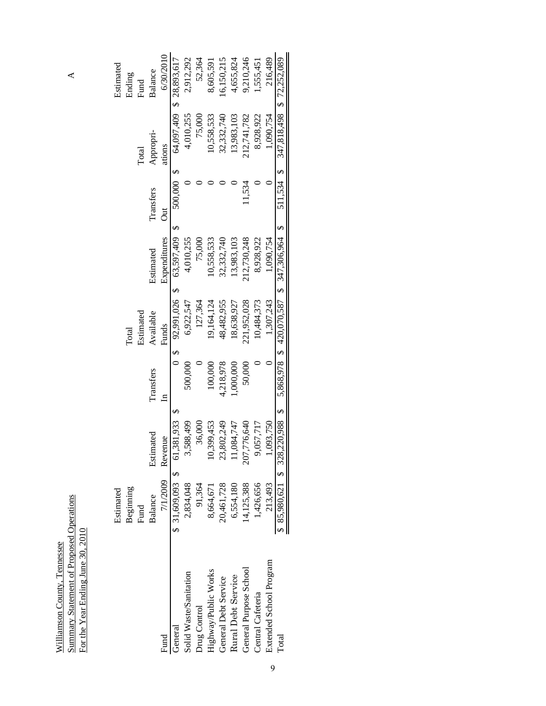| Į | $\mathbf{r}$ |
|---|--------------|
|   |              |

|                         | Estimated  |                                |              |                          |                                              |                    |            | Estimated                 |
|-------------------------|------------|--------------------------------|--------------|--------------------------|----------------------------------------------|--------------------|------------|---------------------------|
|                         | Beginning  |                                |              | Total                    |                                              |                    |            | Ending                    |
|                         | Fund       |                                |              | Estimated                |                                              |                    | Total      | Fund                      |
|                         | Balance    | Estimated                      | Transfers    | Available                | Estimated                                    | Transfers          | Appropri-  | Balance                   |
| Fund                    |            | 7/1/2009 Revenue               | $\mathbf{a}$ | Funds                    | Expenditures                                 | $\overline{\rm d}$ | ations     | 6/30/2010                 |
| General                 |            | \$ 31,609,093 \$ 61,381,933 \$ |              | $0 \t5 \t92.991.026 \t5$ | 63,597,409 \$                                | 500,000\$          |            | 64,097,409 \$ 28,893,617  |
| Solid Waste/Sanitation  | 2,834,048  | 588,499                        | 000,000      | 6,922,547                | 4,010,255                                    |                    | 4,010,255  | 2,912,292                 |
| Drug Control            | 91,364     | 36,000                         |              | 127,364                  | 75,000                                       |                    | 75,000     | 52.364                    |
| Highway/Public Works    | 8,664,671  | 10,399,453                     | 100,000      | 19,164,124               | 10,558,533                                   |                    | 10,558,533 | 8,605,591                 |
| General Debt Service    | 20,461,728 | 23,802,249                     | 4,218,978    | 48,482,955               | 32,332,740                                   |                    | 32,332,740 | 16,150,215                |
| Rural Debt Service      | 6,554,180  | 1.084,747                      | ,000,000     | 18,638,927               | 13,983,103                                   |                    | 13,983,103 | 4,655,824                 |
| General Purpose School  | 14,125,388 | 207,776,640                    | 50,000       | 221,952,028              | 12,730,248                                   | 11.534             | 12,741,782 | 9,210,246                 |
| Central Cafeteria       | 1,426,656  | ,057,717                       |              | 10,484,373               | 8,928,922                                    |                    | 8,928,922  | 1,555,451                 |
| Extended School Program | 213,493    | 1,093,750                      |              | 1.307.243                | 1.090.754                                    |                    | 1,090,754  | 216,489                   |
| Total                   |            | $85,980,621$ \$ 328,220,988 \$ |              |                          | $5,868,978$ \$ 420,070,587 \$ 347,306,964 \$ | 511.534 \$         |            | 347,818,498 \$ 72,252,089 |
|                         |            |                                |              |                          |                                              |                    |            |                           |

 $\blacktriangle$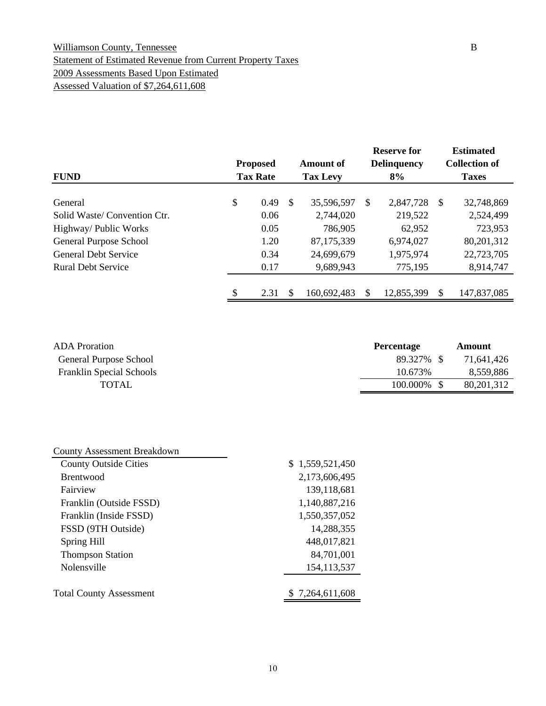### Williamson County, Tennessee B Statement of Estimated Revenue from Current Property Taxes 2009 Assessments Based Upon Estimated Assessed Valuation of \$7,264,611,608

| <b>FUND</b>                 | <b>Proposed</b><br><b>Tax Rate</b> |               | <b>Amount of</b><br><b>Tax Levy</b> |   | <b>Reserve for</b><br><b>Delinquency</b><br>8% |              | <b>Estimated</b><br><b>Collection of</b><br><b>Taxes</b> |
|-----------------------------|------------------------------------|---------------|-------------------------------------|---|------------------------------------------------|--------------|----------------------------------------------------------|
|                             |                                    |               |                                     |   |                                                |              |                                                          |
| General                     | \$<br>0.49                         | <sup>\$</sup> | 35,596,597                          | S | 2,847,728                                      | <sup>S</sup> | 32,748,869                                               |
| Solid Waste/Convention Ctr. | 0.06                               |               | 2,744,020                           |   | 219,522                                        |              | 2,524,499                                                |
| Highway/ Public Works       | 0.05                               |               | 786,905                             |   | 62,952                                         |              | 723,953                                                  |
| General Purpose School      | 1.20                               |               | 87,175,339                          |   | 6,974,027                                      |              | 80,201,312                                               |
| <b>General Debt Service</b> | 0.34                               |               | 24,699,679                          |   | 1,975,974                                      |              | 22,723,705                                               |
| <b>Rural Debt Service</b>   | 0.17                               |               | 9,689,943                           |   | 775,195                                        |              | 8,914,747                                                |
|                             | \$<br>2.31                         | \$.           | 160,692,483                         | S | 12,855,399                                     | S            | 147,837,085                                              |

| <b>ADA</b> Proration            | <b>Percentage</b> | Amount       |
|---------------------------------|-------------------|--------------|
| General Purpose School          | 89.327% \$        | 71,641,426   |
| <b>Franklin Special Schools</b> | 10.673%           | 8,559,886    |
| <b>TOTAL</b>                    | 100.000\% \$      | 80, 201, 312 |

| <b>County Assessment Breakdown</b> |                 |
|------------------------------------|-----------------|
| <b>County Outside Cities</b>       | \$1,559,521,450 |
| <b>Brentwood</b>                   | 2,173,606,495   |
| Fairview                           | 139,118,681     |
| Franklin (Outside FSSD)            | 1,140,887,216   |
| Franklin (Inside FSSD)             | 1,550,357,052   |
| FSSD (9TH Outside)                 | 14,288,355      |
| Spring Hill                        | 448,017,821     |
| <b>Thompson Station</b>            | 84,701,001      |
| Nolensville                        | 154, 113, 537   |
|                                    |                 |
| <b>Total County Assessment</b>     | \$7,264,611,608 |
|                                    |                 |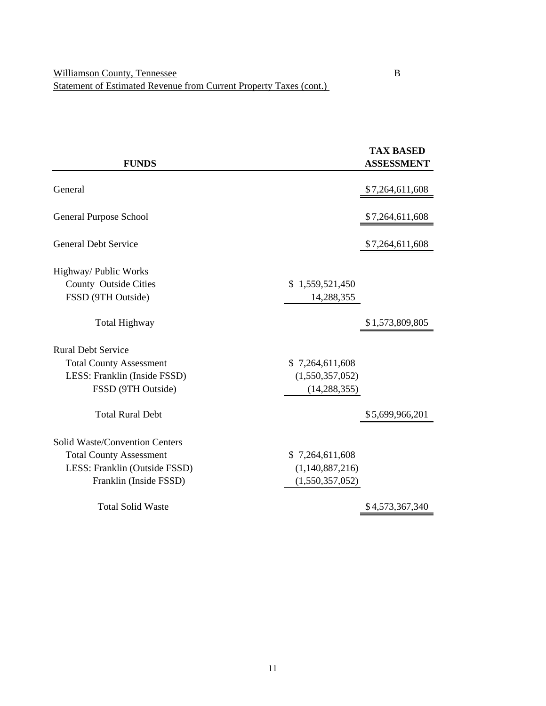|                                |                 | <b>TAX BASED</b>  |
|--------------------------------|-----------------|-------------------|
| <b>FUNDS</b>                   |                 | <b>ASSESSMENT</b> |
| General                        |                 |                   |
|                                |                 | \$7,264,611,608   |
| <b>General Purpose School</b>  |                 | \$7,264,611,608   |
| <b>General Debt Service</b>    |                 | \$7,264,611,608   |
| Highway/ Public Works          |                 |                   |
| County Outside Cities          | \$1,559,521,450 |                   |
| FSSD (9TH Outside)             | 14,288,355      |                   |
| <b>Total Highway</b>           |                 | \$1,573,809,805   |
| <b>Rural Debt Service</b>      |                 |                   |
| <b>Total County Assessment</b> | \$7,264,611,608 |                   |
| LESS: Franklin (Inside FSSD)   | (1,550,357,052) |                   |
| FSSD (9TH Outside)             | (14, 288, 355)  |                   |
| <b>Total Rural Debt</b>        |                 | \$5,699,966,201   |
| Solid Waste/Convention Centers |                 |                   |
| <b>Total County Assessment</b> | \$7,264,611,608 |                   |
| LESS: Franklin (Outside FSSD)  | (1,140,887,216) |                   |
| Franklin (Inside FSSD)         | (1,550,357,052) |                   |
| <b>Total Solid Waste</b>       |                 | \$4,573,367,340   |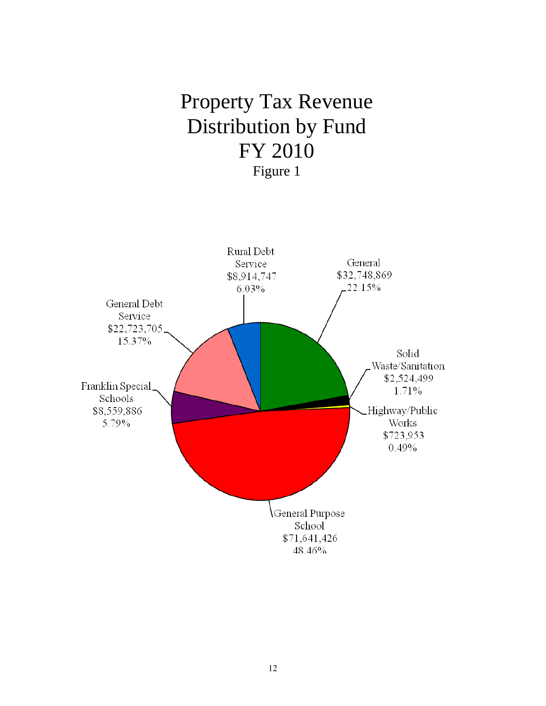# Property Tax Revenue Distribution by Fund FY 2010 Figure 1

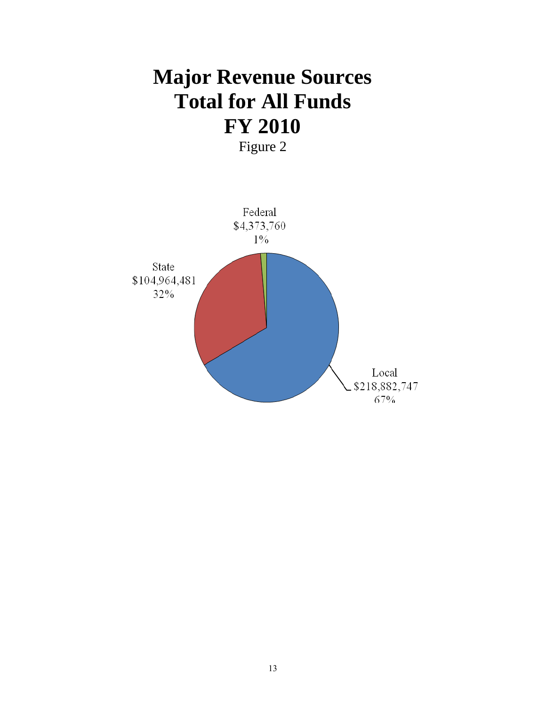# **Major Revenue Sources Total for All Funds FY 2010**  Figure 2

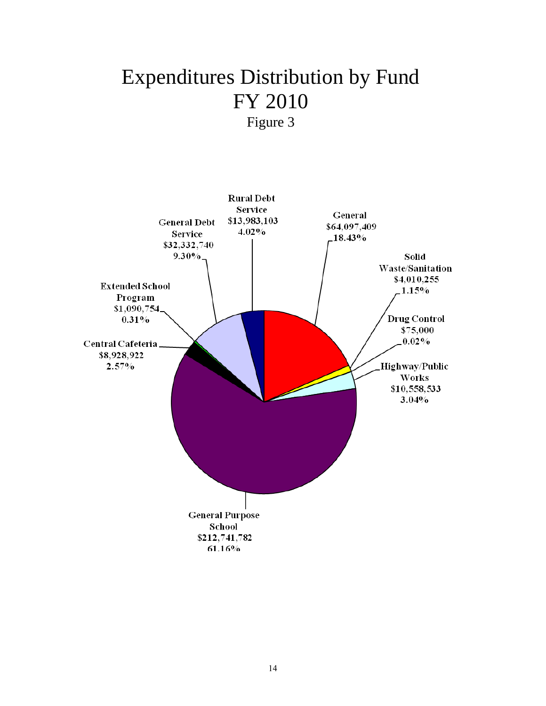# Expenditures Distribution by Fund FY 2010 Figure 3

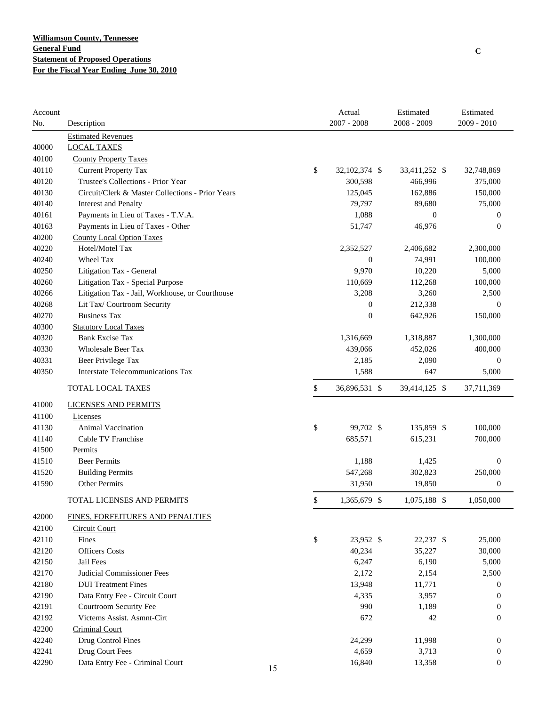| Account<br>No. | Description                                      |    |        | Actual<br>$2007 - 2008$ | Estimated<br>2008 - 2009 | Estimated<br>2009 - 2010 |
|----------------|--------------------------------------------------|----|--------|-------------------------|--------------------------|--------------------------|
|                | <b>Estimated Revenues</b>                        |    |        |                         |                          |                          |
| 40000          | <b>LOCAL TAXES</b>                               |    |        |                         |                          |                          |
| 40100          | <b>County Property Taxes</b>                     |    |        |                         |                          |                          |
| 40110          | <b>Current Property Tax</b>                      |    | \$     | 32,102,374 \$           | 33,411,252 \$            | 32,748,869               |
| 40120          | Trustee's Collections - Prior Year               |    |        | 300,598                 | 466,996                  | 375,000                  |
| 40130          | Circuit/Clerk & Master Collections - Prior Years |    |        | 125,045                 | 162,886                  | 150,000                  |
| 40140          | <b>Interest and Penalty</b>                      |    |        | 79,797                  | 89,680                   | 75,000                   |
| 40161          | Payments in Lieu of Taxes - T.V.A.               |    |        | 1,088                   | $\boldsymbol{0}$         | 0                        |
| 40163          | Payments in Lieu of Taxes - Other                |    |        | 51,747                  | 46,976                   | $\overline{0}$           |
| 40200          | <b>County Local Option Taxes</b>                 |    |        |                         |                          |                          |
| 40220          | Hotel/Motel Tax                                  |    |        | 2,352,527               | 2,406,682                | 2,300,000                |
| 40240          | Wheel Tax                                        |    |        | $\boldsymbol{0}$        | 74,991                   | 100,000                  |
| 40250          | Litigation Tax - General                         |    |        | 9,970                   | 10,220                   | 5,000                    |
| 40260          | Litigation Tax - Special Purpose                 |    |        | 110,669                 | 112,268                  | 100,000                  |
| 40266          | Litigation Tax - Jail, Workhouse, or Courthouse  |    |        | 3,208                   | 3,260                    | 2,500                    |
| 40268          | Lit Tax/ Courtroom Security                      |    |        | $\boldsymbol{0}$        | 212,338                  | $\mathbf{0}$             |
| 40270          | <b>Business Tax</b>                              |    |        | $\boldsymbol{0}$        | 642,926                  | 150,000                  |
| 40300          | <b>Statutory Local Taxes</b>                     |    |        |                         |                          |                          |
| 40320          | <b>Bank Excise Tax</b>                           |    |        | 1,316,669               | 1,318,887                | 1,300,000                |
| 40330          | <b>Wholesale Beer Tax</b>                        |    |        | 439,066                 | 452,026                  | 400,000                  |
| 40331          | Beer Privilege Tax                               |    |        | 2,185                   | 2,090                    | $\mathbf{0}$             |
| 40350          | <b>Interstate Telecommunications Tax</b>         |    |        | 1,588                   | 647                      | 5,000                    |
|                | TOTAL LOCAL TAXES                                |    | \$     | 36,896,531 \$           | 39,414,125 \$            | 37,711,369               |
| 41000          | <b>LICENSES AND PERMITS</b>                      |    |        |                         |                          |                          |
| 41100          | Licenses                                         |    |        |                         |                          |                          |
| 41130          | Animal Vaccination                               |    | \$     | 99,702 \$               | 135,859 \$               | 100,000                  |
| 41140          | Cable TV Franchise                               |    |        | 685,571                 | 615,231                  | 700,000                  |
| 41500          | Permits                                          |    |        |                         |                          |                          |
| 41510          | <b>Beer Permits</b>                              |    |        | 1,188                   | 1,425                    | $\boldsymbol{0}$         |
| 41520          | <b>Building Permits</b>                          |    |        | 547,268                 | 302,823                  | 250,000                  |
| 41590          | <b>Other Permits</b>                             |    |        | 31,950                  | 19,850                   | $\boldsymbol{0}$         |
|                | <b>TOTAL LICENSES AND PERMITS</b>                |    | \$     | 1,365,679 \$            | 1,075,188 \$             | 1,050,000                |
| 42000          | FINES, FORFEITURES AND PENALTIES                 |    |        |                         |                          |                          |
| 42100          | Circuit Court                                    |    |        |                         |                          |                          |
| 42110          | Fines                                            |    | $\$\,$ | 23,952 \$               | 22,237 \$                | 25,000                   |
| 42120          | <b>Officers Costs</b>                            |    |        | 40,234                  | 35,227                   | 30,000                   |
| 42150          | Jail Fees                                        |    |        | 6,247                   | 6,190                    | 5,000                    |
| 42170          | <b>Judicial Commissioner Fees</b>                |    |        | 2,172                   | 2,154                    | 2,500                    |
| 42180          | <b>DUI</b> Treatment Fines                       |    |        | 13,948                  | 11,771                   | 0                        |
| 42190          | Data Entry Fee - Circuit Court                   |    |        | 4,335                   | 3,957                    | 0                        |
| 42191          | Courtroom Security Fee                           |    |        | 990                     | 1,189                    | 0                        |
| 42192          | Victems Assist. Asmnt-Cirt                       |    |        | 672                     | 42                       | $\boldsymbol{0}$         |
| 42200          | <b>Criminal Court</b>                            |    |        |                         |                          |                          |
| 42240          | Drug Control Fines                               |    |        | 24,299                  | 11,998                   | $\boldsymbol{0}$         |
| 42241          | Drug Court Fees                                  |    |        | 4,659                   | 3,713                    | 0                        |
| 42290          | Data Entry Fee - Criminal Court                  | 15 |        | 16,840                  | 13,358                   | $\boldsymbol{0}$         |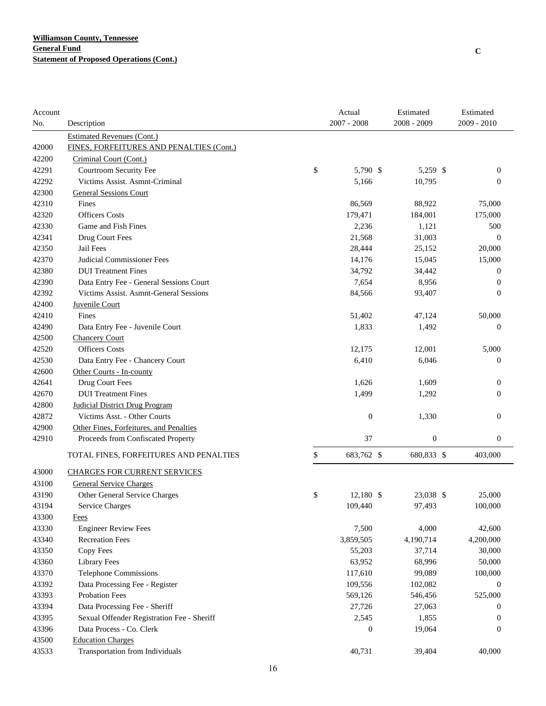| Account |                                            | Actual           | Estimated        | Estimated        |
|---------|--------------------------------------------|------------------|------------------|------------------|
| No.     | Description                                | $2007 - 2008$    | 2008 - 2009      | 2009 - 2010      |
|         | <b>Estimated Revenues (Cont.)</b>          |                  |                  |                  |
| 42000   | FINES, FORFEITURES AND PENALTIES (Cont.)   |                  |                  |                  |
| 42200   | Criminal Court (Cont.)                     |                  |                  |                  |
| 42291   | Courtroom Security Fee                     | \$<br>5,790 \$   | 5,259 \$         | $\boldsymbol{0}$ |
| 42292   | Victims Assist. Asmnt-Criminal             | 5,166            | 10,795           | $\boldsymbol{0}$ |
| 42300   | <b>General Sessions Court</b>              |                  |                  |                  |
| 42310   | Fines                                      | 86,569           | 88,922           | 75,000           |
| 42320   | <b>Officers Costs</b>                      | 179,471          | 184,001          | 175,000          |
| 42330   | Game and Fish Fines                        | 2,236            | 1,121            | 500              |
| 42341   | Drug Court Fees                            | 21,568           | 31,003           | $\boldsymbol{0}$ |
| 42350   | Jail Fees                                  | 28,444           | 25,152           | 20,000           |
| 42370   | Judicial Commissioner Fees                 | 14,176           | 15,045           | 15,000           |
| 42380   | <b>DUI</b> Treatment Fines                 | 34,792           | 34,442           | 0                |
| 42390   | Data Entry Fee - General Sessions Court    | 7,654            | 8,956            | 0                |
| 42392   | Victims Assist. Asmnt-General Sessions     | 84,566           | 93,407           | $\boldsymbol{0}$ |
| 42400   | Juvenile Court                             |                  |                  |                  |
| 42410   | Fines                                      | 51,402           | 47,124           | 50,000           |
| 42490   | Data Entry Fee - Juvenile Court            | 1,833            | 1,492            | $\overline{0}$   |
| 42500   | <b>Chancery Court</b>                      |                  |                  |                  |
| 42520   | <b>Officers Costs</b>                      | 12,175           | 12,001           | 5,000            |
| 42530   | Data Entry Fee - Chancery Court            | 6,410            | 6,046            | $\boldsymbol{0}$ |
| 42600   | Other Courts - In-county                   |                  |                  |                  |
| 42641   | Drug Court Fees                            | 1,626            | 1,609            | $\boldsymbol{0}$ |
| 42670   | <b>DUI</b> Treatment Fines                 | 1,499            | 1,292            | $\boldsymbol{0}$ |
| 42800   | <b>Judicial District Drug Program</b>      |                  |                  |                  |
| 42872   | Victims Asst. - Other Courts               | $\mathbf{0}$     | 1,330            | $\boldsymbol{0}$ |
| 42900   | Other Fines, Forfeitures, and Penalties    |                  |                  |                  |
| 42910   | Proceeds from Confiscated Property         | 37               | $\boldsymbol{0}$ | $\boldsymbol{0}$ |
|         | TOTAL FINES, FORFEITURES AND PENALTIES     | \$<br>683,762 \$ | 680,833 \$       | 403,000          |
| 43000   | <b>CHARGES FOR CURRENT SERVICES</b>        |                  |                  |                  |
| 43100   | <b>General Service Charges</b>             |                  |                  |                  |
| 43190   | Other General Service Charges              | \$<br>12,180 \$  | 23,038 \$        | 25,000           |
| 43194   | <b>Service Charges</b>                     | 109,440          | 97,493           | 100,000          |
| 43300   | <b>Fees</b>                                |                  |                  |                  |
| 43330   | <b>Engineer Review Fees</b>                | 7,500            | 4,000            | 42,600           |
| 43340   | <b>Recreation Fees</b>                     | 3,859,505        | 4,190,714        | 4,200,000        |
| 43350   | Copy Fees                                  | 55,203           | 37,714           | 30,000           |
| 43360   | <b>Library Fees</b>                        | 63,952           | 68,996           | 50,000           |
| 43370   | <b>Telephone Commissions</b>               | 117,610          | 99,089           | 100,000          |
| 43392   | Data Processing Fee - Register             | 109,556          | 102,082          | 0                |
| 43393   | Probation Fees                             | 569,126          | 546,456          | 525,000          |
| 43394   | Data Processing Fee - Sheriff              | 27,726           | 27,063           | 0                |
| 43395   | Sexual Offender Registration Fee - Sheriff | 2,545            | 1,855            | $\boldsymbol{0}$ |
| 43396   | Data Process - Co. Clerk                   | $\boldsymbol{0}$ | 19,064           | $\boldsymbol{0}$ |
| 43500   | <b>Education Charges</b>                   |                  |                  |                  |
| 43533   | Transportation from Individuals            | 40,731           | 39,404           | 40,000           |
|         |                                            |                  |                  |                  |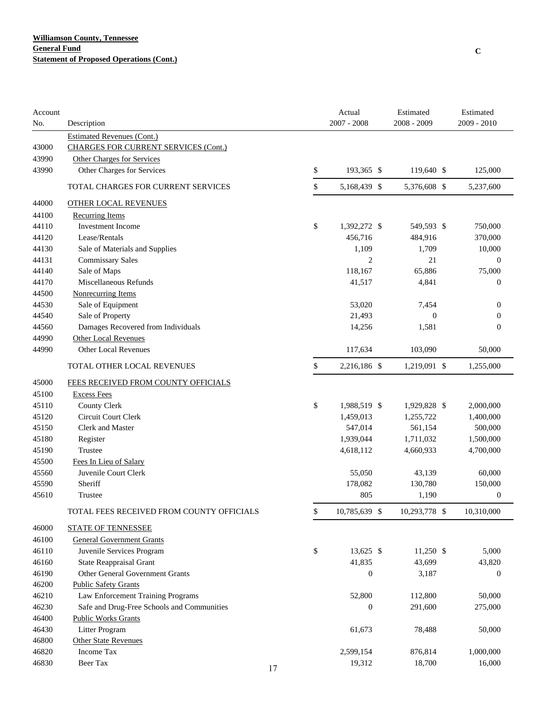| Account |                                             |    | Actual              | Estimated      | Estimated        |
|---------|---------------------------------------------|----|---------------------|----------------|------------------|
| No.     | Description                                 |    | $2007 - 2008$       | 2008 - 2009    | 2009 - 2010      |
|         | <b>Estimated Revenues (Cont.)</b>           |    |                     |                |                  |
| 43000   | <b>CHARGES FOR CURRENT SERVICES (Cont.)</b> |    |                     |                |                  |
| 43990   | Other Charges for Services                  |    |                     |                |                  |
| 43990   | Other Charges for Services                  |    | \$<br>193,365 \$    | 119,640 \$     | 125,000          |
|         | TOTAL CHARGES FOR CURRENT SERVICES          |    | \$<br>5,168,439 \$  | 5,376,608 \$   | 5,237,600        |
| 44000   | <b>OTHER LOCAL REVENUES</b>                 |    |                     |                |                  |
| 44100   | <b>Recurring Items</b>                      |    |                     |                |                  |
| 44110   | <b>Investment Income</b>                    |    | \$<br>1,392,272 \$  | 549,593 \$     | 750,000          |
| 44120   | Lease/Rentals                               |    | 456,716             | 484,916        | 370,000          |
| 44130   | Sale of Materials and Supplies              |    | 1,109               | 1,709          | 10,000           |
| 44131   | <b>Commissary Sales</b>                     |    | $\overline{2}$      | 21             | $\overline{0}$   |
| 44140   | Sale of Maps                                |    | 118,167             | 65,886         | 75,000           |
| 44170   | Miscellaneous Refunds                       |    | 41,517              | 4,841          | $\mathbf{0}$     |
| 44500   | Nonrecurring Items                          |    |                     |                |                  |
| 44530   | Sale of Equipment                           |    | 53,020              | 7,454          | $\boldsymbol{0}$ |
| 44540   | Sale of Property                            |    | 21,493              | $\overline{0}$ | $\boldsymbol{0}$ |
| 44560   | Damages Recovered from Individuals          |    | 14,256              | 1,581          | $\mathbf{0}$     |
| 44990   | <b>Other Local Revenues</b>                 |    |                     |                |                  |
| 44990   | <b>Other Local Revenues</b>                 |    | 117,634             | 103,090        | 50,000           |
|         | TOTAL OTHER LOCAL REVENUES                  |    | \$<br>2,216,186 \$  | 1,219,091 \$   | 1,255,000        |
| 45000   | FEES RECEIVED FROM COUNTY OFFICIALS         |    |                     |                |                  |
| 45100   | <b>Excess Fees</b>                          |    |                     |                |                  |
| 45110   | <b>County Clerk</b>                         |    | \$<br>1,988,519 \$  | 1,929,828 \$   | 2,000,000        |
| 45120   | Circuit Court Clerk                         |    | 1,459,013           | 1,255,722      | 1,400,000        |
| 45150   | <b>Clerk and Master</b>                     |    | 547,014             | 561,154        | 500,000          |
| 45180   | Register                                    |    | 1,939,044           | 1,711,032      | 1,500,000        |
| 45190   | Trustee                                     |    | 4,618,112           | 4,660,933      | 4,700,000        |
| 45500   | Fees In Lieu of Salary                      |    |                     |                |                  |
| 45560   | Juvenile Court Clerk                        |    | 55,050              | 43,139         | 60,000           |
| 45590   | Sheriff                                     |    | 178,082             | 130,780        | 150,000          |
| 45610   | Trustee                                     |    | 805                 | 1,190          | $\boldsymbol{0}$ |
|         | TOTAL FEES RECEIVED FROM COUNTY OFFICIALS   |    | \$<br>10,785,639 \$ | 10,293,778 \$  | 10,310,000       |
| 46000   | <b>STATE OF TENNESSEE</b>                   |    |                     |                |                  |
| 46100   | <b>General Government Grants</b>            |    |                     |                |                  |
| 46110   | Juvenile Services Program                   |    | \$<br>13,625 \$     | 11,250 \$      | 5,000            |
| 46160   | State Reappraisal Grant                     |    | 41,835              | 43,699         | 43,820           |
| 46190   | Other General Government Grants             |    | $\boldsymbol{0}$    | 3,187          | $\boldsymbol{0}$ |
| 46200   | <b>Public Safety Grants</b>                 |    |                     |                |                  |
| 46210   | Law Enforcement Training Programs           |    | 52,800              | 112,800        | 50,000           |
| 46230   | Safe and Drug-Free Schools and Communities  |    | $\boldsymbol{0}$    | 291,600        | 275,000          |
| 46400   | <b>Public Works Grants</b>                  |    |                     |                |                  |
| 46430   | Litter Program                              |    | 61,673              | 78,488         | 50,000           |
| 46800   | <b>Other State Revenues</b>                 |    |                     |                |                  |
| 46820   | Income Tax                                  |    | 2,599,154           | 876,814        | 1,000,000        |
| 46830   | Beer Tax                                    | 17 | 19,312              | 18,700         | 16,000           |
|         |                                             |    |                     |                |                  |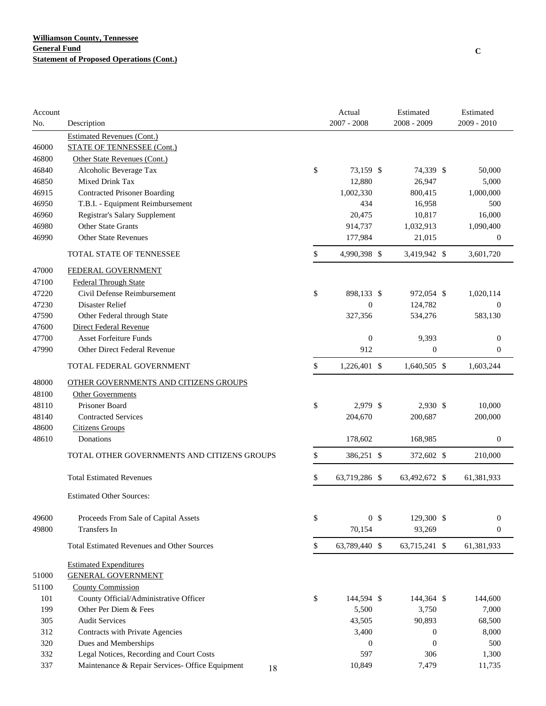| Account |                                                                        | Actual               | Estimated        | Estimated        |
|---------|------------------------------------------------------------------------|----------------------|------------------|------------------|
| No.     | Description                                                            | $2007 - 2008$        | 2008 - 2009      | 2009 - 2010      |
| 46000   | <b>Estimated Revenues (Cont.)</b><br><b>STATE OF TENNESSEE (Cont.)</b> |                      |                  |                  |
| 46800   | Other State Revenues (Cont.)                                           |                      |                  |                  |
| 46840   | Alcoholic Beverage Tax                                                 | \$<br>73,159 \$      | 74,339 \$        | 50,000           |
| 46850   | Mixed Drink Tax                                                        | 12,880               | 26,947           | 5,000            |
| 46915   | <b>Contracted Prisoner Boarding</b>                                    | 1,002,330            | 800,415          | 1,000,000        |
| 46950   | T.B.I. - Equipment Reimbursement                                       | 434                  | 16,958           | 500              |
| 46960   | Registrar's Salary Supplement                                          | 20,475               | 10,817           | 16,000           |
| 46980   | <b>Other State Grants</b>                                              | 914,737              | 1,032,913        | 1,090,400        |
| 46990   | <b>Other State Revenues</b>                                            | 177,984              | 21,015           | $\mathbf{0}$     |
|         | TOTAL STATE OF TENNESSEE                                               | \$<br>4,990,398 \$   | 3,419,942 \$     | 3,601,720        |
| 47000   | FEDERAL GOVERNMENT                                                     |                      |                  |                  |
| 47100   | <b>Federal Through State</b>                                           |                      |                  |                  |
| 47220   | Civil Defense Reimbursement                                            | \$<br>898,133 \$     | 972,054 \$       | 1,020,114        |
| 47230   | <b>Disaster Relief</b>                                                 | $\mathbf{0}$         | 124,782          | $\theta$         |
| 47590   | Other Federal through State                                            | 327,356              | 534,276          | 583,130          |
| 47600   | Direct Federal Revenue                                                 |                      |                  |                  |
| 47700   | <b>Asset Forfeiture Funds</b>                                          | $\boldsymbol{0}$     | 9,393            | $\mathbf{0}$     |
| 47990   | Other Direct Federal Revenue                                           | 912                  | $\boldsymbol{0}$ | $\mathbf{0}$     |
|         | TOTAL FEDERAL GOVERNMENT                                               | \$<br>1,226,401 \$   | 1,640,505 \$     | 1,603,244        |
| 48000   | OTHER GOVERNMENTS AND CITIZENS GROUPS                                  |                      |                  |                  |
| 48100   | <b>Other Governments</b>                                               |                      |                  |                  |
| 48110   | Prisoner Board                                                         | \$<br>2,979 \$       | 2,930 \$         | 10,000           |
| 48140   | <b>Contracted Services</b>                                             | 204,670              | 200,687          | 200,000          |
| 48600   | <b>Citizens Groups</b>                                                 |                      |                  |                  |
| 48610   | Donations                                                              | 178,602              | 168,985          | $\boldsymbol{0}$ |
|         | TOTAL OTHER GOVERNMENTS AND CITIZENS GROUPS                            | \$<br>386,251 \$     | 372,602 \$       | 210,000          |
|         | <b>Total Estimated Revenues</b>                                        | \$<br>63,719,286 \$  | 63,492,672 \$    | 61,381,933       |
|         | <b>Estimated Other Sources:</b>                                        |                      |                  |                  |
| 49600   | Proceeds From Sale of Capital Assets                                   | \$<br>0 <sup>5</sup> | 129,300 \$       | $\boldsymbol{0}$ |
| 49800   | Transfers In                                                           | 70,154               | 93,269           | $\boldsymbol{0}$ |
|         | <b>Total Estimated Revenues and Other Sources</b>                      | \$<br>63,789,440 \$  | 63,715,241 \$    | 61,381,933       |
|         | <b>Estimated Expenditures</b>                                          |                      |                  |                  |
| 51000   | <b>GENERAL GOVERNMENT</b>                                              |                      |                  |                  |
| 51100   | <b>County Commission</b>                                               |                      |                  |                  |
| 101     | County Official/Administrative Officer                                 | \$<br>144,594 \$     | 144,364 \$       | 144,600          |
| 199     | Other Per Diem & Fees                                                  | 5,500                | 3,750            | 7,000            |
| 305     | <b>Audit Services</b>                                                  | 43,505               | 90,893           | 68,500           |
| 312     | Contracts with Private Agencies                                        | 3,400                | 0                | 8,000            |
| 320     | Dues and Memberships                                                   | $\theta$             | $\mathbf{0}$     | 500              |
| 332     | Legal Notices, Recording and Court Costs                               | 597                  | 306              | 1,300            |
| 337     | Maintenance & Repair Services- Office Equipment<br>18                  | 10,849               | 7,479            | 11,735           |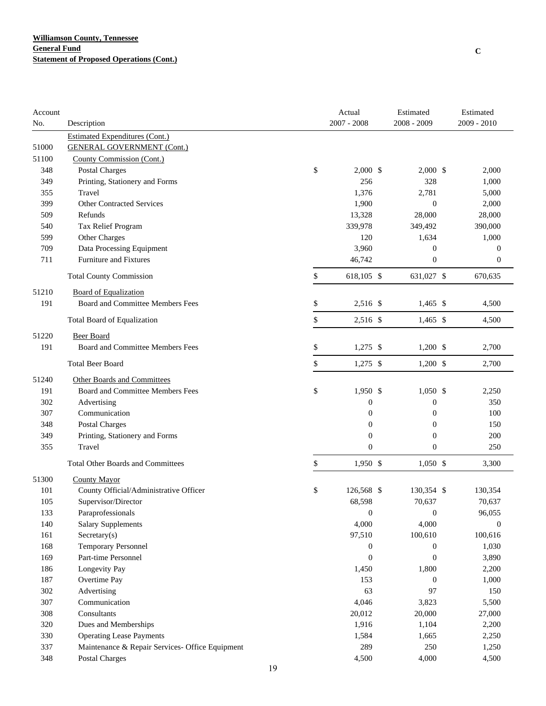| Account |                                                 | Actual<br>$2007 - 2008$ | Estimated<br>2008 - 2009 | Estimated<br>2009 - 2010 |
|---------|-------------------------------------------------|-------------------------|--------------------------|--------------------------|
| No.     | Description                                     |                         |                          |                          |
|         | <b>Estimated Expenditures (Cont.)</b>           |                         |                          |                          |
| 51000   | <b>GENERAL GOVERNMENT (Cont.)</b>               |                         |                          |                          |
| 51100   | County Commission (Cont.)                       |                         |                          |                          |
| 348     | <b>Postal Charges</b>                           | \$<br>$2,000$ \$        | $2,000$ \$               | 2,000                    |
| 349     | Printing, Stationery and Forms                  | 256                     | 328                      | 1,000                    |
| 355     | Travel                                          | 1,376                   | 2,781                    | 5,000                    |
| 399     | <b>Other Contracted Services</b>                | 1,900                   | $\mathbf{0}$             | 2,000                    |
| 509     | Refunds                                         | 13,328                  | 28,000                   | 28,000                   |
| 540     | Tax Relief Program                              | 339,978                 | 349,492                  | 390,000                  |
| 599     | Other Charges                                   | 120                     | 1,634                    | 1,000                    |
| 709     | Data Processing Equipment                       | 3,960                   | $\boldsymbol{0}$         | $\overline{0}$           |
| 711     | Furniture and Fixtures                          | 46,742                  | $\boldsymbol{0}$         | $\boldsymbol{0}$         |
|         | <b>Total County Commission</b>                  | \$<br>618,105 \$        | 631,027 \$               | 670,635                  |
| 51210   | <b>Board of Equalization</b>                    |                         |                          |                          |
| 191     | Board and Committee Members Fees                | \$<br>2,516 \$          | $1,465$ \$               | 4,500                    |
|         | Total Board of Equalization                     | \$<br>2,516 \$          | $1,465$ \$               | 4,500                    |
| 51220   | <b>Beer Board</b>                               |                         |                          |                          |
| 191     | Board and Committee Members Fees                | \$<br>$1,275$ \$        | $1,200$ \$               | 2,700                    |
|         | <b>Total Beer Board</b>                         | \$<br>$1,275$ \$        | $1,200$ \$               | 2,700                    |
| 51240   | Other Boards and Committees                     |                         |                          |                          |
| 191     | Board and Committee Members Fees                | \$<br>1,950 \$          | $1,050$ \$               | 2,250                    |
| 302     | Advertising                                     | $\boldsymbol{0}$        | 0                        | 350                      |
| 307     | Communication                                   | $\boldsymbol{0}$        | $\boldsymbol{0}$         | 100                      |
| 348     | Postal Charges                                  | $\boldsymbol{0}$        | $\boldsymbol{0}$         | 150                      |
| 349     | Printing, Stationery and Forms                  | $\overline{0}$          | $\mathbf{0}$             | 200                      |
| 355     | Travel                                          | $\overline{0}$          | $\mathbf{0}$             | 250                      |
|         | <b>Total Other Boards and Committees</b>        | \$<br>$1,950$ \$        | $1,050$ \$               | 3,300                    |
| 51300   | <b>County Mayor</b>                             |                         |                          |                          |
| 101     | County Official/Administrative Officer          | \$<br>126,568 \$        | 130,354 \$               | 130,354                  |
| 105     | Supervisor/Director                             | 68,598                  | 70,637                   | 70,637                   |
| 133     | Paraprofessionals                               | $\boldsymbol{0}$        | $\mathbf{0}$             | 96,055                   |
| 140     | <b>Salary Supplements</b>                       | 4,000                   | 4,000                    | $\boldsymbol{0}$         |
| 161     | Sercetary(s)                                    | 97,510                  | 100,610                  | 100,616                  |
| 168     | <b>Temporary Personnel</b>                      | $\boldsymbol{0}$        | 0                        | 1,030                    |
| 169     | Part-time Personnel                             | $\boldsymbol{0}$        | $\mathbf{0}$             | 3,890                    |
| 186     | Longevity Pay                                   | 1,450                   | 1,800                    | 2,200                    |
| 187     | Overtime Pay                                    | 153                     | 0                        | 1,000                    |
| 302     | Advertising                                     | 63                      | 97                       | 150                      |
| 307     | Communication                                   | 4,046                   | 3,823                    | 5,500                    |
| 308     | Consultants                                     | 20,012                  | 20,000                   | 27,000                   |
| 320     | Dues and Memberships                            | 1,916                   | 1,104                    | 2,200                    |
| 330     | <b>Operating Lease Payments</b>                 | 1,584                   | 1,665                    | 2,250                    |
| 337     | Maintenance & Repair Services- Office Equipment | 289                     | 250                      | 1,250                    |
| 348     | Postal Charges                                  | 4,500                   | 4,000                    | 4,500                    |
|         | 19                                              |                         |                          |                          |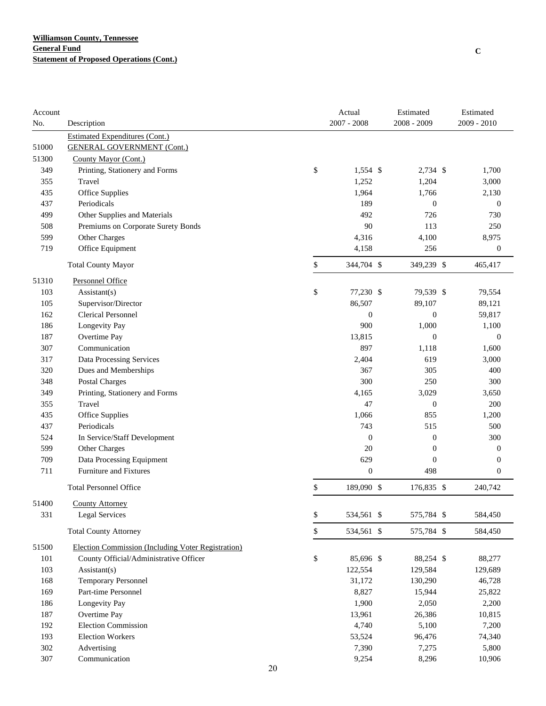| $2007 - 2008$<br>2008 - 2009<br>2009 - 2010<br>No.<br>Description<br><b>Estimated Expenditures (Cont.)</b><br>51000<br><b>GENERAL GOVERNMENT (Cont.)</b><br>51300<br>County Mayor (Cont.)<br>\$<br>1,554 \$<br>349<br>Printing, Stationery and Forms<br>2,734 \$<br>1,700<br>1,252<br>1,204<br>355<br>Travel<br>3,000<br>1,964<br>435<br>Office Supplies<br>1,766<br>2,130<br>Periodicals<br>189<br>437<br>$\boldsymbol{0}$<br>$\boldsymbol{0}$<br>492<br>726<br>499<br>Other Supplies and Materials<br>730<br>90<br>250<br>508<br>Premiums on Corporate Surety Bonds<br>113<br>599<br>Other Charges<br>4,316<br>4,100<br>8,975<br>719<br>Office Equipment<br>4,158<br>256<br>$\boldsymbol{0}$<br>\$<br><b>Total County Mayor</b><br>344,704 \$<br>349,239 \$<br>465,417<br>51310<br>Personnel Office<br>\$<br>77,230 \$<br>79,539 \$<br>103<br>$\text{Assistant}(s)$<br>79,554<br>86,507<br>Supervisor/Director<br>89,107<br>89,121<br>105<br><b>Clerical Personnel</b><br>162<br>$\boldsymbol{0}$<br>$\boldsymbol{0}$<br>59,817<br>900<br>186<br>Longevity Pay<br>1,000<br>1,100<br>Overtime Pay<br>13,815<br>187<br>$\boldsymbol{0}$<br>$\boldsymbol{0}$<br>Communication<br>897<br>1,600<br>307<br>1,118<br>317<br>Data Processing Services<br>2,404<br>619<br>3,000<br>320<br>Dues and Memberships<br>367<br>305<br>400<br>300<br>250<br>300<br>348<br>Postal Charges<br>349<br>Printing, Stationery and Forms<br>4,165<br>3,029<br>3,650<br>47<br>200<br>355<br>Travel<br>$\boldsymbol{0}$<br>435<br>Office Supplies<br>1,066<br>855<br>1,200<br>743<br>437<br>Periodicals<br>515<br>500<br>524<br>In Service/Staff Development<br>$\boldsymbol{0}$<br>$\boldsymbol{0}$<br>300<br>20<br>599<br>Other Charges<br>$\boldsymbol{0}$<br>$\boldsymbol{0}$<br>709<br>Data Processing Equipment<br>629<br>$\boldsymbol{0}$<br>$\boldsymbol{0}$<br>Furniture and Fixtures<br>$\mathbf{0}$<br>498<br>711<br>$\boldsymbol{0}$<br>\$<br>189,090 \$<br>176,835 \$<br>240,742<br><b>Total Personnel Office</b><br>51400<br><b>County Attorney</b><br>\$<br>331<br>534,561 \$<br>575,784 \$<br><b>Legal Services</b><br>584,450<br>\$<br>575,784 \$<br><b>Total County Attorney</b><br>534,561 \$<br>584,450<br>51500<br>Election Commission (Including Voter Registration)<br>101<br>County Official/Administrative Officer<br>\$<br>85,696 \$<br>88,277<br>88,254 \$<br>103<br>Assistant(s)<br>122,554<br>129,584<br>129,689<br>168<br><b>Temporary Personnel</b><br>31,172<br>130,290<br>46,728<br>Part-time Personnel<br>8,827<br>169<br>15,944<br>25,822<br>Longevity Pay<br>1,900<br>186<br>2,050<br>2,200<br>Overtime Pay<br>187<br>13,961<br>26,386<br>10,815<br><b>Election Commission</b><br>192<br>4,740<br>5,100<br>7,200<br><b>Election Workers</b><br>193<br>53,524<br>96,476<br>74,340<br>302<br>7,390<br>Advertising<br>7,275<br>5,800<br>Communication<br>307<br>9,254<br>8,296<br>10,906 | Account |  | Actual | Estimated | Estimated |
|----------------------------------------------------------------------------------------------------------------------------------------------------------------------------------------------------------------------------------------------------------------------------------------------------------------------------------------------------------------------------------------------------------------------------------------------------------------------------------------------------------------------------------------------------------------------------------------------------------------------------------------------------------------------------------------------------------------------------------------------------------------------------------------------------------------------------------------------------------------------------------------------------------------------------------------------------------------------------------------------------------------------------------------------------------------------------------------------------------------------------------------------------------------------------------------------------------------------------------------------------------------------------------------------------------------------------------------------------------------------------------------------------------------------------------------------------------------------------------------------------------------------------------------------------------------------------------------------------------------------------------------------------------------------------------------------------------------------------------------------------------------------------------------------------------------------------------------------------------------------------------------------------------------------------------------------------------------------------------------------------------------------------------------------------------------------------------------------------------------------------------------------------------------------------------------------------------------------------------------------------------------------------------------------------------------------------------------------------------------------------------------------------------------------------------------------------------------------------------------------------------------------------------------------------------------------------------------------------------------------------------------------------------------------------------------------------------------------------------------------------------------------------------------------------------------------------------------------------------------------------------------------------|---------|--|--------|-----------|-----------|
|                                                                                                                                                                                                                                                                                                                                                                                                                                                                                                                                                                                                                                                                                                                                                                                                                                                                                                                                                                                                                                                                                                                                                                                                                                                                                                                                                                                                                                                                                                                                                                                                                                                                                                                                                                                                                                                                                                                                                                                                                                                                                                                                                                                                                                                                                                                                                                                                                                                                                                                                                                                                                                                                                                                                                                                                                                                                                                    |         |  |        |           |           |
|                                                                                                                                                                                                                                                                                                                                                                                                                                                                                                                                                                                                                                                                                                                                                                                                                                                                                                                                                                                                                                                                                                                                                                                                                                                                                                                                                                                                                                                                                                                                                                                                                                                                                                                                                                                                                                                                                                                                                                                                                                                                                                                                                                                                                                                                                                                                                                                                                                                                                                                                                                                                                                                                                                                                                                                                                                                                                                    |         |  |        |           |           |
|                                                                                                                                                                                                                                                                                                                                                                                                                                                                                                                                                                                                                                                                                                                                                                                                                                                                                                                                                                                                                                                                                                                                                                                                                                                                                                                                                                                                                                                                                                                                                                                                                                                                                                                                                                                                                                                                                                                                                                                                                                                                                                                                                                                                                                                                                                                                                                                                                                                                                                                                                                                                                                                                                                                                                                                                                                                                                                    |         |  |        |           |           |
|                                                                                                                                                                                                                                                                                                                                                                                                                                                                                                                                                                                                                                                                                                                                                                                                                                                                                                                                                                                                                                                                                                                                                                                                                                                                                                                                                                                                                                                                                                                                                                                                                                                                                                                                                                                                                                                                                                                                                                                                                                                                                                                                                                                                                                                                                                                                                                                                                                                                                                                                                                                                                                                                                                                                                                                                                                                                                                    |         |  |        |           |           |
|                                                                                                                                                                                                                                                                                                                                                                                                                                                                                                                                                                                                                                                                                                                                                                                                                                                                                                                                                                                                                                                                                                                                                                                                                                                                                                                                                                                                                                                                                                                                                                                                                                                                                                                                                                                                                                                                                                                                                                                                                                                                                                                                                                                                                                                                                                                                                                                                                                                                                                                                                                                                                                                                                                                                                                                                                                                                                                    |         |  |        |           |           |
|                                                                                                                                                                                                                                                                                                                                                                                                                                                                                                                                                                                                                                                                                                                                                                                                                                                                                                                                                                                                                                                                                                                                                                                                                                                                                                                                                                                                                                                                                                                                                                                                                                                                                                                                                                                                                                                                                                                                                                                                                                                                                                                                                                                                                                                                                                                                                                                                                                                                                                                                                                                                                                                                                                                                                                                                                                                                                                    |         |  |        |           |           |
|                                                                                                                                                                                                                                                                                                                                                                                                                                                                                                                                                                                                                                                                                                                                                                                                                                                                                                                                                                                                                                                                                                                                                                                                                                                                                                                                                                                                                                                                                                                                                                                                                                                                                                                                                                                                                                                                                                                                                                                                                                                                                                                                                                                                                                                                                                                                                                                                                                                                                                                                                                                                                                                                                                                                                                                                                                                                                                    |         |  |        |           |           |
|                                                                                                                                                                                                                                                                                                                                                                                                                                                                                                                                                                                                                                                                                                                                                                                                                                                                                                                                                                                                                                                                                                                                                                                                                                                                                                                                                                                                                                                                                                                                                                                                                                                                                                                                                                                                                                                                                                                                                                                                                                                                                                                                                                                                                                                                                                                                                                                                                                                                                                                                                                                                                                                                                                                                                                                                                                                                                                    |         |  |        |           |           |
|                                                                                                                                                                                                                                                                                                                                                                                                                                                                                                                                                                                                                                                                                                                                                                                                                                                                                                                                                                                                                                                                                                                                                                                                                                                                                                                                                                                                                                                                                                                                                                                                                                                                                                                                                                                                                                                                                                                                                                                                                                                                                                                                                                                                                                                                                                                                                                                                                                                                                                                                                                                                                                                                                                                                                                                                                                                                                                    |         |  |        |           |           |
|                                                                                                                                                                                                                                                                                                                                                                                                                                                                                                                                                                                                                                                                                                                                                                                                                                                                                                                                                                                                                                                                                                                                                                                                                                                                                                                                                                                                                                                                                                                                                                                                                                                                                                                                                                                                                                                                                                                                                                                                                                                                                                                                                                                                                                                                                                                                                                                                                                                                                                                                                                                                                                                                                                                                                                                                                                                                                                    |         |  |        |           |           |
|                                                                                                                                                                                                                                                                                                                                                                                                                                                                                                                                                                                                                                                                                                                                                                                                                                                                                                                                                                                                                                                                                                                                                                                                                                                                                                                                                                                                                                                                                                                                                                                                                                                                                                                                                                                                                                                                                                                                                                                                                                                                                                                                                                                                                                                                                                                                                                                                                                                                                                                                                                                                                                                                                                                                                                                                                                                                                                    |         |  |        |           |           |
|                                                                                                                                                                                                                                                                                                                                                                                                                                                                                                                                                                                                                                                                                                                                                                                                                                                                                                                                                                                                                                                                                                                                                                                                                                                                                                                                                                                                                                                                                                                                                                                                                                                                                                                                                                                                                                                                                                                                                                                                                                                                                                                                                                                                                                                                                                                                                                                                                                                                                                                                                                                                                                                                                                                                                                                                                                                                                                    |         |  |        |           |           |
|                                                                                                                                                                                                                                                                                                                                                                                                                                                                                                                                                                                                                                                                                                                                                                                                                                                                                                                                                                                                                                                                                                                                                                                                                                                                                                                                                                                                                                                                                                                                                                                                                                                                                                                                                                                                                                                                                                                                                                                                                                                                                                                                                                                                                                                                                                                                                                                                                                                                                                                                                                                                                                                                                                                                                                                                                                                                                                    |         |  |        |           |           |
|                                                                                                                                                                                                                                                                                                                                                                                                                                                                                                                                                                                                                                                                                                                                                                                                                                                                                                                                                                                                                                                                                                                                                                                                                                                                                                                                                                                                                                                                                                                                                                                                                                                                                                                                                                                                                                                                                                                                                                                                                                                                                                                                                                                                                                                                                                                                                                                                                                                                                                                                                                                                                                                                                                                                                                                                                                                                                                    |         |  |        |           |           |
|                                                                                                                                                                                                                                                                                                                                                                                                                                                                                                                                                                                                                                                                                                                                                                                                                                                                                                                                                                                                                                                                                                                                                                                                                                                                                                                                                                                                                                                                                                                                                                                                                                                                                                                                                                                                                                                                                                                                                                                                                                                                                                                                                                                                                                                                                                                                                                                                                                                                                                                                                                                                                                                                                                                                                                                                                                                                                                    |         |  |        |           |           |
|                                                                                                                                                                                                                                                                                                                                                                                                                                                                                                                                                                                                                                                                                                                                                                                                                                                                                                                                                                                                                                                                                                                                                                                                                                                                                                                                                                                                                                                                                                                                                                                                                                                                                                                                                                                                                                                                                                                                                                                                                                                                                                                                                                                                                                                                                                                                                                                                                                                                                                                                                                                                                                                                                                                                                                                                                                                                                                    |         |  |        |           |           |
|                                                                                                                                                                                                                                                                                                                                                                                                                                                                                                                                                                                                                                                                                                                                                                                                                                                                                                                                                                                                                                                                                                                                                                                                                                                                                                                                                                                                                                                                                                                                                                                                                                                                                                                                                                                                                                                                                                                                                                                                                                                                                                                                                                                                                                                                                                                                                                                                                                                                                                                                                                                                                                                                                                                                                                                                                                                                                                    |         |  |        |           |           |
|                                                                                                                                                                                                                                                                                                                                                                                                                                                                                                                                                                                                                                                                                                                                                                                                                                                                                                                                                                                                                                                                                                                                                                                                                                                                                                                                                                                                                                                                                                                                                                                                                                                                                                                                                                                                                                                                                                                                                                                                                                                                                                                                                                                                                                                                                                                                                                                                                                                                                                                                                                                                                                                                                                                                                                                                                                                                                                    |         |  |        |           |           |
|                                                                                                                                                                                                                                                                                                                                                                                                                                                                                                                                                                                                                                                                                                                                                                                                                                                                                                                                                                                                                                                                                                                                                                                                                                                                                                                                                                                                                                                                                                                                                                                                                                                                                                                                                                                                                                                                                                                                                                                                                                                                                                                                                                                                                                                                                                                                                                                                                                                                                                                                                                                                                                                                                                                                                                                                                                                                                                    |         |  |        |           |           |
|                                                                                                                                                                                                                                                                                                                                                                                                                                                                                                                                                                                                                                                                                                                                                                                                                                                                                                                                                                                                                                                                                                                                                                                                                                                                                                                                                                                                                                                                                                                                                                                                                                                                                                                                                                                                                                                                                                                                                                                                                                                                                                                                                                                                                                                                                                                                                                                                                                                                                                                                                                                                                                                                                                                                                                                                                                                                                                    |         |  |        |           |           |
|                                                                                                                                                                                                                                                                                                                                                                                                                                                                                                                                                                                                                                                                                                                                                                                                                                                                                                                                                                                                                                                                                                                                                                                                                                                                                                                                                                                                                                                                                                                                                                                                                                                                                                                                                                                                                                                                                                                                                                                                                                                                                                                                                                                                                                                                                                                                                                                                                                                                                                                                                                                                                                                                                                                                                                                                                                                                                                    |         |  |        |           |           |
|                                                                                                                                                                                                                                                                                                                                                                                                                                                                                                                                                                                                                                                                                                                                                                                                                                                                                                                                                                                                                                                                                                                                                                                                                                                                                                                                                                                                                                                                                                                                                                                                                                                                                                                                                                                                                                                                                                                                                                                                                                                                                                                                                                                                                                                                                                                                                                                                                                                                                                                                                                                                                                                                                                                                                                                                                                                                                                    |         |  |        |           |           |
|                                                                                                                                                                                                                                                                                                                                                                                                                                                                                                                                                                                                                                                                                                                                                                                                                                                                                                                                                                                                                                                                                                                                                                                                                                                                                                                                                                                                                                                                                                                                                                                                                                                                                                                                                                                                                                                                                                                                                                                                                                                                                                                                                                                                                                                                                                                                                                                                                                                                                                                                                                                                                                                                                                                                                                                                                                                                                                    |         |  |        |           |           |
|                                                                                                                                                                                                                                                                                                                                                                                                                                                                                                                                                                                                                                                                                                                                                                                                                                                                                                                                                                                                                                                                                                                                                                                                                                                                                                                                                                                                                                                                                                                                                                                                                                                                                                                                                                                                                                                                                                                                                                                                                                                                                                                                                                                                                                                                                                                                                                                                                                                                                                                                                                                                                                                                                                                                                                                                                                                                                                    |         |  |        |           |           |
|                                                                                                                                                                                                                                                                                                                                                                                                                                                                                                                                                                                                                                                                                                                                                                                                                                                                                                                                                                                                                                                                                                                                                                                                                                                                                                                                                                                                                                                                                                                                                                                                                                                                                                                                                                                                                                                                                                                                                                                                                                                                                                                                                                                                                                                                                                                                                                                                                                                                                                                                                                                                                                                                                                                                                                                                                                                                                                    |         |  |        |           |           |
|                                                                                                                                                                                                                                                                                                                                                                                                                                                                                                                                                                                                                                                                                                                                                                                                                                                                                                                                                                                                                                                                                                                                                                                                                                                                                                                                                                                                                                                                                                                                                                                                                                                                                                                                                                                                                                                                                                                                                                                                                                                                                                                                                                                                                                                                                                                                                                                                                                                                                                                                                                                                                                                                                                                                                                                                                                                                                                    |         |  |        |           |           |
|                                                                                                                                                                                                                                                                                                                                                                                                                                                                                                                                                                                                                                                                                                                                                                                                                                                                                                                                                                                                                                                                                                                                                                                                                                                                                                                                                                                                                                                                                                                                                                                                                                                                                                                                                                                                                                                                                                                                                                                                                                                                                                                                                                                                                                                                                                                                                                                                                                                                                                                                                                                                                                                                                                                                                                                                                                                                                                    |         |  |        |           |           |
|                                                                                                                                                                                                                                                                                                                                                                                                                                                                                                                                                                                                                                                                                                                                                                                                                                                                                                                                                                                                                                                                                                                                                                                                                                                                                                                                                                                                                                                                                                                                                                                                                                                                                                                                                                                                                                                                                                                                                                                                                                                                                                                                                                                                                                                                                                                                                                                                                                                                                                                                                                                                                                                                                                                                                                                                                                                                                                    |         |  |        |           |           |
|                                                                                                                                                                                                                                                                                                                                                                                                                                                                                                                                                                                                                                                                                                                                                                                                                                                                                                                                                                                                                                                                                                                                                                                                                                                                                                                                                                                                                                                                                                                                                                                                                                                                                                                                                                                                                                                                                                                                                                                                                                                                                                                                                                                                                                                                                                                                                                                                                                                                                                                                                                                                                                                                                                                                                                                                                                                                                                    |         |  |        |           |           |
|                                                                                                                                                                                                                                                                                                                                                                                                                                                                                                                                                                                                                                                                                                                                                                                                                                                                                                                                                                                                                                                                                                                                                                                                                                                                                                                                                                                                                                                                                                                                                                                                                                                                                                                                                                                                                                                                                                                                                                                                                                                                                                                                                                                                                                                                                                                                                                                                                                                                                                                                                                                                                                                                                                                                                                                                                                                                                                    |         |  |        |           |           |
|                                                                                                                                                                                                                                                                                                                                                                                                                                                                                                                                                                                                                                                                                                                                                                                                                                                                                                                                                                                                                                                                                                                                                                                                                                                                                                                                                                                                                                                                                                                                                                                                                                                                                                                                                                                                                                                                                                                                                                                                                                                                                                                                                                                                                                                                                                                                                                                                                                                                                                                                                                                                                                                                                                                                                                                                                                                                                                    |         |  |        |           |           |
|                                                                                                                                                                                                                                                                                                                                                                                                                                                                                                                                                                                                                                                                                                                                                                                                                                                                                                                                                                                                                                                                                                                                                                                                                                                                                                                                                                                                                                                                                                                                                                                                                                                                                                                                                                                                                                                                                                                                                                                                                                                                                                                                                                                                                                                                                                                                                                                                                                                                                                                                                                                                                                                                                                                                                                                                                                                                                                    |         |  |        |           |           |
|                                                                                                                                                                                                                                                                                                                                                                                                                                                                                                                                                                                                                                                                                                                                                                                                                                                                                                                                                                                                                                                                                                                                                                                                                                                                                                                                                                                                                                                                                                                                                                                                                                                                                                                                                                                                                                                                                                                                                                                                                                                                                                                                                                                                                                                                                                                                                                                                                                                                                                                                                                                                                                                                                                                                                                                                                                                                                                    |         |  |        |           |           |
|                                                                                                                                                                                                                                                                                                                                                                                                                                                                                                                                                                                                                                                                                                                                                                                                                                                                                                                                                                                                                                                                                                                                                                                                                                                                                                                                                                                                                                                                                                                                                                                                                                                                                                                                                                                                                                                                                                                                                                                                                                                                                                                                                                                                                                                                                                                                                                                                                                                                                                                                                                                                                                                                                                                                                                                                                                                                                                    |         |  |        |           |           |
|                                                                                                                                                                                                                                                                                                                                                                                                                                                                                                                                                                                                                                                                                                                                                                                                                                                                                                                                                                                                                                                                                                                                                                                                                                                                                                                                                                                                                                                                                                                                                                                                                                                                                                                                                                                                                                                                                                                                                                                                                                                                                                                                                                                                                                                                                                                                                                                                                                                                                                                                                                                                                                                                                                                                                                                                                                                                                                    |         |  |        |           |           |
|                                                                                                                                                                                                                                                                                                                                                                                                                                                                                                                                                                                                                                                                                                                                                                                                                                                                                                                                                                                                                                                                                                                                                                                                                                                                                                                                                                                                                                                                                                                                                                                                                                                                                                                                                                                                                                                                                                                                                                                                                                                                                                                                                                                                                                                                                                                                                                                                                                                                                                                                                                                                                                                                                                                                                                                                                                                                                                    |         |  |        |           |           |
|                                                                                                                                                                                                                                                                                                                                                                                                                                                                                                                                                                                                                                                                                                                                                                                                                                                                                                                                                                                                                                                                                                                                                                                                                                                                                                                                                                                                                                                                                                                                                                                                                                                                                                                                                                                                                                                                                                                                                                                                                                                                                                                                                                                                                                                                                                                                                                                                                                                                                                                                                                                                                                                                                                                                                                                                                                                                                                    |         |  |        |           |           |
|                                                                                                                                                                                                                                                                                                                                                                                                                                                                                                                                                                                                                                                                                                                                                                                                                                                                                                                                                                                                                                                                                                                                                                                                                                                                                                                                                                                                                                                                                                                                                                                                                                                                                                                                                                                                                                                                                                                                                                                                                                                                                                                                                                                                                                                                                                                                                                                                                                                                                                                                                                                                                                                                                                                                                                                                                                                                                                    |         |  |        |           |           |
|                                                                                                                                                                                                                                                                                                                                                                                                                                                                                                                                                                                                                                                                                                                                                                                                                                                                                                                                                                                                                                                                                                                                                                                                                                                                                                                                                                                                                                                                                                                                                                                                                                                                                                                                                                                                                                                                                                                                                                                                                                                                                                                                                                                                                                                                                                                                                                                                                                                                                                                                                                                                                                                                                                                                                                                                                                                                                                    |         |  |        |           |           |
|                                                                                                                                                                                                                                                                                                                                                                                                                                                                                                                                                                                                                                                                                                                                                                                                                                                                                                                                                                                                                                                                                                                                                                                                                                                                                                                                                                                                                                                                                                                                                                                                                                                                                                                                                                                                                                                                                                                                                                                                                                                                                                                                                                                                                                                                                                                                                                                                                                                                                                                                                                                                                                                                                                                                                                                                                                                                                                    |         |  |        |           |           |
|                                                                                                                                                                                                                                                                                                                                                                                                                                                                                                                                                                                                                                                                                                                                                                                                                                                                                                                                                                                                                                                                                                                                                                                                                                                                                                                                                                                                                                                                                                                                                                                                                                                                                                                                                                                                                                                                                                                                                                                                                                                                                                                                                                                                                                                                                                                                                                                                                                                                                                                                                                                                                                                                                                                                                                                                                                                                                                    |         |  |        |           |           |
|                                                                                                                                                                                                                                                                                                                                                                                                                                                                                                                                                                                                                                                                                                                                                                                                                                                                                                                                                                                                                                                                                                                                                                                                                                                                                                                                                                                                                                                                                                                                                                                                                                                                                                                                                                                                                                                                                                                                                                                                                                                                                                                                                                                                                                                                                                                                                                                                                                                                                                                                                                                                                                                                                                                                                                                                                                                                                                    |         |  |        |           |           |
|                                                                                                                                                                                                                                                                                                                                                                                                                                                                                                                                                                                                                                                                                                                                                                                                                                                                                                                                                                                                                                                                                                                                                                                                                                                                                                                                                                                                                                                                                                                                                                                                                                                                                                                                                                                                                                                                                                                                                                                                                                                                                                                                                                                                                                                                                                                                                                                                                                                                                                                                                                                                                                                                                                                                                                                                                                                                                                    |         |  |        |           |           |
|                                                                                                                                                                                                                                                                                                                                                                                                                                                                                                                                                                                                                                                                                                                                                                                                                                                                                                                                                                                                                                                                                                                                                                                                                                                                                                                                                                                                                                                                                                                                                                                                                                                                                                                                                                                                                                                                                                                                                                                                                                                                                                                                                                                                                                                                                                                                                                                                                                                                                                                                                                                                                                                                                                                                                                                                                                                                                                    |         |  |        |           |           |
|                                                                                                                                                                                                                                                                                                                                                                                                                                                                                                                                                                                                                                                                                                                                                                                                                                                                                                                                                                                                                                                                                                                                                                                                                                                                                                                                                                                                                                                                                                                                                                                                                                                                                                                                                                                                                                                                                                                                                                                                                                                                                                                                                                                                                                                                                                                                                                                                                                                                                                                                                                                                                                                                                                                                                                                                                                                                                                    |         |  |        |           |           |
|                                                                                                                                                                                                                                                                                                                                                                                                                                                                                                                                                                                                                                                                                                                                                                                                                                                                                                                                                                                                                                                                                                                                                                                                                                                                                                                                                                                                                                                                                                                                                                                                                                                                                                                                                                                                                                                                                                                                                                                                                                                                                                                                                                                                                                                                                                                                                                                                                                                                                                                                                                                                                                                                                                                                                                                                                                                                                                    |         |  |        |           |           |
|                                                                                                                                                                                                                                                                                                                                                                                                                                                                                                                                                                                                                                                                                                                                                                                                                                                                                                                                                                                                                                                                                                                                                                                                                                                                                                                                                                                                                                                                                                                                                                                                                                                                                                                                                                                                                                                                                                                                                                                                                                                                                                                                                                                                                                                                                                                                                                                                                                                                                                                                                                                                                                                                                                                                                                                                                                                                                                    |         |  |        |           |           |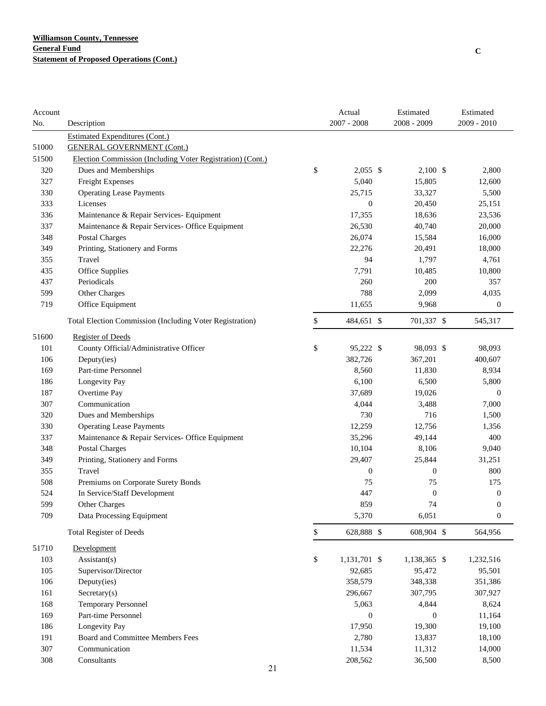| Account<br>No. | Description                                                |              | Actual<br>$2007 - 2008$ | Estimated<br>$2008 - 2009$ | Estimated<br>2009 - 2010 |
|----------------|------------------------------------------------------------|--------------|-------------------------|----------------------------|--------------------------|
|                | <b>Estimated Expenditures (Cont.)</b>                      |              |                         |                            |                          |
| 51000          | <b>GENERAL GOVERNMENT (Cont.)</b>                          |              |                         |                            |                          |
| 51500          | Election Commission (Including Voter Registration) (Cont.) |              |                         |                            |                          |
| 320            | Dues and Memberships                                       | \$           | $2,055$ \$              | $2,100$ \$                 | 2,800                    |
| 327            | Freight Expenses                                           |              | 5,040                   | 15,805                     | 12,600                   |
| 330            | <b>Operating Lease Payments</b>                            |              | 25,715                  | 33,327                     | 5,500                    |
| 333            | Licenses                                                   |              | $\boldsymbol{0}$        | 20,450                     | 25,151                   |
| 336            | Maintenance & Repair Services- Equipment                   |              | 17,355                  | 18,636                     | 23,536                   |
| 337            | Maintenance & Repair Services- Office Equipment            |              | 26,530                  | 40,740                     | 20,000                   |
| 348            | Postal Charges                                             |              | 26,074                  | 15,584                     | 16,000                   |
| 349            | Printing, Stationery and Forms                             |              | 22,276                  | 20,491                     | 18,000                   |
| 355            | Travel                                                     |              | 94                      | 1,797                      | 4,761                    |
| 435            | Office Supplies                                            |              | 7,791                   | 10,485                     | 10,800                   |
| 437            | Periodicals                                                |              | 260                     | 200                        | 357                      |
| 599            | Other Charges                                              |              | 788                     | 2,099                      | 4,035                    |
| 719            | Office Equipment                                           |              | 11,655                  | 9,968                      | $\boldsymbol{0}$         |
|                | Total Election Commission (Including Voter Registration)   | \$           | 484,651 \$              | 701,337 \$                 | 545,317                  |
| 51600          | <b>Register of Deeds</b>                                   |              |                         |                            |                          |
| 101            | County Official/Administrative Officer                     | \$           | 95,222 \$               | 98,093 \$                  | 98,093                   |
| 106            | Deputy(ies)                                                |              | 382,726                 | 367,201                    | 400,607                  |
| 169            | Part-time Personnel                                        |              | 8,560                   | 11,830                     | 8,934                    |
| 186            | Longevity Pay                                              |              | 6,100                   | 6,500                      | 5,800                    |
| 187            | Overtime Pay                                               |              | 37,689                  | 19,026                     | $\boldsymbol{0}$         |
| 307            | Communication                                              |              | 4,044                   | 3,488                      | 7,000                    |
| 320            | Dues and Memberships                                       |              | 730                     | 716                        | 1,500                    |
| 330            | <b>Operating Lease Payments</b>                            |              | 12,259                  | 12,756                     | 1,356                    |
| 337            | Maintenance & Repair Services- Office Equipment            |              | 35,296                  | 49,144                     | 400                      |
| 348            | <b>Postal Charges</b>                                      |              | 10,104                  | 8,106                      | 9,040                    |
| 349            | Printing, Stationery and Forms                             |              | 29,407                  | 25,844                     | 31,251                   |
| 355            | Travel                                                     |              | $\boldsymbol{0}$        | $\boldsymbol{0}$           | 800                      |
| 508            | Premiums on Corporate Surety Bonds                         |              | 75                      | 75                         | 175                      |
| 524            | In Service/Staff Development                               |              | 447                     | $\boldsymbol{0}$           | 0                        |
| 599            | Other Charges                                              |              | 859                     | 74                         | $\Omega$                 |
| 709            | Data Processing Equipment                                  |              | 5,370                   | 6,051                      | $\boldsymbol{0}$         |
|                | <b>Total Register of Deeds</b>                             | $\mathbb{S}$ | 628,888 \$              | 608,904 \$                 | 564,956                  |
| 51710          | Development                                                |              |                         |                            |                          |
| 103            | $\text{Assistant}(s)$                                      | \$           | 1,131,701 \$            | 1,138,365 \$               | 1,232,516                |
| 105            | Supervisor/Director                                        |              | 92,685                  | 95,472                     | 95,501                   |
| 106            | Deputy(ies)                                                |              | 358,579                 | 348,338                    | 351,386                  |
| 161            | Sercetary(s)                                               |              | 296,667                 | 307,795                    | 307,927                  |
| 168            | Temporary Personnel                                        |              | 5,063                   | 4,844                      | 8,624                    |
| 169            | Part-time Personnel                                        |              | $\boldsymbol{0}$        | $\boldsymbol{0}$           | 11,164                   |
| 186            | Longevity Pay                                              |              | 17,950                  | 19,300                     | 19,100                   |
| 191            | Board and Committee Members Fees                           |              | 2,780                   | 13,837                     | 18,100                   |
| 307            | Communication                                              |              | 11,534                  | 11,312                     | 14,000                   |
| 308            | Consultants<br>$\sim$                                      |              | 208,562                 | 36,500                     | 8,500                    |

**C**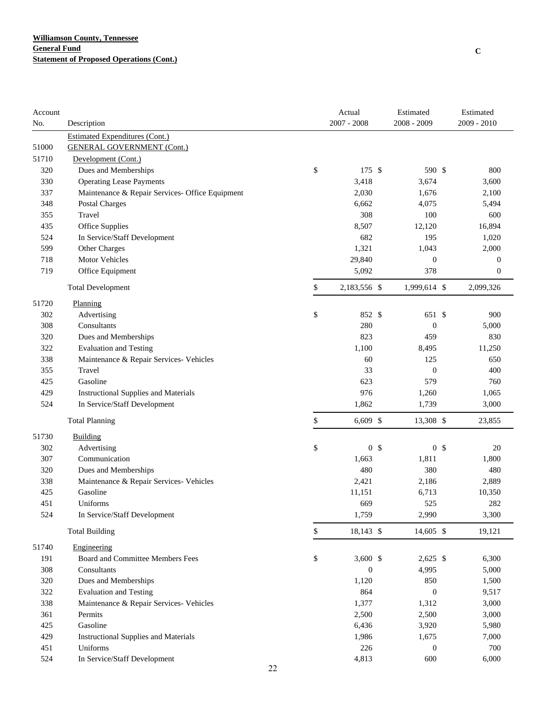| Account |                                                 |    | Actual           | Estimated        | Estimated            |
|---------|-------------------------------------------------|----|------------------|------------------|----------------------|
| No.     | Description                                     |    | $2007 - 2008$    | 2008 - 2009      | $2009 - 2010$        |
|         | <b>Estimated Expenditures (Cont.)</b>           |    |                  |                  |                      |
| 51000   | <b>GENERAL GOVERNMENT (Cont.)</b>               |    |                  |                  |                      |
| 51710   | Development (Cont.)                             |    |                  |                  |                      |
| 320     | Dues and Memberships                            | \$ | 175 \$           | 590 \$           | 800                  |
| 330     | <b>Operating Lease Payments</b>                 |    | 3,418            | 3,674            | 3,600                |
| 337     | Maintenance & Repair Services- Office Equipment |    | 2,030            | 1,676            | 2,100                |
| 348     | <b>Postal Charges</b>                           |    | 6,662            | 4,075            | 5,494                |
| 355     | Travel                                          |    | 308              | 100              | 600                  |
| 435     | Office Supplies                                 |    | 8,507            | 12,120           | 16,894               |
| 524     | In Service/Staff Development                    |    | 682              | 195              | 1,020                |
| 599     | Other Charges                                   |    | 1,321            | 1,043            | 2,000                |
| 718     | Motor Vehicles                                  |    | 29,840           | $\boldsymbol{0}$ | $\mathbf{0}$         |
| 719     | Office Equipment                                |    | 5,092            | 378              | $\boldsymbol{0}$     |
|         | <b>Total Development</b>                        | \$ | 2,183,556 \$     | 1,999,614 \$     | 2,099,326            |
| 51720   | Planning                                        |    |                  |                  |                      |
| 302     | Advertising                                     | \$ | 852 \$           | 651 \$           | 900                  |
| 308     | Consultants                                     |    | 280              | $\boldsymbol{0}$ | 5,000                |
| 320     | Dues and Memberships                            |    | 823              | 459              | 830                  |
| 322     | <b>Evaluation and Testing</b>                   |    | 1,100            | 8,495            | 11,250               |
| 338     | Maintenance & Repair Services- Vehicles         |    | 60               | 125              | 650                  |
| 355     | Travel                                          |    | 33               | $\mathbf{0}$     | 400                  |
| 425     | Gasoline                                        |    | 623              | 579              | 760                  |
| 429     | <b>Instructional Supplies and Materials</b>     |    | 976              | 1,260            | 1,065                |
| 524     | In Service/Staff Development                    |    | 1,862            | 1,739            | 3,000                |
|         | <b>Total Planning</b>                           | \$ | $6,609$ \$       | 13,308 \$        | 23,855               |
| 51730   | Building                                        |    |                  |                  |                      |
| 302     | Advertising                                     | \$ | 0 <sup>5</sup>   |                  | 0 <sup>5</sup><br>20 |
| 307     | Communication                                   |    | 1,663            | 1,811            | 1,800                |
| 320     | Dues and Memberships                            |    | 480              | 380              | 480                  |
| 338     | Maintenance & Repair Services- Vehicles         |    | 2,421            | 2,186            | 2,889                |
| 425     | Gasoline                                        |    | 11,151           | 6,713            | 10,350               |
| 451     | Uniforms                                        |    | 669              | 525              | 282                  |
| 524     | In Service/Staff Development                    |    | 1,759            | 2,990            | 3,300                |
|         | <b>Total Building</b>                           | \$ | 18,143 \$        | $14,605$ \$      | 19,121               |
| 51740   | Engineering                                     |    |                  |                  |                      |
| 191     | Board and Committee Members Fees                | \$ | 3,600 $$$        | $2,625$ \$       | 6,300                |
| 308     | Consultants                                     |    | $\boldsymbol{0}$ | 4,995            | 5,000                |
| 320     | Dues and Memberships                            |    | 1,120            | 850              | 1,500                |
| 322     | <b>Evaluation and Testing</b>                   |    | 864              | $\boldsymbol{0}$ | 9,517                |
| 338     | Maintenance & Repair Services- Vehicles         |    | 1,377            | 1,312            | 3,000                |
| 361     | Permits                                         |    | 2,500            | 2,500            | 3,000                |
| 425     | Gasoline                                        |    | 6,436            | 3,920            | 5,980                |
| 429     | <b>Instructional Supplies and Materials</b>     |    | 1,986            | 1,675            | 7,000                |
| 451     | Uniforms                                        |    | 226              | $\boldsymbol{0}$ | 700                  |
| 524     | In Service/Staff Development                    |    | 4,813            | 600              | 6,000                |
|         |                                                 | 22 |                  |                  |                      |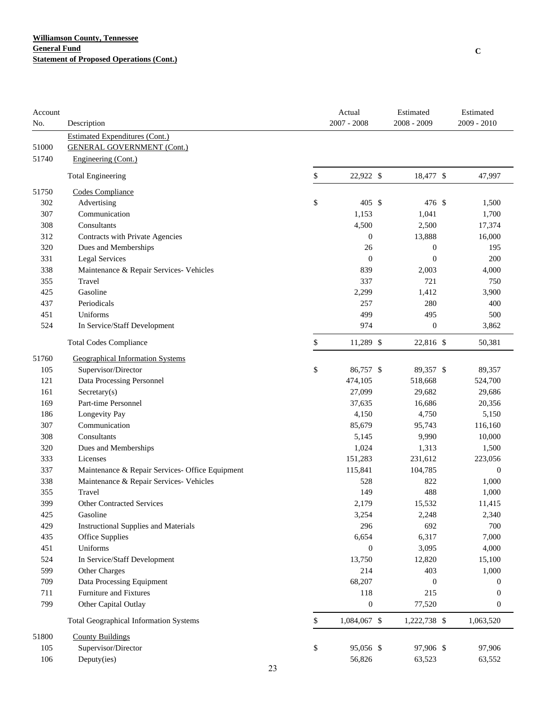| Account |                                                 |    | Actual           | Estimated        | Estimated        |
|---------|-------------------------------------------------|----|------------------|------------------|------------------|
| No.     | Description                                     |    | $2007 - 2008$    | 2008 - 2009      | 2009 - 2010      |
|         | <b>Estimated Expenditures (Cont.)</b>           |    |                  |                  |                  |
| 51000   | <b>GENERAL GOVERNMENT (Cont.)</b>               |    |                  |                  |                  |
| 51740   | Engineering (Cont.)                             |    |                  |                  |                  |
|         | <b>Total Engineering</b>                        | \$ | 22,922 \$        | 18,477 \$        | 47,997           |
| 51750   | Codes Compliance                                |    |                  |                  |                  |
| 302     | Advertising                                     | \$ | 405S             | 476 \$           | 1,500            |
| 307     | Communication                                   |    | 1,153            | 1,041            | 1,700            |
| 308     | Consultants                                     |    | 4,500            | 2,500            | 17,374           |
| 312     | Contracts with Private Agencies                 |    | $\boldsymbol{0}$ | 13,888           | 16,000           |
| 320     | Dues and Memberships                            |    | 26               | $\boldsymbol{0}$ | 195              |
| 331     | <b>Legal Services</b>                           |    | $\boldsymbol{0}$ | $\boldsymbol{0}$ | 200              |
| 338     | Maintenance & Repair Services- Vehicles         |    | 839              | 2,003            | 4,000            |
| 355     | Travel                                          |    | 337              | 721              | 750              |
| 425     | Gasoline                                        |    | 2,299            | 1,412            | 3,900            |
| 437     | Periodicals                                     |    | 257              | 280              | 400              |
| 451     | Uniforms                                        |    | 499              | 495              | 500              |
| 524     | In Service/Staff Development                    |    | 974              | $\boldsymbol{0}$ | 3,862            |
|         | <b>Total Codes Compliance</b>                   | \$ | 11,289 \$        | 22,816 \$        | 50,381           |
| 51760   | <b>Geographical Information Systems</b>         |    |                  |                  |                  |
| 105     | Supervisor/Director                             | \$ | 86,757 \$        | 89,357 \$        | 89,357           |
| 121     | Data Processing Personnel                       |    | 474,105          | 518,668          | 524,700          |
| 161     | $S \text{eccetary}(s)$                          |    | 27,099           | 29,682           | 29,686           |
| 169     | Part-time Personnel                             |    | 37,635           | 16,686           | 20,356           |
| 186     | Longevity Pay                                   |    | 4,150            | 4,750            | 5,150            |
| 307     | Communication                                   |    | 85,679           | 95,743           | 116,160          |
| 308     | Consultants                                     |    | 5,145            | 9,990            | 10,000           |
| 320     | Dues and Memberships                            |    | 1,024            | 1,313            | 1,500            |
| 333     | Licenses                                        |    | 151,283          | 231,612          | 223,056          |
| 337     | Maintenance & Repair Services- Office Equipment |    | 115,841          | 104,785          | $\boldsymbol{0}$ |
| 338     | Maintenance & Repair Services- Vehicles         |    | 528              | 822              | 1,000            |
| 355     | Travel                                          |    | 149              | 488              | 1,000            |
| 399     | <b>Other Contracted Services</b>                |    | 2,179            | 15,532           | 11,415           |
| 425     | Gasoline                                        |    | 3,254            | 2,248            | 2,340            |
| 429     | <b>Instructional Supplies and Materials</b>     |    | 296              | 692              | 700              |
| 435     | <b>Office Supplies</b>                          |    | 6,654            | 6,317            | 7,000            |
| 451     | Uniforms                                        |    | $\mathbf{0}$     | 3,095            | 4,000            |
| 524     | In Service/Staff Development                    |    | 13,750           | 12,820           | 15,100           |
| 599     | Other Charges                                   |    | 214              | 403              | 1,000            |
| 709     | Data Processing Equipment                       |    | 68,207           | $\boldsymbol{0}$ | 0                |
| 711     | Furniture and Fixtures                          |    | 118              | 215              | $\boldsymbol{0}$ |
| 799     | Other Capital Outlay                            |    | $\boldsymbol{0}$ | 77,520           | $\boldsymbol{0}$ |
|         | <b>Total Geographical Information Systems</b>   | \$ | 1,084,067 \$     | 1,222,738 \$     | 1,063,520        |
| 51800   | <b>County Buildings</b>                         |    |                  |                  |                  |
| 105     | Supervisor/Director                             | \$ | 95,056 \$        | 97,906 \$        | 97,906           |
| 106     | Deputy(ies)                                     |    | 56,826           | 63,523           | 63,552           |
|         |                                                 | 23 |                  |                  |                  |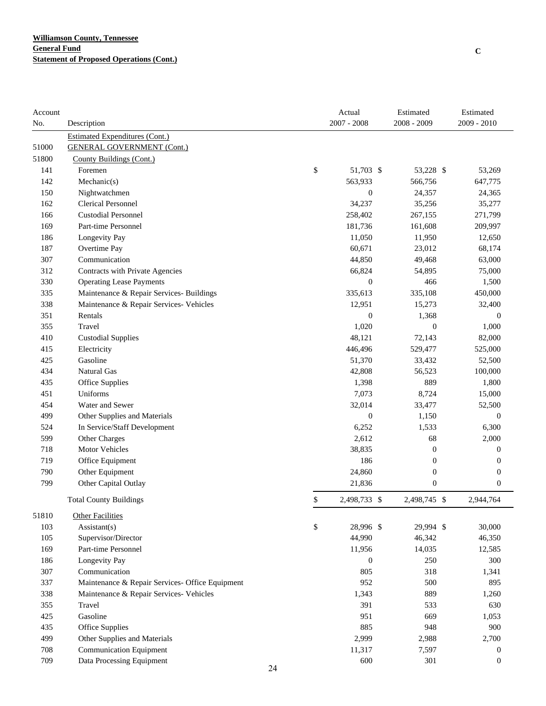| Account |                                                 | Actual             | Estimated        | Estimated        |
|---------|-------------------------------------------------|--------------------|------------------|------------------|
| No.     | Description                                     | $2007 - 2008$      | 2008 - 2009      | 2009 - 2010      |
|         | <b>Estimated Expenditures (Cont.)</b>           |                    |                  |                  |
| 51000   | <b>GENERAL GOVERNMENT (Cont.)</b>               |                    |                  |                  |
| 51800   | County Buildings (Cont.)                        |                    |                  |                  |
| 141     | Foremen                                         | \$<br>51,703 \$    | 53,228 \$        | 53,269           |
| 142     | Mechanic(s)                                     | 563,933            | 566,756          | 647,775          |
| 150     | Nightwatchmen                                   | $\boldsymbol{0}$   | 24,357           | 24,365           |
| 162     | <b>Clerical Personnel</b>                       | 34,237             | 35,256           | 35,277           |
| 166     | <b>Custodial Personnel</b>                      | 258,402            | 267,155          | 271,799          |
| 169     | Part-time Personnel                             | 181,736            | 161,608          | 209,997          |
| 186     | Longevity Pay                                   | 11,050             | 11,950           | 12,650           |
| 187     | Overtime Pay                                    | 60,671             | 23,012           | 68,174           |
| 307     | Communication                                   | 44,850             | 49,468           | 63,000           |
| 312     | Contracts with Private Agencies                 | 66,824             | 54,895           | 75,000           |
| 330     | <b>Operating Lease Payments</b>                 | $\boldsymbol{0}$   | 466              | 1,500            |
| 335     | Maintenance & Repair Services- Buildings        | 335,613            | 335,108          | 450,000          |
| 338     | Maintenance & Repair Services- Vehicles         | 12,951             | 15,273           | 32,400           |
| 351     | Rentals                                         | $\boldsymbol{0}$   | 1,368            | $\mathbf{0}$     |
| 355     | Travel                                          | 1,020              | $\boldsymbol{0}$ | 1,000            |
| 410     | <b>Custodial Supplies</b>                       | 48,121             | 72,143           | 82,000           |
| 415     | Electricity                                     | 446,496            | 529,477          | 525,000          |
| 425     | Gasoline                                        | 51,370             | 33,432           | 52,500           |
| 434     | <b>Natural Gas</b>                              | 42,808             | 56,523           | 100,000          |
| 435     | Office Supplies                                 | 1,398              | 889              | 1,800            |
| 451     | Uniforms                                        | 7,073              | 8,724            | 15,000           |
| 454     | Water and Sewer                                 | 32,014             | 33,477           | 52,500           |
| 499     | Other Supplies and Materials                    | $\boldsymbol{0}$   | 1,150            | $\boldsymbol{0}$ |
| 524     | In Service/Staff Development                    | 6,252              | 1,533            | 6,300            |
| 599     | Other Charges                                   | 2,612              | 68               | 2,000            |
| 718     | <b>Motor Vehicles</b>                           | 38,835             | $\boldsymbol{0}$ | $\boldsymbol{0}$ |
| 719     | Office Equipment                                | 186                | $\boldsymbol{0}$ | $\boldsymbol{0}$ |
| 790     | Other Equipment                                 | 24,860             | $\boldsymbol{0}$ | $\boldsymbol{0}$ |
| 799     | Other Capital Outlay                            | 21,836             | $\boldsymbol{0}$ | $\boldsymbol{0}$ |
|         | <b>Total County Buildings</b>                   | \$<br>2,498,733 \$ | 2,498,745 \$     | 2,944,764        |
| 51810   | <b>Other Facilities</b>                         |                    |                  |                  |
| 103     | Assistant(s)                                    | \$<br>28,996 \$    | 29,994 \$        | 30,000           |
| 105     | Supervisor/Director                             | 44,990             | 46,342           | 46,350           |
| 169     | Part-time Personnel                             | 11,956             | 14,035           | 12,585           |
| 186     | Longevity Pay                                   | $\mathbf{0}$       | 250              | 300              |
| 307     | Communication                                   | 805                | 318              | 1,341            |
| 337     | Maintenance & Repair Services- Office Equipment | 952                | 500              | 895              |
| 338     | Maintenance & Repair Services- Vehicles         | 1,343              | 889              | 1,260            |
| 355     | Travel                                          | 391                | 533              | 630              |
| 425     | Gasoline                                        | 951                | 669              | 1,053            |
| 435     | <b>Office Supplies</b>                          | 885                | 948              | 900              |
| 499     | Other Supplies and Materials                    | 2,999              | 2,988            | 2,700            |
| 708     | <b>Communication Equipment</b>                  | 11,317             | 7,597            | 0                |
| 709     | Data Processing Equipment                       | 600                | 301              | $\boldsymbol{0}$ |
|         | 24                                              |                    |                  |                  |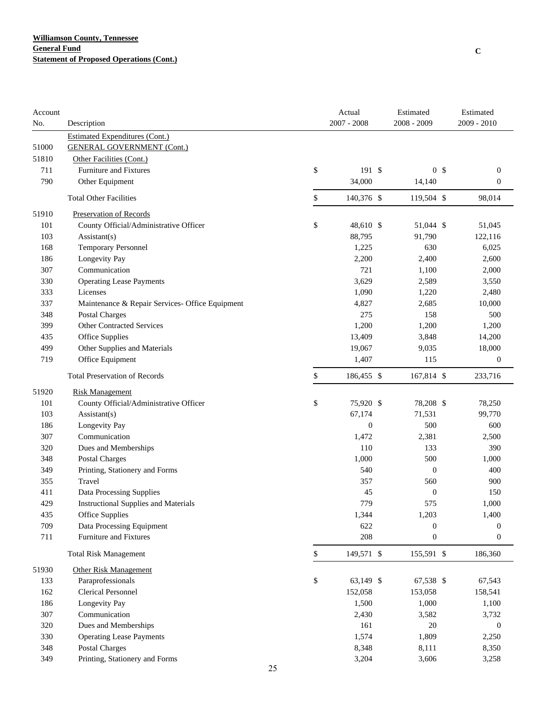| <b>Estimated Expenditures (Cont.)</b><br>51000<br><b>GENERAL GOVERNMENT (Cont.)</b><br>51810<br>Other Facilities (Cont.)<br>\$<br>711<br>191S<br>0 <sup>5</sup><br><b>Furniture and Fixtures</b><br>$\boldsymbol{0}$<br>790<br>34,000<br>$\boldsymbol{0}$<br>Other Equipment<br>14,140<br>\$<br><b>Total Other Facilities</b><br>140,376 \$<br>119,504 \$<br>98,014<br>51910<br>Preservation of Records<br>\$<br>48,610 \$<br>101<br>County Official/Administrative Officer<br>51,044 \$<br>51,045<br>88,795<br>91,790<br>103<br>122,116<br>Assistant(s)<br>168<br><b>Temporary Personnel</b><br>1,225<br>630<br>6,025<br>186<br>Longevity Pay<br>2,200<br>2,400<br>2,600<br>307<br>Communication<br>721<br>1,100<br>2,000<br>3,629<br>330<br><b>Operating Lease Payments</b><br>2,589<br>3,550<br>Licenses<br>1,090<br>333<br>1,220<br>2,480<br>337<br>Maintenance & Repair Services- Office Equipment<br>4,827<br>2,685<br>10,000<br>348<br><b>Postal Charges</b><br>275<br>158<br>500<br>Other Contracted Services<br>1,200<br>399<br>1,200<br>1,200<br>435<br><b>Office Supplies</b><br>13,409<br>3,848<br>14,200<br>499<br>Other Supplies and Materials<br>19,067<br>9,035<br>18,000<br>719<br>Office Equipment<br>1,407<br>115<br>$\boldsymbol{0}$<br>\$<br><b>Total Preservation of Records</b><br>186,455 \$<br>167,814 \$<br>233,716<br>51920<br><b>Risk Management</b><br>\$<br>101<br>County Official/Administrative Officer<br>75,920 \$<br>78,208 \$<br>78,250<br>103<br>Assistant(s)<br>67,174<br>71,531<br>99,770<br>Longevity Pay<br>500<br>186<br>$\boldsymbol{0}$<br>600<br>307<br>Communication<br>1,472<br>2,381<br>2,500<br>320<br>Dues and Memberships<br>110<br>133<br>390<br>348<br><b>Postal Charges</b><br>1,000<br>500<br>1,000<br>349<br>Printing, Stationery and Forms<br>540<br>$\boldsymbol{0}$<br>400<br>355<br>Travel<br>357<br>560<br>900<br>411<br>Data Processing Supplies<br>45<br>$\boldsymbol{0}$<br>150<br>779<br>429<br>575<br>1,000<br><b>Instructional Supplies and Materials</b><br>1,400<br>435<br>Office Supplies<br>1,344<br>1,203<br>709<br>Data Processing Equipment<br>622<br>0<br>$\mathbf{0}$<br>208<br>711<br>Furniture and Fixtures<br>$\boldsymbol{0}$<br>$\boldsymbol{0}$<br>149,571 \$<br>155,591 \$<br><b>Total Risk Management</b><br>\$<br>186,360<br>51930<br><b>Other Risk Management</b><br>Paraprofessionals<br>\$<br>63,149 \$<br>67,538 \$<br>67,543<br>133<br>162<br><b>Clerical Personnel</b><br>152,058<br>153,058<br>158,541<br>Longevity Pay<br>1,500<br>186<br>1,000<br>1,100<br>307<br>Communication<br>2,430<br>3,582<br>3,732<br>320<br>Dues and Memberships<br>161<br>20<br>$\boldsymbol{0}$<br>330<br><b>Operating Lease Payments</b><br>1,574<br>1,809<br>2,250<br>Postal Charges<br>8,348<br>348<br>8,111<br>8,350<br>Printing, Stationery and Forms<br>349<br>3,204<br>3,606<br>3,258<br>25 | Account<br>No. | Description |  | Actual<br>$2007 - 2008$ | Estimated<br>2008 - 2009 | Estimated<br>2009 - 2010 |
|-----------------------------------------------------------------------------------------------------------------------------------------------------------------------------------------------------------------------------------------------------------------------------------------------------------------------------------------------------------------------------------------------------------------------------------------------------------------------------------------------------------------------------------------------------------------------------------------------------------------------------------------------------------------------------------------------------------------------------------------------------------------------------------------------------------------------------------------------------------------------------------------------------------------------------------------------------------------------------------------------------------------------------------------------------------------------------------------------------------------------------------------------------------------------------------------------------------------------------------------------------------------------------------------------------------------------------------------------------------------------------------------------------------------------------------------------------------------------------------------------------------------------------------------------------------------------------------------------------------------------------------------------------------------------------------------------------------------------------------------------------------------------------------------------------------------------------------------------------------------------------------------------------------------------------------------------------------------------------------------------------------------------------------------------------------------------------------------------------------------------------------------------------------------------------------------------------------------------------------------------------------------------------------------------------------------------------------------------------------------------------------------------------------------------------------------------------------------------------------------------------------------------------------------------------------------------------------------------------------------------------------------------------------------------------------------------------------------------------------------------------------------------------------------------------------------------------------------------------------------------------|----------------|-------------|--|-------------------------|--------------------------|--------------------------|
|                                                                                                                                                                                                                                                                                                                                                                                                                                                                                                                                                                                                                                                                                                                                                                                                                                                                                                                                                                                                                                                                                                                                                                                                                                                                                                                                                                                                                                                                                                                                                                                                                                                                                                                                                                                                                                                                                                                                                                                                                                                                                                                                                                                                                                                                                                                                                                                                                                                                                                                                                                                                                                                                                                                                                                                                                                                                             |                |             |  |                         |                          |                          |
|                                                                                                                                                                                                                                                                                                                                                                                                                                                                                                                                                                                                                                                                                                                                                                                                                                                                                                                                                                                                                                                                                                                                                                                                                                                                                                                                                                                                                                                                                                                                                                                                                                                                                                                                                                                                                                                                                                                                                                                                                                                                                                                                                                                                                                                                                                                                                                                                                                                                                                                                                                                                                                                                                                                                                                                                                                                                             |                |             |  |                         |                          |                          |
|                                                                                                                                                                                                                                                                                                                                                                                                                                                                                                                                                                                                                                                                                                                                                                                                                                                                                                                                                                                                                                                                                                                                                                                                                                                                                                                                                                                                                                                                                                                                                                                                                                                                                                                                                                                                                                                                                                                                                                                                                                                                                                                                                                                                                                                                                                                                                                                                                                                                                                                                                                                                                                                                                                                                                                                                                                                                             |                |             |  |                         |                          |                          |
|                                                                                                                                                                                                                                                                                                                                                                                                                                                                                                                                                                                                                                                                                                                                                                                                                                                                                                                                                                                                                                                                                                                                                                                                                                                                                                                                                                                                                                                                                                                                                                                                                                                                                                                                                                                                                                                                                                                                                                                                                                                                                                                                                                                                                                                                                                                                                                                                                                                                                                                                                                                                                                                                                                                                                                                                                                                                             |                |             |  |                         |                          |                          |
|                                                                                                                                                                                                                                                                                                                                                                                                                                                                                                                                                                                                                                                                                                                                                                                                                                                                                                                                                                                                                                                                                                                                                                                                                                                                                                                                                                                                                                                                                                                                                                                                                                                                                                                                                                                                                                                                                                                                                                                                                                                                                                                                                                                                                                                                                                                                                                                                                                                                                                                                                                                                                                                                                                                                                                                                                                                                             |                |             |  |                         |                          |                          |
|                                                                                                                                                                                                                                                                                                                                                                                                                                                                                                                                                                                                                                                                                                                                                                                                                                                                                                                                                                                                                                                                                                                                                                                                                                                                                                                                                                                                                                                                                                                                                                                                                                                                                                                                                                                                                                                                                                                                                                                                                                                                                                                                                                                                                                                                                                                                                                                                                                                                                                                                                                                                                                                                                                                                                                                                                                                                             |                |             |  |                         |                          |                          |
|                                                                                                                                                                                                                                                                                                                                                                                                                                                                                                                                                                                                                                                                                                                                                                                                                                                                                                                                                                                                                                                                                                                                                                                                                                                                                                                                                                                                                                                                                                                                                                                                                                                                                                                                                                                                                                                                                                                                                                                                                                                                                                                                                                                                                                                                                                                                                                                                                                                                                                                                                                                                                                                                                                                                                                                                                                                                             |                |             |  |                         |                          |                          |
|                                                                                                                                                                                                                                                                                                                                                                                                                                                                                                                                                                                                                                                                                                                                                                                                                                                                                                                                                                                                                                                                                                                                                                                                                                                                                                                                                                                                                                                                                                                                                                                                                                                                                                                                                                                                                                                                                                                                                                                                                                                                                                                                                                                                                                                                                                                                                                                                                                                                                                                                                                                                                                                                                                                                                                                                                                                                             |                |             |  |                         |                          |                          |
|                                                                                                                                                                                                                                                                                                                                                                                                                                                                                                                                                                                                                                                                                                                                                                                                                                                                                                                                                                                                                                                                                                                                                                                                                                                                                                                                                                                                                                                                                                                                                                                                                                                                                                                                                                                                                                                                                                                                                                                                                                                                                                                                                                                                                                                                                                                                                                                                                                                                                                                                                                                                                                                                                                                                                                                                                                                                             |                |             |  |                         |                          |                          |
|                                                                                                                                                                                                                                                                                                                                                                                                                                                                                                                                                                                                                                                                                                                                                                                                                                                                                                                                                                                                                                                                                                                                                                                                                                                                                                                                                                                                                                                                                                                                                                                                                                                                                                                                                                                                                                                                                                                                                                                                                                                                                                                                                                                                                                                                                                                                                                                                                                                                                                                                                                                                                                                                                                                                                                                                                                                                             |                |             |  |                         |                          |                          |
|                                                                                                                                                                                                                                                                                                                                                                                                                                                                                                                                                                                                                                                                                                                                                                                                                                                                                                                                                                                                                                                                                                                                                                                                                                                                                                                                                                                                                                                                                                                                                                                                                                                                                                                                                                                                                                                                                                                                                                                                                                                                                                                                                                                                                                                                                                                                                                                                                                                                                                                                                                                                                                                                                                                                                                                                                                                                             |                |             |  |                         |                          |                          |
|                                                                                                                                                                                                                                                                                                                                                                                                                                                                                                                                                                                                                                                                                                                                                                                                                                                                                                                                                                                                                                                                                                                                                                                                                                                                                                                                                                                                                                                                                                                                                                                                                                                                                                                                                                                                                                                                                                                                                                                                                                                                                                                                                                                                                                                                                                                                                                                                                                                                                                                                                                                                                                                                                                                                                                                                                                                                             |                |             |  |                         |                          |                          |
|                                                                                                                                                                                                                                                                                                                                                                                                                                                                                                                                                                                                                                                                                                                                                                                                                                                                                                                                                                                                                                                                                                                                                                                                                                                                                                                                                                                                                                                                                                                                                                                                                                                                                                                                                                                                                                                                                                                                                                                                                                                                                                                                                                                                                                                                                                                                                                                                                                                                                                                                                                                                                                                                                                                                                                                                                                                                             |                |             |  |                         |                          |                          |
|                                                                                                                                                                                                                                                                                                                                                                                                                                                                                                                                                                                                                                                                                                                                                                                                                                                                                                                                                                                                                                                                                                                                                                                                                                                                                                                                                                                                                                                                                                                                                                                                                                                                                                                                                                                                                                                                                                                                                                                                                                                                                                                                                                                                                                                                                                                                                                                                                                                                                                                                                                                                                                                                                                                                                                                                                                                                             |                |             |  |                         |                          |                          |
|                                                                                                                                                                                                                                                                                                                                                                                                                                                                                                                                                                                                                                                                                                                                                                                                                                                                                                                                                                                                                                                                                                                                                                                                                                                                                                                                                                                                                                                                                                                                                                                                                                                                                                                                                                                                                                                                                                                                                                                                                                                                                                                                                                                                                                                                                                                                                                                                                                                                                                                                                                                                                                                                                                                                                                                                                                                                             |                |             |  |                         |                          |                          |
|                                                                                                                                                                                                                                                                                                                                                                                                                                                                                                                                                                                                                                                                                                                                                                                                                                                                                                                                                                                                                                                                                                                                                                                                                                                                                                                                                                                                                                                                                                                                                                                                                                                                                                                                                                                                                                                                                                                                                                                                                                                                                                                                                                                                                                                                                                                                                                                                                                                                                                                                                                                                                                                                                                                                                                                                                                                                             |                |             |  |                         |                          |                          |
|                                                                                                                                                                                                                                                                                                                                                                                                                                                                                                                                                                                                                                                                                                                                                                                                                                                                                                                                                                                                                                                                                                                                                                                                                                                                                                                                                                                                                                                                                                                                                                                                                                                                                                                                                                                                                                                                                                                                                                                                                                                                                                                                                                                                                                                                                                                                                                                                                                                                                                                                                                                                                                                                                                                                                                                                                                                                             |                |             |  |                         |                          |                          |
|                                                                                                                                                                                                                                                                                                                                                                                                                                                                                                                                                                                                                                                                                                                                                                                                                                                                                                                                                                                                                                                                                                                                                                                                                                                                                                                                                                                                                                                                                                                                                                                                                                                                                                                                                                                                                                                                                                                                                                                                                                                                                                                                                                                                                                                                                                                                                                                                                                                                                                                                                                                                                                                                                                                                                                                                                                                                             |                |             |  |                         |                          |                          |
|                                                                                                                                                                                                                                                                                                                                                                                                                                                                                                                                                                                                                                                                                                                                                                                                                                                                                                                                                                                                                                                                                                                                                                                                                                                                                                                                                                                                                                                                                                                                                                                                                                                                                                                                                                                                                                                                                                                                                                                                                                                                                                                                                                                                                                                                                                                                                                                                                                                                                                                                                                                                                                                                                                                                                                                                                                                                             |                |             |  |                         |                          |                          |
|                                                                                                                                                                                                                                                                                                                                                                                                                                                                                                                                                                                                                                                                                                                                                                                                                                                                                                                                                                                                                                                                                                                                                                                                                                                                                                                                                                                                                                                                                                                                                                                                                                                                                                                                                                                                                                                                                                                                                                                                                                                                                                                                                                                                                                                                                                                                                                                                                                                                                                                                                                                                                                                                                                                                                                                                                                                                             |                |             |  |                         |                          |                          |
|                                                                                                                                                                                                                                                                                                                                                                                                                                                                                                                                                                                                                                                                                                                                                                                                                                                                                                                                                                                                                                                                                                                                                                                                                                                                                                                                                                                                                                                                                                                                                                                                                                                                                                                                                                                                                                                                                                                                                                                                                                                                                                                                                                                                                                                                                                                                                                                                                                                                                                                                                                                                                                                                                                                                                                                                                                                                             |                |             |  |                         |                          |                          |
|                                                                                                                                                                                                                                                                                                                                                                                                                                                                                                                                                                                                                                                                                                                                                                                                                                                                                                                                                                                                                                                                                                                                                                                                                                                                                                                                                                                                                                                                                                                                                                                                                                                                                                                                                                                                                                                                                                                                                                                                                                                                                                                                                                                                                                                                                                                                                                                                                                                                                                                                                                                                                                                                                                                                                                                                                                                                             |                |             |  |                         |                          |                          |
|                                                                                                                                                                                                                                                                                                                                                                                                                                                                                                                                                                                                                                                                                                                                                                                                                                                                                                                                                                                                                                                                                                                                                                                                                                                                                                                                                                                                                                                                                                                                                                                                                                                                                                                                                                                                                                                                                                                                                                                                                                                                                                                                                                                                                                                                                                                                                                                                                                                                                                                                                                                                                                                                                                                                                                                                                                                                             |                |             |  |                         |                          |                          |
|                                                                                                                                                                                                                                                                                                                                                                                                                                                                                                                                                                                                                                                                                                                                                                                                                                                                                                                                                                                                                                                                                                                                                                                                                                                                                                                                                                                                                                                                                                                                                                                                                                                                                                                                                                                                                                                                                                                                                                                                                                                                                                                                                                                                                                                                                                                                                                                                                                                                                                                                                                                                                                                                                                                                                                                                                                                                             |                |             |  |                         |                          |                          |
|                                                                                                                                                                                                                                                                                                                                                                                                                                                                                                                                                                                                                                                                                                                                                                                                                                                                                                                                                                                                                                                                                                                                                                                                                                                                                                                                                                                                                                                                                                                                                                                                                                                                                                                                                                                                                                                                                                                                                                                                                                                                                                                                                                                                                                                                                                                                                                                                                                                                                                                                                                                                                                                                                                                                                                                                                                                                             |                |             |  |                         |                          |                          |
|                                                                                                                                                                                                                                                                                                                                                                                                                                                                                                                                                                                                                                                                                                                                                                                                                                                                                                                                                                                                                                                                                                                                                                                                                                                                                                                                                                                                                                                                                                                                                                                                                                                                                                                                                                                                                                                                                                                                                                                                                                                                                                                                                                                                                                                                                                                                                                                                                                                                                                                                                                                                                                                                                                                                                                                                                                                                             |                |             |  |                         |                          |                          |
|                                                                                                                                                                                                                                                                                                                                                                                                                                                                                                                                                                                                                                                                                                                                                                                                                                                                                                                                                                                                                                                                                                                                                                                                                                                                                                                                                                                                                                                                                                                                                                                                                                                                                                                                                                                                                                                                                                                                                                                                                                                                                                                                                                                                                                                                                                                                                                                                                                                                                                                                                                                                                                                                                                                                                                                                                                                                             |                |             |  |                         |                          |                          |
|                                                                                                                                                                                                                                                                                                                                                                                                                                                                                                                                                                                                                                                                                                                                                                                                                                                                                                                                                                                                                                                                                                                                                                                                                                                                                                                                                                                                                                                                                                                                                                                                                                                                                                                                                                                                                                                                                                                                                                                                                                                                                                                                                                                                                                                                                                                                                                                                                                                                                                                                                                                                                                                                                                                                                                                                                                                                             |                |             |  |                         |                          |                          |
|                                                                                                                                                                                                                                                                                                                                                                                                                                                                                                                                                                                                                                                                                                                                                                                                                                                                                                                                                                                                                                                                                                                                                                                                                                                                                                                                                                                                                                                                                                                                                                                                                                                                                                                                                                                                                                                                                                                                                                                                                                                                                                                                                                                                                                                                                                                                                                                                                                                                                                                                                                                                                                                                                                                                                                                                                                                                             |                |             |  |                         |                          |                          |
|                                                                                                                                                                                                                                                                                                                                                                                                                                                                                                                                                                                                                                                                                                                                                                                                                                                                                                                                                                                                                                                                                                                                                                                                                                                                                                                                                                                                                                                                                                                                                                                                                                                                                                                                                                                                                                                                                                                                                                                                                                                                                                                                                                                                                                                                                                                                                                                                                                                                                                                                                                                                                                                                                                                                                                                                                                                                             |                |             |  |                         |                          |                          |
|                                                                                                                                                                                                                                                                                                                                                                                                                                                                                                                                                                                                                                                                                                                                                                                                                                                                                                                                                                                                                                                                                                                                                                                                                                                                                                                                                                                                                                                                                                                                                                                                                                                                                                                                                                                                                                                                                                                                                                                                                                                                                                                                                                                                                                                                                                                                                                                                                                                                                                                                                                                                                                                                                                                                                                                                                                                                             |                |             |  |                         |                          |                          |
|                                                                                                                                                                                                                                                                                                                                                                                                                                                                                                                                                                                                                                                                                                                                                                                                                                                                                                                                                                                                                                                                                                                                                                                                                                                                                                                                                                                                                                                                                                                                                                                                                                                                                                                                                                                                                                                                                                                                                                                                                                                                                                                                                                                                                                                                                                                                                                                                                                                                                                                                                                                                                                                                                                                                                                                                                                                                             |                |             |  |                         |                          |                          |
|                                                                                                                                                                                                                                                                                                                                                                                                                                                                                                                                                                                                                                                                                                                                                                                                                                                                                                                                                                                                                                                                                                                                                                                                                                                                                                                                                                                                                                                                                                                                                                                                                                                                                                                                                                                                                                                                                                                                                                                                                                                                                                                                                                                                                                                                                                                                                                                                                                                                                                                                                                                                                                                                                                                                                                                                                                                                             |                |             |  |                         |                          |                          |
|                                                                                                                                                                                                                                                                                                                                                                                                                                                                                                                                                                                                                                                                                                                                                                                                                                                                                                                                                                                                                                                                                                                                                                                                                                                                                                                                                                                                                                                                                                                                                                                                                                                                                                                                                                                                                                                                                                                                                                                                                                                                                                                                                                                                                                                                                                                                                                                                                                                                                                                                                                                                                                                                                                                                                                                                                                                                             |                |             |  |                         |                          |                          |
|                                                                                                                                                                                                                                                                                                                                                                                                                                                                                                                                                                                                                                                                                                                                                                                                                                                                                                                                                                                                                                                                                                                                                                                                                                                                                                                                                                                                                                                                                                                                                                                                                                                                                                                                                                                                                                                                                                                                                                                                                                                                                                                                                                                                                                                                                                                                                                                                                                                                                                                                                                                                                                                                                                                                                                                                                                                                             |                |             |  |                         |                          |                          |
|                                                                                                                                                                                                                                                                                                                                                                                                                                                                                                                                                                                                                                                                                                                                                                                                                                                                                                                                                                                                                                                                                                                                                                                                                                                                                                                                                                                                                                                                                                                                                                                                                                                                                                                                                                                                                                                                                                                                                                                                                                                                                                                                                                                                                                                                                                                                                                                                                                                                                                                                                                                                                                                                                                                                                                                                                                                                             |                |             |  |                         |                          |                          |
|                                                                                                                                                                                                                                                                                                                                                                                                                                                                                                                                                                                                                                                                                                                                                                                                                                                                                                                                                                                                                                                                                                                                                                                                                                                                                                                                                                                                                                                                                                                                                                                                                                                                                                                                                                                                                                                                                                                                                                                                                                                                                                                                                                                                                                                                                                                                                                                                                                                                                                                                                                                                                                                                                                                                                                                                                                                                             |                |             |  |                         |                          |                          |
|                                                                                                                                                                                                                                                                                                                                                                                                                                                                                                                                                                                                                                                                                                                                                                                                                                                                                                                                                                                                                                                                                                                                                                                                                                                                                                                                                                                                                                                                                                                                                                                                                                                                                                                                                                                                                                                                                                                                                                                                                                                                                                                                                                                                                                                                                                                                                                                                                                                                                                                                                                                                                                                                                                                                                                                                                                                                             |                |             |  |                         |                          |                          |
|                                                                                                                                                                                                                                                                                                                                                                                                                                                                                                                                                                                                                                                                                                                                                                                                                                                                                                                                                                                                                                                                                                                                                                                                                                                                                                                                                                                                                                                                                                                                                                                                                                                                                                                                                                                                                                                                                                                                                                                                                                                                                                                                                                                                                                                                                                                                                                                                                                                                                                                                                                                                                                                                                                                                                                                                                                                                             |                |             |  |                         |                          |                          |
|                                                                                                                                                                                                                                                                                                                                                                                                                                                                                                                                                                                                                                                                                                                                                                                                                                                                                                                                                                                                                                                                                                                                                                                                                                                                                                                                                                                                                                                                                                                                                                                                                                                                                                                                                                                                                                                                                                                                                                                                                                                                                                                                                                                                                                                                                                                                                                                                                                                                                                                                                                                                                                                                                                                                                                                                                                                                             |                |             |  |                         |                          |                          |
|                                                                                                                                                                                                                                                                                                                                                                                                                                                                                                                                                                                                                                                                                                                                                                                                                                                                                                                                                                                                                                                                                                                                                                                                                                                                                                                                                                                                                                                                                                                                                                                                                                                                                                                                                                                                                                                                                                                                                                                                                                                                                                                                                                                                                                                                                                                                                                                                                                                                                                                                                                                                                                                                                                                                                                                                                                                                             |                |             |  |                         |                          |                          |
|                                                                                                                                                                                                                                                                                                                                                                                                                                                                                                                                                                                                                                                                                                                                                                                                                                                                                                                                                                                                                                                                                                                                                                                                                                                                                                                                                                                                                                                                                                                                                                                                                                                                                                                                                                                                                                                                                                                                                                                                                                                                                                                                                                                                                                                                                                                                                                                                                                                                                                                                                                                                                                                                                                                                                                                                                                                                             |                |             |  |                         |                          |                          |
|                                                                                                                                                                                                                                                                                                                                                                                                                                                                                                                                                                                                                                                                                                                                                                                                                                                                                                                                                                                                                                                                                                                                                                                                                                                                                                                                                                                                                                                                                                                                                                                                                                                                                                                                                                                                                                                                                                                                                                                                                                                                                                                                                                                                                                                                                                                                                                                                                                                                                                                                                                                                                                                                                                                                                                                                                                                                             |                |             |  |                         |                          |                          |
|                                                                                                                                                                                                                                                                                                                                                                                                                                                                                                                                                                                                                                                                                                                                                                                                                                                                                                                                                                                                                                                                                                                                                                                                                                                                                                                                                                                                                                                                                                                                                                                                                                                                                                                                                                                                                                                                                                                                                                                                                                                                                                                                                                                                                                                                                                                                                                                                                                                                                                                                                                                                                                                                                                                                                                                                                                                                             |                |             |  |                         |                          |                          |
|                                                                                                                                                                                                                                                                                                                                                                                                                                                                                                                                                                                                                                                                                                                                                                                                                                                                                                                                                                                                                                                                                                                                                                                                                                                                                                                                                                                                                                                                                                                                                                                                                                                                                                                                                                                                                                                                                                                                                                                                                                                                                                                                                                                                                                                                                                                                                                                                                                                                                                                                                                                                                                                                                                                                                                                                                                                                             |                |             |  |                         |                          |                          |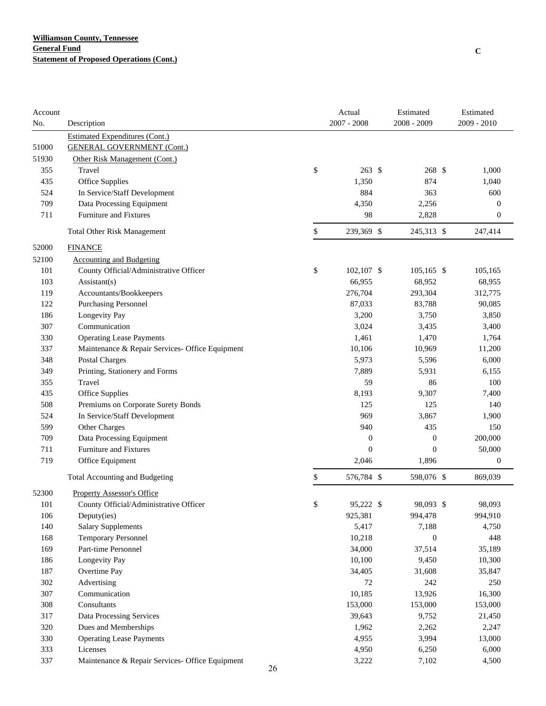| Account |                                                 |    | Actual            | Estimated        | Estimated        |
|---------|-------------------------------------------------|----|-------------------|------------------|------------------|
| No.     | Description                                     |    | $2007 - 2008$     | 2008 - 2009      | 2009 - 2010      |
|         | <b>Estimated Expenditures (Cont.)</b>           |    |                   |                  |                  |
| 51000   | <b>GENERAL GOVERNMENT (Cont.)</b>               |    |                   |                  |                  |
| 51930   | Other Risk Management (Cont.)                   |    |                   |                  |                  |
| 355     | Travel                                          | \$ | $263 \text{ }$ \$ | 268 \$           | 1,000            |
| 435     | Office Supplies                                 |    | 1,350             | 874              | 1,040            |
| 524     | In Service/Staff Development                    |    | 884               | 363              | 600              |
| 709     | Data Processing Equipment                       |    | 4,350             | 2,256            | $\boldsymbol{0}$ |
| 711     | <b>Furniture and Fixtures</b>                   |    | 98                | 2,828            | $\boldsymbol{0}$ |
|         | <b>Total Other Risk Management</b>              | \$ | 239,369 \$        | 245,313 \$       | 247,414          |
| 52000   | <b>FINANCE</b>                                  |    |                   |                  |                  |
| 52100   | <b>Accounting and Budgeting</b>                 |    |                   |                  |                  |
| 101     | County Official/Administrative Officer          | \$ | 102,107 \$        | $105,165$ \$     | 105,165          |
| 103     | Assistant(s)                                    |    | 66,955            | 68,952           | 68,955           |
| 119     | Accountants/Bookkeepers                         |    | 276,704           | 293,304          | 312,775          |
| 122     | <b>Purchasing Personnel</b>                     |    | 87,033            | 83,788           | 90,085           |
| 186     | Longevity Pay                                   |    | 3,200             | 3,750            | 3,850            |
| 307     | Communication                                   |    | 3,024             | 3,435            | 3,400            |
| 330     | <b>Operating Lease Payments</b>                 |    | 1,461             | 1,470            | 1,764            |
| 337     | Maintenance & Repair Services- Office Equipment |    | 10,106            | 10,969           | 11,200           |
| 348     | <b>Postal Charges</b>                           |    | 5,973             | 5,596            | 6,000            |
| 349     | Printing, Stationery and Forms                  |    | 7,889             | 5,931            | 6,155            |
| 355     | Travel                                          |    | 59                | 86               | 100              |
| 435     | <b>Office Supplies</b>                          |    | 8,193             | 9,307            | 7,400            |
| 508     | Premiums on Corporate Surety Bonds              |    | 125               | 125              | 140              |
| 524     | In Service/Staff Development                    |    | 969               | 3,867            | 1,900            |
| 599     | Other Charges                                   |    | 940               | 435              | 150              |
| 709     | Data Processing Equipment                       |    | $\boldsymbol{0}$  | $\boldsymbol{0}$ | 200,000          |
| 711     | Furniture and Fixtures                          |    | $\boldsymbol{0}$  | $\boldsymbol{0}$ | 50,000           |
| 719     | Office Equipment                                |    | 2,046             | 1,896            | $\boldsymbol{0}$ |
|         | Total Accounting and Budgeting                  | \$ | 576,784 \$        | 598,076 \$       | 869,039          |
| 52300   | <b>Property Assessor's Office</b>               |    |                   |                  |                  |
| 101     | County Official/Administrative Officer          | \$ | 95,222 \$         | 98,093 \$        | 98,093           |
| 106     | Deputy(ies)                                     |    | 925,381           | 994,478          | 994,910          |
| 140     | <b>Salary Supplements</b>                       |    | 5,417             | 7,188            | 4,750            |
| 168     | Temporary Personnel                             |    | 10,218            | $\boldsymbol{0}$ | 448              |
| 169     | Part-time Personnel                             |    | 34,000            | 37,514           | 35,189           |
| 186     | Longevity Pay                                   |    | 10,100            | 9,450            | 10,300           |
| 187     | Overtime Pay                                    |    | 34,405            | 31,608           | 35,847           |
| 302     | Advertising                                     |    | 72                | 242              | 250              |
| 307     | Communication                                   |    | 10,185            | 13,926           | 16,300           |
| 308     | Consultants                                     |    | 153,000           | 153,000          | 153,000          |
| 317     | Data Processing Services                        |    | 39,643            | 9,752            | 21,450           |
| 320     | Dues and Memberships                            |    | 1,962             | 2,262            | 2,247            |
| 330     | <b>Operating Lease Payments</b>                 |    | 4,955             | 3,994            | 13,000           |
| 333     | Licenses                                        |    | 4,950             | 6,250            | 6,000            |
| 337     | Maintenance & Repair Services- Office Equipment |    | 3,222             | 7,102            | 4,500            |
|         |                                                 | 26 |                   |                  |                  |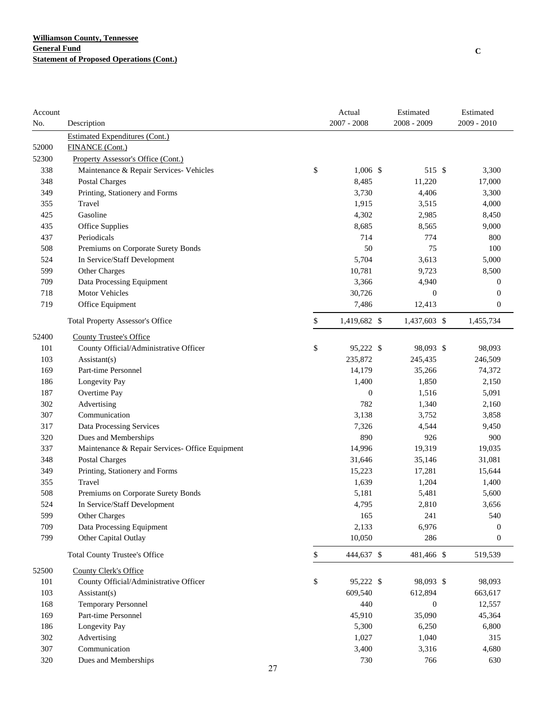| Account    |                                                 |             | Actual        | Estimated        | Estimated        |
|------------|-------------------------------------------------|-------------|---------------|------------------|------------------|
| No.        | Description                                     |             | $2007 - 2008$ | 2008 - 2009      | 2009 - 2010      |
|            | <b>Estimated Expenditures (Cont.)</b>           |             |               |                  |                  |
| 52000      | <b>FINANCE (Cont.)</b>                          |             |               |                  |                  |
| 52300      | Property Assessor's Office (Cont.)              |             |               |                  |                  |
| 338        | Maintenance & Repair Services- Vehicles         | \$          | $1,006$ \$    | 515 \$           | 3,300            |
| 348        | Postal Charges                                  |             | 8,485         | 11,220           | 17,000           |
| 349        | Printing, Stationery and Forms                  |             | 3,730         | 4,406            | 3,300            |
| 355        | Travel                                          |             | 1,915         | 3,515            | 4,000            |
| 425        | Gasoline                                        |             | 4,302         | 2,985            | 8,450            |
| 435        | <b>Office Supplies</b>                          |             | 8,685         | 8,565            | 9,000            |
| 437        | Periodicals                                     |             | 714           | 774              | 800              |
| 508        | Premiums on Corporate Surety Bonds              |             | 50            | 75               | 100              |
| 524        | In Service/Staff Development                    |             | 5,704         | 3,613            | 5,000            |
| 599        | Other Charges                                   |             | 10,781        | 9,723            | 8,500            |
| 709        | Data Processing Equipment                       |             | 3,366         | 4,940            | $\boldsymbol{0}$ |
| 718        | Motor Vehicles                                  |             | 30,726        | $\boldsymbol{0}$ | $\boldsymbol{0}$ |
| 719        | Office Equipment                                |             | 7,486         | 12,413           | $\boldsymbol{0}$ |
|            | <b>Total Property Assessor's Office</b>         | \$          | 1,419,682 \$  | 1,437,603 \$     | 1,455,734        |
| 52400      | <b>County Trustee's Office</b>                  |             |               |                  |                  |
| 101        | County Official/Administrative Officer          | \$          | 95,222 \$     | 98,093 \$        | 98,093           |
| 103        | Assistant(s)                                    |             | 235,872       | 245,435          | 246,509          |
| 169        | Part-time Personnel                             |             | 14,179        | 35,266           | 74,372           |
| 186        | Longevity Pay                                   |             | 1,400         | 1,850            | 2,150            |
| 187        | Overtime Pay                                    |             | $\mathbf{0}$  | 1,516            | 5,091            |
| 302        | Advertising                                     |             | 782           | 1,340            | 2,160            |
| 307        | Communication                                   |             | 3,138         | 3,752            | 3,858            |
| 317        | Data Processing Services                        |             | 7,326         | 4,544            | 9,450            |
| 320        | Dues and Memberships                            |             | 890           | 926              | 900              |
| 337        | Maintenance & Repair Services- Office Equipment |             | 14,996        | 19,319           | 19,035           |
| 348        | <b>Postal Charges</b>                           |             | 31,646        | 35,146           | 31,081           |
| 349        | Printing, Stationery and Forms                  |             | 15,223        | 17,281           | 15,644           |
| 355        | Travel                                          |             | 1,639         | 1,204            | 1,400            |
| 508        | Premiums on Corporate Surety Bonds              |             | 5,181         | 5,481            | 5,600            |
| 524        | In Service/Staff Development                    |             | 4,795         | 2,810            | 3,656            |
| 599        | Other Charges                                   |             | 165           | 241              | 540              |
| 709<br>799 | Data Processing Equipment                       |             | 2,133         | 6,976            | 0                |
|            | Other Capital Outlay                            |             | 10,050        | 286              | $\boldsymbol{0}$ |
|            | <b>Total County Trustee's Office</b>            | $\mathbb S$ | 444,637 \$    | 481,466 \$       | 519,539          |
| 52500      | <b>County Clerk's Office</b>                    |             |               |                  |                  |
| 101        | County Official/Administrative Officer          | \$          | 95,222 \$     | 98,093 \$        | 98,093           |
| 103        | Assistant(s)                                    |             | 609,540       | 612,894          | 663,617          |
| 168        | Temporary Personnel                             |             | 440           | $\boldsymbol{0}$ | 12,557           |
| 169        | Part-time Personnel                             |             | 45,910        | 35,090           | 45,364           |
| 186        | Longevity Pay                                   |             | 5,300         | 6,250            | 6,800            |
| 302<br>307 | Advertising<br>Communication                    |             | 1,027         | 1,040            | 315              |
|            |                                                 |             | 3,400         | 3,316            | 4,680            |
| 320        | Dues and Memberships                            | 27          | 730           | 766              | 630              |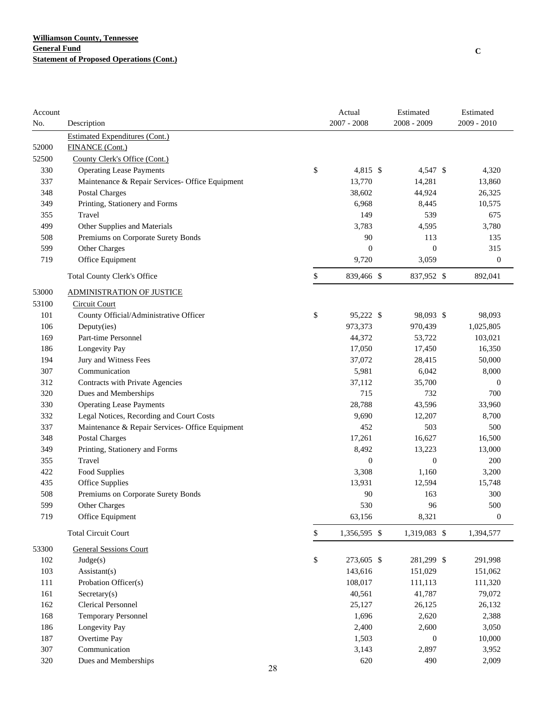| Account |                                                 |             | Actual           | Estimated        | Estimated        |
|---------|-------------------------------------------------|-------------|------------------|------------------|------------------|
| No.     | Description                                     |             | $2007 - 2008$    | $2008 - 2009$    | 2009 - 2010      |
|         | <b>Estimated Expenditures (Cont.)</b>           |             |                  |                  |                  |
| 52000   | <b>FINANCE</b> (Cont.)                          |             |                  |                  |                  |
| 52500   | County Clerk's Office (Cont.)                   |             |                  |                  |                  |
| 330     | <b>Operating Lease Payments</b>                 | \$          | 4,815 \$         | 4,547 \$         | 4,320            |
| 337     | Maintenance & Repair Services- Office Equipment |             | 13,770           | 14,281           | 13,860           |
| 348     | Postal Charges                                  |             | 38,602           | 44,924           | 26,325           |
| 349     | Printing, Stationery and Forms                  |             | 6,968            | 8,445            | 10,575           |
| 355     | Travel                                          |             | 149              | 539              | 675              |
| 499     | Other Supplies and Materials                    |             | 3,783            | 4,595            | 3,780            |
| 508     | Premiums on Corporate Surety Bonds              |             | 90               | 113              | 135              |
| 599     | Other Charges                                   |             | $\mathbf{0}$     | $\boldsymbol{0}$ | 315              |
| 719     | Office Equipment                                |             | 9,720            | 3,059            | $\boldsymbol{0}$ |
|         | Total County Clerk's Office                     | \$          | 839,466 \$       | 837,952 \$       | 892,041          |
| 53000   | ADMINISTRATION OF JUSTICE                       |             |                  |                  |                  |
| 53100   | <b>Circuit Court</b>                            |             |                  |                  |                  |
| 101     | County Official/Administrative Officer          | \$          | 95,222 \$        | 98,093 \$        | 98,093           |
| 106     | Deputy(ies)                                     |             | 973,373          | 970,439          | 1,025,805        |
| 169     | Part-time Personnel                             |             | 44,372           | 53,722           | 103,021          |
| 186     | Longevity Pay                                   |             | 17,050           | 17,450           | 16,350           |
| 194     | Jury and Witness Fees                           |             | 37,072           | 28,415           | 50,000           |
| 307     | Communication                                   |             | 5,981            | 6,042            | 8,000            |
| 312     | Contracts with Private Agencies                 |             | 37,112           | 35,700           | $\theta$         |
| 320     | Dues and Memberships                            |             | 715              | 732              | 700              |
| 330     | <b>Operating Lease Payments</b>                 |             | 28,788           | 43,596           | 33,960           |
| 332     | Legal Notices, Recording and Court Costs        |             | 9,690            | 12,207           | 8,700            |
| 337     | Maintenance & Repair Services- Office Equipment |             | 452              | 503              | 500              |
| 348     | <b>Postal Charges</b>                           |             | 17,261           | 16,627           | 16,500           |
| 349     | Printing, Stationery and Forms                  |             | 8,492            | 13,223           | 13,000           |
| 355     | Travel                                          |             | $\boldsymbol{0}$ | $\boldsymbol{0}$ | 200              |
| 422     | Food Supplies                                   |             | 3,308            | 1,160            | 3,200            |
| 435     | <b>Office Supplies</b>                          |             | 13,931           | 12,594           | 15,748           |
| 508     | Premiums on Corporate Surety Bonds              |             | 90               | 163              | 300              |
| 599     | <b>Other Charges</b>                            |             | 530              | 96               | 500              |
| 719     | Office Equipment                                |             | 63,156           | 8,321            | $\boldsymbol{0}$ |
|         | <b>Total Circuit Court</b>                      | $\mathbb S$ | 1,356,595 \$     | 1,319,083 \$     | 1,394,577        |
| 53300   | <b>General Sessions Court</b>                   |             |                  |                  |                  |
| 102     | Judge(s)                                        | \$          | 273,605 \$       | 281,299 \$       | 291,998          |
| 103     | Assistant(s)                                    |             | 143,616          | 151,029          | 151,062          |
| $111\,$ | Probation Officer(s)                            |             | 108,017          | 111,113          | 111,320          |
| 161     | $S \text{eccetary}(s)$                          |             | 40,561           | 41,787           | 79,072           |
| 162     | <b>Clerical Personnel</b>                       |             | 25,127           | 26,125           | 26,132           |
| 168     | <b>Temporary Personnel</b>                      |             | 1,696            | 2,620            | 2,388            |
| 186     | Longevity Pay                                   |             | 2,400            | 2,600            | 3,050            |
| 187     | Overtime Pay                                    |             | 1,503            | $\boldsymbol{0}$ | 10,000           |
| 307     | Communication                                   |             | 3,143            | 2,897            | 3,952            |
| 320     | Dues and Memberships                            |             | 620              | 490              | 2,009            |
|         |                                                 | 28          |                  |                  |                  |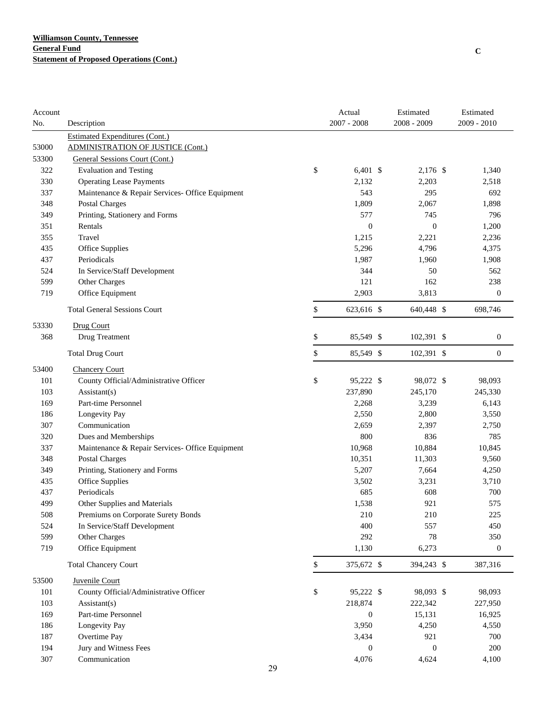| Account |                                                 |    | Actual           | Estimated        | Estimated        |
|---------|-------------------------------------------------|----|------------------|------------------|------------------|
| No.     | Description                                     |    | $2007 - 2008$    | 2008 - 2009      | $2009 - 2010$    |
|         | <b>Estimated Expenditures (Cont.)</b>           |    |                  |                  |                  |
| 53000   | <b>ADMINISTRATION OF JUSTICE (Cont.)</b>        |    |                  |                  |                  |
| 53300   | General Sessions Court (Cont.)                  |    |                  |                  |                  |
| 322     | <b>Evaluation and Testing</b>                   | \$ | $6,401$ \$       | 2,176 \$         | 1,340            |
| 330     | <b>Operating Lease Payments</b>                 |    | 2,132            | 2,203            | 2,518            |
| 337     | Maintenance & Repair Services- Office Equipment |    | 543              | 295              | 692              |
| 348     | <b>Postal Charges</b>                           |    | 1,809            | 2,067            | 1,898            |
| 349     | Printing, Stationery and Forms                  |    | 577              | 745              | 796              |
| 351     | Rentals                                         |    | $\boldsymbol{0}$ | $\boldsymbol{0}$ | 1,200            |
| 355     | Travel                                          |    | 1,215            | 2,221            | 2,236            |
| 435     | Office Supplies                                 |    | 5,296            | 4,796            | 4,375            |
| 437     | Periodicals                                     |    | 1,987            | 1,960            | 1,908            |
| 524     | In Service/Staff Development                    |    | 344              | 50               | 562              |
| 599     | Other Charges                                   |    | 121              | 162              | 238              |
| 719     | Office Equipment                                |    | 2,903            | 3,813            | $\boldsymbol{0}$ |
|         | <b>Total General Sessions Court</b>             | \$ | 623,616 \$       | 640,448 \$       | 698,746          |
| 53330   | Drug Court                                      |    |                  |                  |                  |
| 368     | Drug Treatment                                  | \$ | 85,549 \$        | 102,391 \$       | $\boldsymbol{0}$ |
|         | <b>Total Drug Court</b>                         | \$ | 85,549 \$        | 102,391 \$       | $\boldsymbol{0}$ |
| 53400   | <b>Chancery Court</b>                           |    |                  |                  |                  |
| 101     | County Official/Administrative Officer          | \$ | 95,222 \$        | 98,072 \$        | 98,093           |
| 103     | Assistant(s)                                    |    | 237,890          | 245,170          | 245,330          |
| 169     | Part-time Personnel                             |    | 2,268            | 3,239            | 6,143            |
| 186     | Longevity Pay                                   |    | 2,550            | 2,800            | 3,550            |
| 307     | Communication                                   |    | 2,659            | 2,397            | 2,750            |
| 320     | Dues and Memberships                            |    | 800              | 836              | 785              |
| 337     | Maintenance & Repair Services- Office Equipment |    | 10,968           | 10,884           | 10,845           |
| 348     | <b>Postal Charges</b>                           |    | 10,351           | 11,303           | 9,560            |
| 349     | Printing, Stationery and Forms                  |    | 5,207            | 7,664            | 4,250            |
| 435     | Office Supplies                                 |    | 3,502            | 3,231            | 3,710            |
| 437     | Periodicals                                     |    | 685              | 608              | 700              |
| 499     | Other Supplies and Materials                    |    | 1,538            | 921              | 575              |
| 508     | Premiums on Corporate Surety Bonds              |    | 210              | 210              | 225              |
| 524     | In Service/Staff Development                    |    | 400              | 557              | 450              |
| 599     | Other Charges                                   |    | 292              | 78               | 350              |
| 719     | Office Equipment                                |    | 1,130            | 6,273            | $\boldsymbol{0}$ |
|         | <b>Total Chancery Court</b>                     | \$ | 375,672 \$       | 394,243 \$       | 387,316          |
| 53500   | Juvenile Court                                  |    |                  |                  |                  |
| 101     | County Official/Administrative Officer          | \$ | 95,222 \$        | 98,093 \$        | 98,093           |
| 103     | $\text{Assistant}(s)$                           |    | 218,874          | 222,342          | 227,950          |
| 169     | Part-time Personnel                             |    | $\boldsymbol{0}$ | 15,131           | 16,925           |
| 186     | Longevity Pay                                   |    | 3,950            | 4,250            | 4,550            |
| 187     | Overtime Pay                                    |    | 3,434            | 921              | 700              |
| 194     | Jury and Witness Fees                           |    | $\boldsymbol{0}$ | $\boldsymbol{0}$ | 200              |
| 307     | Communication                                   |    | 4,076            | 4,624            | 4,100            |
|         |                                                 | 29 |                  |                  |                  |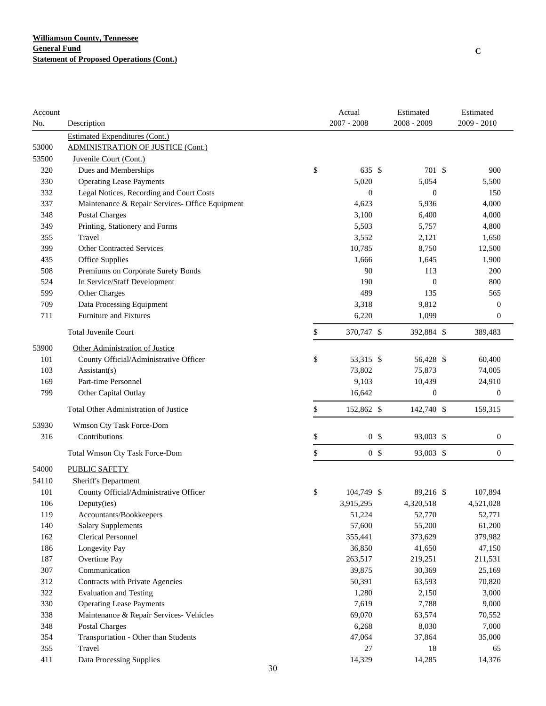| $2007 - 2008$<br>2009 - 2010<br>$2008 - 2009$<br>No.<br>Description<br><b>Estimated Expenditures (Cont.)</b><br>53000<br><b>ADMINISTRATION OF JUSTICE (Cont.)</b><br>53500<br>Juvenile Court (Cont.)<br>\$<br>Dues and Memberships<br>320<br>635 \$<br>701 \$<br>900<br>330<br><b>Operating Lease Payments</b><br>5,020<br>5,054<br>5,500<br>Legal Notices, Recording and Court Costs<br>332<br>$\boldsymbol{0}$<br>$\boldsymbol{0}$<br>150<br>337<br>Maintenance & Repair Services- Office Equipment<br>4,623<br>5,936<br>4,000<br>348<br><b>Postal Charges</b><br>3,100<br>6,400<br>4,000<br>349<br>Printing, Stationery and Forms<br>5,503<br>5,757<br>4,800<br>355<br>Travel<br>3,552<br>2,121<br>1,650<br><b>Other Contracted Services</b><br>10,785<br>399<br>8,750<br>12,500<br>Office Supplies<br>435<br>1,666<br>1,645<br>1,900<br>Premiums on Corporate Surety Bonds<br>508<br>90<br>113<br>200<br>524<br>In Service/Staff Development<br>190<br>$\mathbf{0}$<br>800<br>489<br>599<br>Other Charges<br>135<br>565<br>709<br>Data Processing Equipment<br>3,318<br>9,812<br>$\boldsymbol{0}$<br>Furniture and Fixtures<br>711<br>6,220<br>1,099<br>$\boldsymbol{0}$<br>\$<br><b>Total Juvenile Court</b><br>370,747 \$<br>392,884 \$<br>389,483<br>53900<br>Other Administration of Justice<br>101<br>\$<br>County Official/Administrative Officer<br>53,315 \$<br>56,428 \$<br>60,400<br>103<br>Assistant(s)<br>73,802<br>75,873<br>74,005<br>Part-time Personnel<br>9,103<br>169<br>10,439<br>24,910<br>799<br>Other Capital Outlay<br>16,642<br>$\boldsymbol{0}$<br>$\boldsymbol{0}$<br>\$<br>Total Other Administration of Justice<br>152,862 \$<br>142,740 \$<br>159,315<br>53930<br><b>Wmson Cty Task Force-Dom</b><br>316<br>\$<br>0 <sup>5</sup><br>93,003 \$<br>Contributions<br>$\boldsymbol{0}$<br>\$<br>0 <sup>5</sup><br>93,003 \$<br>$\boldsymbol{0}$<br><b>Total Wmson Cty Task Force-Dom</b><br>54000<br><b>PUBLIC SAFETY</b><br>54110<br><b>Sheriff's Department</b><br>101<br>\$<br>County Official/Administrative Officer<br>104,749 \$<br>89,216 \$<br>107,894<br>106<br>Deputy(ies)<br>3,915,295<br>4,320,518<br>4,521,028<br>119<br>51,224<br>52,770<br>52,771<br>Accountants/Bookkeepers<br>140<br><b>Salary Supplements</b><br>57,600<br>55,200<br>61,200<br>162<br>Clerical Personnel<br>355,441<br>373,629<br>379,982<br>186<br>Longevity Pay<br>36,850<br>41,650<br>47,150<br>Overtime Pay<br>187<br>263,517<br>219,251<br>211,531<br>307<br>Communication<br>39,875<br>30,369<br>25,169<br>312<br>Contracts with Private Agencies<br>50,391<br>63,593<br>70,820<br>322<br><b>Evaluation and Testing</b><br>1,280<br>2,150<br>3,000<br>330<br><b>Operating Lease Payments</b><br>7,619<br>7,788<br>9,000<br>338<br>Maintenance & Repair Services- Vehicles<br>69,070<br>63,574<br>70,552<br>348<br><b>Postal Charges</b><br>6,268<br>8,030<br>7,000<br>354<br>Transportation - Other than Students<br>47,064<br>37,864<br>35,000<br>355<br>Travel<br>27<br>18<br>65<br>411<br>Data Processing Supplies<br>14,329<br>14,285<br>14,376<br>30 | Account |  | Actual | Estimated | Estimated |
|--------------------------------------------------------------------------------------------------------------------------------------------------------------------------------------------------------------------------------------------------------------------------------------------------------------------------------------------------------------------------------------------------------------------------------------------------------------------------------------------------------------------------------------------------------------------------------------------------------------------------------------------------------------------------------------------------------------------------------------------------------------------------------------------------------------------------------------------------------------------------------------------------------------------------------------------------------------------------------------------------------------------------------------------------------------------------------------------------------------------------------------------------------------------------------------------------------------------------------------------------------------------------------------------------------------------------------------------------------------------------------------------------------------------------------------------------------------------------------------------------------------------------------------------------------------------------------------------------------------------------------------------------------------------------------------------------------------------------------------------------------------------------------------------------------------------------------------------------------------------------------------------------------------------------------------------------------------------------------------------------------------------------------------------------------------------------------------------------------------------------------------------------------------------------------------------------------------------------------------------------------------------------------------------------------------------------------------------------------------------------------------------------------------------------------------------------------------------------------------------------------------------------------------------------------------------------------------------------------------------------------------------------------------------------------------------------------------------------------------------------------------------------------------------------------------------------------------------------------------------------------------------------------------------------------------------------------------------------------------------------------------------------------------------------------------------------------|---------|--|--------|-----------|-----------|
|                                                                                                                                                                                                                                                                                                                                                                                                                                                                                                                                                                                                                                                                                                                                                                                                                                                                                                                                                                                                                                                                                                                                                                                                                                                                                                                                                                                                                                                                                                                                                                                                                                                                                                                                                                                                                                                                                                                                                                                                                                                                                                                                                                                                                                                                                                                                                                                                                                                                                                                                                                                                                                                                                                                                                                                                                                                                                                                                                                                                                                                                                |         |  |        |           |           |
|                                                                                                                                                                                                                                                                                                                                                                                                                                                                                                                                                                                                                                                                                                                                                                                                                                                                                                                                                                                                                                                                                                                                                                                                                                                                                                                                                                                                                                                                                                                                                                                                                                                                                                                                                                                                                                                                                                                                                                                                                                                                                                                                                                                                                                                                                                                                                                                                                                                                                                                                                                                                                                                                                                                                                                                                                                                                                                                                                                                                                                                                                |         |  |        |           |           |
|                                                                                                                                                                                                                                                                                                                                                                                                                                                                                                                                                                                                                                                                                                                                                                                                                                                                                                                                                                                                                                                                                                                                                                                                                                                                                                                                                                                                                                                                                                                                                                                                                                                                                                                                                                                                                                                                                                                                                                                                                                                                                                                                                                                                                                                                                                                                                                                                                                                                                                                                                                                                                                                                                                                                                                                                                                                                                                                                                                                                                                                                                |         |  |        |           |           |
|                                                                                                                                                                                                                                                                                                                                                                                                                                                                                                                                                                                                                                                                                                                                                                                                                                                                                                                                                                                                                                                                                                                                                                                                                                                                                                                                                                                                                                                                                                                                                                                                                                                                                                                                                                                                                                                                                                                                                                                                                                                                                                                                                                                                                                                                                                                                                                                                                                                                                                                                                                                                                                                                                                                                                                                                                                                                                                                                                                                                                                                                                |         |  |        |           |           |
|                                                                                                                                                                                                                                                                                                                                                                                                                                                                                                                                                                                                                                                                                                                                                                                                                                                                                                                                                                                                                                                                                                                                                                                                                                                                                                                                                                                                                                                                                                                                                                                                                                                                                                                                                                                                                                                                                                                                                                                                                                                                                                                                                                                                                                                                                                                                                                                                                                                                                                                                                                                                                                                                                                                                                                                                                                                                                                                                                                                                                                                                                |         |  |        |           |           |
|                                                                                                                                                                                                                                                                                                                                                                                                                                                                                                                                                                                                                                                                                                                                                                                                                                                                                                                                                                                                                                                                                                                                                                                                                                                                                                                                                                                                                                                                                                                                                                                                                                                                                                                                                                                                                                                                                                                                                                                                                                                                                                                                                                                                                                                                                                                                                                                                                                                                                                                                                                                                                                                                                                                                                                                                                                                                                                                                                                                                                                                                                |         |  |        |           |           |
|                                                                                                                                                                                                                                                                                                                                                                                                                                                                                                                                                                                                                                                                                                                                                                                                                                                                                                                                                                                                                                                                                                                                                                                                                                                                                                                                                                                                                                                                                                                                                                                                                                                                                                                                                                                                                                                                                                                                                                                                                                                                                                                                                                                                                                                                                                                                                                                                                                                                                                                                                                                                                                                                                                                                                                                                                                                                                                                                                                                                                                                                                |         |  |        |           |           |
|                                                                                                                                                                                                                                                                                                                                                                                                                                                                                                                                                                                                                                                                                                                                                                                                                                                                                                                                                                                                                                                                                                                                                                                                                                                                                                                                                                                                                                                                                                                                                                                                                                                                                                                                                                                                                                                                                                                                                                                                                                                                                                                                                                                                                                                                                                                                                                                                                                                                                                                                                                                                                                                                                                                                                                                                                                                                                                                                                                                                                                                                                |         |  |        |           |           |
|                                                                                                                                                                                                                                                                                                                                                                                                                                                                                                                                                                                                                                                                                                                                                                                                                                                                                                                                                                                                                                                                                                                                                                                                                                                                                                                                                                                                                                                                                                                                                                                                                                                                                                                                                                                                                                                                                                                                                                                                                                                                                                                                                                                                                                                                                                                                                                                                                                                                                                                                                                                                                                                                                                                                                                                                                                                                                                                                                                                                                                                                                |         |  |        |           |           |
|                                                                                                                                                                                                                                                                                                                                                                                                                                                                                                                                                                                                                                                                                                                                                                                                                                                                                                                                                                                                                                                                                                                                                                                                                                                                                                                                                                                                                                                                                                                                                                                                                                                                                                                                                                                                                                                                                                                                                                                                                                                                                                                                                                                                                                                                                                                                                                                                                                                                                                                                                                                                                                                                                                                                                                                                                                                                                                                                                                                                                                                                                |         |  |        |           |           |
|                                                                                                                                                                                                                                                                                                                                                                                                                                                                                                                                                                                                                                                                                                                                                                                                                                                                                                                                                                                                                                                                                                                                                                                                                                                                                                                                                                                                                                                                                                                                                                                                                                                                                                                                                                                                                                                                                                                                                                                                                                                                                                                                                                                                                                                                                                                                                                                                                                                                                                                                                                                                                                                                                                                                                                                                                                                                                                                                                                                                                                                                                |         |  |        |           |           |
|                                                                                                                                                                                                                                                                                                                                                                                                                                                                                                                                                                                                                                                                                                                                                                                                                                                                                                                                                                                                                                                                                                                                                                                                                                                                                                                                                                                                                                                                                                                                                                                                                                                                                                                                                                                                                                                                                                                                                                                                                                                                                                                                                                                                                                                                                                                                                                                                                                                                                                                                                                                                                                                                                                                                                                                                                                                                                                                                                                                                                                                                                |         |  |        |           |           |
|                                                                                                                                                                                                                                                                                                                                                                                                                                                                                                                                                                                                                                                                                                                                                                                                                                                                                                                                                                                                                                                                                                                                                                                                                                                                                                                                                                                                                                                                                                                                                                                                                                                                                                                                                                                                                                                                                                                                                                                                                                                                                                                                                                                                                                                                                                                                                                                                                                                                                                                                                                                                                                                                                                                                                                                                                                                                                                                                                                                                                                                                                |         |  |        |           |           |
|                                                                                                                                                                                                                                                                                                                                                                                                                                                                                                                                                                                                                                                                                                                                                                                                                                                                                                                                                                                                                                                                                                                                                                                                                                                                                                                                                                                                                                                                                                                                                                                                                                                                                                                                                                                                                                                                                                                                                                                                                                                                                                                                                                                                                                                                                                                                                                                                                                                                                                                                                                                                                                                                                                                                                                                                                                                                                                                                                                                                                                                                                |         |  |        |           |           |
|                                                                                                                                                                                                                                                                                                                                                                                                                                                                                                                                                                                                                                                                                                                                                                                                                                                                                                                                                                                                                                                                                                                                                                                                                                                                                                                                                                                                                                                                                                                                                                                                                                                                                                                                                                                                                                                                                                                                                                                                                                                                                                                                                                                                                                                                                                                                                                                                                                                                                                                                                                                                                                                                                                                                                                                                                                                                                                                                                                                                                                                                                |         |  |        |           |           |
|                                                                                                                                                                                                                                                                                                                                                                                                                                                                                                                                                                                                                                                                                                                                                                                                                                                                                                                                                                                                                                                                                                                                                                                                                                                                                                                                                                                                                                                                                                                                                                                                                                                                                                                                                                                                                                                                                                                                                                                                                                                                                                                                                                                                                                                                                                                                                                                                                                                                                                                                                                                                                                                                                                                                                                                                                                                                                                                                                                                                                                                                                |         |  |        |           |           |
|                                                                                                                                                                                                                                                                                                                                                                                                                                                                                                                                                                                                                                                                                                                                                                                                                                                                                                                                                                                                                                                                                                                                                                                                                                                                                                                                                                                                                                                                                                                                                                                                                                                                                                                                                                                                                                                                                                                                                                                                                                                                                                                                                                                                                                                                                                                                                                                                                                                                                                                                                                                                                                                                                                                                                                                                                                                                                                                                                                                                                                                                                |         |  |        |           |           |
|                                                                                                                                                                                                                                                                                                                                                                                                                                                                                                                                                                                                                                                                                                                                                                                                                                                                                                                                                                                                                                                                                                                                                                                                                                                                                                                                                                                                                                                                                                                                                                                                                                                                                                                                                                                                                                                                                                                                                                                                                                                                                                                                                                                                                                                                                                                                                                                                                                                                                                                                                                                                                                                                                                                                                                                                                                                                                                                                                                                                                                                                                |         |  |        |           |           |
|                                                                                                                                                                                                                                                                                                                                                                                                                                                                                                                                                                                                                                                                                                                                                                                                                                                                                                                                                                                                                                                                                                                                                                                                                                                                                                                                                                                                                                                                                                                                                                                                                                                                                                                                                                                                                                                                                                                                                                                                                                                                                                                                                                                                                                                                                                                                                                                                                                                                                                                                                                                                                                                                                                                                                                                                                                                                                                                                                                                                                                                                                |         |  |        |           |           |
|                                                                                                                                                                                                                                                                                                                                                                                                                                                                                                                                                                                                                                                                                                                                                                                                                                                                                                                                                                                                                                                                                                                                                                                                                                                                                                                                                                                                                                                                                                                                                                                                                                                                                                                                                                                                                                                                                                                                                                                                                                                                                                                                                                                                                                                                                                                                                                                                                                                                                                                                                                                                                                                                                                                                                                                                                                                                                                                                                                                                                                                                                |         |  |        |           |           |
|                                                                                                                                                                                                                                                                                                                                                                                                                                                                                                                                                                                                                                                                                                                                                                                                                                                                                                                                                                                                                                                                                                                                                                                                                                                                                                                                                                                                                                                                                                                                                                                                                                                                                                                                                                                                                                                                                                                                                                                                                                                                                                                                                                                                                                                                                                                                                                                                                                                                                                                                                                                                                                                                                                                                                                                                                                                                                                                                                                                                                                                                                |         |  |        |           |           |
|                                                                                                                                                                                                                                                                                                                                                                                                                                                                                                                                                                                                                                                                                                                                                                                                                                                                                                                                                                                                                                                                                                                                                                                                                                                                                                                                                                                                                                                                                                                                                                                                                                                                                                                                                                                                                                                                                                                                                                                                                                                                                                                                                                                                                                                                                                                                                                                                                                                                                                                                                                                                                                                                                                                                                                                                                                                                                                                                                                                                                                                                                |         |  |        |           |           |
|                                                                                                                                                                                                                                                                                                                                                                                                                                                                                                                                                                                                                                                                                                                                                                                                                                                                                                                                                                                                                                                                                                                                                                                                                                                                                                                                                                                                                                                                                                                                                                                                                                                                                                                                                                                                                                                                                                                                                                                                                                                                                                                                                                                                                                                                                                                                                                                                                                                                                                                                                                                                                                                                                                                                                                                                                                                                                                                                                                                                                                                                                |         |  |        |           |           |
|                                                                                                                                                                                                                                                                                                                                                                                                                                                                                                                                                                                                                                                                                                                                                                                                                                                                                                                                                                                                                                                                                                                                                                                                                                                                                                                                                                                                                                                                                                                                                                                                                                                                                                                                                                                                                                                                                                                                                                                                                                                                                                                                                                                                                                                                                                                                                                                                                                                                                                                                                                                                                                                                                                                                                                                                                                                                                                                                                                                                                                                                                |         |  |        |           |           |
|                                                                                                                                                                                                                                                                                                                                                                                                                                                                                                                                                                                                                                                                                                                                                                                                                                                                                                                                                                                                                                                                                                                                                                                                                                                                                                                                                                                                                                                                                                                                                                                                                                                                                                                                                                                                                                                                                                                                                                                                                                                                                                                                                                                                                                                                                                                                                                                                                                                                                                                                                                                                                                                                                                                                                                                                                                                                                                                                                                                                                                                                                |         |  |        |           |           |
|                                                                                                                                                                                                                                                                                                                                                                                                                                                                                                                                                                                                                                                                                                                                                                                                                                                                                                                                                                                                                                                                                                                                                                                                                                                                                                                                                                                                                                                                                                                                                                                                                                                                                                                                                                                                                                                                                                                                                                                                                                                                                                                                                                                                                                                                                                                                                                                                                                                                                                                                                                                                                                                                                                                                                                                                                                                                                                                                                                                                                                                                                |         |  |        |           |           |
|                                                                                                                                                                                                                                                                                                                                                                                                                                                                                                                                                                                                                                                                                                                                                                                                                                                                                                                                                                                                                                                                                                                                                                                                                                                                                                                                                                                                                                                                                                                                                                                                                                                                                                                                                                                                                                                                                                                                                                                                                                                                                                                                                                                                                                                                                                                                                                                                                                                                                                                                                                                                                                                                                                                                                                                                                                                                                                                                                                                                                                                                                |         |  |        |           |           |
|                                                                                                                                                                                                                                                                                                                                                                                                                                                                                                                                                                                                                                                                                                                                                                                                                                                                                                                                                                                                                                                                                                                                                                                                                                                                                                                                                                                                                                                                                                                                                                                                                                                                                                                                                                                                                                                                                                                                                                                                                                                                                                                                                                                                                                                                                                                                                                                                                                                                                                                                                                                                                                                                                                                                                                                                                                                                                                                                                                                                                                                                                |         |  |        |           |           |
|                                                                                                                                                                                                                                                                                                                                                                                                                                                                                                                                                                                                                                                                                                                                                                                                                                                                                                                                                                                                                                                                                                                                                                                                                                                                                                                                                                                                                                                                                                                                                                                                                                                                                                                                                                                                                                                                                                                                                                                                                                                                                                                                                                                                                                                                                                                                                                                                                                                                                                                                                                                                                                                                                                                                                                                                                                                                                                                                                                                                                                                                                |         |  |        |           |           |
|                                                                                                                                                                                                                                                                                                                                                                                                                                                                                                                                                                                                                                                                                                                                                                                                                                                                                                                                                                                                                                                                                                                                                                                                                                                                                                                                                                                                                                                                                                                                                                                                                                                                                                                                                                                                                                                                                                                                                                                                                                                                                                                                                                                                                                                                                                                                                                                                                                                                                                                                                                                                                                                                                                                                                                                                                                                                                                                                                                                                                                                                                |         |  |        |           |           |
|                                                                                                                                                                                                                                                                                                                                                                                                                                                                                                                                                                                                                                                                                                                                                                                                                                                                                                                                                                                                                                                                                                                                                                                                                                                                                                                                                                                                                                                                                                                                                                                                                                                                                                                                                                                                                                                                                                                                                                                                                                                                                                                                                                                                                                                                                                                                                                                                                                                                                                                                                                                                                                                                                                                                                                                                                                                                                                                                                                                                                                                                                |         |  |        |           |           |
|                                                                                                                                                                                                                                                                                                                                                                                                                                                                                                                                                                                                                                                                                                                                                                                                                                                                                                                                                                                                                                                                                                                                                                                                                                                                                                                                                                                                                                                                                                                                                                                                                                                                                                                                                                                                                                                                                                                                                                                                                                                                                                                                                                                                                                                                                                                                                                                                                                                                                                                                                                                                                                                                                                                                                                                                                                                                                                                                                                                                                                                                                |         |  |        |           |           |
|                                                                                                                                                                                                                                                                                                                                                                                                                                                                                                                                                                                                                                                                                                                                                                                                                                                                                                                                                                                                                                                                                                                                                                                                                                                                                                                                                                                                                                                                                                                                                                                                                                                                                                                                                                                                                                                                                                                                                                                                                                                                                                                                                                                                                                                                                                                                                                                                                                                                                                                                                                                                                                                                                                                                                                                                                                                                                                                                                                                                                                                                                |         |  |        |           |           |
|                                                                                                                                                                                                                                                                                                                                                                                                                                                                                                                                                                                                                                                                                                                                                                                                                                                                                                                                                                                                                                                                                                                                                                                                                                                                                                                                                                                                                                                                                                                                                                                                                                                                                                                                                                                                                                                                                                                                                                                                                                                                                                                                                                                                                                                                                                                                                                                                                                                                                                                                                                                                                                                                                                                                                                                                                                                                                                                                                                                                                                                                                |         |  |        |           |           |
|                                                                                                                                                                                                                                                                                                                                                                                                                                                                                                                                                                                                                                                                                                                                                                                                                                                                                                                                                                                                                                                                                                                                                                                                                                                                                                                                                                                                                                                                                                                                                                                                                                                                                                                                                                                                                                                                                                                                                                                                                                                                                                                                                                                                                                                                                                                                                                                                                                                                                                                                                                                                                                                                                                                                                                                                                                                                                                                                                                                                                                                                                |         |  |        |           |           |
|                                                                                                                                                                                                                                                                                                                                                                                                                                                                                                                                                                                                                                                                                                                                                                                                                                                                                                                                                                                                                                                                                                                                                                                                                                                                                                                                                                                                                                                                                                                                                                                                                                                                                                                                                                                                                                                                                                                                                                                                                                                                                                                                                                                                                                                                                                                                                                                                                                                                                                                                                                                                                                                                                                                                                                                                                                                                                                                                                                                                                                                                                |         |  |        |           |           |
|                                                                                                                                                                                                                                                                                                                                                                                                                                                                                                                                                                                                                                                                                                                                                                                                                                                                                                                                                                                                                                                                                                                                                                                                                                                                                                                                                                                                                                                                                                                                                                                                                                                                                                                                                                                                                                                                                                                                                                                                                                                                                                                                                                                                                                                                                                                                                                                                                                                                                                                                                                                                                                                                                                                                                                                                                                                                                                                                                                                                                                                                                |         |  |        |           |           |
|                                                                                                                                                                                                                                                                                                                                                                                                                                                                                                                                                                                                                                                                                                                                                                                                                                                                                                                                                                                                                                                                                                                                                                                                                                                                                                                                                                                                                                                                                                                                                                                                                                                                                                                                                                                                                                                                                                                                                                                                                                                                                                                                                                                                                                                                                                                                                                                                                                                                                                                                                                                                                                                                                                                                                                                                                                                                                                                                                                                                                                                                                |         |  |        |           |           |
|                                                                                                                                                                                                                                                                                                                                                                                                                                                                                                                                                                                                                                                                                                                                                                                                                                                                                                                                                                                                                                                                                                                                                                                                                                                                                                                                                                                                                                                                                                                                                                                                                                                                                                                                                                                                                                                                                                                                                                                                                                                                                                                                                                                                                                                                                                                                                                                                                                                                                                                                                                                                                                                                                                                                                                                                                                                                                                                                                                                                                                                                                |         |  |        |           |           |
|                                                                                                                                                                                                                                                                                                                                                                                                                                                                                                                                                                                                                                                                                                                                                                                                                                                                                                                                                                                                                                                                                                                                                                                                                                                                                                                                                                                                                                                                                                                                                                                                                                                                                                                                                                                                                                                                                                                                                                                                                                                                                                                                                                                                                                                                                                                                                                                                                                                                                                                                                                                                                                                                                                                                                                                                                                                                                                                                                                                                                                                                                |         |  |        |           |           |
|                                                                                                                                                                                                                                                                                                                                                                                                                                                                                                                                                                                                                                                                                                                                                                                                                                                                                                                                                                                                                                                                                                                                                                                                                                                                                                                                                                                                                                                                                                                                                                                                                                                                                                                                                                                                                                                                                                                                                                                                                                                                                                                                                                                                                                                                                                                                                                                                                                                                                                                                                                                                                                                                                                                                                                                                                                                                                                                                                                                                                                                                                |         |  |        |           |           |
|                                                                                                                                                                                                                                                                                                                                                                                                                                                                                                                                                                                                                                                                                                                                                                                                                                                                                                                                                                                                                                                                                                                                                                                                                                                                                                                                                                                                                                                                                                                                                                                                                                                                                                                                                                                                                                                                                                                                                                                                                                                                                                                                                                                                                                                                                                                                                                                                                                                                                                                                                                                                                                                                                                                                                                                                                                                                                                                                                                                                                                                                                |         |  |        |           |           |
|                                                                                                                                                                                                                                                                                                                                                                                                                                                                                                                                                                                                                                                                                                                                                                                                                                                                                                                                                                                                                                                                                                                                                                                                                                                                                                                                                                                                                                                                                                                                                                                                                                                                                                                                                                                                                                                                                                                                                                                                                                                                                                                                                                                                                                                                                                                                                                                                                                                                                                                                                                                                                                                                                                                                                                                                                                                                                                                                                                                                                                                                                |         |  |        |           |           |
|                                                                                                                                                                                                                                                                                                                                                                                                                                                                                                                                                                                                                                                                                                                                                                                                                                                                                                                                                                                                                                                                                                                                                                                                                                                                                                                                                                                                                                                                                                                                                                                                                                                                                                                                                                                                                                                                                                                                                                                                                                                                                                                                                                                                                                                                                                                                                                                                                                                                                                                                                                                                                                                                                                                                                                                                                                                                                                                                                                                                                                                                                |         |  |        |           |           |
|                                                                                                                                                                                                                                                                                                                                                                                                                                                                                                                                                                                                                                                                                                                                                                                                                                                                                                                                                                                                                                                                                                                                                                                                                                                                                                                                                                                                                                                                                                                                                                                                                                                                                                                                                                                                                                                                                                                                                                                                                                                                                                                                                                                                                                                                                                                                                                                                                                                                                                                                                                                                                                                                                                                                                                                                                                                                                                                                                                                                                                                                                |         |  |        |           |           |
|                                                                                                                                                                                                                                                                                                                                                                                                                                                                                                                                                                                                                                                                                                                                                                                                                                                                                                                                                                                                                                                                                                                                                                                                                                                                                                                                                                                                                                                                                                                                                                                                                                                                                                                                                                                                                                                                                                                                                                                                                                                                                                                                                                                                                                                                                                                                                                                                                                                                                                                                                                                                                                                                                                                                                                                                                                                                                                                                                                                                                                                                                |         |  |        |           |           |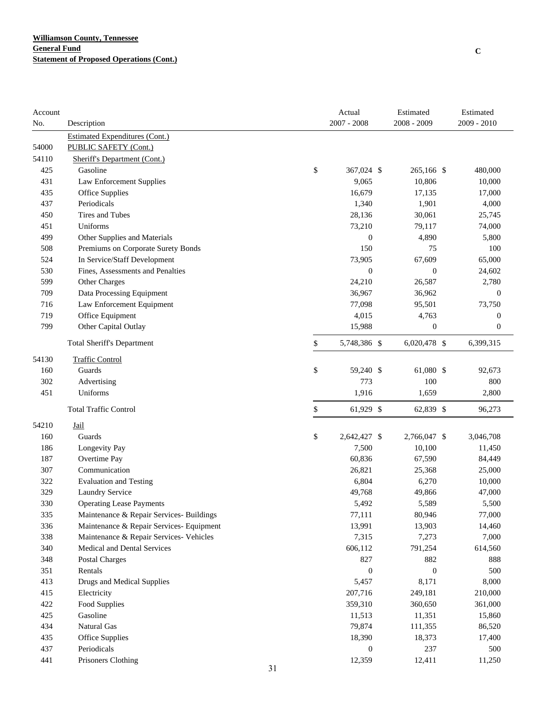| Account |                                          |    | Actual             | Estimated        | Estimated        |
|---------|------------------------------------------|----|--------------------|------------------|------------------|
| No.     | Description                              |    | $2007 - 2008$      | 2008 - 2009      | $2009 - 2010$    |
|         | <b>Estimated Expenditures (Cont.)</b>    |    |                    |                  |                  |
| 54000   | PUBLIC SAFETY (Cont.)                    |    |                    |                  |                  |
| 54110   | Sheriff's Department (Cont.)             |    |                    |                  |                  |
| 425     | Gasoline                                 |    | \$<br>367,024 \$   | 265,166 \$       | 480,000          |
| 431     | <b>Law Enforcement Supplies</b>          |    | 9,065              | 10,806           | 10,000           |
| 435     | Office Supplies                          |    | 16,679             | 17,135           | 17,000           |
| 437     | Periodicals                              |    | 1,340              | 1,901            | 4,000            |
| 450     | Tires and Tubes                          |    | 28,136             | 30,061           | 25,745           |
| 451     | Uniforms                                 |    | 73,210             | 79,117           | 74,000           |
| 499     | Other Supplies and Materials             |    | $\boldsymbol{0}$   | 4,890            | 5,800            |
| 508     | Premiums on Corporate Surety Bonds       |    | 150                | 75               | 100              |
| 524     | In Service/Staff Development             |    | 73,905             | 67,609           | 65,000           |
| 530     | Fines, Assessments and Penalties         |    | $\overline{0}$     | $\overline{0}$   | 24,602           |
| 599     | Other Charges                            |    | 24,210             | 26,587           | 2,780            |
| 709     | Data Processing Equipment                |    | 36,967             | 36,962           | $\overline{0}$   |
| 716     | Law Enforcement Equipment                |    | 77,098             | 95,501           | 73,750           |
| 719     | Office Equipment                         |    | 4,015              | 4,763            | $\boldsymbol{0}$ |
| 799     | Other Capital Outlay                     |    | 15,988             | $\boldsymbol{0}$ | $\boldsymbol{0}$ |
|         | <b>Total Sheriff's Department</b>        |    | \$<br>5,748,386 \$ | 6,020,478 \$     | 6,399,315        |
| 54130   | <b>Traffic Control</b>                   |    |                    |                  |                  |
| 160     | Guards                                   |    | \$<br>59,240 \$    | 61,080 \$        | 92,673           |
| 302     | Advertising                              |    | 773                | 100              | 800              |
| 451     | Uniforms                                 |    | 1,916              | 1,659            | 2,800            |
|         | <b>Total Traffic Control</b>             |    | \$<br>61,929 \$    | 62,839 \$        | 96,273           |
| 54210   | Jail                                     |    |                    |                  |                  |
| 160     | Guards                                   |    | \$<br>2,642,427 \$ | 2,766,047 \$     | 3,046,708        |
| 186     | Longevity Pay                            |    | 7,500              | 10,100           | 11,450           |
| 187     | Overtime Pay                             |    | 60,836             | 67,590           | 84,449           |
| 307     | Communication                            |    | 26,821             | 25,368           | 25,000           |
| 322     | <b>Evaluation and Testing</b>            |    | 6,804              | 6,270            | 10,000           |
| 329     | <b>Laundry Service</b>                   |    | 49,768             | 49,866           | 47,000           |
| 330     | <b>Operating Lease Payments</b>          |    | 5,492              | 5,589            | 5,500            |
| 335     | Maintenance & Repair Services- Buildings |    | 77,111             | 80,946           | 77,000           |
| 336     | Maintenance & Repair Services- Equipment |    | 13,991             | 13,903           | 14,460           |
| 338     | Maintenance & Repair Services- Vehicles  |    | 7,315              | 7,273            | 7,000            |
| 340     | Medical and Dental Services              |    | 606,112            | 791,254          | 614,560          |
| 348     | Postal Charges                           |    | 827                | 882              | 888              |
| 351     | Rentals                                  |    | $\boldsymbol{0}$   | $\boldsymbol{0}$ | 500              |
| 413     | Drugs and Medical Supplies               |    | 5,457              | 8,171            | 8,000            |
| 415     | Electricity                              |    | 207,716            | 249,181          | 210,000          |
| 422     | Food Supplies                            |    | 359,310            | 360,650          | 361,000          |
| 425     | Gasoline                                 |    | 11,513             | 11,351           | 15,860           |
| 434     | Natural Gas                              |    | 79,874             | 111,355          | 86,520           |
| 435     | <b>Office Supplies</b>                   |    | 18,390             | 18,373           | 17,400           |
| 437     | Periodicals                              |    | $\boldsymbol{0}$   | 237              | 500              |
| 441     | Prisoners Clothing                       |    | 12,359             | 12,411           | 11,250           |
|         |                                          | 31 |                    |                  |                  |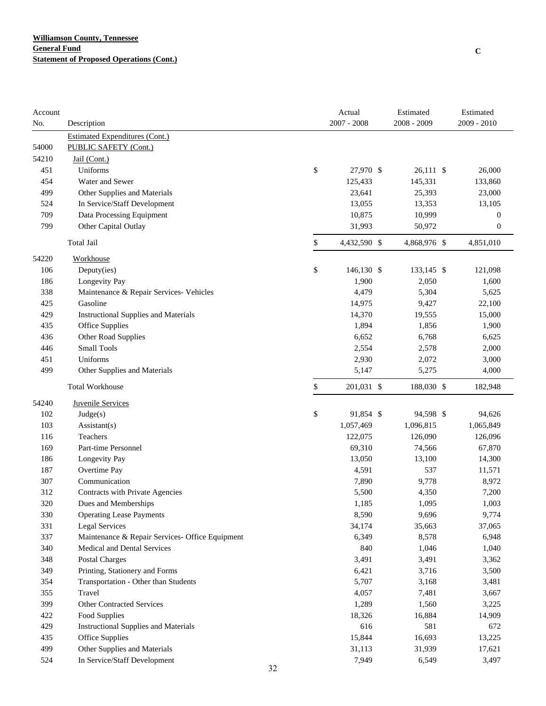| Account |                                                 | Actual             | Estimated    | Estimated        |
|---------|-------------------------------------------------|--------------------|--------------|------------------|
| No.     | Description                                     | $2007 - 2008$      | 2008 - 2009  | 2009 - 2010      |
|         | <b>Estimated Expenditures (Cont.)</b>           |                    |              |                  |
| 54000   | PUBLIC SAFETY (Cont.)                           |                    |              |                  |
| 54210   | Jail (Cont.)                                    |                    |              |                  |
| 451     | Uniforms                                        | \$<br>27,970 \$    | $26,111$ \$  | 26,000           |
| 454     | Water and Sewer                                 | 125,433            | 145,331      | 133,860          |
| 499     | Other Supplies and Materials                    | 23,641             | 25,393       | 23,000           |
| 524     | In Service/Staff Development                    | 13,055             | 13,353       | 13,105           |
| 709     | Data Processing Equipment                       | 10,875             | 10,999       | $\boldsymbol{0}$ |
| 799     | Other Capital Outlay                            | 31,993             | 50,972       | $\boldsymbol{0}$ |
|         | Total Jail                                      | \$<br>4,432,590 \$ | 4,868,976 \$ | 4,851,010        |
| 54220   | Workhouse                                       |                    |              |                  |
| 106     | Deputy(ies)                                     | \$<br>146,130 \$   | 133,145 \$   | 121,098          |
| 186     | Longevity Pay                                   | 1,900              | 2,050        | 1,600            |
| 338     | Maintenance & Repair Services- Vehicles         | 4,479              | 5,304        | 5,625            |
| 425     | Gasoline                                        | 14,975             | 9,427        | 22,100           |
| 429     | <b>Instructional Supplies and Materials</b>     | 14,370             | 19,555       | 15,000           |
| 435     | Office Supplies                                 | 1,894              | 1,856        | 1,900            |
| 436     | Other Road Supplies                             | 6,652              | 6,768        | 6,625            |
| 446     | <b>Small Tools</b>                              | 2,554              | 2,578        | 2,000            |
| 451     | Uniforms                                        | 2,930              | 2,072        | 3,000            |
| 499     | Other Supplies and Materials                    | 5,147              | 5,275        | 4,000            |
|         | <b>Total Workhouse</b>                          | \$<br>201,031 \$   | 188,030 \$   | 182,948          |
| 54240   | <b>Juvenile Services</b>                        |                    |              |                  |
| 102     | Judge(s)                                        | \$<br>91,854 \$    | 94,598 \$    | 94,626           |
| 103     | Assistant(s)                                    | 1,057,469          | 1,096,815    | 1,065,849        |
| 116     | Teachers                                        | 122,075            | 126,090      | 126,096          |
| 169     | Part-time Personnel                             | 69,310             | 74,566       | 67,870           |
| 186     | Longevity Pay                                   | 13,050             | 13,100       | 14,300           |
| 187     | Overtime Pay                                    | 4,591              | 537          | 11,571           |
| 307     | Communication                                   | 7,890              | 9,778        | 8,972            |
| 312     | Contracts with Private Agencies                 | 5,500              | 4,350        | 7,200            |
| 320     | Dues and Memberships                            | 1,185              | 1,095        | 1,003            |
| 330     | <b>Operating Lease Payments</b>                 | 8,590              | 9,696        | 9,774            |
| 331     | <b>Legal Services</b>                           | 34,174             | 35,663       | 37,065           |
| 337     | Maintenance & Repair Services- Office Equipment | 6,349              | 8,578        | 6,948            |
| 340     | Medical and Dental Services                     | 840                | 1,046        | 1,040            |
| 348     | <b>Postal Charges</b>                           | 3,491              | 3,491        | 3,362            |
| 349     | Printing, Stationery and Forms                  | 6,421              | 3,716        | 3,500            |
| 354     | Transportation - Other than Students            | 5,707              | 3,168        | 3,481            |
| 355     | Travel                                          | 4,057              | 7,481        | 3,667            |
| 399     | <b>Other Contracted Services</b>                | 1,289              | 1,560        | 3,225            |
| 422     | Food Supplies                                   | 18,326             | 16,884       | 14,909           |
| 429     | <b>Instructional Supplies and Materials</b>     | 616                | 581          | 672              |
| 435     | Office Supplies                                 | 15,844             | 16,693       | 13,225           |
| 499     | Other Supplies and Materials                    | 31,113             | 31,939       | 17,621           |
| 524     | In Service/Staff Development                    | 7,949              | 6,549        | 3,497            |
|         | 32                                              |                    |              |                  |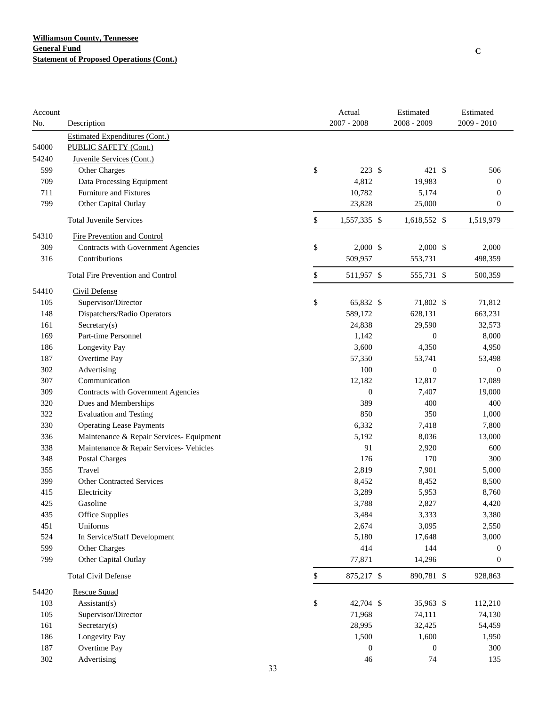| Account<br>No. | Description                              | Actual<br>$2007 - 2008$ | Estimated<br>$2008 - 2009$ | Estimated<br>2009 - 2010 |
|----------------|------------------------------------------|-------------------------|----------------------------|--------------------------|
|                | <b>Estimated Expenditures (Cont.)</b>    |                         |                            |                          |
| 54000          | PUBLIC SAFETY (Cont.)                    |                         |                            |                          |
| 54240          | Juvenile Services (Cont.)                |                         |                            |                          |
| 599            | Other Charges                            | \$<br>223S              | $421 \text{ }$ \$          | 506                      |
| 709            | Data Processing Equipment                | 4,812                   | 19,983                     | $\boldsymbol{0}$         |
| 711            | Furniture and Fixtures                   | 10,782                  | 5,174                      | $\boldsymbol{0}$         |
| 799            | Other Capital Outlay                     | 23,828                  | 25,000                     | $\boldsymbol{0}$         |
|                | <b>Total Juvenile Services</b>           | \$<br>1,557,335 \$      | 1,618,552 \$               | 1,519,979                |
| 54310          | Fire Prevention and Control              |                         |                            |                          |
| 309            | Contracts with Government Agencies       | \$<br>$2,000$ \$        | $2,000$ \$                 | 2,000                    |
| 316            | Contributions                            | 509,957                 | 553,731                    | 498,359                  |
|                | <b>Total Fire Prevention and Control</b> | \$<br>511,957 \$        | 555,731 \$                 | 500,359                  |
| 54410          | Civil Defense                            |                         |                            |                          |
| 105            | Supervisor/Director                      | \$<br>65,832 \$         | 71,802 \$                  | 71,812                   |
| 148            | Dispatchers/Radio Operators              | 589,172                 | 628,131                    | 663,231                  |
| 161            | Sercetary(s)                             | 24,838                  | 29,590                     | 32,573                   |
| 169            | Part-time Personnel                      | 1,142                   | $\mathbf{0}$               | 8,000                    |
| 186            | Longevity Pay                            | 3,600                   | 4,350                      | 4,950                    |
| 187            | Overtime Pay                             | 57,350                  | 53,741                     | 53,498                   |
| 302            | Advertising                              | 100                     | $\boldsymbol{0}$           | $\mathbf{0}$             |
| 307            | Communication                            | 12,182                  | 12,817                     | 17,089                   |
| 309            | Contracts with Government Agencies       | $\boldsymbol{0}$        | 7,407                      | 19,000                   |
| 320            | Dues and Memberships                     | 389                     | 400                        | 400                      |
| 322            | <b>Evaluation and Testing</b>            | 850                     | 350                        | 1,000                    |
| 330            | <b>Operating Lease Payments</b>          | 6,332                   | 7,418                      | 7,800                    |
| 336            | Maintenance & Repair Services- Equipment | 5,192                   | 8,036                      | 13,000                   |
| 338            | Maintenance & Repair Services- Vehicles  | 91                      | 2,920                      | 600                      |
| 348            | <b>Postal Charges</b>                    | 176                     | 170                        | 300                      |
| 355            | Travel                                   | 2,819                   | 7,901                      | 5,000                    |
| 399            | <b>Other Contracted Services</b>         | 8,452                   | 8,452                      | 8,500                    |
| 415            | Electricity                              | 3,289                   | 5,953                      | 8,760                    |
| 425            | Gasoline                                 | 3,788                   | 2,827                      | 4,420                    |
| 435            | Office Supplies                          | 3,484                   | 3,333                      | 3,380                    |
| 451            | Uniforms                                 | 2,674                   | 3,095                      | 2,550                    |
| 524            | In Service/Staff Development             | 5,180                   | 17,648                     | 3,000                    |
| 599            | Other Charges                            | 414                     | 144                        | $\boldsymbol{0}$         |
| 799            | Other Capital Outlay                     | 77,871                  | 14,296                     | $\boldsymbol{0}$         |
|                | <b>Total Civil Defense</b>               | \$<br>875,217 \$        | 890,781 \$                 | 928,863                  |
| 54420          | Rescue Squad                             |                         |                            |                          |
| 103            | $\text{Assistant}(s)$                    | \$<br>42,704 \$         | 35,963 \$                  | 112,210                  |
| 105            | Supervisor/Director                      | 71,968                  | 74,111                     | 74,130                   |
| 161            | Sercetary(s)                             | 28,995                  | 32,425                     | 54,459                   |
| 186            | Longevity Pay                            | 1,500                   | 1,600                      | 1,950                    |
| 187            | Overtime Pay                             | $\boldsymbol{0}$        | $\boldsymbol{0}$           | 300                      |
| 302            | Advertising                              | 46                      | 74                         | 135                      |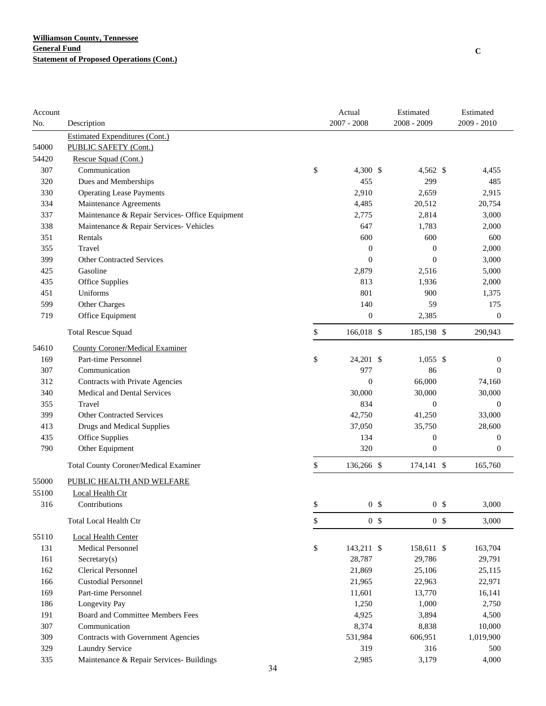| Account |                                                 | Actual               | Estimated        | Estimated        |
|---------|-------------------------------------------------|----------------------|------------------|------------------|
| No.     | Description                                     | $2007 - 2008$        | 2008 - 2009      | 2009 - 2010      |
|         | <b>Estimated Expenditures (Cont.)</b>           |                      |                  |                  |
| 54000   | PUBLIC SAFETY (Cont.)                           |                      |                  |                  |
| 54420   | Rescue Squad (Cont.)                            |                      |                  |                  |
| 307     | Communication                                   | \$<br>4,300 \$       | 4,562 \$         | 4,455            |
| 320     | Dues and Memberships                            | 455                  | 299              | 485              |
| 330     | <b>Operating Lease Payments</b>                 | 2,910                | 2,659            | 2,915            |
| 334     | Maintenance Agreements                          | 4,485                | 20,512           | 20,754           |
| 337     | Maintenance & Repair Services- Office Equipment | 2,775                | 2,814            | 3,000            |
| 338     | Maintenance & Repair Services- Vehicles         | 647                  | 1,783            | 2,000            |
| 351     | Rentals                                         | 600                  | 600              | 600              |
| 355     | Travel                                          | $\boldsymbol{0}$     | $\boldsymbol{0}$ | 2,000            |
| 399     | <b>Other Contracted Services</b>                | $\mathbf{0}$         | $\mathbf{0}$     | 3,000            |
| 425     | Gasoline                                        | 2,879                | 2,516            | 5,000            |
| 435     | Office Supplies                                 | 813                  | 1,936            | 2,000            |
| 451     | Uniforms                                        | 801                  | 900              | 1,375            |
| 599     | Other Charges                                   | 140                  | 59               | 175              |
| 719     | Office Equipment                                | $\boldsymbol{0}$     | 2,385            | $\boldsymbol{0}$ |
|         | <b>Total Rescue Squad</b>                       | \$<br>166,018 \$     | 185,198 \$       | 290,943          |
| 54610   | <b>County Coroner/Medical Examiner</b>          |                      |                  |                  |
| 169     | Part-time Personnel                             | \$<br>24,201 \$      | $1,055$ \$       | $\boldsymbol{0}$ |
| 307     | Communication                                   | 977                  | 86               | $\theta$         |
| 312     | Contracts with Private Agencies                 | $\boldsymbol{0}$     | 66,000           | 74,160           |
| 340     | Medical and Dental Services                     | 30,000               | 30,000           | 30,000           |
| 355     | Travel                                          | 834                  | $\boldsymbol{0}$ | $\boldsymbol{0}$ |
| 399     | <b>Other Contracted Services</b>                | 42,750               | 41,250           | 33,000           |
| 413     | Drugs and Medical Supplies                      | 37,050               | 35,750           | 28,600           |
| 435     | Office Supplies                                 | 134                  | $\boldsymbol{0}$ | $\boldsymbol{0}$ |
| 790     | Other Equipment                                 | 320                  | $\boldsymbol{0}$ | $\boldsymbol{0}$ |
|         | <b>Total County Coroner/Medical Examiner</b>    | \$<br>136,266 \$     | 174,141 \$       | 165,760          |
| 55000   | PUBLIC HEALTH AND WELFARE                       |                      |                  |                  |
| 55100   | Local Health Ctr                                |                      |                  |                  |
| 316     | Contributions                                   | \$<br>0 <sup>5</sup> | 0 <sup>5</sup>   | 3,000            |
|         | Total Local Health Ctr                          | \$<br>0 <sup>5</sup> | 0 <sup>5</sup>   | 3,000            |
| 55110   | <b>Local Health Center</b>                      |                      |                  |                  |
| 131     | <b>Medical Personnel</b>                        | \$<br>143,211 \$     | 158,611 \$       | 163,704          |
| 161     | Sercetary(s)                                    | 28,787               | 29,786           | 29,791           |
| 162     | <b>Clerical Personnel</b>                       | 21,869               | 25,106           | 25,115           |
| 166     | <b>Custodial Personnel</b>                      | 21,965               | 22,963           | 22,971           |
| 169     | Part-time Personnel                             | 11,601               | 13,770           | 16,141           |
| 186     | Longevity Pay                                   | 1,250                | 1,000            | 2,750            |
| 191     | Board and Committee Members Fees                | 4,925                | 3,894            | 4,500            |
| 307     | Communication                                   | 8,374                | 8,838            | 10,000           |
| 309     | Contracts with Government Agencies              | 531,984              | 606,951          | 1,019,900        |
| 329     | Laundry Service                                 | 319                  | 316              | 500              |
| 335     | Maintenance & Repair Services- Buildings        | 2,985                | 3,179            | 4,000            |
|         | 34                                              |                      |                  |                  |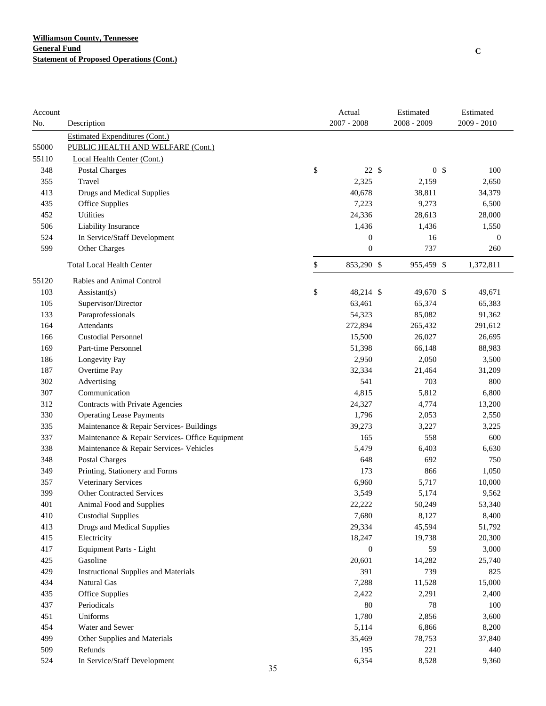| Account |                                                 | Actual           | Estimated      | Estimated        |
|---------|-------------------------------------------------|------------------|----------------|------------------|
| No.     | Description                                     | $2007 - 2008$    | 2008 - 2009    | 2009 - 2010      |
|         | <b>Estimated Expenditures (Cont.)</b>           |                  |                |                  |
| 55000   | PUBLIC HEALTH AND WELFARE (Cont.)               |                  |                |                  |
| 55110   | Local Health Center (Cont.)                     |                  |                |                  |
| 348     | Postal Charges                                  | \$<br>22S        | 0 <sup>5</sup> | 100              |
| 355     | Travel                                          | 2,325            | 2,159          | 2,650            |
| 413     | <b>Drugs and Medical Supplies</b>               | 40,678           | 38,811         | 34,379           |
| 435     | Office Supplies                                 | 7,223            | 9,273          | 6,500            |
| 452     | Utilities                                       | 24,336           | 28,613         | 28,000           |
| 506     | Liability Insurance                             | 1,436            | 1,436          | 1,550            |
| 524     | In Service/Staff Development                    | $\boldsymbol{0}$ | 16             | $\boldsymbol{0}$ |
| 599     | Other Charges                                   | $\mathbf{0}$     | 737            | 260              |
|         | <b>Total Local Health Center</b>                | \$<br>853,290 \$ | 955,459 \$     | 1,372,811        |
| 55120   | Rabies and Animal Control                       |                  |                |                  |
| 103     | Assistant(s)                                    | \$<br>48,214 \$  | 49,670 \$      | 49,671           |
| 105     | Supervisor/Director                             | 63,461           | 65,374         | 65,383           |
| 133     | Paraprofessionals                               | 54,323           | 85,082         | 91,362           |
| 164     | Attendants                                      | 272,894          | 265,432        | 291,612          |
| 166     | <b>Custodial Personnel</b>                      | 15,500           | 26,027         | 26,695           |
| 169     | Part-time Personnel                             | 51,398           | 66,148         | 88,983           |
| 186     | Longevity Pay                                   | 2,950            | 2,050          | 3,500            |
| 187     | Overtime Pay                                    | 32,334           | 21,464         | 31,209           |
| 302     | Advertising                                     | 541              | 703            | 800              |
| 307     | Communication                                   | 4,815            | 5,812          | 6,800            |
| 312     | Contracts with Private Agencies                 | 24,327           | 4,774          | 13,200           |
| 330     | <b>Operating Lease Payments</b>                 | 1,796            | 2,053          | 2,550            |
| 335     | Maintenance & Repair Services- Buildings        | 39,273           | 3,227          | 3,225            |
| 337     | Maintenance & Repair Services- Office Equipment | 165              | 558            | 600              |
| 338     | Maintenance & Repair Services- Vehicles         | 5,479            | 6,403          | 6,630            |
| 348     | Postal Charges                                  | 648              | 692            | 750              |
| 349     | Printing, Stationery and Forms                  | 173              | 866            | 1,050            |
| 357     | Veterinary Services                             | 6,960            | 5,717          | 10,000           |
| 399     | Other Contracted Services                       | 3,549            | 5,174          | 9,562            |
| 401     | Animal Food and Supplies                        | 22.222           | 50,249         | 53,340           |
| 410     | <b>Custodial Supplies</b>                       | 7,680            | 8,127          | 8,400            |
| 413     | Drugs and Medical Supplies                      | 29,334           | 45,594         | 51,792           |
| 415     | Electricity                                     | 18,247           | 19,738         | 20,300           |
| 417     | Equipment Parts - Light                         | $\boldsymbol{0}$ | 59             | 3,000            |
| 425     | Gasoline                                        | 20,601           | 14,282         | 25,740           |
| 429     | <b>Instructional Supplies and Materials</b>     | 391              | 739            | 825              |
| 434     | Natural Gas                                     | 7,288            | 11,528         | 15,000           |
| 435     | Office Supplies                                 | 2,422            | 2,291          | 2,400            |
| 437     | Periodicals                                     | 80               | 78             | 100              |
| 451     | Uniforms                                        | 1,780            | 2,856          | 3,600            |
| 454     | Water and Sewer                                 | 5,114            | 6,866          | 8,200            |
| 499     | Other Supplies and Materials                    | 35,469           | 78,753         | 37,840           |
| 509     | Refunds                                         | 195              | 221            | 440              |
|         |                                                 |                  |                |                  |
| 524     | In Service/Staff Development                    | 6,354            | 8,528          | 9,360            |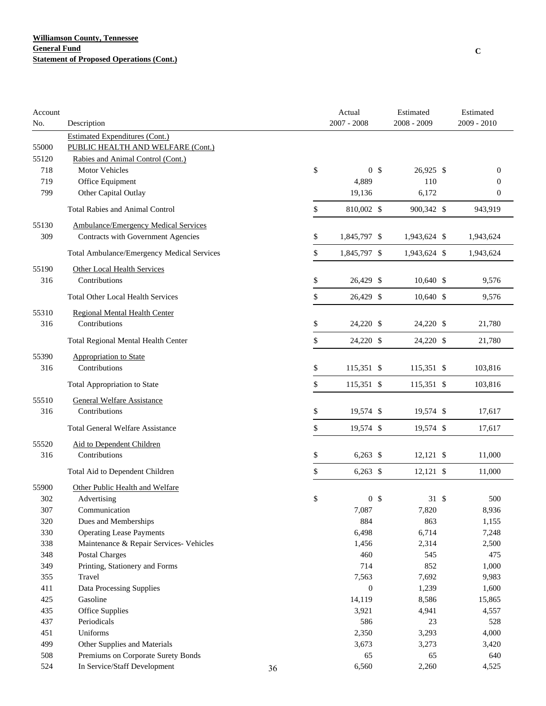| Account<br>No. | Description                                 |    | Actual<br>$2007 - 2008$ |                | Estimated<br>2008 - 2009 | Estimated<br>2009 - 2010 |
|----------------|---------------------------------------------|----|-------------------------|----------------|--------------------------|--------------------------|
|                |                                             |    |                         |                |                          |                          |
|                | <b>Estimated Expenditures (Cont.)</b>       |    |                         |                |                          |                          |
| 55000          | PUBLIC HEALTH AND WELFARE (Cont.)           |    |                         |                |                          |                          |
| 55120          | Rabies and Animal Control (Cont.)           |    |                         |                |                          |                          |
| 718            | Motor Vehicles                              |    | \$                      | 0 <sup>5</sup> | 26,925 \$                | $\boldsymbol{0}$         |
| 719            | Office Equipment                            |    | 4,889                   |                | 110                      | $\boldsymbol{0}$         |
| 799            | Other Capital Outlay                        |    | 19,136                  |                | 6,172                    | $\boldsymbol{0}$         |
|                | <b>Total Rabies and Animal Control</b>      |    | \$<br>810,002 \$        |                | 900,342 \$               | 943,919                  |
| 55130          | <b>Ambulance/Emergency Medical Services</b> |    |                         |                |                          |                          |
| 309            | Contracts with Government Agencies          |    | \$<br>1,845,797 \$      |                | 1,943,624 \$             | 1,943,624                |
|                | Total Ambulance/Emergency Medical Services  |    | \$<br>1,845,797 \$      |                | 1,943,624 \$             | 1,943,624                |
| 55190          | Other Local Health Services                 |    |                         |                |                          |                          |
| 316            | Contributions                               |    | \$<br>26,429 \$         |                | 10,640 \$                | 9,576                    |
|                | <b>Total Other Local Health Services</b>    |    | \$<br>26,429 \$         |                | $10,640$ \$              | 9,576                    |
| 55310          | <b>Regional Mental Health Center</b>        |    |                         |                |                          |                          |
| 316            | Contributions                               |    | \$<br>24,220 \$         |                | 24,220 \$                | 21,780                   |
|                | <b>Total Regional Mental Health Center</b>  |    | \$<br>24,220 \$         |                | 24,220 \$                | 21,780                   |
| 55390          | Appropriation to State                      |    |                         |                |                          |                          |
| 316            | Contributions                               |    | \$<br>115,351 \$        |                | 115,351 \$               | 103,816                  |
|                | <b>Total Appropriation to State</b>         |    | \$<br>115,351 \$        |                | 115,351 \$               | 103,816                  |
| 55510          | <b>General Welfare Assistance</b>           |    |                         |                |                          |                          |
| 316            | Contributions                               |    | \$<br>19,574 \$         |                | 19,574 \$                | 17,617                   |
|                | <b>Total General Welfare Assistance</b>     |    | \$<br>19,574 \$         |                | 19,574 \$                | 17,617                   |
| 55520          | Aid to Dependent Children                   |    |                         |                |                          |                          |
| 316            | Contributions                               |    | \$<br>$6,263$ \$        |                | 12,121 \$                | 11,000                   |
|                | Total Aid to Dependent Children             |    | \$<br>$6,263$ \$        |                | $12,121$ \$              | 11,000                   |
|                |                                             |    |                         |                |                          |                          |
| 55900          | Other Public Health and Welfare             |    |                         |                |                          |                          |
| 302            | Advertising                                 |    | \$                      | 0 <sup>5</sup> | $31 \text{ }$ \$         | 500                      |
| 307            | Communication                               |    | 7,087                   |                | 7,820                    | 8,936                    |
| 320            | Dues and Memberships                        |    | 884                     |                | 863                      | 1,155                    |
| 330            | <b>Operating Lease Payments</b>             |    | 6,498                   |                | 6,714                    | 7,248                    |
| 338            | Maintenance & Repair Services- Vehicles     |    | 1,456                   |                | 2,314                    | 2,500                    |
| 348            | <b>Postal Charges</b>                       |    | 460                     |                | 545                      | 475                      |
| 349            | Printing, Stationery and Forms              |    | 714                     |                | 852                      | 1,000                    |
| 355            | Travel                                      |    | 7,563                   |                | 7,692                    | 9,983                    |
| 411            | Data Processing Supplies                    |    | $\mathbf{0}$            |                | 1,239                    | 1,600                    |
| 425            | Gasoline                                    |    | 14,119                  |                | 8,586                    | 15,865                   |
| 435            | Office Supplies                             |    | 3,921                   |                | 4,941                    | 4,557                    |
| 437            | Periodicals                                 |    | 586                     |                | 23                       | 528                      |
| 451            | Uniforms                                    |    | 2,350                   |                | 3,293                    | 4,000                    |
| 499            | Other Supplies and Materials                |    | 3,673                   |                | 3,273                    | 3,420                    |
| 508            | Premiums on Corporate Surety Bonds          |    | 65                      |                | 65                       | 640                      |
| 524            | In Service/Staff Development                | 36 | 6,560                   |                | 2,260                    | 4,525                    |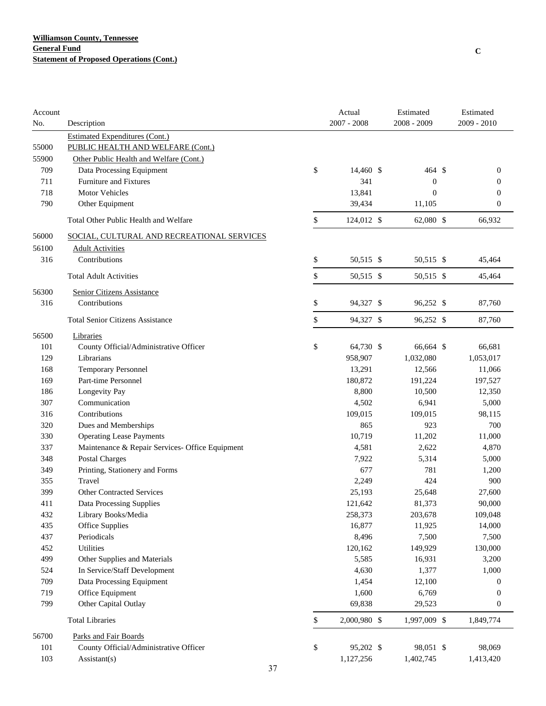| Account<br>No. | Description                                     | Actual<br>$2007 - 2008$ | Estimated<br>2008 - 2009 | Estimated<br>2009 - 2010 |
|----------------|-------------------------------------------------|-------------------------|--------------------------|--------------------------|
|                | <b>Estimated Expenditures (Cont.)</b>           |                         |                          |                          |
| 55000          | PUBLIC HEALTH AND WELFARE (Cont.)               |                         |                          |                          |
| 55900          | Other Public Health and Welfare (Cont.)         |                         |                          |                          |
| 709            | Data Processing Equipment                       | \$<br>14,460 \$         | 464 \$                   | 0                        |
| 711            | <b>Furniture and Fixtures</b>                   | 341                     | $\boldsymbol{0}$         | $\boldsymbol{0}$         |
| 718            | Motor Vehicles                                  | 13,841                  | $\boldsymbol{0}$         | 0                        |
| 790            | Other Equipment                                 | 39,434                  | 11,105                   | 0                        |
|                | Total Other Public Health and Welfare           | \$<br>124,012 \$        | 62,080 \$                | 66,932                   |
| 56000          | SOCIAL, CULTURAL AND RECREATIONAL SERVICES      |                         |                          |                          |
| 56100          | <b>Adult Activities</b>                         |                         |                          |                          |
| 316            | Contributions                                   | \$<br>50,515 \$         | 50,515 \$                | 45,464                   |
|                | <b>Total Adult Activities</b>                   | \$<br>50,515 \$         | 50,515 \$                | 45,464                   |
| 56300          | Senior Citizens Assistance                      |                         |                          |                          |
| 316            | Contributions                                   | \$<br>94,327 \$         | 96,252 \$                | 87,760                   |
|                | <b>Total Senior Citizens Assistance</b>         | \$<br>94,327 \$         | 96,252 \$                | 87,760                   |
| 56500          | Libraries                                       |                         |                          |                          |
| 101            | County Official/Administrative Officer          | \$<br>64,730 \$         | 66,664 \$                | 66.681                   |
| 129            | Librarians                                      | 958,907                 | 1,032,080                | 1,053,017                |
| 168            | <b>Temporary Personnel</b>                      | 13,291                  | 12,566                   | 11,066                   |
| 169            | Part-time Personnel                             | 180,872                 | 191,224                  | 197,527                  |
| 186            | Longevity Pay                                   | 8,800                   | 10,500                   | 12,350                   |
| 307            | Communication                                   | 4,502                   | 6,941                    | 5,000                    |
| 316            | Contributions                                   | 109,015                 | 109,015                  | 98,115                   |
| 320            | Dues and Memberships                            | 865                     | 923                      | 700                      |
| 330            | <b>Operating Lease Payments</b>                 | 10,719                  | 11,202                   | 11,000                   |
| 337            | Maintenance & Repair Services- Office Equipment | 4,581                   | 2,622                    | 4,870                    |
| 348            | <b>Postal Charges</b>                           | 7,922                   | 5,314                    | 5,000                    |
| 349            | Printing, Stationery and Forms                  | 677                     | 781                      | 1,200                    |
| 355            | Travel                                          | 2,249                   | 424                      | 900                      |
| 399            | <b>Other Contracted Services</b>                | 25,193                  | 25,648                   | 27,600                   |
| 411            | Data Processing Supplies                        | 121,642                 | 81,373                   | 90,000                   |
| 432            | Library Books/Media                             | 258,373                 | 203,678                  | 109,048                  |
| 435            | Office Supplies                                 | 16,877                  | 11,925                   | 14,000                   |
| 437            | Periodicals                                     | 8,496                   | 7,500                    | 7,500                    |
| 452            | Utilities                                       | 120,162                 | 149,929                  | 130,000                  |
| 499            | Other Supplies and Materials                    | 5,585                   | 16,931                   | 3,200                    |
| 524            | In Service/Staff Development                    | 4,630                   | 1,377                    | 1,000                    |
| 709            | Data Processing Equipment                       | 1,454                   | 12,100                   | $\boldsymbol{0}$         |
| 719            | Office Equipment                                | 1,600                   | 6,769                    | $\boldsymbol{0}$         |
| 799            | Other Capital Outlay                            | 69,838                  | 29,523                   | $\boldsymbol{0}$         |
|                | <b>Total Libraries</b>                          | \$<br>2,000,980 \$      | 1,997,009 \$             | 1,849,774                |
| 56700          | Parks and Fair Boards                           |                         |                          |                          |
| 101            | County Official/Administrative Officer          | \$<br>95,202 \$         | 98,051 \$                | 98,069                   |
| 103            | Assistant(s)                                    | 1,127,256               | 1,402,745                | 1,413,420                |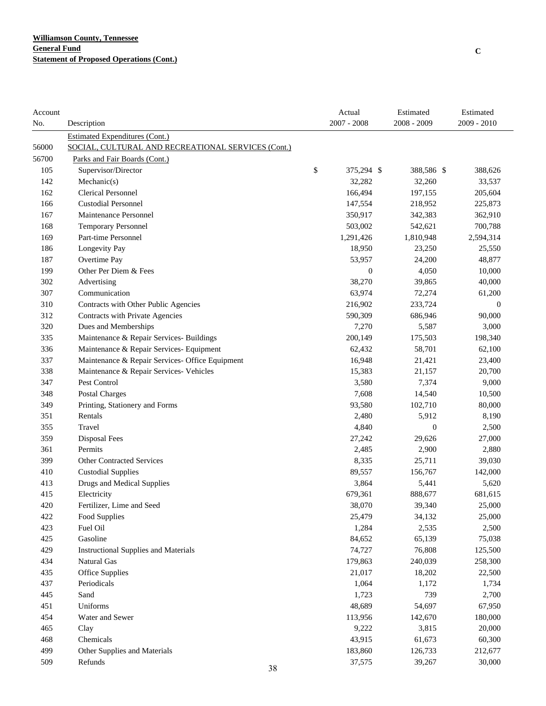| Account |                                                    | Actual           | Estimated        | Estimated   |
|---------|----------------------------------------------------|------------------|------------------|-------------|
| No.     | Description                                        | $2007 - 2008$    | 2008 - 2009      | 2009 - 2010 |
|         | <b>Estimated Expenditures (Cont.)</b>              |                  |                  |             |
| 56000   | SOCIAL, CULTURAL AND RECREATIONAL SERVICES (Cont.) |                  |                  |             |
| 56700   | Parks and Fair Boards (Cont.)                      |                  |                  |             |
| 105     | Supervisor/Director                                | \$<br>375,294 \$ | 388,586 \$       | 388,626     |
| 142     | Mechanic(s)                                        | 32,282           | 32,260           | 33,537      |
| 162     | <b>Clerical Personnel</b>                          | 166,494          | 197,155          | 205,604     |
| 166     | <b>Custodial Personnel</b>                         | 147,554          | 218,952          | 225,873     |
| 167     | Maintenance Personnel                              | 350,917          | 342,383          | 362,910     |
| 168     | <b>Temporary Personnel</b>                         | 503,002          | 542,621          | 700,788     |
| 169     | Part-time Personnel                                | 1,291,426        | 1,810,948        | 2,594,314   |
| 186     | Longevity Pay                                      | 18,950           | 23,250           | 25,550      |
| 187     | Overtime Pay                                       | 53,957           | 24,200           | 48,877      |
| 199     | Other Per Diem & Fees                              | $\boldsymbol{0}$ | 4,050            | 10,000      |
| 302     | Advertising                                        | 38,270           | 39,865           | 40,000      |
| 307     | Communication                                      | 63,974           | 72,274           | 61,200      |
| 310     | Contracts with Other Public Agencies               | 216,902          | 233,724          | $\theta$    |
| 312     | Contracts with Private Agencies                    | 590,309          | 686,946          | 90,000      |
| 320     | Dues and Memberships                               | 7,270            | 5,587            | 3,000       |
| 335     | Maintenance & Repair Services- Buildings           | 200,149          | 175,503          | 198,340     |
| 336     | Maintenance & Repair Services- Equipment           | 62,432           | 58,701           | 62,100      |
| 337     | Maintenance & Repair Services- Office Equipment    | 16,948           | 21,421           | 23,400      |
| 338     | Maintenance & Repair Services- Vehicles            | 15,383           | 21,157           | 20,700      |
| 347     | Pest Control                                       | 3,580            | 7,374            | 9,000       |
| 348     | Postal Charges                                     | 7,608            | 14,540           | 10,500      |
| 349     | Printing, Stationery and Forms                     | 93,580           | 102,710          | 80,000      |
| 351     | Rentals                                            | 2,480            | 5,912            | 8,190       |
| 355     | Travel                                             | 4,840            | $\boldsymbol{0}$ | 2,500       |
| 359     | Disposal Fees                                      | 27,242           | 29,626           | 27,000      |
| 361     | Permits                                            | 2,485            | 2,900            | 2,880       |
| 399     | <b>Other Contracted Services</b>                   | 8,335            | 25,711           | 39,030      |
| 410     | <b>Custodial Supplies</b>                          | 89,557           | 156,767          | 142,000     |
| 413     | Drugs and Medical Supplies                         | 3,864            | 5,441            | 5,620       |
| 415     | Electricity                                        | 679,361          | 888,677          | 681,615     |
| 420     | Fertilizer, Lime and Seed                          | 38,070           | 39,340           | 25,000      |
| 422     | Food Supplies                                      | 25,479           | 34,132           | 25,000      |
| 423     | Fuel Oil                                           | 1,284            | 2,535            | 2,500       |
| 425     | Gasoline                                           | 84,652           | 65,139           | 75,038      |
| 429     | <b>Instructional Supplies and Materials</b>        | 74,727           | 76,808           | 125,500     |
| 434     | Natural Gas                                        | 179,863          | 240,039          | 258,300     |
| 435     | <b>Office Supplies</b>                             | 21,017           | 18,202           | 22,500      |
| 437     | Periodicals                                        | 1,064            | 1,172            | 1,734       |
| 445     | Sand                                               | 1,723            | 739              | 2,700       |
| 451     | Uniforms                                           | 48,689           | 54,697           | 67,950      |
| 454     | Water and Sewer                                    | 113,956          | 142,670          | 180,000     |
| 465     | Clay                                               | 9,222            | 3,815            | 20,000      |
| 468     | Chemicals                                          | 43,915           | 61,673           | 60,300      |
| 499     | Other Supplies and Materials                       | 183,860          | 126,733          | 212,677     |
| 509     | Refunds                                            | 37,575           | 39,267           | 30,000      |
|         | 38                                                 |                  |                  |             |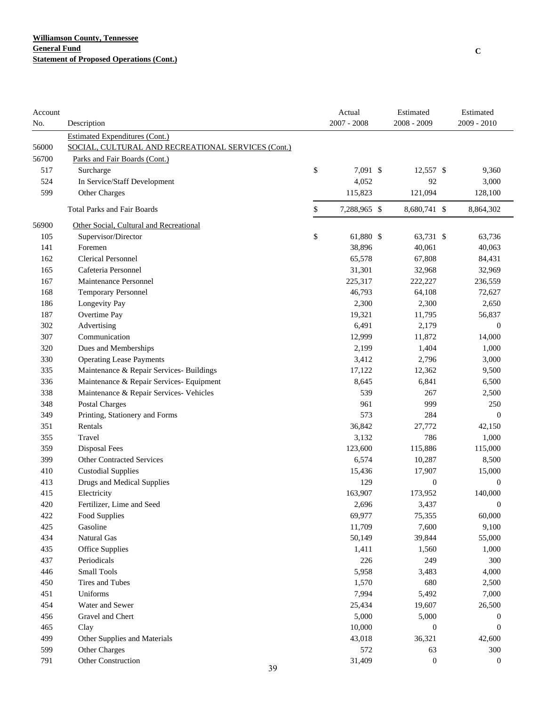| Account<br>No. | Description                                        | Actual<br>$2007 - 2008$ | Estimated<br>2008 - 2009 | Estimated<br>2009 - 2010 |
|----------------|----------------------------------------------------|-------------------------|--------------------------|--------------------------|
|                | Estimated Expenditures (Cont.)                     |                         |                          |                          |
| 56000          | SOCIAL, CULTURAL AND RECREATIONAL SERVICES (Cont.) |                         |                          |                          |
| 56700          | Parks and Fair Boards (Cont.)                      |                         |                          |                          |
| 517            | Surcharge                                          | \$<br>7,091 \$          | 12,557 \$                | 9,360                    |
| 524            | In Service/Staff Development                       | 4,052                   | 92                       | 3,000                    |
| 599            | Other Charges                                      | 115,823                 | 121,094                  | 128,100                  |
|                | <b>Total Parks and Fair Boards</b>                 | \$<br>7,288,965 \$      | 8,680,741 \$             | 8,864,302                |
| 56900          | Other Social, Cultural and Recreational            |                         |                          |                          |
| 105            | Supervisor/Director                                | \$<br>61,880 \$         | 63,731 \$                | 63,736                   |
| 141            | Foremen                                            | 38,896                  | 40,061                   | 40,063                   |
| 162            | <b>Clerical Personnel</b>                          | 65,578                  | 67,808                   | 84,431                   |
| 165            | Cafeteria Personnel                                | 31,301                  | 32,968                   | 32,969                   |
| 167            | Maintenance Personnel                              | 225,317                 | 222,227                  | 236,559                  |
| 168            | <b>Temporary Personnel</b>                         | 46,793                  | 64,108                   | 72,627                   |
| 186            | Longevity Pay                                      | 2,300                   | 2,300                    | 2,650                    |
| 187            | Overtime Pay                                       | 19,321                  | 11,795                   | 56,837                   |
| 302            | Advertising                                        | 6,491                   | 2,179                    | $\mathbf{0}$             |
| 307            | Communication                                      | 12,999                  | 11,872                   | 14,000                   |
| 320            | Dues and Memberships                               | 2,199                   | 1,404                    | 1,000                    |
| 330            | <b>Operating Lease Payments</b>                    | 3,412                   | 2,796                    | 3,000                    |
| 335            | Maintenance & Repair Services- Buildings           | 17,122                  | 12,362                   | 9,500                    |
| 336            | Maintenance & Repair Services- Equipment           | 8,645                   | 6,841                    | 6,500                    |
| 338            | Maintenance & Repair Services- Vehicles            | 539                     | 267                      | 2,500                    |
| 348            | Postal Charges                                     | 961                     | 999                      | 250                      |
| 349            | Printing, Stationery and Forms                     | 573                     | 284                      | $\boldsymbol{0}$         |
| 351            | Rentals                                            | 36,842                  | 27,772                   | 42,150                   |
| 355            | Travel                                             | 3,132                   | 786                      | 1,000                    |
| 359            | Disposal Fees                                      | 123,600                 | 115,886                  | 115,000                  |
| 399            | <b>Other Contracted Services</b>                   | 6,574                   | 10,287                   | 8,500                    |
| 410            | <b>Custodial Supplies</b>                          | 15,436                  | 17,907                   | 15,000                   |
| 413            | <b>Drugs and Medical Supplies</b>                  | 129                     | $\boldsymbol{0}$         | $\boldsymbol{0}$         |
| 415            | Electricity                                        | 163,907                 | 173,952                  | 140,000                  |
| 420            | Fertilizer, Lime and Seed                          | 2,696                   | 3,437                    | $\Omega$                 |
| 422            | Food Supplies                                      | 69,977                  | 75,355                   | 60,000                   |
| 425            | Gasoline                                           | 11,709                  | 7,600                    | 9,100                    |
| 434            | Natural Gas                                        | 50,149                  | 39,844                   | 55,000                   |
| 435            | Office Supplies                                    | 1,411                   | 1,560                    | 1,000                    |
| 437            | Periodicals                                        | 226                     | 249                      | 300                      |
| 446            | <b>Small Tools</b>                                 | 5,958                   | 3,483                    | 4,000                    |
| 450            | Tires and Tubes                                    | 1,570                   | 680                      | 2,500                    |
| 451            | Uniforms                                           | 7,994                   | 5,492                    | 7,000                    |
| 454            | Water and Sewer                                    | 25,434                  | 19,607                   | 26,500                   |
| 456            | Gravel and Chert                                   | 5,000                   | 5,000                    | 0                        |
| 465            | Clay                                               | 10,000                  | $\boldsymbol{0}$         | $\boldsymbol{0}$         |
| 499            | Other Supplies and Materials                       | 43,018                  | 36,321                   | 42,600                   |
| 599            | Other Charges                                      | 572                     | 63                       | 300                      |
| 791            | Other Construction<br>39                           | 31,409                  | $\boldsymbol{0}$         | $\boldsymbol{0}$         |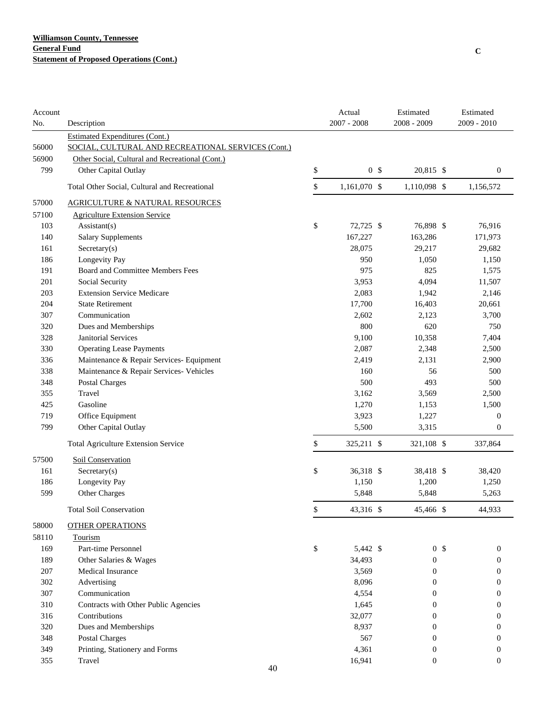| Account<br>No. | Description                                        | Actual<br>$2007 - 2008$ | Estimated<br>2008 - 2009 | Estimated<br>$2009 - 2010$ |
|----------------|----------------------------------------------------|-------------------------|--------------------------|----------------------------|
|                | <b>Estimated Expenditures (Cont.)</b>              |                         |                          |                            |
| 56000          | SOCIAL, CULTURAL AND RECREATIONAL SERVICES (Cont.) |                         |                          |                            |
| 56900          | Other Social, Cultural and Recreational (Cont.)    |                         |                          |                            |
| 799            | Other Capital Outlay                               | \$<br>0 <sup>5</sup>    | 20,815 \$                | $\boldsymbol{0}$           |
|                | Total Other Social, Cultural and Recreational      | \$<br>1,161,070 \$      | 1,110,098 \$             | 1,156,572                  |
| 57000          | <b>AGRICULTURE &amp; NATURAL RESOURCES</b>         |                         |                          |                            |
| 57100          | <b>Agriculture Extension Service</b>               |                         |                          |                            |
| 103            | Assistant(s)                                       | \$<br>72,725 \$         | 76,898 \$                | 76,916                     |
| 140            | <b>Salary Supplements</b>                          | 167,227                 | 163,286                  | 171,973                    |
| 161            | Sercetary(s)                                       | 28,075                  | 29,217                   | 29,682                     |
| 186            | Longevity Pay                                      | 950                     | 1,050                    | 1,150                      |
| 191            | Board and Committee Members Fees                   | 975                     | 825                      | 1,575                      |
| 201            | Social Security                                    | 3,953                   | 4,094                    | 11,507                     |
| 203            | <b>Extension Service Medicare</b>                  | 2,083                   | 1,942                    | 2,146                      |
| 204            | <b>State Retirement</b>                            | 17,700                  | 16,403                   | 20,661                     |
| 307            | Communication                                      | 2,602                   | 2,123                    | 3,700                      |
| 320            | Dues and Memberships                               | 800                     | 620                      | 750                        |
| 328            | <b>Janitorial Services</b>                         | 9,100                   | 10,358                   | 7,404                      |
| 330            | <b>Operating Lease Payments</b>                    | 2,087                   | 2,348                    | 2,500                      |
| 336            | Maintenance & Repair Services- Equipment           | 2,419                   | 2,131                    | 2,900                      |
| 338            | Maintenance & Repair Services- Vehicles            | 160                     | 56                       | 500                        |
| 348            | <b>Postal Charges</b>                              | 500                     | 493                      | 500                        |
| 355            | Travel                                             | 3,162                   | 3,569                    | 2,500                      |
| 425            | Gasoline                                           | 1,270                   | 1,153                    | 1,500                      |
| 719            | Office Equipment                                   | 3,923                   | 1,227                    | $\boldsymbol{0}$           |
| 799            | Other Capital Outlay                               | 5,500                   | 3,315                    | $\boldsymbol{0}$           |
|                | <b>Total Agriculture Extension Service</b>         | \$<br>325,211 \$        | 321,108 \$               | 337,864                    |
| 57500          | Soil Conservation                                  |                         |                          |                            |
| 161            | $S \nscretary(s)$                                  | \$<br>36,318 \$         | 38,418 \$                | 38,420                     |
| 186            | Longevity Pay                                      | 1,150                   | 1,200                    | 1,250                      |
| 599            | Other Charges                                      | 5,848                   | 5,848                    | 5,263                      |
|                | <b>Total Soil Conservation</b>                     | \$<br>43,316 \$         | 45,466 \$                | 44,933                     |
| 58000          | <b>OTHER OPERATIONS</b>                            |                         |                          |                            |
| 58110          | Tourism                                            |                         |                          |                            |
| 169            | Part-time Personnel                                | \$<br>5,442 \$          | 0 <sup>5</sup>           | $\boldsymbol{0}$           |
| 189            | Other Salaries & Wages                             | 34,493                  | $\boldsymbol{0}$         | $\boldsymbol{0}$           |
| 207            | Medical Insurance                                  | 3,569                   | 0                        | 0                          |
| 302            | Advertising                                        | 8,096                   | 0                        | 0                          |
| 307            | Communication                                      | 4,554                   | 0                        | 0                          |
| 310            | Contracts with Other Public Agencies               | 1,645                   | 0                        | 0                          |
| 316            | Contributions                                      | 32,077                  | 0                        | 0                          |
| 320            | Dues and Memberships                               | 8,937                   | 0                        | 0                          |
| 348            | <b>Postal Charges</b>                              | 567                     | 0                        | $\theta$                   |
| 349            | Printing, Stationery and Forms                     | 4,361                   | $\mathbf{0}$             | $\boldsymbol{0}$           |
| 355            | Travel                                             | 16,941                  | $\mathbf{0}$             | $\boldsymbol{0}$           |
|                | 40                                                 |                         |                          |                            |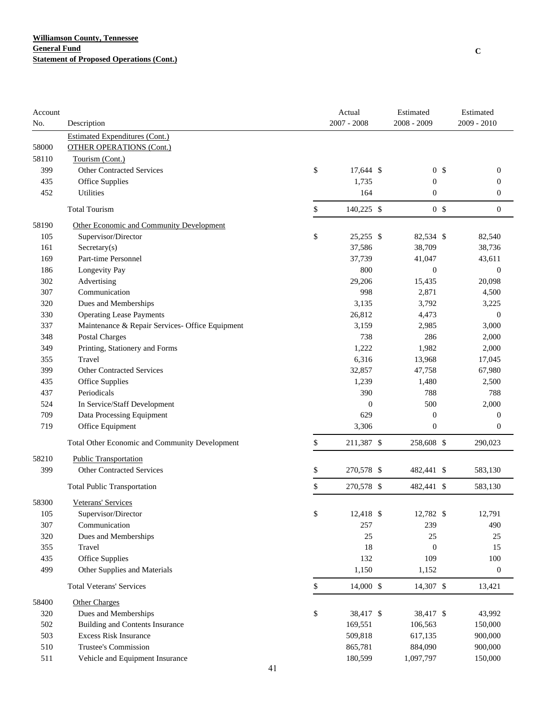| No.<br>Description<br><b>Estimated Expenditures (Cont.)</b><br><b>OTHER OPERATIONS (Cont.)</b><br>58000<br>58110<br>Tourism (Cont.)<br>\$<br><b>Other Contracted Services</b><br>399<br>17,644 \$<br>0 <sup>5</sup><br>0<br>1,735<br>435<br>Office Supplies<br>$\boldsymbol{0}$<br>$\boldsymbol{0}$<br>164<br>452<br>Utilities<br>$\boldsymbol{0}$<br>$\boldsymbol{0}$<br>0 <sup>5</sup><br>\$<br>140,225 \$<br><b>Total Tourism</b><br>$\boldsymbol{0}$<br>58190<br>Other Economic and Community Development<br>\$<br>105<br>25,255 \$<br>82,534 \$<br>82,540<br>Supervisor/Director<br>37,586<br>38,709<br>161<br>Sercetary(s)<br>38,736<br>Part-time Personnel<br>169<br>37,739<br>41,047<br>43,611<br>800<br>186<br>Longevity Pay<br>$\boldsymbol{0}$<br>$\boldsymbol{0}$<br>Advertising<br>302<br>29,206<br>20,098<br>15,435<br>Communication<br>307<br>998<br>2,871<br>4,500<br>3,135<br>320<br>Dues and Memberships<br>3,792<br>3,225<br>26,812<br>330<br><b>Operating Lease Payments</b><br>4,473<br>$\mathbf{0}$<br>Maintenance & Repair Services- Office Equipment<br>3,159<br>337<br>2,985<br>3,000<br><b>Postal Charges</b><br>738<br>348<br>286<br>2,000<br>Printing, Stationery and Forms<br>1,222<br>1,982<br>2,000<br>349<br>6,316<br>355<br>Travel<br>13,968<br>17,045<br>399<br><b>Other Contracted Services</b><br>32,857<br>47,758<br>67,980<br>435<br>Office Supplies<br>1,239<br>1,480<br>2,500<br>Periodicals<br>390<br>788<br>437<br>788<br>500<br>524<br>In Service/Staff Development<br>$\overline{0}$<br>2,000<br>629<br>709<br>Data Processing Equipment<br>$\boldsymbol{0}$<br>$\boldsymbol{0}$<br>719<br>Office Equipment<br>3,306<br>$\boldsymbol{0}$<br>0<br>\$<br>Total Other Economic and Community Development<br>211,387 \$<br>258,608 \$<br>290,023<br>58210<br><b>Public Transportation</b><br><b>Other Contracted Services</b><br>\$<br>399<br>270,578 \$<br>482,441 \$<br>583,130<br>\$<br>270,578 \$<br>482,441 \$<br>583,130<br><b>Total Public Transportation</b><br>58300<br>Veterans' Services<br>\$<br>12,418 \$<br>12,782 \$<br>105<br>Supervisor/Director<br>12,791<br>Communication<br>257<br>239<br>307<br>490<br>320<br>Dues and Memberships<br>25<br>25<br>25<br>18<br>355<br>Travel<br>$\boldsymbol{0}$<br>15<br>Office Supplies<br>132<br>109<br>100<br>435<br>499<br>Other Supplies and Materials<br>1,150<br>1,152<br>$\boldsymbol{0}$<br>\$<br>14,000 \$<br>14,307 \$<br><b>Total Veterans' Services</b><br>13,421<br>58400<br><b>Other Charges</b><br>\$<br>320<br>Dues and Memberships<br>38,417 \$<br>38,417 \$<br>43,992<br>502<br><b>Building and Contents Insurance</b><br>169,551<br>106,563<br>150,000<br>503<br>Excess Risk Insurance<br>509,818<br>617,135<br>900,000<br>510<br>Trustee's Commission<br>865,781<br>884,090<br>900,000<br>511<br>Vehicle and Equipment Insurance<br>180,599<br>1,097,797<br>150,000<br>41 | Account |  | Actual        | Estimated   | Estimated     |
|---------------------------------------------------------------------------------------------------------------------------------------------------------------------------------------------------------------------------------------------------------------------------------------------------------------------------------------------------------------------------------------------------------------------------------------------------------------------------------------------------------------------------------------------------------------------------------------------------------------------------------------------------------------------------------------------------------------------------------------------------------------------------------------------------------------------------------------------------------------------------------------------------------------------------------------------------------------------------------------------------------------------------------------------------------------------------------------------------------------------------------------------------------------------------------------------------------------------------------------------------------------------------------------------------------------------------------------------------------------------------------------------------------------------------------------------------------------------------------------------------------------------------------------------------------------------------------------------------------------------------------------------------------------------------------------------------------------------------------------------------------------------------------------------------------------------------------------------------------------------------------------------------------------------------------------------------------------------------------------------------------------------------------------------------------------------------------------------------------------------------------------------------------------------------------------------------------------------------------------------------------------------------------------------------------------------------------------------------------------------------------------------------------------------------------------------------------------------------------------------------------------------------------------------------------------------------------------------------------------------------------------------------------------------------------------------------------------------------------------------------------------------------------------------------------------------------------------------------------------------------------------------|---------|--|---------------|-------------|---------------|
|                                                                                                                                                                                                                                                                                                                                                                                                                                                                                                                                                                                                                                                                                                                                                                                                                                                                                                                                                                                                                                                                                                                                                                                                                                                                                                                                                                                                                                                                                                                                                                                                                                                                                                                                                                                                                                                                                                                                                                                                                                                                                                                                                                                                                                                                                                                                                                                                                                                                                                                                                                                                                                                                                                                                                                                                                                                                                             |         |  | $2007 - 2008$ | 2008 - 2009 | $2009 - 2010$ |
|                                                                                                                                                                                                                                                                                                                                                                                                                                                                                                                                                                                                                                                                                                                                                                                                                                                                                                                                                                                                                                                                                                                                                                                                                                                                                                                                                                                                                                                                                                                                                                                                                                                                                                                                                                                                                                                                                                                                                                                                                                                                                                                                                                                                                                                                                                                                                                                                                                                                                                                                                                                                                                                                                                                                                                                                                                                                                             |         |  |               |             |               |
|                                                                                                                                                                                                                                                                                                                                                                                                                                                                                                                                                                                                                                                                                                                                                                                                                                                                                                                                                                                                                                                                                                                                                                                                                                                                                                                                                                                                                                                                                                                                                                                                                                                                                                                                                                                                                                                                                                                                                                                                                                                                                                                                                                                                                                                                                                                                                                                                                                                                                                                                                                                                                                                                                                                                                                                                                                                                                             |         |  |               |             |               |
|                                                                                                                                                                                                                                                                                                                                                                                                                                                                                                                                                                                                                                                                                                                                                                                                                                                                                                                                                                                                                                                                                                                                                                                                                                                                                                                                                                                                                                                                                                                                                                                                                                                                                                                                                                                                                                                                                                                                                                                                                                                                                                                                                                                                                                                                                                                                                                                                                                                                                                                                                                                                                                                                                                                                                                                                                                                                                             |         |  |               |             |               |
|                                                                                                                                                                                                                                                                                                                                                                                                                                                                                                                                                                                                                                                                                                                                                                                                                                                                                                                                                                                                                                                                                                                                                                                                                                                                                                                                                                                                                                                                                                                                                                                                                                                                                                                                                                                                                                                                                                                                                                                                                                                                                                                                                                                                                                                                                                                                                                                                                                                                                                                                                                                                                                                                                                                                                                                                                                                                                             |         |  |               |             |               |
|                                                                                                                                                                                                                                                                                                                                                                                                                                                                                                                                                                                                                                                                                                                                                                                                                                                                                                                                                                                                                                                                                                                                                                                                                                                                                                                                                                                                                                                                                                                                                                                                                                                                                                                                                                                                                                                                                                                                                                                                                                                                                                                                                                                                                                                                                                                                                                                                                                                                                                                                                                                                                                                                                                                                                                                                                                                                                             |         |  |               |             |               |
|                                                                                                                                                                                                                                                                                                                                                                                                                                                                                                                                                                                                                                                                                                                                                                                                                                                                                                                                                                                                                                                                                                                                                                                                                                                                                                                                                                                                                                                                                                                                                                                                                                                                                                                                                                                                                                                                                                                                                                                                                                                                                                                                                                                                                                                                                                                                                                                                                                                                                                                                                                                                                                                                                                                                                                                                                                                                                             |         |  |               |             |               |
|                                                                                                                                                                                                                                                                                                                                                                                                                                                                                                                                                                                                                                                                                                                                                                                                                                                                                                                                                                                                                                                                                                                                                                                                                                                                                                                                                                                                                                                                                                                                                                                                                                                                                                                                                                                                                                                                                                                                                                                                                                                                                                                                                                                                                                                                                                                                                                                                                                                                                                                                                                                                                                                                                                                                                                                                                                                                                             |         |  |               |             |               |
|                                                                                                                                                                                                                                                                                                                                                                                                                                                                                                                                                                                                                                                                                                                                                                                                                                                                                                                                                                                                                                                                                                                                                                                                                                                                                                                                                                                                                                                                                                                                                                                                                                                                                                                                                                                                                                                                                                                                                                                                                                                                                                                                                                                                                                                                                                                                                                                                                                                                                                                                                                                                                                                                                                                                                                                                                                                                                             |         |  |               |             |               |
|                                                                                                                                                                                                                                                                                                                                                                                                                                                                                                                                                                                                                                                                                                                                                                                                                                                                                                                                                                                                                                                                                                                                                                                                                                                                                                                                                                                                                                                                                                                                                                                                                                                                                                                                                                                                                                                                                                                                                                                                                                                                                                                                                                                                                                                                                                                                                                                                                                                                                                                                                                                                                                                                                                                                                                                                                                                                                             |         |  |               |             |               |
|                                                                                                                                                                                                                                                                                                                                                                                                                                                                                                                                                                                                                                                                                                                                                                                                                                                                                                                                                                                                                                                                                                                                                                                                                                                                                                                                                                                                                                                                                                                                                                                                                                                                                                                                                                                                                                                                                                                                                                                                                                                                                                                                                                                                                                                                                                                                                                                                                                                                                                                                                                                                                                                                                                                                                                                                                                                                                             |         |  |               |             |               |
|                                                                                                                                                                                                                                                                                                                                                                                                                                                                                                                                                                                                                                                                                                                                                                                                                                                                                                                                                                                                                                                                                                                                                                                                                                                                                                                                                                                                                                                                                                                                                                                                                                                                                                                                                                                                                                                                                                                                                                                                                                                                                                                                                                                                                                                                                                                                                                                                                                                                                                                                                                                                                                                                                                                                                                                                                                                                                             |         |  |               |             |               |
|                                                                                                                                                                                                                                                                                                                                                                                                                                                                                                                                                                                                                                                                                                                                                                                                                                                                                                                                                                                                                                                                                                                                                                                                                                                                                                                                                                                                                                                                                                                                                                                                                                                                                                                                                                                                                                                                                                                                                                                                                                                                                                                                                                                                                                                                                                                                                                                                                                                                                                                                                                                                                                                                                                                                                                                                                                                                                             |         |  |               |             |               |
|                                                                                                                                                                                                                                                                                                                                                                                                                                                                                                                                                                                                                                                                                                                                                                                                                                                                                                                                                                                                                                                                                                                                                                                                                                                                                                                                                                                                                                                                                                                                                                                                                                                                                                                                                                                                                                                                                                                                                                                                                                                                                                                                                                                                                                                                                                                                                                                                                                                                                                                                                                                                                                                                                                                                                                                                                                                                                             |         |  |               |             |               |
|                                                                                                                                                                                                                                                                                                                                                                                                                                                                                                                                                                                                                                                                                                                                                                                                                                                                                                                                                                                                                                                                                                                                                                                                                                                                                                                                                                                                                                                                                                                                                                                                                                                                                                                                                                                                                                                                                                                                                                                                                                                                                                                                                                                                                                                                                                                                                                                                                                                                                                                                                                                                                                                                                                                                                                                                                                                                                             |         |  |               |             |               |
|                                                                                                                                                                                                                                                                                                                                                                                                                                                                                                                                                                                                                                                                                                                                                                                                                                                                                                                                                                                                                                                                                                                                                                                                                                                                                                                                                                                                                                                                                                                                                                                                                                                                                                                                                                                                                                                                                                                                                                                                                                                                                                                                                                                                                                                                                                                                                                                                                                                                                                                                                                                                                                                                                                                                                                                                                                                                                             |         |  |               |             |               |
|                                                                                                                                                                                                                                                                                                                                                                                                                                                                                                                                                                                                                                                                                                                                                                                                                                                                                                                                                                                                                                                                                                                                                                                                                                                                                                                                                                                                                                                                                                                                                                                                                                                                                                                                                                                                                                                                                                                                                                                                                                                                                                                                                                                                                                                                                                                                                                                                                                                                                                                                                                                                                                                                                                                                                                                                                                                                                             |         |  |               |             |               |
|                                                                                                                                                                                                                                                                                                                                                                                                                                                                                                                                                                                                                                                                                                                                                                                                                                                                                                                                                                                                                                                                                                                                                                                                                                                                                                                                                                                                                                                                                                                                                                                                                                                                                                                                                                                                                                                                                                                                                                                                                                                                                                                                                                                                                                                                                                                                                                                                                                                                                                                                                                                                                                                                                                                                                                                                                                                                                             |         |  |               |             |               |
|                                                                                                                                                                                                                                                                                                                                                                                                                                                                                                                                                                                                                                                                                                                                                                                                                                                                                                                                                                                                                                                                                                                                                                                                                                                                                                                                                                                                                                                                                                                                                                                                                                                                                                                                                                                                                                                                                                                                                                                                                                                                                                                                                                                                                                                                                                                                                                                                                                                                                                                                                                                                                                                                                                                                                                                                                                                                                             |         |  |               |             |               |
|                                                                                                                                                                                                                                                                                                                                                                                                                                                                                                                                                                                                                                                                                                                                                                                                                                                                                                                                                                                                                                                                                                                                                                                                                                                                                                                                                                                                                                                                                                                                                                                                                                                                                                                                                                                                                                                                                                                                                                                                                                                                                                                                                                                                                                                                                                                                                                                                                                                                                                                                                                                                                                                                                                                                                                                                                                                                                             |         |  |               |             |               |
|                                                                                                                                                                                                                                                                                                                                                                                                                                                                                                                                                                                                                                                                                                                                                                                                                                                                                                                                                                                                                                                                                                                                                                                                                                                                                                                                                                                                                                                                                                                                                                                                                                                                                                                                                                                                                                                                                                                                                                                                                                                                                                                                                                                                                                                                                                                                                                                                                                                                                                                                                                                                                                                                                                                                                                                                                                                                                             |         |  |               |             |               |
|                                                                                                                                                                                                                                                                                                                                                                                                                                                                                                                                                                                                                                                                                                                                                                                                                                                                                                                                                                                                                                                                                                                                                                                                                                                                                                                                                                                                                                                                                                                                                                                                                                                                                                                                                                                                                                                                                                                                                                                                                                                                                                                                                                                                                                                                                                                                                                                                                                                                                                                                                                                                                                                                                                                                                                                                                                                                                             |         |  |               |             |               |
|                                                                                                                                                                                                                                                                                                                                                                                                                                                                                                                                                                                                                                                                                                                                                                                                                                                                                                                                                                                                                                                                                                                                                                                                                                                                                                                                                                                                                                                                                                                                                                                                                                                                                                                                                                                                                                                                                                                                                                                                                                                                                                                                                                                                                                                                                                                                                                                                                                                                                                                                                                                                                                                                                                                                                                                                                                                                                             |         |  |               |             |               |
|                                                                                                                                                                                                                                                                                                                                                                                                                                                                                                                                                                                                                                                                                                                                                                                                                                                                                                                                                                                                                                                                                                                                                                                                                                                                                                                                                                                                                                                                                                                                                                                                                                                                                                                                                                                                                                                                                                                                                                                                                                                                                                                                                                                                                                                                                                                                                                                                                                                                                                                                                                                                                                                                                                                                                                                                                                                                                             |         |  |               |             |               |
|                                                                                                                                                                                                                                                                                                                                                                                                                                                                                                                                                                                                                                                                                                                                                                                                                                                                                                                                                                                                                                                                                                                                                                                                                                                                                                                                                                                                                                                                                                                                                                                                                                                                                                                                                                                                                                                                                                                                                                                                                                                                                                                                                                                                                                                                                                                                                                                                                                                                                                                                                                                                                                                                                                                                                                                                                                                                                             |         |  |               |             |               |
|                                                                                                                                                                                                                                                                                                                                                                                                                                                                                                                                                                                                                                                                                                                                                                                                                                                                                                                                                                                                                                                                                                                                                                                                                                                                                                                                                                                                                                                                                                                                                                                                                                                                                                                                                                                                                                                                                                                                                                                                                                                                                                                                                                                                                                                                                                                                                                                                                                                                                                                                                                                                                                                                                                                                                                                                                                                                                             |         |  |               |             |               |
|                                                                                                                                                                                                                                                                                                                                                                                                                                                                                                                                                                                                                                                                                                                                                                                                                                                                                                                                                                                                                                                                                                                                                                                                                                                                                                                                                                                                                                                                                                                                                                                                                                                                                                                                                                                                                                                                                                                                                                                                                                                                                                                                                                                                                                                                                                                                                                                                                                                                                                                                                                                                                                                                                                                                                                                                                                                                                             |         |  |               |             |               |
|                                                                                                                                                                                                                                                                                                                                                                                                                                                                                                                                                                                                                                                                                                                                                                                                                                                                                                                                                                                                                                                                                                                                                                                                                                                                                                                                                                                                                                                                                                                                                                                                                                                                                                                                                                                                                                                                                                                                                                                                                                                                                                                                                                                                                                                                                                                                                                                                                                                                                                                                                                                                                                                                                                                                                                                                                                                                                             |         |  |               |             |               |
|                                                                                                                                                                                                                                                                                                                                                                                                                                                                                                                                                                                                                                                                                                                                                                                                                                                                                                                                                                                                                                                                                                                                                                                                                                                                                                                                                                                                                                                                                                                                                                                                                                                                                                                                                                                                                                                                                                                                                                                                                                                                                                                                                                                                                                                                                                                                                                                                                                                                                                                                                                                                                                                                                                                                                                                                                                                                                             |         |  |               |             |               |
|                                                                                                                                                                                                                                                                                                                                                                                                                                                                                                                                                                                                                                                                                                                                                                                                                                                                                                                                                                                                                                                                                                                                                                                                                                                                                                                                                                                                                                                                                                                                                                                                                                                                                                                                                                                                                                                                                                                                                                                                                                                                                                                                                                                                                                                                                                                                                                                                                                                                                                                                                                                                                                                                                                                                                                                                                                                                                             |         |  |               |             |               |
|                                                                                                                                                                                                                                                                                                                                                                                                                                                                                                                                                                                                                                                                                                                                                                                                                                                                                                                                                                                                                                                                                                                                                                                                                                                                                                                                                                                                                                                                                                                                                                                                                                                                                                                                                                                                                                                                                                                                                                                                                                                                                                                                                                                                                                                                                                                                                                                                                                                                                                                                                                                                                                                                                                                                                                                                                                                                                             |         |  |               |             |               |
|                                                                                                                                                                                                                                                                                                                                                                                                                                                                                                                                                                                                                                                                                                                                                                                                                                                                                                                                                                                                                                                                                                                                                                                                                                                                                                                                                                                                                                                                                                                                                                                                                                                                                                                                                                                                                                                                                                                                                                                                                                                                                                                                                                                                                                                                                                                                                                                                                                                                                                                                                                                                                                                                                                                                                                                                                                                                                             |         |  |               |             |               |
|                                                                                                                                                                                                                                                                                                                                                                                                                                                                                                                                                                                                                                                                                                                                                                                                                                                                                                                                                                                                                                                                                                                                                                                                                                                                                                                                                                                                                                                                                                                                                                                                                                                                                                                                                                                                                                                                                                                                                                                                                                                                                                                                                                                                                                                                                                                                                                                                                                                                                                                                                                                                                                                                                                                                                                                                                                                                                             |         |  |               |             |               |
|                                                                                                                                                                                                                                                                                                                                                                                                                                                                                                                                                                                                                                                                                                                                                                                                                                                                                                                                                                                                                                                                                                                                                                                                                                                                                                                                                                                                                                                                                                                                                                                                                                                                                                                                                                                                                                                                                                                                                                                                                                                                                                                                                                                                                                                                                                                                                                                                                                                                                                                                                                                                                                                                                                                                                                                                                                                                                             |         |  |               |             |               |
|                                                                                                                                                                                                                                                                                                                                                                                                                                                                                                                                                                                                                                                                                                                                                                                                                                                                                                                                                                                                                                                                                                                                                                                                                                                                                                                                                                                                                                                                                                                                                                                                                                                                                                                                                                                                                                                                                                                                                                                                                                                                                                                                                                                                                                                                                                                                                                                                                                                                                                                                                                                                                                                                                                                                                                                                                                                                                             |         |  |               |             |               |
|                                                                                                                                                                                                                                                                                                                                                                                                                                                                                                                                                                                                                                                                                                                                                                                                                                                                                                                                                                                                                                                                                                                                                                                                                                                                                                                                                                                                                                                                                                                                                                                                                                                                                                                                                                                                                                                                                                                                                                                                                                                                                                                                                                                                                                                                                                                                                                                                                                                                                                                                                                                                                                                                                                                                                                                                                                                                                             |         |  |               |             |               |
|                                                                                                                                                                                                                                                                                                                                                                                                                                                                                                                                                                                                                                                                                                                                                                                                                                                                                                                                                                                                                                                                                                                                                                                                                                                                                                                                                                                                                                                                                                                                                                                                                                                                                                                                                                                                                                                                                                                                                                                                                                                                                                                                                                                                                                                                                                                                                                                                                                                                                                                                                                                                                                                                                                                                                                                                                                                                                             |         |  |               |             |               |
|                                                                                                                                                                                                                                                                                                                                                                                                                                                                                                                                                                                                                                                                                                                                                                                                                                                                                                                                                                                                                                                                                                                                                                                                                                                                                                                                                                                                                                                                                                                                                                                                                                                                                                                                                                                                                                                                                                                                                                                                                                                                                                                                                                                                                                                                                                                                                                                                                                                                                                                                                                                                                                                                                                                                                                                                                                                                                             |         |  |               |             |               |
|                                                                                                                                                                                                                                                                                                                                                                                                                                                                                                                                                                                                                                                                                                                                                                                                                                                                                                                                                                                                                                                                                                                                                                                                                                                                                                                                                                                                                                                                                                                                                                                                                                                                                                                                                                                                                                                                                                                                                                                                                                                                                                                                                                                                                                                                                                                                                                                                                                                                                                                                                                                                                                                                                                                                                                                                                                                                                             |         |  |               |             |               |
|                                                                                                                                                                                                                                                                                                                                                                                                                                                                                                                                                                                                                                                                                                                                                                                                                                                                                                                                                                                                                                                                                                                                                                                                                                                                                                                                                                                                                                                                                                                                                                                                                                                                                                                                                                                                                                                                                                                                                                                                                                                                                                                                                                                                                                                                                                                                                                                                                                                                                                                                                                                                                                                                                                                                                                                                                                                                                             |         |  |               |             |               |
|                                                                                                                                                                                                                                                                                                                                                                                                                                                                                                                                                                                                                                                                                                                                                                                                                                                                                                                                                                                                                                                                                                                                                                                                                                                                                                                                                                                                                                                                                                                                                                                                                                                                                                                                                                                                                                                                                                                                                                                                                                                                                                                                                                                                                                                                                                                                                                                                                                                                                                                                                                                                                                                                                                                                                                                                                                                                                             |         |  |               |             |               |
|                                                                                                                                                                                                                                                                                                                                                                                                                                                                                                                                                                                                                                                                                                                                                                                                                                                                                                                                                                                                                                                                                                                                                                                                                                                                                                                                                                                                                                                                                                                                                                                                                                                                                                                                                                                                                                                                                                                                                                                                                                                                                                                                                                                                                                                                                                                                                                                                                                                                                                                                                                                                                                                                                                                                                                                                                                                                                             |         |  |               |             |               |
|                                                                                                                                                                                                                                                                                                                                                                                                                                                                                                                                                                                                                                                                                                                                                                                                                                                                                                                                                                                                                                                                                                                                                                                                                                                                                                                                                                                                                                                                                                                                                                                                                                                                                                                                                                                                                                                                                                                                                                                                                                                                                                                                                                                                                                                                                                                                                                                                                                                                                                                                                                                                                                                                                                                                                                                                                                                                                             |         |  |               |             |               |
|                                                                                                                                                                                                                                                                                                                                                                                                                                                                                                                                                                                                                                                                                                                                                                                                                                                                                                                                                                                                                                                                                                                                                                                                                                                                                                                                                                                                                                                                                                                                                                                                                                                                                                                                                                                                                                                                                                                                                                                                                                                                                                                                                                                                                                                                                                                                                                                                                                                                                                                                                                                                                                                                                                                                                                                                                                                                                             |         |  |               |             |               |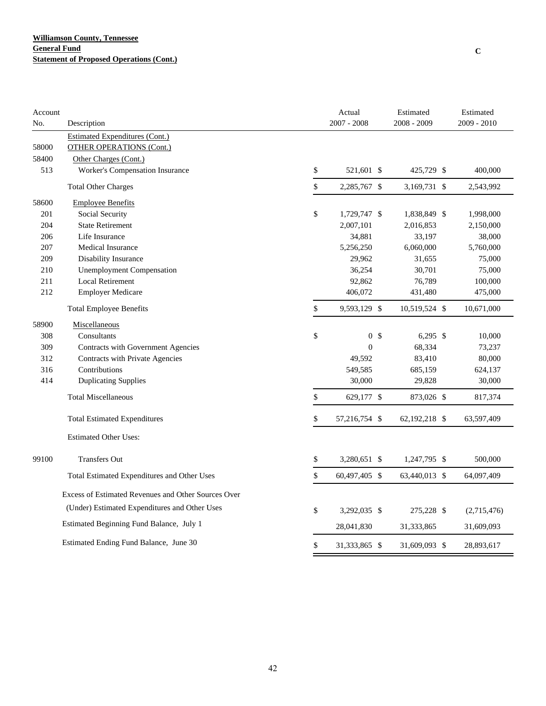| Account |                                                     | Actual               | Estimated     | Estimated     |
|---------|-----------------------------------------------------|----------------------|---------------|---------------|
| No.     | Description                                         | $2007 - 2008$        | 2008 - 2009   | $2009 - 2010$ |
|         | <b>Estimated Expenditures (Cont.)</b>               |                      |               |               |
| 58000   | <b>OTHER OPERATIONS (Cont.)</b>                     |                      |               |               |
| 58400   | Other Charges (Cont.)                               |                      |               |               |
| 513     | Worker's Compensation Insurance                     | \$<br>521,601 \$     | 425,729 \$    | 400,000       |
|         | <b>Total Other Charges</b>                          | \$<br>2,285,767 \$   | 3,169,731 \$  | 2,543,992     |
| 58600   | <b>Employee Benefits</b>                            |                      |               |               |
| 201     | Social Security                                     | \$<br>1,729,747 \$   | 1,838,849 \$  | 1,998,000     |
| 204     | <b>State Retirement</b>                             | 2,007,101            | 2,016,853     | 2,150,000     |
| 206     | Life Insurance                                      | 34,881               | 33,197        | 38,000        |
| 207     | <b>Medical Insurance</b>                            | 5,256,250            | 6,060,000     | 5,760,000     |
| 209     | Disability Insurance                                | 29,962               | 31,655        | 75,000        |
| 210     | <b>Unemployment Compensation</b>                    | 36,254               | 30,701        | 75,000        |
| 211     | <b>Local Retirement</b>                             | 92,862               | 76,789        | 100,000       |
| 212     | <b>Employer Medicare</b>                            | 406,072              | 431,480       | 475,000       |
|         | <b>Total Employee Benefits</b>                      | \$<br>9,593,129 \$   | 10,519,524 \$ | 10,671,000    |
| 58900   | Miscellaneous                                       |                      |               |               |
| 308     | Consultants                                         | \$<br>0 <sup>5</sup> | $6,295$ \$    | 10,000        |
| 309     | Contracts with Government Agencies                  | $\boldsymbol{0}$     | 68,334        | 73,237        |
| 312     | Contracts with Private Agencies                     | 49,592               | 83,410        | 80,000        |
| 316     | Contributions                                       | 549,585              | 685,159       | 624,137       |
| 414     | <b>Duplicating Supplies</b>                         | 30,000               | 29,828        | 30,000        |
|         | <b>Total Miscellaneous</b>                          | \$<br>629,177 \$     | 873,026 \$    | 817,374       |
|         | <b>Total Estimated Expenditures</b>                 | \$<br>57,216,754 \$  | 62,192,218 \$ | 63,597,409    |
|         | <b>Estimated Other Uses:</b>                        |                      |               |               |
| 99100   | <b>Transfers Out</b>                                | \$<br>3,280,651 \$   | 1,247,795 \$  | 500,000       |
|         | Total Estimated Expenditures and Other Uses         | \$<br>60,497,405 \$  | 63,440,013 \$ | 64,097,409    |
|         | Excess of Estimated Revenues and Other Sources Over |                      |               |               |
|         | (Under) Estimated Expenditures and Other Uses       | \$<br>3,292,035 \$   | 275,228 \$    | (2,715,476)   |
|         | Estimated Beginning Fund Balance, July 1            | 28,041,830           | 31,333,865    | 31,609,093    |
|         | Estimated Ending Fund Balance, June 30              | \$<br>31,333,865 \$  | 31,609,093 \$ | 28,893,617    |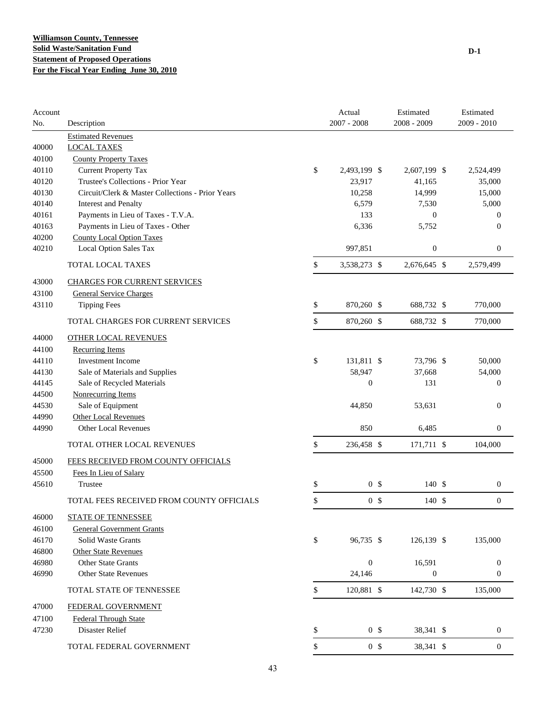| Account<br>No. | Description                                      | Actual<br>$2007 - 2008$ | Estimated<br>2008 - 2009 | Estimated<br>$2009 - 2010$ |
|----------------|--------------------------------------------------|-------------------------|--------------------------|----------------------------|
|                | <b>Estimated Revenues</b>                        |                         |                          |                            |
| 40000          | <b>LOCAL TAXES</b>                               |                         |                          |                            |
| 40100          | <b>County Property Taxes</b>                     |                         |                          |                            |
| 40110          | <b>Current Property Tax</b>                      | \$<br>2,493,199 \$      | 2,607,199 \$             | 2,524,499                  |
| 40120          | Trustee's Collections - Prior Year               | 23,917                  | 41,165                   | 35,000                     |
| 40130          | Circuit/Clerk & Master Collections - Prior Years | 10,258                  | 14,999                   | 15,000                     |
| 40140          | <b>Interest and Penalty</b>                      | 6,579                   | 7,530                    | 5,000                      |
| 40161          | Payments in Lieu of Taxes - T.V.A.               | 133                     | $\mathbf{0}$             | $\overline{0}$             |
| 40163          | Payments in Lieu of Taxes - Other                | 6,336                   | 5,752                    | $\theta$                   |
| 40200          | <b>County Local Option Taxes</b>                 |                         |                          |                            |
| 40210          | Local Option Sales Tax                           | 997,851                 | $\boldsymbol{0}$         | $\mathbf{0}$               |
|                | TOTAL LOCAL TAXES                                | \$<br>3,538,273 \$      | 2,676,645 \$             | 2,579,499                  |
| 43000          | <b>CHARGES FOR CURRENT SERVICES</b>              |                         |                          |                            |
| 43100          | <b>General Service Charges</b>                   |                         |                          |                            |
| 43110          | <b>Tipping Fees</b>                              | \$<br>870,260 \$        | 688,732 \$               | 770,000                    |
|                | TOTAL CHARGES FOR CURRENT SERVICES               | \$<br>870,260 \$        | 688,732 \$               | 770,000                    |
| 44000          | <b>OTHER LOCAL REVENUES</b>                      |                         |                          |                            |
| 44100          | <b>Recurring Items</b>                           |                         |                          |                            |
| 44110          | <b>Investment Income</b>                         | \$<br>131,811 \$        | 73,796 \$                | 50,000                     |
| 44130          | Sale of Materials and Supplies                   | 58,947                  | 37,668                   | 54,000                     |
| 44145          | Sale of Recycled Materials                       | $\boldsymbol{0}$        | 131                      | $\mathbf{0}$               |
| 44500          | <b>Nonrecurring Items</b>                        |                         |                          |                            |
| 44530          | Sale of Equipment                                | 44,850                  | 53,631                   | $\boldsymbol{0}$           |
| 44990          | <b>Other Local Revenues</b>                      |                         |                          |                            |
| 44990          | <b>Other Local Revenues</b>                      | 850                     | 6,485                    | $\mathbf{0}$               |
|                | TOTAL OTHER LOCAL REVENUES                       | \$<br>236,458 \$        | 171,711 \$               | 104,000                    |
| 45000          | FEES RECEIVED FROM COUNTY OFFICIALS              |                         |                          |                            |
| 45500          | Fees In Lieu of Salary                           |                         |                          |                            |
| 45610          | Trustee                                          | \$<br>0 <sup>5</sup>    | 140 \$                   | $\boldsymbol{0}$           |
|                | TOTAL FEES RECEIVED FROM COUNTY OFFICIALS        | \$<br>0 <sup>5</sup>    | 140S                     | $\boldsymbol{0}$           |
| 46000          | STATE OF TENNESSEE                               |                         |                          |                            |
| 46100          | <b>General Government Grants</b>                 |                         |                          |                            |
| 46170          | Solid Waste Grants                               | \$<br>96,735 \$         | 126,139 \$               | 135,000                    |
| 46800          | <b>Other State Revenues</b>                      |                         |                          |                            |
| 46980          | <b>Other State Grants</b>                        | $\boldsymbol{0}$        | 16,591                   | $\boldsymbol{0}$           |
| 46990          | <b>Other State Revenues</b>                      | 24,146                  | $\boldsymbol{0}$         | $\boldsymbol{0}$           |
|                | TOTAL STATE OF TENNESSEE                         | \$<br>120,881 \$        | 142,730 \$               | 135,000                    |
| 47000          | FEDERAL GOVERNMENT                               |                         |                          |                            |
| 47100          | <b>Federal Through State</b>                     |                         |                          |                            |
| 47230          | Disaster Relief                                  | \$<br>0 <sup>5</sup>    | 38,341 \$                | $\boldsymbol{0}$           |
|                | TOTAL FEDERAL GOVERNMENT                         | \$<br>0 <sup>5</sup>    | 38,341 \$                | $\boldsymbol{0}$           |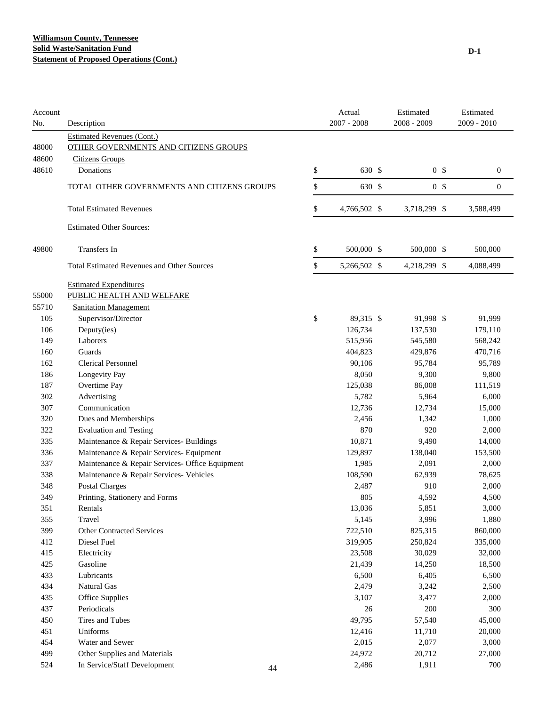| Account<br>No. | Description                                       | Actual<br>$2007 - 2008$ | Estimated<br>2008 - 2009 | Estimated<br>2009 - 2010 |
|----------------|---------------------------------------------------|-------------------------|--------------------------|--------------------------|
|                | <b>Estimated Revenues (Cont.)</b>                 |                         |                          |                          |
| 48000          | OTHER GOVERNMENTS AND CITIZENS GROUPS             |                         |                          |                          |
| 48600          | <b>Citizens Groups</b>                            |                         |                          |                          |
| 48610          | Donations                                         | \$<br>630 \$            | 0 <sup>5</sup>           | $\boldsymbol{0}$         |
|                | TOTAL OTHER GOVERNMENTS AND CITIZENS GROUPS       | \$<br>630 \$            | 0 <sup>5</sup>           | $\mathbf{0}$             |
|                | <b>Total Estimated Revenues</b>                   | \$<br>4,766,502 \$      | 3,718,299 \$             | 3,588,499                |
|                | <b>Estimated Other Sources:</b>                   |                         |                          |                          |
| 49800          | Transfers In                                      | \$<br>500,000 \$        | 500,000 \$               | 500,000                  |
|                | <b>Total Estimated Revenues and Other Sources</b> | \$<br>5,266,502 \$      | 4,218,299 \$             | 4,088,499                |
|                | <b>Estimated Expenditures</b>                     |                         |                          |                          |
| 55000          | PUBLIC HEALTH AND WELFARE                         |                         |                          |                          |
| 55710          | <b>Sanitation Management</b>                      |                         |                          |                          |
| 105            | Supervisor/Director                               | \$<br>89,315 \$         | 91,998 \$                | 91,999                   |
| 106            | Deputy(ies)                                       | 126,734                 | 137,530                  | 179,110                  |
| 149            | Laborers                                          | 515,956                 | 545,580                  | 568,242                  |
| 160            | Guards                                            | 404,823                 | 429,876                  | 470,716                  |
| 162            | <b>Clerical Personnel</b>                         | 90,106                  | 95,784                   | 95,789                   |
| 186            | Longevity Pay                                     | 8,050                   | 9,300                    | 9,800                    |
| 187            | Overtime Pay                                      | 125,038                 | 86,008                   | 111,519                  |
| 302            | Advertising                                       | 5,782                   | 5,964                    | 6,000                    |
| 307            | Communication                                     | 12,736                  | 12,734                   | 15,000                   |
| 320            | Dues and Memberships                              | 2,456                   | 1,342                    | 1,000                    |
| 322            | <b>Evaluation and Testing</b>                     | 870                     | 920                      | 2,000                    |
| 335            | Maintenance & Repair Services- Buildings          | 10,871                  | 9,490                    | 14,000                   |
| 336            | Maintenance & Repair Services- Equipment          | 129,897                 | 138,040                  | 153,500                  |
| 337            | Maintenance & Repair Services- Office Equipment   | 1,985                   | 2,091                    | 2,000                    |
| 338            | Maintenance & Repair Services- Vehicles           | 108,590                 | 62,939                   | 78,625                   |
| 348            | <b>Postal Charges</b>                             | 2,487                   | 910                      | 2,000                    |
| 349            | Printing, Stationery and Forms                    | 805                     | 4,592                    | 4,500                    |
| 351            | Rentals                                           | 13,036                  | 5,851                    | 3,000                    |
| 355            | Travel                                            | 5,145                   | 3,996                    | 1,880                    |
| 399            | <b>Other Contracted Services</b>                  | 722,510                 | 825,315                  | 860,000                  |
| 412            | Diesel Fuel                                       | 319,905                 | 250,824                  | 335,000                  |
| 415            | Electricity                                       | 23,508                  | 30,029                   | 32,000                   |
| 425            | Gasoline                                          | 21,439                  | 14,250                   | 18,500                   |
| 433            | Lubricants                                        | 6,500                   | 6,405                    | 6,500                    |
| 434            | Natural Gas                                       | 2,479                   | 3,242                    | 2,500                    |
| 435            | Office Supplies                                   | 3,107                   | 3,477                    | 2,000                    |
| 437            | Periodicals                                       | 26                      | 200                      | 300                      |
| 450            | Tires and Tubes                                   | 49,795                  | 57,540                   | 45,000                   |
| 451            | Uniforms                                          | 12,416                  | 11,710                   | 20,000                   |
| 454            | Water and Sewer                                   | 2,015                   | 2,077                    | 3,000                    |
| 499            | Other Supplies and Materials                      | 24,972                  | 20,712                   | 27,000                   |
| 524            | In Service/Staff Development<br>44                | 2,486                   | 1,911                    | 700                      |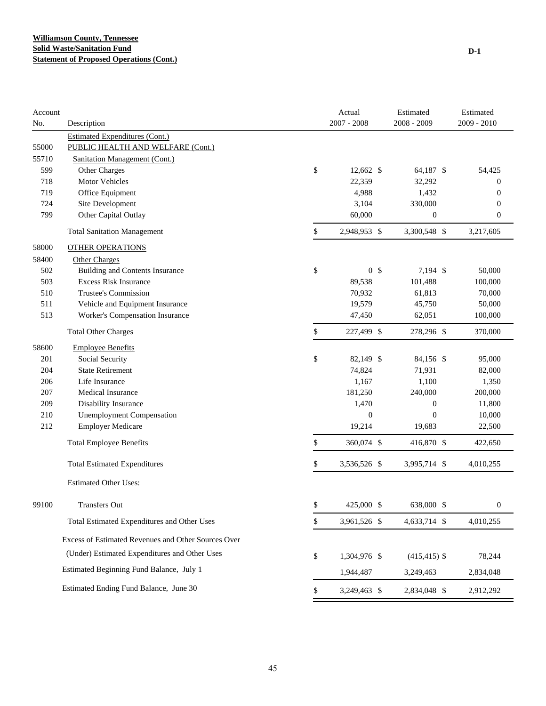| Account<br>No. | Description                                         | Actual<br>$2007 - 2008$ | Estimated<br>2008 - 2009 | Estimated<br>2009 - 2010 |
|----------------|-----------------------------------------------------|-------------------------|--------------------------|--------------------------|
|                | <b>Estimated Expenditures (Cont.)</b>               |                         |                          |                          |
| 55000          | PUBLIC HEALTH AND WELFARE (Cont.)                   |                         |                          |                          |
| 55710          | <b>Sanitation Management (Cont.)</b>                |                         |                          |                          |
| 599            | Other Charges                                       | \$<br>12,662 \$         | 64,187 \$                | 54,425                   |
| 718            | <b>Motor Vehicles</b>                               | 22,359                  | 32,292                   | $\boldsymbol{0}$         |
| 719            | Office Equipment                                    | 4,988                   | 1,432                    | $\boldsymbol{0}$         |
| 724            | Site Development                                    | 3,104                   | 330,000                  | $\boldsymbol{0}$         |
| 799            | Other Capital Outlay                                | 60,000                  | $\boldsymbol{0}$         | $\boldsymbol{0}$         |
|                | <b>Total Sanitation Management</b>                  | \$<br>2,948,953 \$      | 3,300,548 \$             | 3,217,605                |
| 58000          | <b>OTHER OPERATIONS</b>                             |                         |                          |                          |
| 58400          | <b>Other Charges</b>                                |                         |                          |                          |
| 502            | <b>Building and Contents Insurance</b>              | \$<br>0 <sup>5</sup>    | 7,194 \$                 | 50,000                   |
| 503            | <b>Excess Risk Insurance</b>                        | 89,538                  | 101,488                  | 100,000                  |
| 510            | Trustee's Commission                                | 70,932                  | 61,813                   | 70,000                   |
| 511            | Vehicle and Equipment Insurance                     | 19,579                  | 45,750                   | 50,000                   |
| 513            | Worker's Compensation Insurance                     | 47,450                  | 62,051                   | 100,000                  |
|                | <b>Total Other Charges</b>                          | \$<br>227,499 \$        | 278,296 \$               | 370,000                  |
| 58600          | <b>Employee Benefits</b>                            |                         |                          |                          |
| 201            | Social Security                                     | \$<br>82,149 \$         | 84,156 \$                | 95,000                   |
| 204            | <b>State Retirement</b>                             | 74,824                  | 71,931                   | 82,000                   |
| 206            | Life Insurance                                      | 1,167                   | 1,100                    | 1,350                    |
| 207            | Medical Insurance                                   | 181,250                 | 240,000                  | 200,000                  |
| 209            | Disability Insurance                                | 1,470                   | $\boldsymbol{0}$         | 11,800                   |
| 210            | <b>Unemployment Compensation</b>                    | $\boldsymbol{0}$        | $\mathbf{0}$             | 10,000                   |
| 212            | <b>Employer Medicare</b>                            | 19,214                  | 19,683                   | 22,500                   |
|                | <b>Total Employee Benefits</b>                      | \$<br>360,074 \$        | 416,870 \$               | 422,650                  |
|                | <b>Total Estimated Expenditures</b>                 | \$<br>3,536,526 \$      | 3,995,714 \$             | 4,010,255                |
|                | <b>Estimated Other Uses:</b>                        |                         |                          |                          |
| 99100          | Transfers Out                                       | \$<br>425,000 \$        | 638,000 \$               | $\overline{0}$           |
|                | Total Estimated Expenditures and Other Uses         | \$<br>3,961,526 \$      | 4,633,714 \$             | 4,010,255                |
|                | Excess of Estimated Revenues and Other Sources Over |                         |                          |                          |
|                | (Under) Estimated Expenditures and Other Uses       | \$<br>1,304,976 \$      | $(415, 415)$ \$          | 78,244                   |
|                | Estimated Beginning Fund Balance, July 1            | 1,944,487               | 3,249,463                | 2,834,048                |
|                | Estimated Ending Fund Balance, June 30              | \$<br>3,249,463 \$      | 2,834,048 \$             | 2,912,292                |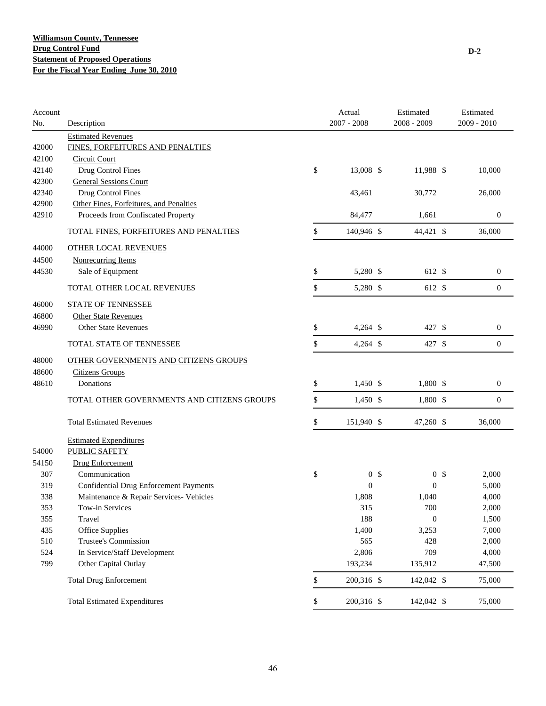| Account |                                               | Actual               | Estimated        |                | Estimated        |
|---------|-----------------------------------------------|----------------------|------------------|----------------|------------------|
| No.     | Description                                   | $2007 - 2008$        | 2008 - 2009      |                | 2009 - 2010      |
|         | <b>Estimated Revenues</b>                     |                      |                  |                |                  |
| 42000   | FINES, FORFEITURES AND PENALTIES              |                      |                  |                |                  |
| 42100   | <b>Circuit Court</b>                          |                      |                  |                |                  |
| 42140   | Drug Control Fines                            | \$<br>13,008 \$      | 11,988 \$        |                | 10,000           |
| 42300   | <b>General Sessions Court</b>                 |                      |                  |                |                  |
| 42340   | Drug Control Fines                            | 43,461               | 30,772           |                | 26,000           |
| 42900   | Other Fines, Forfeitures, and Penalties       |                      |                  |                |                  |
| 42910   | Proceeds from Confiscated Property            | 84,477               | 1,661            |                | $\boldsymbol{0}$ |
|         | TOTAL FINES, FORFEITURES AND PENALTIES        | \$<br>140,946 \$     | 44,421 \$        |                | 36,000           |
| 44000   | <b>OTHER LOCAL REVENUES</b>                   |                      |                  |                |                  |
| 44500   | <b>Nonrecurring Items</b>                     |                      |                  |                |                  |
| 44530   | Sale of Equipment                             | \$<br>5,280 \$       | 612 \$           |                | $\boldsymbol{0}$ |
|         | TOTAL OTHER LOCAL REVENUES                    | \$<br>5,280 \$       | 612 \$           |                | $\boldsymbol{0}$ |
| 46000   | <b>STATE OF TENNESSEE</b>                     |                      |                  |                |                  |
| 46800   | <b>Other State Revenues</b>                   |                      |                  |                |                  |
| 46990   | <b>Other State Revenues</b>                   | \$<br>$4,264$ \$     | 427 \$           |                | $\boldsymbol{0}$ |
|         | TOTAL STATE OF TENNESSEE                      | \$<br>$4,264$ \$     | 427 \$           |                | $\boldsymbol{0}$ |
| 48000   | OTHER GOVERNMENTS AND CITIZENS GROUPS         |                      |                  |                |                  |
| 48600   | <b>Citizens Groups</b>                        |                      |                  |                |                  |
| 48610   | Donations                                     | \$<br>$1,450$ \$     | 1,800 \$         |                | $\boldsymbol{0}$ |
|         |                                               |                      |                  |                |                  |
|         | TOTAL OTHER GOVERNMENTS AND CITIZENS GROUPS   | \$<br>$1,450$ \$     | 1,800 \$         |                | $\boldsymbol{0}$ |
|         | <b>Total Estimated Revenues</b>               | \$<br>151,940 \$     | 47,260 \$        |                | 36,000           |
|         | <b>Estimated Expenditures</b>                 |                      |                  |                |                  |
| 54000   | PUBLIC SAFETY                                 |                      |                  |                |                  |
| 54150   | <b>Drug Enforcement</b>                       |                      |                  |                |                  |
| 307     | Communication                                 | \$<br>0 <sup>5</sup> |                  | 0 <sup>5</sup> | 2,000            |
| 319     | <b>Confidential Drug Enforcement Payments</b> | $\overline{0}$       | $\theta$         |                | 5,000            |
| 338     | Maintenance & Repair Services- Vehicles       | 1,808                | 1,040            |                | 4,000            |
| 353     | Tow-in Services                               | 315                  | $700\,$          |                | 2,000            |
| 355     | Travel                                        | 188                  | $\boldsymbol{0}$ |                | 1,500            |
| 435     | Office Supplies                               | 1,400                | 3,253            |                | 7,000            |
| 510     | Trustee's Commission                          | 565                  | 428              |                | 2,000            |
| 524     | In Service/Staff Development                  | 2,806                | 709              |                | 4,000            |
| 799     | Other Capital Outlay                          | 193,234              | 135,912          |                | 47,500           |
|         | <b>Total Drug Enforcement</b>                 | \$<br>200,316 \$     | 142,042 \$       |                | 75,000           |
|         | <b>Total Estimated Expenditures</b>           | \$<br>200,316 \$     | 142,042 \$       |                | 75,000           |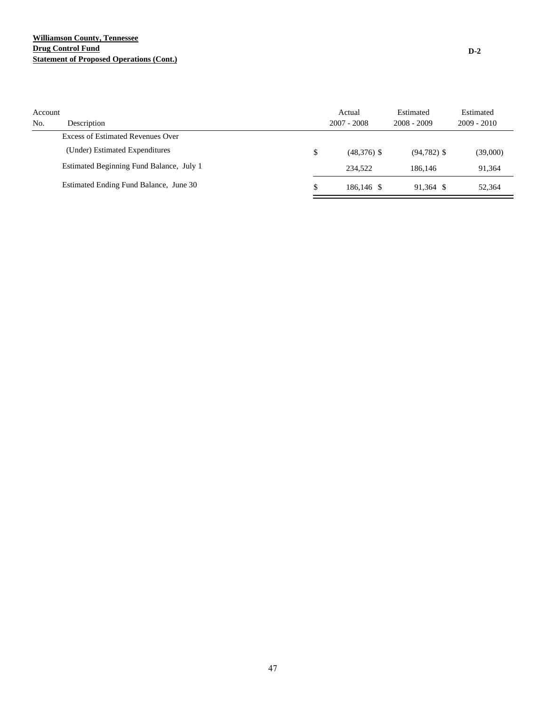## **Williamson County, Tennessee Drug Control Fund Statement of Proposed Operations (Cont.)**

| Account<br>No. | Description                              | Actual<br>$2007 - 2008$ | Estimated<br>$2008 - 2009$ | Estimated<br>$2009 - 2010$ |
|----------------|------------------------------------------|-------------------------|----------------------------|----------------------------|
|                | Excess of Estimated Revenues Over        |                         |                            |                            |
|                | (Under) Estimated Expenditures           | \$<br>$(48,376)$ \$     | $(94, 782)$ \$             | (39,000)                   |
|                | Estimated Beginning Fund Balance, July 1 | 234.522                 | 186.146                    | 91.364                     |
|                | Estimated Ending Fund Balance, June 30   | \$<br>186,146 \$        | 91.364 \$                  | 52,364                     |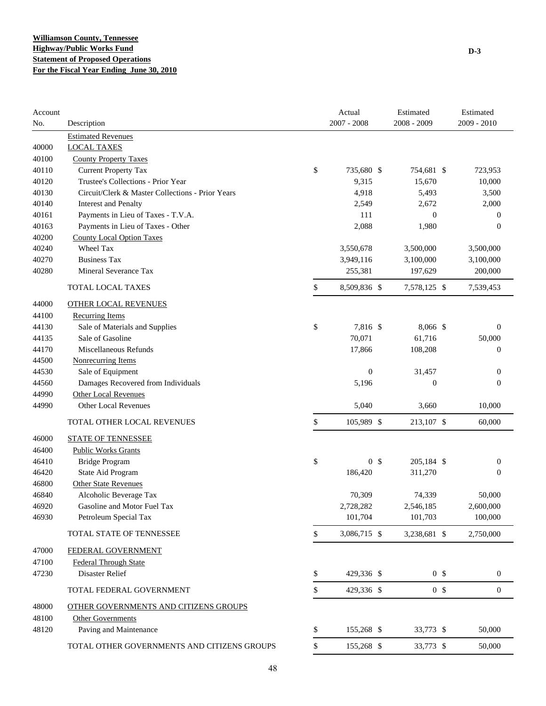| Account |                                                  | Actual               | Estimated        |                | Estimated        |
|---------|--------------------------------------------------|----------------------|------------------|----------------|------------------|
| No.     | Description                                      | $2007 - 2008$        | 2008 - 2009      |                | 2009 - 2010      |
|         | <b>Estimated Revenues</b>                        |                      |                  |                |                  |
| 40000   | <b>LOCAL TAXES</b>                               |                      |                  |                |                  |
| 40100   | <b>County Property Taxes</b>                     |                      |                  |                |                  |
| 40110   | <b>Current Property Tax</b>                      | \$<br>735,680 \$     | 754,681 \$       |                | 723,953          |
| 40120   | Trustee's Collections - Prior Year               | 9,315                | 15,670           |                | 10,000           |
| 40130   | Circuit/Clerk & Master Collections - Prior Years | 4,918                | 5,493            |                | 3,500            |
| 40140   | <b>Interest and Penalty</b>                      | 2,549                | 2,672            |                | 2,000            |
| 40161   | Payments in Lieu of Taxes - T.V.A.               | 111                  | $\boldsymbol{0}$ |                | 0                |
| 40163   | Payments in Lieu of Taxes - Other                | 2,088                | 1,980            |                | $\overline{0}$   |
| 40200   | <b>County Local Option Taxes</b>                 |                      |                  |                |                  |
| 40240   | Wheel Tax                                        | 3,550,678            | 3,500,000        |                | 3,500,000        |
| 40270   | <b>Business Tax</b>                              | 3,949,116            | 3,100,000        |                | 3,100,000        |
| 40280   | Mineral Severance Tax                            | 255,381              | 197,629          |                | 200,000          |
|         | <b>TOTAL LOCAL TAXES</b>                         | \$<br>8,509,836 \$   | 7,578,125 \$     |                | 7,539,453        |
| 44000   | <b>OTHER LOCAL REVENUES</b>                      |                      |                  |                |                  |
| 44100   | <b>Recurring Items</b>                           |                      |                  |                |                  |
| 44130   | Sale of Materials and Supplies                   | \$<br>7,816 \$       | 8,066 \$         |                | $\boldsymbol{0}$ |
| 44135   | Sale of Gasoline                                 | 70,071               | 61,716           |                | 50,000           |
| 44170   | Miscellaneous Refunds                            | 17,866               | 108,208          |                | $\boldsymbol{0}$ |
| 44500   | <b>Nonrecurring Items</b>                        |                      |                  |                |                  |
| 44530   | Sale of Equipment                                | $\mathbf{0}$         | 31,457           |                | $\boldsymbol{0}$ |
| 44560   | Damages Recovered from Individuals               | 5,196                | $\boldsymbol{0}$ |                | $\boldsymbol{0}$ |
| 44990   | <b>Other Local Revenues</b>                      |                      |                  |                |                  |
| 44990   | Other Local Revenues                             | 5,040                | 3,660            |                | 10,000           |
|         | TOTAL OTHER LOCAL REVENUES                       | \$<br>105,989 \$     | 213,107 \$       |                | 60,000           |
| 46000   | <b>STATE OF TENNESSEE</b>                        |                      |                  |                |                  |
| 46400   | <b>Public Works Grants</b>                       |                      |                  |                |                  |
| 46410   | <b>Bridge Program</b>                            | \$<br>0 <sup>5</sup> | 205,184 \$       |                | $\boldsymbol{0}$ |
| 46420   | State Aid Program                                | 186,420              | 311,270          |                | $\overline{0}$   |
| 46800   | <b>Other State Revenues</b>                      |                      |                  |                |                  |
| 46840   | Alcoholic Beverage Tax                           | 70,309               | 74,339           |                | 50,000           |
| 46920   | Gasoline and Motor Fuel Tax                      | 2,728,282            | 2,546,185        |                | 2,600,000        |
| 46930   | Petroleum Special Tax                            | 101,704              | 101,703          |                | 100,000          |
|         | TOTAL STATE OF TENNESSEE                         | \$<br>3,086,715 \$   | 3,238,681 \$     |                | 2,750,000        |
| 47000   | FEDERAL GOVERNMENT                               |                      |                  |                |                  |
| 47100   | <b>Federal Through State</b>                     |                      |                  |                |                  |
| 47230   | Disaster Relief                                  | \$<br>429,336 \$     |                  | 0 <sup>5</sup> | $\boldsymbol{0}$ |
|         | TOTAL FEDERAL GOVERNMENT                         | \$<br>429,336 \$     |                  | 0 <sup>5</sup> | $\boldsymbol{0}$ |
| 48000   | OTHER GOVERNMENTS AND CITIZENS GROUPS            |                      |                  |                |                  |
| 48100   | <b>Other Governments</b>                         |                      |                  |                |                  |
| 48120   | Paving and Maintenance                           | \$<br>155,268 \$     | 33,773 \$        |                | 50,000           |
|         | TOTAL OTHER GOVERNMENTS AND CITIZENS GROUPS      | \$<br>155,268 \$     | 33,773 \$        |                | 50,000           |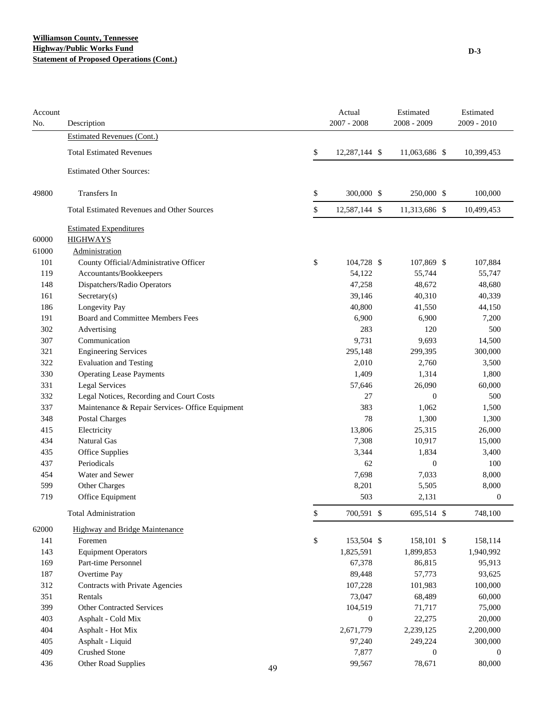## **Williamson County, Tennessee Highway/Public Works Fund Statement of Proposed Operations (Cont.)**

| Account<br>No. | Description                                       |    | Actual<br>$2007 - 2008$ | Estimated<br>$2008 - 2009$ | Estimated<br>2009 - 2010 |
|----------------|---------------------------------------------------|----|-------------------------|----------------------------|--------------------------|
|                | <b>Estimated Revenues (Cont.)</b>                 |    |                         |                            |                          |
|                | <b>Total Estimated Revenues</b>                   |    | \$<br>12,287,144 \$     | 11,063,686 \$              | 10,399,453               |
|                | <b>Estimated Other Sources:</b>                   |    |                         |                            |                          |
| 49800          | Transfers In                                      |    | \$<br>300,000 \$        | 250,000 \$                 | 100,000                  |
|                | <b>Total Estimated Revenues and Other Sources</b> |    | \$<br>12,587,144 \$     | 11,313,686 \$              | 10,499,453               |
| 60000          | <b>Estimated Expenditures</b><br><b>HIGHWAYS</b>  |    |                         |                            |                          |
| 61000          |                                                   |    |                         |                            |                          |
|                | Administration                                    |    |                         |                            |                          |
| 101            | County Official/Administrative Officer            |    | \$<br>104,728 \$        | 107,869 \$                 | 107,884                  |
| 119            | Accountants/Bookkeepers                           |    | 54,122                  | 55,744                     | 55,747                   |
| 148            | Dispatchers/Radio Operators                       |    | 47,258                  | 48,672                     | 48,680                   |
| 161            | Sercetary(s)                                      |    | 39,146                  | 40,310                     | 40,339                   |
| 186            | Longevity Pay                                     |    | 40,800                  | 41,550                     | 44,150                   |
| 191            | Board and Committee Members Fees                  |    | 6,900                   | 6,900                      | 7,200                    |
| 302            | Advertising                                       |    | 283                     | 120                        | 500                      |
| 307            | Communication                                     |    | 9,731                   | 9,693                      | 14,500                   |
| 321            | <b>Engineering Services</b>                       |    | 295,148                 | 299,395                    | 300,000                  |
| 322            | <b>Evaluation and Testing</b>                     |    | 2,010                   | 2,760                      | 3,500                    |
| 330            | <b>Operating Lease Payments</b>                   |    | 1,409                   | 1,314                      | 1,800                    |
| 331            | <b>Legal Services</b>                             |    | 57,646                  | 26,090                     | 60,000                   |
| 332            | Legal Notices, Recording and Court Costs          |    | 27                      | $\boldsymbol{0}$           | 500                      |
| 337            | Maintenance & Repair Services- Office Equipment   |    | 383                     | 1,062                      | 1,500                    |
| 348            | <b>Postal Charges</b>                             |    | 78                      | 1,300                      | 1,300                    |
| 415            | Electricity                                       |    | 13,806                  | 25,315                     | 26,000                   |
| 434            | Natural Gas                                       |    | 7,308                   | 10,917                     | 15,000                   |
| 435            | Office Supplies                                   |    | 3,344                   | 1,834                      | 3,400                    |
| 437            | Periodicals                                       |    | 62                      | $\boldsymbol{0}$           | 100                      |
| 454            | Water and Sewer                                   |    | 7,698                   | 7,033                      | 8,000                    |
| 599            | Other Charges                                     |    | 8,201                   | 5,505                      | 8,000                    |
| 719            | Office Equipment                                  |    | 503                     | 2,131                      | $\boldsymbol{0}$         |
|                | <b>Total Administration</b>                       |    | \$<br>700,591 \$        | 695,514 \$                 | 748,100                  |
| 62000          | Highway and Bridge Maintenance                    |    |                         |                            |                          |
| 141            | Foremen                                           |    | \$<br>153,504 \$        | 158,101 \$                 | 158,114                  |
| 143            | <b>Equipment Operators</b>                        |    | 1,825,591               | 1,899,853                  | 1,940,992                |
| 169            | Part-time Personnel                               |    | 67,378                  | 86,815                     | 95,913                   |
| 187            | Overtime Pay                                      |    | 89,448                  | 57,773                     | 93,625                   |
| 312            | Contracts with Private Agencies                   |    | 107,228                 | 101,983                    | 100,000                  |
| 351            | Rentals                                           |    | 73,047                  | 68,489                     | 60,000                   |
| 399            | Other Contracted Services                         |    | 104,519                 | 71,717                     | 75,000                   |
| 403            | Asphalt - Cold Mix                                |    | $\boldsymbol{0}$        | 22,275                     | 20,000                   |
| 404            | Asphalt - Hot Mix                                 |    | 2,671,779               | 2,239,125                  | 2,200,000                |
| 405            | Asphalt - Liquid                                  |    | 97,240                  | 249,224                    | 300,000                  |
| 409            | <b>Crushed Stone</b>                              |    | 7,877                   | $\boldsymbol{0}$           | $\boldsymbol{0}$         |
| 436            | Other Road Supplies                               | 49 | 99,567                  | 78,671                     | 80,000                   |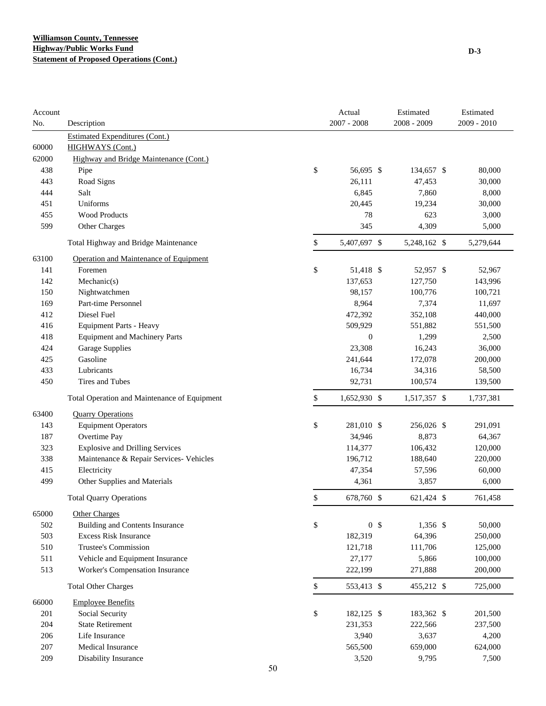| Account |                                              |    | Actual           | Estimated    | Estimated     |
|---------|----------------------------------------------|----|------------------|--------------|---------------|
| No.     | Description                                  |    | $2007 - 2008$    | 2008 - 2009  | $2009 - 2010$ |
|         | <b>Estimated Expenditures (Cont.)</b>        |    |                  |              |               |
| 60000   | <b>HIGHWAYS</b> (Cont.)                      |    |                  |              |               |
| 62000   | Highway and Bridge Maintenance (Cont.)       |    |                  |              |               |
| 438     | Pipe                                         | \$ | 56,695 \$        | 134,657 \$   | 80,000        |
| 443     | Road Signs                                   |    | 26,111           | 47,453       | 30,000        |
| 444     | Salt                                         |    | 6,845            | 7,860        | 8,000         |
| 451     | Uniforms                                     |    | 20,445           | 19,234       | 30,000        |
| 455     | <b>Wood Products</b>                         |    | 78               | 623          | 3,000         |
| 599     | Other Charges                                |    | 345              | 4,309        | 5,000         |
|         | Total Highway and Bridge Maintenance         | \$ | 5,407,697 \$     | 5,248,162 \$ | 5,279,644     |
| 63100   | Operation and Maintenance of Equipment       |    |                  |              |               |
| 141     | Foremen                                      | \$ | 51,418 \$        | 52,957 \$    | 52,967        |
| 142     | Mechanic(s)                                  |    | 137,653          | 127,750      | 143,996       |
| 150     | Nightwatchmen                                |    | 98,157           | 100,776      | 100,721       |
| 169     | Part-time Personnel                          |    | 8,964            | 7,374        | 11,697        |
| 412     | Diesel Fuel                                  |    | 472,392          | 352,108      | 440,000       |
| 416     | <b>Equipment Parts - Heavy</b>               |    | 509,929          | 551,882      | 551,500       |
| 418     | <b>Equipment and Machinery Parts</b>         |    | $\boldsymbol{0}$ | 1,299        | 2,500         |
| 424     | <b>Garage Supplies</b>                       |    | 23,308           | 16,243       | 36,000        |
| 425     | Gasoline                                     |    | 241,644          | 172,078      | 200,000       |
| 433     | Lubricants                                   |    | 16,734           | 34,316       | 58,500        |
| 450     | Tires and Tubes                              |    | 92,731           | 100,574      | 139,500       |
|         | Total Operation and Maintenance of Equipment | \$ | 1,652,930 \$     | 1,517,357 \$ | 1,737,381     |
| 63400   | <b>Quarry Operations</b>                     |    |                  |              |               |
| 143     | <b>Equipment Operators</b>                   | \$ | 281,010 \$       | 256,026 \$   | 291,091       |
| 187     | Overtime Pay                                 |    | 34,946           | 8,873        | 64,367        |
| 323     | <b>Explosive and Drilling Services</b>       |    | 114,377          | 106,432      | 120,000       |
| 338     | Maintenance & Repair Services- Vehicles      |    | 196,712          | 188,640      | 220,000       |
| 415     | Electricity                                  |    | 47,354           | 57,596       | 60,000        |
| 499     | Other Supplies and Materials                 |    | 4,361            | 3,857        | 6,000         |
|         |                                              |    |                  |              |               |
|         | <b>Total Quarry Operations</b>               | \$ | 678,760 \$       | 621,424 \$   | 761,458       |
| 65000   | <b>Other Charges</b>                         |    |                  |              |               |
| 502     | <b>Building and Contents Insurance</b>       | \$ | 0 <sup>5</sup>   | 1,356 \$     | 50,000        |
| 503     | <b>Excess Risk Insurance</b>                 |    | 182,319          | 64,396       | 250,000       |
| 510     | Trustee's Commission                         |    | 121,718          | 111,706      | 125,000       |
| 511     | Vehicle and Equipment Insurance              |    | 27,177           | 5,866        | 100,000       |
| 513     | Worker's Compensation Insurance              |    | 222,199          | 271,888      | 200,000       |
|         | <b>Total Other Charges</b>                   | \$ | 553,413 \$       | 455,212 \$   | 725,000       |
| 66000   | <b>Employee Benefits</b>                     |    |                  |              |               |
| 201     | Social Security                              | \$ | 182,125 \$       | 183,362 \$   | 201,500       |
| 204     | <b>State Retirement</b>                      |    | 231,353          | 222,566      | 237,500       |
| 206     | Life Insurance                               |    | 3,940            | 3,637        | 4,200         |
| 207     | <b>Medical Insurance</b>                     |    | 565,500          | 659,000      | 624,000       |
| 209     | Disability Insurance                         |    | 3,520            | 9,795        | 7,500         |
|         |                                              | 50 |                  |              |               |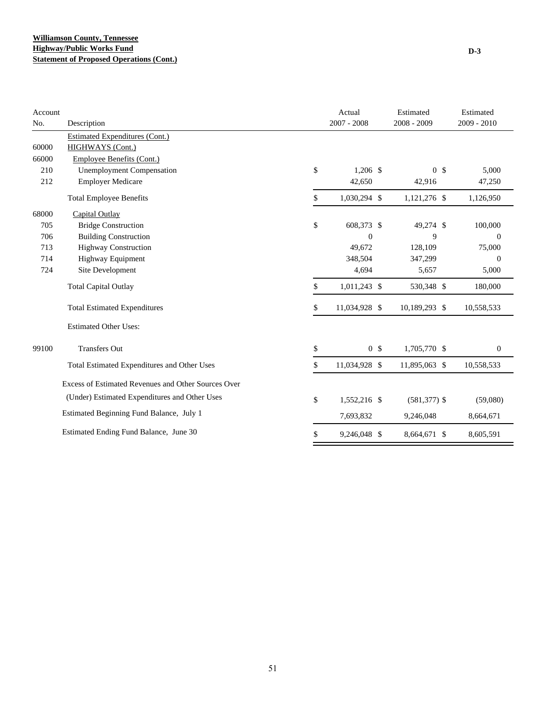| Account |                                                     | Actual               | Estimated       | Estimated        |
|---------|-----------------------------------------------------|----------------------|-----------------|------------------|
| No.     | Description                                         | $2007 - 2008$        | $2008 - 2009$   | $2009 - 2010$    |
|         | <b>Estimated Expenditures (Cont.)</b>               |                      |                 |                  |
| 60000   | <b>HIGHWAYS</b> (Cont.)                             |                      |                 |                  |
| 66000   | Employee Benefits (Cont.)                           |                      |                 |                  |
| 210     | <b>Unemployment Compensation</b>                    | \$<br>$1,206$ \$     | 0 <sup>5</sup>  | 5,000            |
| 212     | <b>Employer Medicare</b>                            | 42,650               | 42,916          | 47,250           |
|         | <b>Total Employee Benefits</b>                      | \$<br>1,030,294 \$   | 1,121,276 \$    | 1,126,950        |
| 68000   | Capital Outlay                                      |                      |                 |                  |
| 705     | <b>Bridge Construction</b>                          | \$<br>608,373 \$     | 49,274 \$       | 100,000          |
| 706     | <b>Building Construction</b>                        | $\overline{0}$       | 9               | $\mathbf{0}$     |
| 713     | <b>Highway Construction</b>                         | 49,672               | 128,109         | 75,000           |
| 714     | Highway Equipment                                   | 348,504              | 347,299         | $\mathbf{0}$     |
| 724     | Site Development                                    | 4.694                | 5,657           | 5,000            |
|         | <b>Total Capital Outlay</b>                         | \$<br>1,011,243 \$   | 530,348 \$      | 180,000          |
|         | <b>Total Estimated Expenditures</b>                 | \$<br>11,034,928 \$  | 10,189,293 \$   | 10,558,533       |
|         | <b>Estimated Other Uses:</b>                        |                      |                 |                  |
| 99100   | <b>Transfers Out</b>                                | \$<br>0 <sup>5</sup> | 1,705,770 \$    | $\boldsymbol{0}$ |
|         | Total Estimated Expenditures and Other Uses         | \$<br>11,034,928 \$  | 11,895,063 \$   | 10,558,533       |
|         | Excess of Estimated Revenues and Other Sources Over |                      |                 |                  |
|         | (Under) Estimated Expenditures and Other Uses       | \$<br>1,552,216 \$   | $(581, 377)$ \$ | (59,080)         |
|         | Estimated Beginning Fund Balance, July 1            | 7,693,832            | 9,246,048       | 8,664,671        |
|         | Estimated Ending Fund Balance, June 30              | \$<br>9,246,048 \$   | 8,664,671 \$    | 8,605,591        |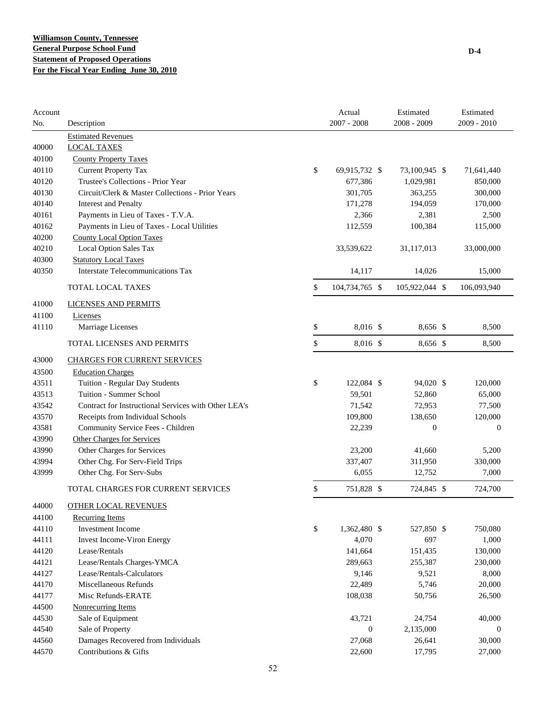| Account |                                                      |        | Actual         | Estimated        | Estimated        |
|---------|------------------------------------------------------|--------|----------------|------------------|------------------|
| No.     | Description                                          |        | $2007 - 2008$  | 2008 - 2009      | 2009 - 2010      |
|         | <b>Estimated Revenues</b>                            |        |                |                  |                  |
| 40000   | <b>LOCAL TAXES</b>                                   |        |                |                  |                  |
| 40100   | <b>County Property Taxes</b>                         |        |                |                  |                  |
| 40110   | <b>Current Property Tax</b>                          | \$     | 69,915,732 \$  | 73,100,945 \$    | 71,641,440       |
| 40120   | Trustee's Collections - Prior Year                   |        | 677,386        | 1,029,981        | 850,000          |
| 40130   | Circuit/Clerk & Master Collections - Prior Years     |        | 301,705        | 363,255          | 300,000          |
| 40140   | <b>Interest and Penalty</b>                          |        | 171,278        | 194,059          | 170,000          |
| 40161   | Payments in Lieu of Taxes - T.V.A.                   |        | 2,366          | 2,381            | 2,500            |
| 40162   | Payments in Lieu of Taxes - Local Utilities          |        | 112,559        | 100,384          | 115,000          |
| 40200   | <b>County Local Option Taxes</b>                     |        |                |                  |                  |
| 40210   | Local Option Sales Tax                               |        | 33,539,622     | 31,117,013       | 33,000,000       |
| 40300   | <b>Statutory Local Taxes</b>                         |        |                |                  |                  |
| 40350   | <b>Interstate Telecommunications Tax</b>             |        | 14,117         | 14,026           | 15,000           |
|         | TOTAL LOCAL TAXES                                    | \$     | 104,734,765 \$ | 105,922,044 \$   | 106,093,940      |
| 41000   | LICENSES AND PERMITS                                 |        |                |                  |                  |
| 41100   | Licenses                                             |        |                |                  |                  |
| 41110   | Marriage Licenses                                    | \$     | 8,016 \$       | 8,656 \$         | 8,500            |
|         | TOTAL LICENSES AND PERMITS                           | \$     | 8,016 \$       | 8,656 \$         | 8,500            |
| 43000   | <b>CHARGES FOR CURRENT SERVICES</b>                  |        |                |                  |                  |
| 43500   | <b>Education Charges</b>                             |        |                |                  |                  |
| 43511   | Tuition - Regular Day Students                       | \$     | 122,084 \$     | 94,020 \$        | 120,000          |
| 43513   | Tuition - Summer School                              |        | 59,501         | 52,860           | 65,000           |
| 43542   | Contract for Instructional Services with Other LEA's |        | 71,542         | 72,953           | 77,500           |
| 43570   | Receipts from Individual Schools                     |        | 109,800        | 138,650          | 120,000          |
| 43581   | Community Service Fees - Children                    |        | 22,239         | $\boldsymbol{0}$ | $\mathbf{0}$     |
| 43990   | <b>Other Charges for Services</b>                    |        |                |                  |                  |
| 43990   | Other Charges for Services                           |        | 23,200         | 41,660           | 5,200            |
| 43994   | Other Chg. For Serv-Field Trips                      |        | 337,407        | 311,950          | 330,000          |
| 43999   | Other Chg. For Serv-Subs                             |        | 6,055          | 12,752           | 7,000            |
|         | TOTAL CHARGES FOR CURRENT SERVICES                   | \$     | 751,828 \$     | 724,845 \$       | 724,700          |
| 44000   | <b>OTHER LOCAL REVENUES</b>                          |        |                |                  |                  |
| 44100   | <b>Recurring Items</b>                               |        |                |                  |                  |
| 44110   | Investment Income                                    | $\$\,$ | 1,362,480 \$   | 527,850 \$       | 750,080          |
| 44111   | <b>Invest Income-Viron Energy</b>                    |        | 4,070          | 697              | 1,000            |
| 44120   | Lease/Rentals                                        |        | 141,664        | 151,435          | 130,000          |
| 44121   | Lease/Rentals Charges-YMCA                           |        | 289,663        | 255,387          | 230,000          |
| 44127   | Lease/Rentals-Calculators                            |        | 9,146          | 9,521            | 8,000            |
| 44170   | Miscellaneous Refunds                                |        | 22,489         | 5,746            | 20,000           |
| 44177   | Misc Refunds-ERATE                                   |        | 108,038        | 50,756           | 26,500           |
| 44500   | Nonrecurring Items                                   |        |                |                  |                  |
| 44530   | Sale of Equipment                                    |        | 43,721         | 24,754           | 40,000           |
| 44540   | Sale of Property                                     |        | $\mathbf{0}$   | 2,135,000        | $\boldsymbol{0}$ |
| 44560   | Damages Recovered from Individuals                   |        | 27,068         | 26,641           | 30,000           |
| 44570   | Contributions & Gifts                                |        | 22,600         | 17,795           | 27,000           |
|         |                                                      |        |                |                  |                  |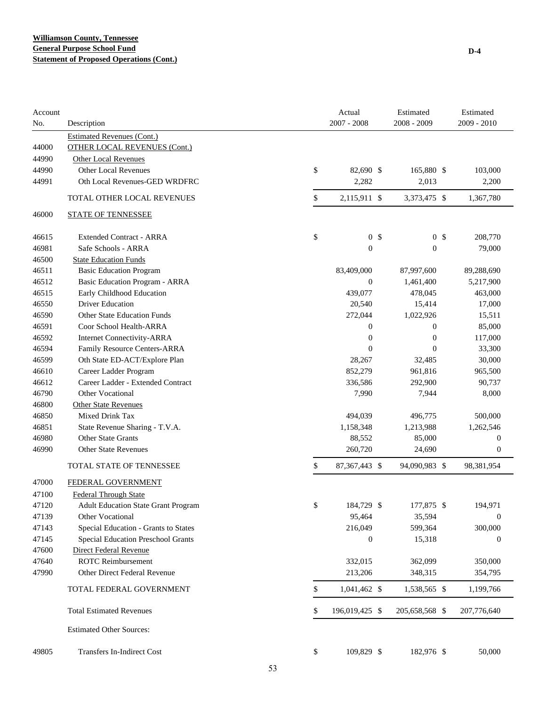| Account<br>No. | Description                                | Actual<br>$2007 - 2008$ | Estimated<br>2008 - 2009 | Estimated<br>2009 - 2010 |
|----------------|--------------------------------------------|-------------------------|--------------------------|--------------------------|
|                | <b>Estimated Revenues (Cont.)</b>          |                         |                          |                          |
| 44000          | <b>OTHER LOCAL REVENUES (Cont.)</b>        |                         |                          |                          |
| 44990          | <b>Other Local Revenues</b>                |                         |                          |                          |
| 44990          | <b>Other Local Revenues</b>                | \$<br>82,690 \$         | 165,880 \$               | 103,000                  |
| 44991          | Oth Local Revenues-GED WRDFRC              | 2,282                   | 2,013                    | 2,200                    |
|                | TOTAL OTHER LOCAL REVENUES                 | \$<br>2,115,911 \$      | 3,373,475 \$             | 1,367,780                |
| 46000          | <b>STATE OF TENNESSEE</b>                  |                         |                          |                          |
| 46615          | <b>Extended Contract - ARRA</b>            | \$<br>0 <sup>5</sup>    | 0 <sup>5</sup>           | 208,770                  |
| 46981          | Safe Schools - ARRA                        | $\boldsymbol{0}$        | $\boldsymbol{0}$         | 79,000                   |
| 46500          | <b>State Education Funds</b>               |                         |                          |                          |
| 46511          | <b>Basic Education Program</b>             | 83,409,000              | 87,997,600               | 89,288,690               |
| 46512          | Basic Education Program - ARRA             | $\boldsymbol{0}$        | 1,461,400                | 5,217,900                |
| 46515          | Early Childhood Education                  | 439,077                 | 478,045                  | 463,000                  |
| 46550          | <b>Driver Education</b>                    | 20,540                  | 15,414                   | 17,000                   |
| 46590          | <b>Other State Education Funds</b>         | 272,044                 | 1,022,926                | 15,511                   |
| 46591          | Coor School Health-ARRA                    | 0                       | $\boldsymbol{0}$         | 85,000                   |
| 46592          | <b>Internet Connectivity-ARRA</b>          | $\boldsymbol{0}$        | $\boldsymbol{0}$         | 117,000                  |
| 46594          | Family Resource Centers-ARRA               | $\mathbf{0}$            | $\overline{0}$           | 33,300                   |
| 46599          | Oth State ED-ACT/Explore Plan              | 28,267                  | 32,485                   | 30,000                   |
| 46610          | Career Ladder Program                      | 852,279                 | 961,816                  | 965,500                  |
| 46612          | Career Ladder - Extended Contract          | 336,586                 | 292,900                  | 90,737                   |
| 46790          | Other Vocational                           | 7,990                   | 7,944                    | 8,000                    |
| 46800          | <b>Other State Revenues</b>                |                         |                          |                          |
| 46850          | Mixed Drink Tax                            | 494,039                 | 496,775                  | 500,000                  |
| 46851          | State Revenue Sharing - T.V.A.             | 1,158,348               | 1,213,988                | 1,262,546                |
| 46980          | Other State Grants                         | 88,552                  | 85,000                   | $\mathbf{0}$             |
| 46990          | <b>Other State Revenues</b>                | 260,720                 | 24,690                   | $\boldsymbol{0}$         |
|                | TOTAL STATE OF TENNESSEE                   | \$<br>87, 367, 443 \$   | 94,090,983 \$            | 98,381,954               |
| 47000          | FEDERAL GOVERNMENT                         |                         |                          |                          |
| 47100          | <b>Federal Through State</b>               |                         |                          |                          |
| 47120          | <b>Adult Education State Grant Program</b> | \$<br>184,729 \$        | 177,875 \$               | 194,971                  |
| 47139          | Other Vocational                           | 95,464                  | 35,594                   | $\boldsymbol{0}$         |
| 47143          | Special Education - Grants to States       | 216,049                 | 599,364                  | 300,000                  |
| 47145          | Special Education Preschool Grants         | $\boldsymbol{0}$        | 15,318                   | $\boldsymbol{0}$         |
| 47600          | Direct Federal Revenue                     |                         |                          |                          |
| 47640          | <b>ROTC</b> Reimbursement                  | 332,015                 | 362,099                  | 350,000                  |
| 47990          | Other Direct Federal Revenue               | 213,206                 | 348,315                  | 354,795                  |
|                | TOTAL FEDERAL GOVERNMENT                   | \$<br>1,041,462 \$      | 1,538,565 \$             | 1,199,766                |
|                | <b>Total Estimated Revenues</b>            | \$<br>196,019,425 \$    | 205,658,568 \$           | 207,776,640              |
|                | <b>Estimated Other Sources:</b>            |                         |                          |                          |
| 49805          | Transfers In-Indirect Cost                 | \$<br>109,829 \$        | 182,976 \$               | 50,000                   |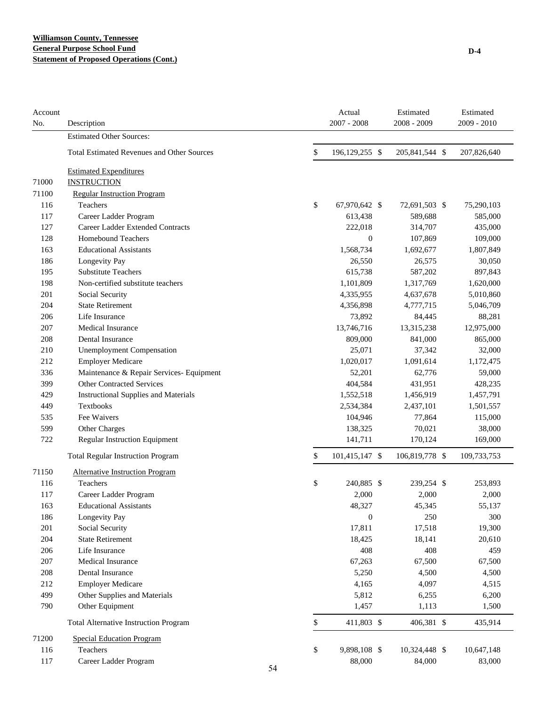## **Williamson County, Tennessee General Purpose School Fund Statement of Proposed Operations (Cont.)**

| Account<br>No. | Description                                       |    | Actual<br>$2007 - 2008$ | Estimated<br>$2008 - 2009$ |     | Estimated<br>2009 - 2010 |
|----------------|---------------------------------------------------|----|-------------------------|----------------------------|-----|--------------------------|
|                | <b>Estimated Other Sources:</b>                   |    |                         |                            |     |                          |
|                | <b>Total Estimated Revenues and Other Sources</b> |    | \$<br>196,129,255 \$    | 205,841,544 \$             |     | 207,826,640              |
|                | <b>Estimated Expenditures</b>                     |    |                         |                            |     |                          |
| 71000          | <b>INSTRUCTION</b>                                |    |                         |                            |     |                          |
| 71100          | <b>Regular Instruction Program</b>                |    |                         |                            |     |                          |
| 116            | Teachers                                          |    | \$<br>67,970,642 \$     | 72,691,503 \$              |     | 75,290,103               |
| 117            | Career Ladder Program                             |    | 613,438                 | 589,688                    |     | 585,000                  |
| 127            | Career Ladder Extended Contracts                  |    | 222,018                 | 314,707                    |     | 435,000                  |
| 128            | Homebound Teachers                                |    | $\overline{0}$          | 107,869                    |     | 109,000                  |
| 163            | <b>Educational Assistants</b>                     |    | 1,568,734               | 1,692,677                  |     | 1,807,849                |
| 186            | Longevity Pay                                     |    | 26,550                  | 26,575                     |     | 30,050                   |
| 195            | <b>Substitute Teachers</b>                        |    | 615,738                 | 587,202                    |     | 897,843                  |
| 198            | Non-certified substitute teachers                 |    | 1,101,809               | 1,317,769                  |     | 1,620,000                |
| 201            | Social Security                                   |    | 4,335,955               | 4,637,678                  |     | 5,010,860                |
| 204            | <b>State Retirement</b>                           |    | 4,356,898               | 4,777,715                  |     | 5,046,709                |
| 206            | Life Insurance                                    |    | 73,892                  | 84,445                     |     | 88,281                   |
| 207            | Medical Insurance                                 |    | 13,746,716              | 13,315,238                 |     | 12,975,000               |
| 208            | <b>Dental Insurance</b>                           |    | 809,000                 | 841,000                    |     | 865,000                  |
| 210            | <b>Unemployment Compensation</b>                  |    | 25,071                  | 37,342                     |     | 32,000                   |
| 212            | <b>Employer Medicare</b>                          |    | 1,020,017               | 1,091,614                  |     | 1,172,475                |
| 336            | Maintenance & Repair Services- Equipment          |    | 52,201                  | 62,776                     |     | 59,000                   |
| 399            | <b>Other Contracted Services</b>                  |    | 404,584                 | 431,951                    |     | 428,235                  |
| 429            | <b>Instructional Supplies and Materials</b>       |    | 1,552,518               | 1,456,919                  |     | 1,457,791                |
| 449            | Textbooks                                         |    | 2,534,384               | 2,437,101                  |     | 1,501,557                |
| 535            | Fee Waivers                                       |    | 104,946                 | 77,864                     |     | 115,000                  |
| 599            | Other Charges                                     |    | 138,325                 | 70,021                     |     | 38,000                   |
| 722            | <b>Regular Instruction Equipment</b>              |    | 141,711                 | 170,124                    |     | 169,000                  |
|                | <b>Total Regular Instruction Program</b>          |    | \$<br>101,415,147 \$    | 106,819,778 \$             |     | 109,733,753              |
| 71150          | <b>Alternative Instruction Program</b>            |    |                         |                            |     |                          |
| 116            | Teachers                                          |    | \$<br>240,885 \$        | 239,254 \$                 |     | 253,893                  |
| 117            | Career Ladder Program                             |    | 2,000                   | 2,000                      |     | 2,000                    |
| 163            | <b>Educational Assistants</b>                     |    | 48,327                  | 45,345                     |     | 55,137                   |
| 186            | Longevity Pay                                     |    | $\boldsymbol{0}$        |                            | 250 | 300                      |
| 201            | Social Security                                   |    | 17,811                  | 17,518                     |     | 19,300                   |
| 204            | <b>State Retirement</b>                           |    | 18,425                  | 18,141                     |     | 20,610                   |
| 206            | Life Insurance                                    |    | 408                     |                            | 408 | 459                      |
| 207            | Medical Insurance                                 |    | 67,263                  | 67,500                     |     | 67,500                   |
| 208            | Dental Insurance                                  |    | 5,250                   | 4,500                      |     | 4,500                    |
| 212            | <b>Employer Medicare</b>                          |    | 4,165                   | 4,097                      |     | 4,515                    |
| 499            | Other Supplies and Materials                      |    | 5,812                   | 6,255                      |     | 6,200                    |
| 790            | Other Equipment                                   |    | 1,457                   | 1,113                      |     | 1,500                    |
|                | <b>Total Alternative Instruction Program</b>      |    | \$<br>411,803 \$        | 406,381 \$                 |     | 435,914                  |
| 71200          | <b>Special Education Program</b>                  |    |                         |                            |     |                          |
| 116            | Teachers                                          |    | \$<br>9,898,108 \$      | 10,324,448 \$              |     | 10,647,148               |
| 117            | Career Ladder Program                             |    | 88,000                  | 84,000                     |     | 83,000                   |
|                |                                                   | 54 |                         |                            |     |                          |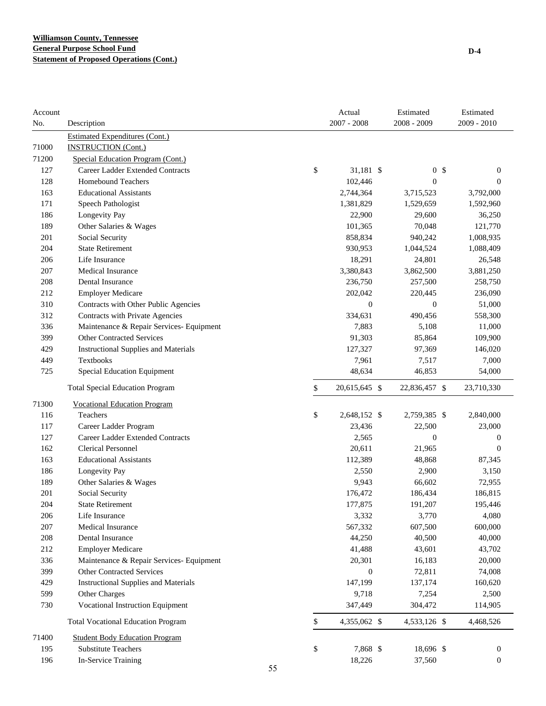| Account |                                             |    | Actual           | Estimated        | Estimated        |
|---------|---------------------------------------------|----|------------------|------------------|------------------|
| No.     | Description                                 |    | $2007 - 2008$    | 2008 - 2009      | $2009 - 2010$    |
|         | <b>Estimated Expenditures (Cont.)</b>       |    |                  |                  |                  |
| 71000   | <b>INSTRUCTION (Cont.)</b>                  |    |                  |                  |                  |
| 71200   | Special Education Program (Cont.)           |    |                  |                  |                  |
| 127     | Career Ladder Extended Contracts            | \$ | 31,181 \$        | 0 <sup>5</sup>   | $\boldsymbol{0}$ |
| 128     | Homebound Teachers                          |    | 102,446          | $\boldsymbol{0}$ | $\boldsymbol{0}$ |
| 163     | <b>Educational Assistants</b>               |    | 2,744,364        | 3,715,523        | 3,792,000        |
| 171     | Speech Pathologist                          |    | 1,381,829        | 1,529,659        | 1,592,960        |
| 186     | Longevity Pay                               |    | 22,900           | 29,600           | 36,250           |
| 189     | Other Salaries & Wages                      |    | 101,365          | 70,048           | 121,770          |
| 201     | Social Security                             |    | 858,834          | 940,242          | 1,008,935        |
| 204     | <b>State Retirement</b>                     |    | 930,953          | 1,044,524        | 1,088,409        |
| 206     | Life Insurance                              |    | 18,291           | 24,801           | 26,548           |
| 207     | <b>Medical Insurance</b>                    |    | 3,380,843        | 3,862,500        | 3,881,250        |
| 208     | Dental Insurance                            |    | 236,750          | 257,500          | 258,750          |
| 212     | <b>Employer Medicare</b>                    |    | 202,042          | 220,445          | 236,090          |
| 310     | Contracts with Other Public Agencies        |    | $\boldsymbol{0}$ | $\boldsymbol{0}$ | 51,000           |
| 312     | Contracts with Private Agencies             |    | 334,631          | 490,456          | 558,300          |
| 336     | Maintenance & Repair Services- Equipment    |    | 7,883            | 5,108            | 11,000           |
| 399     | <b>Other Contracted Services</b>            |    | 91,303           | 85,864           | 109,900          |
| 429     | <b>Instructional Supplies and Materials</b> |    | 127,327          | 97,369           | 146,020          |
| 449     | Textbooks                                   |    | 7,961            | 7,517            | 7,000            |
| 725     | <b>Special Education Equipment</b>          |    | 48,634           | 46,853           | 54,000           |
|         | <b>Total Special Education Program</b>      | \$ | 20,615,645 \$    | 22,836,457 \$    | 23,710,330       |
| 71300   | <b>Vocational Education Program</b>         |    |                  |                  |                  |
| 116     | Teachers                                    | \$ | 2,648,152 \$     | 2,759,385 \$     | 2,840,000        |
| 117     | Career Ladder Program                       |    | 23,436           | 22,500           | 23,000           |
| 127     | Career Ladder Extended Contracts            |    | 2,565            | $\boldsymbol{0}$ | $\boldsymbol{0}$ |
| 162     | <b>Clerical Personnel</b>                   |    | 20,611           | 21,965           | $\boldsymbol{0}$ |
| 163     | <b>Educational Assistants</b>               |    | 112,389          | 48,868           | 87,345           |
| 186     | Longevity Pay                               |    | 2,550            | 2,900            | 3,150            |
| 189     | Other Salaries & Wages                      |    | 9,943            | 66,602           | 72,955           |
| 201     | Social Security                             |    | 176,472          | 186,434          | 186,815          |
| 204     | <b>State Retirement</b>                     |    | 177,875          | 191,207          | 195,446          |
| 206     | Life Insurance                              |    | 3,332            | 3,770            | 4,080            |
| 207     | Medical Insurance                           |    | 567,332          | 607,500          | 600,000          |
| 208     | Dental Insurance                            |    | 44,250           | 40,500           | 40,000           |
| 212     | <b>Employer Medicare</b>                    |    | 41,488           | 43,601           | 43,702           |
| 336     | Maintenance & Repair Services- Equipment    |    | 20,301           | 16,183           | 20,000           |
| 399     | <b>Other Contracted Services</b>            |    | $\boldsymbol{0}$ | 72,811           | 74,008           |
| 429     | <b>Instructional Supplies and Materials</b> |    | 147,199          | 137,174          | 160,620          |
| 599     | Other Charges                               |    | 9,718            | 7,254            | 2,500            |
| 730     | <b>Vocational Instruction Equipment</b>     |    | 347,449          | 304,472          | 114,905          |
|         | <b>Total Vocational Education Program</b>   | \$ | 4,355,062 \$     | 4,533,126 \$     | 4,468,526        |
| 71400   | <b>Student Body Education Program</b>       |    |                  |                  |                  |
| 195     | <b>Substitute Teachers</b>                  | \$ | 7,868 \$         | 18,696 \$        | $\boldsymbol{0}$ |
| 196     | In-Service Training                         |    | 18,226           | 37,560           | $\boldsymbol{0}$ |
|         |                                             | 55 |                  |                  |                  |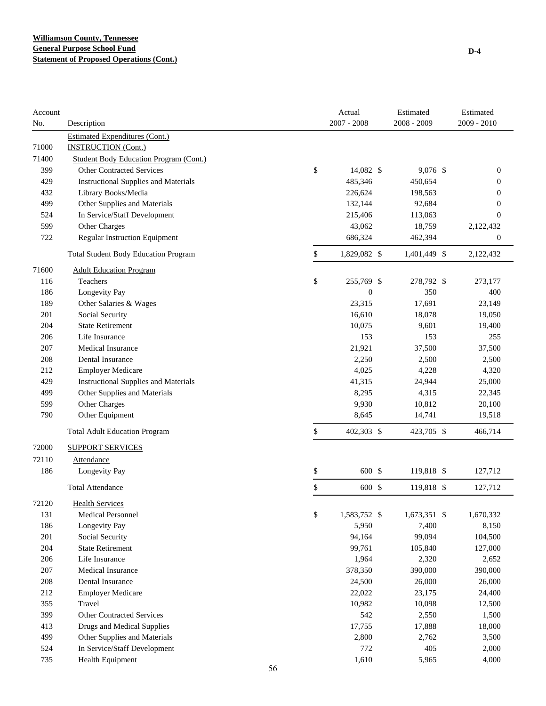| Account |                                               |    | Actual             | Estimated    | Estimated      |
|---------|-----------------------------------------------|----|--------------------|--------------|----------------|
| No.     | Description                                   |    | $2007 - 2008$      | 2008 - 2009  | 2009 - 2010    |
|         | <b>Estimated Expenditures (Cont.)</b>         |    |                    |              |                |
| 71000   | <b>INSTRUCTION (Cont.)</b>                    |    |                    |              |                |
| 71400   | <b>Student Body Education Program (Cont.)</b> |    |                    |              |                |
| 399     | <b>Other Contracted Services</b>              |    | \$<br>14,082 \$    | 9,076 \$     | 0              |
| 429     | <b>Instructional Supplies and Materials</b>   |    | 485,346            | 450,654      | 0              |
| 432     | Library Books/Media                           |    | 226,624            | 198,563      | 0              |
| 499     | Other Supplies and Materials                  |    | 132,144            | 92,684       | 0              |
| 524     | In Service/Staff Development                  |    | 215,406            | 113,063      | $\overline{0}$ |
| 599     | Other Charges                                 |    | 43,062             | 18,759       | 2,122,432      |
| 722     | <b>Regular Instruction Equipment</b>          |    | 686,324            | 462,394      | 0              |
|         | <b>Total Student Body Education Program</b>   |    | \$<br>1,829,082 \$ | 1,401,449 \$ | 2,122,432      |
| 71600   | <b>Adult Education Program</b>                |    |                    |              |                |
| 116     | Teachers                                      |    | \$<br>255,769 \$   | 278,792 \$   | 273,177        |
| 186     | Longevity Pay                                 |    | $\boldsymbol{0}$   | 350          | 400            |
| 189     | Other Salaries & Wages                        |    | 23,315             | 17,691       | 23,149         |
| 201     | Social Security                               |    | 16,610             | 18,078       | 19,050         |
| 204     | <b>State Retirement</b>                       |    | 10,075             | 9,601        | 19,400         |
| 206     | Life Insurance                                |    | 153                | 153          | 255            |
| 207     | <b>Medical Insurance</b>                      |    | 21,921             | 37,500       | 37,500         |
| 208     | Dental Insurance                              |    | 2,250              | 2,500        | 2,500          |
| 212     | <b>Employer Medicare</b>                      |    | 4,025              | 4,228        | 4,320          |
| 429     | <b>Instructional Supplies and Materials</b>   |    | 41,315             | 24,944       | 25,000         |
| 499     | Other Supplies and Materials                  |    | 8,295              | 4,315        | 22,345         |
| 599     | Other Charges                                 |    | 9,930              | 10,812       | 20,100         |
| 790     | Other Equipment                               |    | 8,645              | 14,741       | 19,518         |
|         | <b>Total Adult Education Program</b>          |    | \$<br>402,303 \$   | 423,705 \$   | 466,714        |
| 72000   | <b>SUPPORT SERVICES</b>                       |    |                    |              |                |
| 72110   | Attendance                                    |    |                    |              |                |
| 186     | Longevity Pay                                 |    | \$<br>600 \$       | 119,818 \$   | 127,712        |
|         | <b>Total Attendance</b>                       |    | \$<br>600 \$       | 119,818 \$   | 127,712        |
| 72120   | <b>Health Services</b>                        |    |                    |              |                |
| 131     | <b>Medical Personnel</b>                      |    | \$<br>1,583,752 \$ | 1,673,351 \$ | 1,670,332      |
| 186     | Longevity Pay                                 |    | 5,950              | 7,400        | 8,150          |
| 201     | Social Security                               |    | 94,164             | 99,094       | 104,500        |
| 204     | <b>State Retirement</b>                       |    | 99,761             | 105,840      | 127,000        |
| 206     | Life Insurance                                |    | 1,964              | 2,320        | 2,652          |
| 207     | Medical Insurance                             |    | 378,350            | 390,000      | 390,000        |
| 208     | Dental Insurance                              |    | 24,500             | 26,000       | 26,000         |
| 212     | <b>Employer Medicare</b>                      |    | 22,022             | 23,175       | 24,400         |
| 355     | Travel                                        |    | 10,982             | 10,098       | 12,500         |
| 399     | <b>Other Contracted Services</b>              |    | 542                | 2,550        | 1,500          |
| 413     | Drugs and Medical Supplies                    |    | 17,755             | 17,888       | 18,000         |
| 499     | Other Supplies and Materials                  |    | 2,800              | 2,762        | 3,500          |
| 524     | In Service/Staff Development                  |    | 772                | 405          | 2,000          |
| 735     | Health Equipment                              |    | 1,610              | 5,965        | 4,000          |
|         |                                               | 56 |                    |              |                |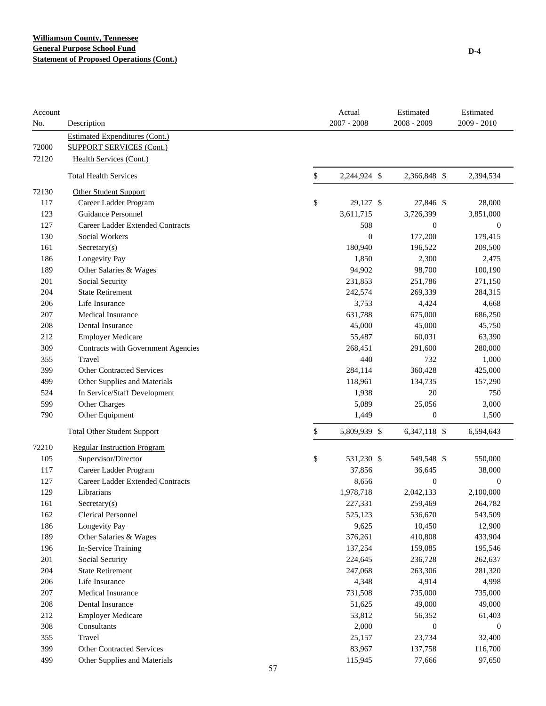| Account<br>No. | Description                           |    | Actual<br>$2007 - 2008$ | Estimated<br>2008 - 2009 | Estimated<br>2009 - 2010 |
|----------------|---------------------------------------|----|-------------------------|--------------------------|--------------------------|
|                | <b>Estimated Expenditures (Cont.)</b> |    |                         |                          |                          |
| 72000          | <b>SUPPORT SERVICES (Cont.)</b>       |    |                         |                          |                          |
| 72120          | Health Services (Cont.)               |    |                         |                          |                          |
|                | <b>Total Health Services</b>          | \$ | 2,244,924 \$            | 2,366,848 \$             | 2,394,534                |
| 72130          | <b>Other Student Support</b>          |    |                         |                          |                          |
| 117            | Career Ladder Program                 | \$ | 29,127 \$               | 27,846 \$                | 28,000                   |
| 123            | <b>Guidance Personnel</b>             |    | 3,611,715               | 3,726,399                | 3,851,000                |
| 127            | Career Ladder Extended Contracts      |    | 508                     | $\boldsymbol{0}$         | $\boldsymbol{0}$         |
| 130            | Social Workers                        |    | $\overline{0}$          | 177,200                  | 179,415                  |
| 161            | Sercetary(s)                          |    | 180,940                 | 196,522                  | 209,500                  |
| 186            | Longevity Pay                         |    | 1,850                   | 2,300                    | 2,475                    |
| 189            | Other Salaries & Wages                |    | 94,902                  | 98,700                   | 100,190                  |
| 201            | Social Security                       |    | 231,853                 | 251,786                  | 271,150                  |
| 204            | <b>State Retirement</b>               |    | 242,574                 | 269,339                  | 284,315                  |
| 206            | Life Insurance                        |    | 3,753                   | 4,424                    | 4,668                    |
| 207            | <b>Medical Insurance</b>              |    | 631,788                 | 675,000                  | 686,250                  |
| 208            | Dental Insurance                      |    | 45,000                  | 45,000                   | 45,750                   |
| 212            | <b>Employer Medicare</b>              |    | 55,487                  | 60,031                   | 63,390                   |
| 309            | Contracts with Government Agencies    |    | 268,451                 | 291,600                  | 280,000                  |
| 355            | Travel                                |    | 440                     | 732                      | 1,000                    |
| 399            | <b>Other Contracted Services</b>      |    | 284,114                 | 360,428                  | 425,000                  |
| 499            | Other Supplies and Materials          |    | 118,961                 | 134,735                  | 157,290                  |
| 524            | In Service/Staff Development          |    | 1,938                   | 20                       | 750                      |
| 599            | Other Charges                         |    | 5,089                   | 25,056                   | 3,000                    |
| 790            | Other Equipment                       |    | 1,449                   | 0                        | 1,500                    |
|                | <b>Total Other Student Support</b>    | \$ | 5,809,939 \$            | 6,347,118 \$             | 6,594,643                |
| 72210          | <b>Regular Instruction Program</b>    |    |                         |                          |                          |
| 105            | Supervisor/Director                   | \$ | 531,230 \$              | 549,548 \$               | 550,000                  |
| 117            | Career Ladder Program                 |    | 37,856                  | 36,645                   | 38,000                   |
| 127            | Career Ladder Extended Contracts      |    | 8,656                   | $\boldsymbol{0}$         | $\boldsymbol{0}$         |
| 129            | Librarians                            |    | 1,978,718               | 2,042,133                | 2,100,000                |
| 161            | $S \, (s)$                            |    | 227,331                 | 259,469                  | 264,782                  |
| 162            | <b>Clerical Personnel</b>             |    | 525,123                 | 536,670                  | 543,509                  |
| 186            | Longevity Pay                         |    | 9,625                   | 10,450                   | 12,900                   |
| 189            | Other Salaries & Wages                |    | 376,261                 | 410,808                  | 433,904                  |
| 196            | In-Service Training                   |    | 137,254                 | 159,085                  | 195,546                  |
| 201            | Social Security                       |    | 224,645                 | 236,728                  | 262,637                  |
| 204            | <b>State Retirement</b>               |    | 247,068                 | 263,306                  | 281,320                  |
| 206            | Life Insurance                        |    | 4,348                   | 4,914                    | 4,998                    |
| 207            | Medical Insurance                     |    | 731,508                 | 735,000                  | 735,000                  |
| 208            | Dental Insurance                      |    | 51,625                  | 49,000                   | 49,000                   |
| 212            | <b>Employer Medicare</b>              |    | 53,812                  | 56,352                   | 61,403                   |
| 308            | Consultants                           |    | 2,000                   | $\boldsymbol{0}$         | $\boldsymbol{0}$         |
| 355            | Travel                                |    | 25,157                  | 23,734                   | 32,400                   |
| 399            | Other Contracted Services             |    | 83,967                  | 137,758                  | 116,700                  |
| 499            | Other Supplies and Materials          |    | 115,945                 | 77,666                   | 97,650                   |
|                |                                       | 57 |                         |                          |                          |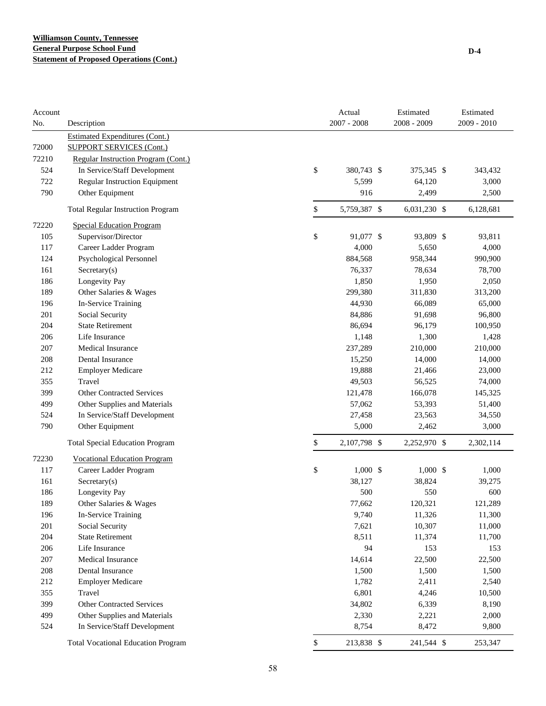| Account<br>No. | Description                               | Actual<br>$2007 - 2008$ | Estimated<br>$2008 - 2009$ | Estimated<br>$2009 - 2010$ |
|----------------|-------------------------------------------|-------------------------|----------------------------|----------------------------|
|                | <b>Estimated Expenditures (Cont.)</b>     |                         |                            |                            |
| 72000          | <b>SUPPORT SERVICES (Cont.)</b>           |                         |                            |                            |
| 72210          | Regular Instruction Program (Cont.)       |                         |                            |                            |
| 524            | In Service/Staff Development              | \$<br>380,743 \$        | 375,345 \$                 | 343,432                    |
| 722            | Regular Instruction Equipment             | 5,599                   | 64,120                     | 3,000                      |
| 790            | Other Equipment                           | 916                     | 2,499                      | 2,500                      |
|                | <b>Total Regular Instruction Program</b>  | \$<br>5,759,387 \$      | 6,031,230 \$               | 6,128,681                  |
| 72220          | <b>Special Education Program</b>          |                         |                            |                            |
| 105            | Supervisor/Director                       | \$<br>91,077 \$         | 93,809 \$                  | 93,811                     |
| 117            | Career Ladder Program                     | 4,000                   | 5,650                      | 4,000                      |
| 124            | Psychological Personnel                   | 884,568                 | 958,344                    | 990,900                    |
| 161            | Sercetary(s)                              | 76,337                  | 78,634                     | 78,700                     |
| 186            | Longevity Pay                             | 1,850                   | 1,950                      | 2,050                      |
| 189            | Other Salaries & Wages                    | 299,380                 | 311,830                    | 313,200                    |
| 196            | In-Service Training                       | 44,930                  | 66,089                     | 65,000                     |
| 201            | Social Security                           | 84,886                  | 91,698                     | 96,800                     |
| 204            | <b>State Retirement</b>                   | 86,694                  | 96,179                     | 100,950                    |
| 206            | Life Insurance                            | 1,148                   | 1,300                      | 1,428                      |
| 207            | <b>Medical Insurance</b>                  | 237,289                 | 210,000                    | 210,000                    |
| 208            | Dental Insurance                          | 15,250                  | 14,000                     | 14,000                     |
| 212            | <b>Employer Medicare</b>                  | 19,888                  | 21,466                     | 23,000                     |
| 355            | Travel                                    | 49,503                  | 56,525                     | 74,000                     |
| 399            | <b>Other Contracted Services</b>          | 121,478                 | 166,078                    | 145,325                    |
| 499            | Other Supplies and Materials              | 57,062                  | 53,393                     | 51,400                     |
| 524            | In Service/Staff Development              | 27,458                  | 23,563                     | 34,550                     |
| 790            | Other Equipment                           | 5,000                   | 2,462                      | 3,000                      |
|                | <b>Total Special Education Program</b>    | \$<br>2,107,798 \$      | 2,252,970 \$               | 2,302,114                  |
| 72230          | <b>Vocational Education Program</b>       |                         |                            |                            |
| 117            | Career Ladder Program                     | \$<br>$1,000$ \$        | $1,000$ \$                 | 1,000                      |
| 161            | $S \text{ecretary}(s)$                    | 38,127                  | 38,824                     | 39,275                     |
| 186            | Longevity Pay                             | 500                     | 550                        | 600                        |
| 189            | Other Salaries & Wages                    | 77,662                  | 120,321                    | 121,289                    |
| 196            | In-Service Training                       | 9,740                   | 11,326                     | 11,300                     |
| 201            | Social Security                           | 7,621                   | 10,307                     | 11,000                     |
| 204            | <b>State Retirement</b>                   | 8,511                   | 11,374                     | 11,700                     |
| 206            | Life Insurance                            | 94                      | 153                        | 153                        |
| $207\,$        | Medical Insurance                         | 14,614                  | 22,500                     | 22,500                     |
| 208            | Dental Insurance                          | 1,500                   | 1,500                      | 1,500                      |
| 212            | <b>Employer Medicare</b>                  | 1,782                   | 2,411                      | 2,540                      |
| 355            | Travel                                    | 6,801                   | 4,246                      | 10,500                     |
| 399            | <b>Other Contracted Services</b>          | 34,802                  | 6,339                      | 8,190                      |
| 499            | Other Supplies and Materials              | 2,330                   | 2,221                      | 2,000                      |
| 524            | In Service/Staff Development              | 8,754                   | 8,472                      | 9,800                      |
|                | <b>Total Vocational Education Program</b> | \$<br>213,838 \$        | 241,544 \$                 | 253,347                    |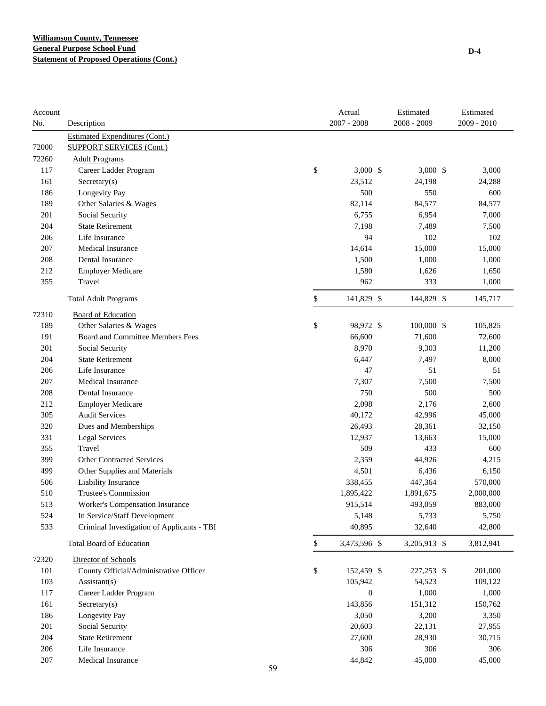| Account<br>No. | Description                                |    | Actual<br>$2007 - 2008$ | Estimated<br>2008 - 2009 | Estimated<br>2009 - 2010 |
|----------------|--------------------------------------------|----|-------------------------|--------------------------|--------------------------|
|                | <b>Estimated Expenditures (Cont.)</b>      |    |                         |                          |                          |
| 72000          | <b>SUPPORT SERVICES (Cont.)</b>            |    |                         |                          |                          |
| 72260          | <b>Adult Programs</b>                      |    |                         |                          |                          |
| 117            | Career Ladder Program                      |    | \$<br>$3,000$ \$        | $3,000$ \$               | 3,000                    |
| 161            | Secretary(s)                               |    | 23,512                  | 24,198                   | 24,288                   |
| 186            | Longevity Pay                              |    | 500                     | 550                      | 600                      |
| 189            | Other Salaries & Wages                     |    | 82,114                  | 84,577                   | 84,577                   |
| 201            | Social Security                            |    | 6,755                   | 6,954                    | 7,000                    |
| 204            | <b>State Retirement</b>                    |    | 7,198                   | 7,489                    | 7,500                    |
| 206            | Life Insurance                             |    | 94                      | 102                      | 102                      |
| 207            | Medical Insurance                          |    | 14,614                  | 15,000                   | 15,000                   |
| 208            | Dental Insurance                           |    | 1,500                   | 1,000                    | 1,000                    |
| 212            | <b>Employer Medicare</b>                   |    | 1,580                   | 1,626                    | 1,650                    |
| 355            | Travel                                     |    | 962                     | 333                      | 1,000                    |
|                | <b>Total Adult Programs</b>                |    | \$<br>141,829 \$        | 144,829 \$               | 145,717                  |
| 72310          | <b>Board of Education</b>                  |    |                         |                          |                          |
| 189            | Other Salaries & Wages                     |    | \$<br>98,972 \$         | 100,000 \$               | 105,825                  |
| 191            | Board and Committee Members Fees           |    | 66,600                  | 71,600                   |                          |
|                |                                            |    |                         |                          | 72,600                   |
| 201            | Social Security<br><b>State Retirement</b> |    | 8,970                   | 9,303                    | 11,200                   |
| 204<br>206     | Life Insurance                             |    | 6,447<br>47             | 7,497<br>51              | 8,000<br>51              |
|                | Medical Insurance                          |    |                         |                          |                          |
| 207            | Dental Insurance                           |    | 7,307<br>750            | 7,500<br>500             | 7,500<br>500             |
| 208            |                                            |    |                         |                          |                          |
| 212            | <b>Employer Medicare</b>                   |    | 2,098                   | 2,176                    | 2,600                    |
| 305            | <b>Audit Services</b>                      |    | 40,172                  | 42,996                   | 45,000                   |
| 320            | Dues and Memberships                       |    | 26,493                  | 28,361                   | 32,150                   |
| 331            | <b>Legal Services</b>                      |    | 12,937                  | 13,663                   | 15,000                   |
| 355            | Travel                                     |    | 509                     | 433                      | 600                      |
| 399            | <b>Other Contracted Services</b>           |    | 2,359                   | 44,926                   | 4,215                    |
| 499            | Other Supplies and Materials               |    | 4,501                   | 6,436                    | 6,150                    |
| 506            | Liability Insurance                        |    | 338,455                 | 447,364                  | 570,000                  |
| 510            | Trustee's Commission                       |    | 1,895,422               | 1,891,675                | 2,000,000                |
| 513            | Worker's Compensation Insurance            |    | 915,514                 | 493,059                  | 883,000                  |
| 524            | In Service/Staff Development               |    | 5,148                   | 5,733                    | 5,750                    |
| 533            | Criminal Investigation of Applicants - TBI |    | 40,895                  | 32,640                   | 42,800                   |
|                | <b>Total Board of Education</b>            |    | \$<br>3,473,596 \$      | 3,205,913 \$             | 3,812,941                |
| 72320          | Director of Schools                        |    |                         |                          |                          |
| 101            | County Official/Administrative Officer     |    | \$<br>152,459 \$        | 227,253 \$               | 201,000                  |
| 103            | Assistant(s)                               |    | 105,942                 | 54,523                   | 109,122                  |
| 117            | Career Ladder Program                      |    | $\boldsymbol{0}$        | 1,000                    | 1,000                    |
| 161            | Secretary(s)                               |    | 143,856                 | 151,312                  | 150,762                  |
| 186            | Longevity Pay                              |    | 3,050                   | 3,200                    | 3,350                    |
| 201            | Social Security                            |    | 20,603                  | 22,131                   | 27,955                   |
| 204            | <b>State Retirement</b>                    |    | 27,600                  | 28,930                   | 30,715                   |
| 206            | Life Insurance                             |    | 306                     | 306                      | 306                      |
| 207            | Medical Insurance                          |    | 44,842                  | 45,000                   | 45,000                   |
|                |                                            | 59 |                         |                          |                          |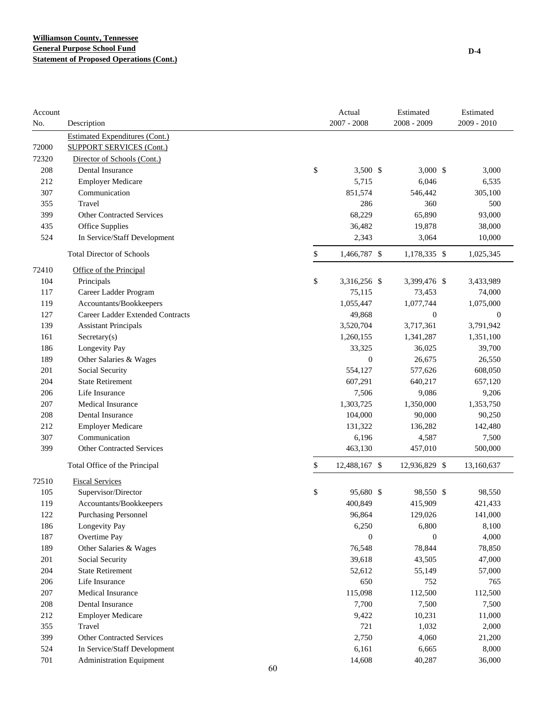| Account |                                                                          | Actual              | Estimated        | Estimated        |
|---------|--------------------------------------------------------------------------|---------------------|------------------|------------------|
| No.     | Description                                                              | $2007 - 2008$       | $2008 - 2009$    | $2009 - 2010$    |
| 72000   | <b>Estimated Expenditures (Cont.)</b><br><b>SUPPORT SERVICES (Cont.)</b> |                     |                  |                  |
| 72320   | Director of Schools (Cont.)                                              |                     |                  |                  |
| 208     | Dental Insurance                                                         | \$<br>$3,500$ \$    | $3,000$ \$       | 3,000            |
| 212     | <b>Employer Medicare</b>                                                 | 5,715               | 6,046            | 6,535            |
| 307     | Communication                                                            | 851,574             | 546,442          | 305,100          |
| 355     | Travel                                                                   | 286                 | 360              | 500              |
| 399     | <b>Other Contracted Services</b>                                         | 68,229              | 65,890           | 93,000           |
|         |                                                                          |                     |                  |                  |
| 435     | Office Supplies                                                          | 36,482              | 19,878           | 38,000           |
| 524     | In Service/Staff Development                                             | 2,343               | 3,064            | 10,000           |
|         | <b>Total Director of Schools</b>                                         | \$<br>1,466,787 \$  | 1,178,335 \$     | 1,025,345        |
| 72410   | Office of the Principal                                                  |                     |                  |                  |
| 104     | Principals                                                               | \$<br>3,316,256 \$  | 3,399,476 \$     | 3,433,989        |
| 117     | Career Ladder Program                                                    | 75,115              | 73,453           | 74,000           |
| 119     | Accountants/Bookkeepers                                                  | 1,055,447           | 1,077,744        | 1,075,000        |
| 127     | Career Ladder Extended Contracts                                         | 49,868              | $\mathbf{0}$     | $\boldsymbol{0}$ |
| 139     | <b>Assistant Principals</b>                                              | 3,520,704           | 3,717,361        | 3,791,942        |
| 161     | Secretary(s)                                                             | 1,260,155           | 1,341,287        | 1,351,100        |
| 186     | Longevity Pay                                                            | 33,325              | 36,025           | 39,700           |
| 189     | Other Salaries & Wages                                                   | $\boldsymbol{0}$    | 26,675           | 26,550           |
| 201     | Social Security                                                          | 554,127             | 577,626          | 608,050          |
| 204     | <b>State Retirement</b>                                                  | 607,291             | 640,217          | 657,120          |
| 206     | Life Insurance                                                           | 7,506               | 9,086            | 9,206            |
| 207     | <b>Medical Insurance</b>                                                 | 1,303,725           | 1,350,000        | 1,353,750        |
| 208     | Dental Insurance                                                         | 104,000             | 90,000           | 90,250           |
| 212     | <b>Employer Medicare</b>                                                 | 131,322             | 136,282          | 142,480          |
| 307     | Communication                                                            | 6,196               | 4,587            | 7,500            |
| 399     | <b>Other Contracted Services</b>                                         | 463,130             | 457,010          | 500,000          |
|         | Total Office of the Principal                                            | \$<br>12,488,167 \$ | 12,936,829 \$    | 13,160,637       |
| 72510   | <b>Fiscal Services</b>                                                   |                     |                  |                  |
| 105     | Supervisor/Director                                                      | \$<br>95,680 \$     | 98,550 \$        | 98,550           |
| 119     | Accountants/Bookkeepers                                                  | 400,849             | 415,909          | 421,433          |
| 122     | <b>Purchasing Personnel</b>                                              | 96,864              | 129,026          | 141,000          |
| 186     | Longevity Pay                                                            | 6,250               | 6,800            | 8,100            |
| 187     | Overtime Pay                                                             | $\mathbf{0}$        | $\boldsymbol{0}$ | 4,000            |
| 189     | Other Salaries & Wages                                                   | 76,548              | 78,844           | 78,850           |
| 201     | Social Security                                                          | 39,618              | 43,505           | 47,000           |
| 204     | <b>State Retirement</b>                                                  | 52,612              | 55,149           | 57,000           |
| 206     | Life Insurance                                                           | 650                 | 752              | 765              |
| $207\,$ | Medical Insurance                                                        | 115,098             | 112,500          | 112,500          |
| 208     | Dental Insurance                                                         | 7,700               | 7,500            | 7,500            |
| 212     | <b>Employer Medicare</b>                                                 | 9,422               | 10,231           | 11,000           |
| 355     | Travel                                                                   | 721                 | 1,032            | 2,000            |
| 399     | <b>Other Contracted Services</b>                                         | 2,750               | 4,060            | 21,200           |
| 524     | In Service/Staff Development                                             | 6,161               | 6,665            | 8,000            |
|         |                                                                          |                     |                  |                  |
| 701     | <b>Administration Equipment</b>                                          | 14,608              | 40,287           | 36,000           |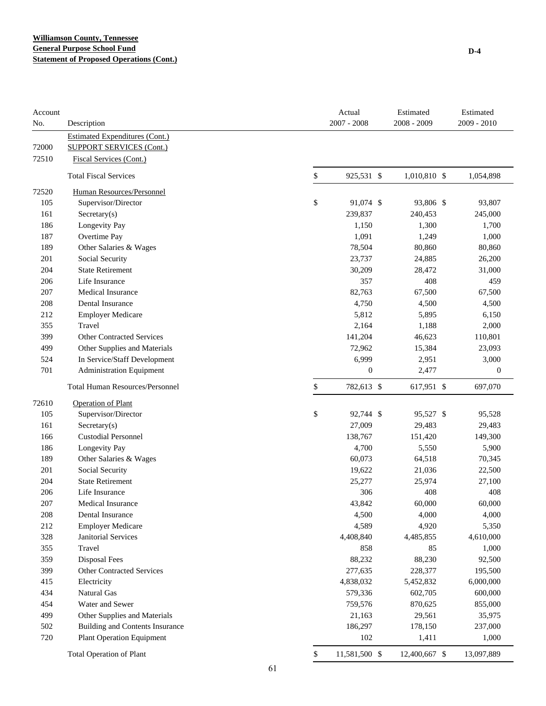| Account<br>No. | Description                            |    | Actual<br>$2007 - 2008$ | Estimated<br>2008 - 2009 | Estimated<br>2009 - 2010 |
|----------------|----------------------------------------|----|-------------------------|--------------------------|--------------------------|
|                | Estimated Expenditures (Cont.)         |    |                         |                          |                          |
| 72000          | <b>SUPPORT SERVICES (Cont.)</b>        |    |                         |                          |                          |
| 72510          | <b>Fiscal Services (Cont.)</b>         |    |                         |                          |                          |
|                | <b>Total Fiscal Services</b>           | \$ | 925,531 \$              | 1,010,810 \$             | 1,054,898                |
| 72520          | Human Resources/Personnel              |    |                         |                          |                          |
| 105            | Supervisor/Director                    | \$ | 91,074 \$               | 93,806 \$                | 93,807                   |
| 161            | Sercetary(s)                           |    | 239,837                 | 240,453                  | 245,000                  |
| 186            | Longevity Pay                          |    | 1,150                   | 1,300                    | 1,700                    |
| 187            | Overtime Pay                           |    | 1,091                   | 1,249                    | 1,000                    |
| 189            | Other Salaries & Wages                 |    | 78,504                  | 80,860                   | 80,860                   |
| 201            | Social Security                        |    | 23,737                  | 24,885                   | 26,200                   |
| 204            | <b>State Retirement</b>                |    | 30,209                  | 28,472                   | 31,000                   |
| 206            | Life Insurance                         |    | 357                     | 408                      | 459                      |
| 207            | <b>Medical Insurance</b>               |    | 82,763                  | 67,500                   | 67,500                   |
| 208            | Dental Insurance                       |    | 4,750                   | 4,500                    | 4,500                    |
| 212            | <b>Employer Medicare</b>               |    | 5,812                   | 5,895                    | 6,150                    |
| 355            | Travel                                 |    | 2,164                   | 1,188                    | 2,000                    |
| 399            | <b>Other Contracted Services</b>       |    | 141,204                 | 46,623                   | 110,801                  |
| 499            | Other Supplies and Materials           |    | 72,962                  | 15,384                   | 23,093                   |
| 524            | In Service/Staff Development           |    | 6,999                   | 2,951                    | 3,000                    |
| 701            | <b>Administration Equipment</b>        |    | $\boldsymbol{0}$        | 2,477                    | $\boldsymbol{0}$         |
|                | <b>Total Human Resources/Personnel</b> | \$ | 782,613 \$              | 617,951 \$               | 697,070                  |
| 72610          | <b>Operation of Plant</b>              |    |                         |                          |                          |
| 105            | Supervisor/Director                    | \$ | 92,744 \$               | 95,527 \$                | 95,528                   |
| 161            | $S \n    secretary(s)$                 |    | 27,009                  | 29,483                   | 29,483                   |
| 166            | <b>Custodial Personnel</b>             |    | 138,767                 | 151,420                  | 149,300                  |
| 186            | Longevity Pay                          |    | 4,700                   | 5,550                    | 5,900                    |
| 189            | Other Salaries & Wages                 |    | 60,073                  | 64,518                   | 70,345                   |
| 201            | Social Security                        |    | 19,622                  | 21,036                   | 22,500                   |
| 204            | <b>State Retirement</b>                |    | 25,277                  | 25,974                   | 27,100                   |
| 206            | Life Insurance                         |    | 306                     | 408                      | 408                      |
| 207            | Medical Insurance                      |    | 43,842                  | 60,000                   | 60,000                   |
| 208            | Dental Insurance                       |    | 4,500                   | 4,000                    | 4,000                    |
| 212            | <b>Employer Medicare</b>               |    | 4,589                   | 4,920                    | 5,350                    |
| 328            | Janitorial Services                    |    | 4,408,840               | 4,485,855                | 4,610,000                |
| 355            | Travel                                 |    | 858                     | 85                       | 1,000                    |
| 359            | <b>Disposal Fees</b>                   |    | 88,232                  | 88,230                   | 92,500                   |
| 399            | <b>Other Contracted Services</b>       |    | 277,635                 | 228,377                  | 195,500                  |
| 415            | Electricity                            |    | 4,838,032               | 5,452,832                | 6,000,000                |
| 434            | Natural Gas                            |    | 579,336                 | 602,705                  | 600,000                  |
| 454            | Water and Sewer                        |    | 759,576                 | 870,625                  | 855,000                  |
| 499            | Other Supplies and Materials           |    | 21,163                  | 29,561                   | 35,975                   |
| 502            | <b>Building and Contents Insurance</b> |    | 186,297                 | 178,150                  | 237,000                  |
| 720            | <b>Plant Operation Equipment</b>       |    | 102                     | 1,411                    | 1,000                    |
|                | <b>Total Operation of Plant</b>        | \$ | 11,581,500 \$           | 12,400,667 \$            | 13,097,889               |
|                |                                        | 61 |                         |                          |                          |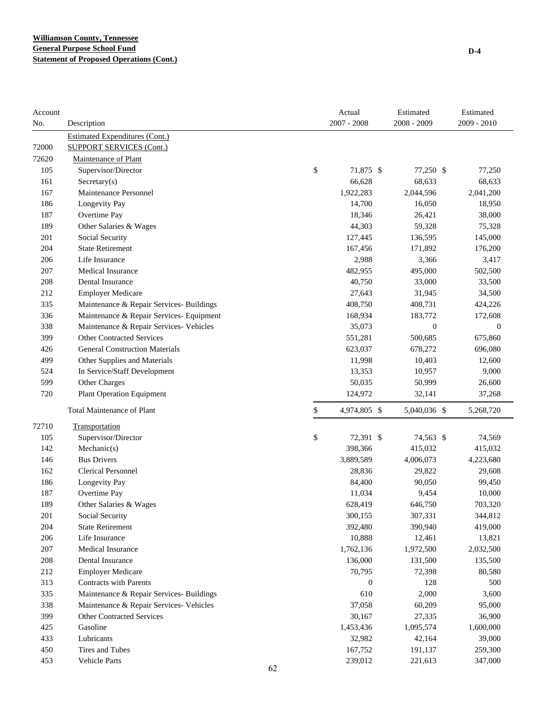| Account<br>No. | Description                              |    | Actual<br>$2007 - 2008$ | Estimated<br>$2008 - 2009$ | Estimated<br>$2009 - 2010$ |
|----------------|------------------------------------------|----|-------------------------|----------------------------|----------------------------|
|                | <b>Estimated Expenditures (Cont.)</b>    |    |                         |                            |                            |
| 72000          | <b>SUPPORT SERVICES (Cont.)</b>          |    |                         |                            |                            |
| 72620          | Maintenance of Plant                     |    |                         |                            |                            |
| 105            | Supervisor/Director                      | \$ | 71,875 \$               | 77,250 \$                  | 77,250                     |
| 161            | $S \n    secretary(s)$                   |    | 66,628                  | 68,633                     | 68,633                     |
| 167            | Maintenance Personnel                    |    | 1,922,283               | 2,044,596                  | 2,041,200                  |
| 186            | Longevity Pay                            |    | 14,700                  | 16,050                     | 18,950                     |
| 187            | Overtime Pay                             |    | 18,346                  | 26,421                     | 38,000                     |
| 189            | Other Salaries & Wages                   |    | 44,303                  | 59,328                     | 75,328                     |
| 201            | Social Security                          |    | 127,445                 | 136,595                    | 145,000                    |
| 204            | <b>State Retirement</b>                  |    | 167,456                 | 171,892                    | 176,200                    |
| 206            | Life Insurance                           |    | 2,988                   | 3,366                      | 3,417                      |
| 207            | <b>Medical Insurance</b>                 |    | 482,955                 | 495,000                    | 502,500                    |
| 208            | Dental Insurance                         |    | 40,750                  | 33,000                     | 33,500                     |
| 212            | <b>Employer Medicare</b>                 |    | 27,643                  | 31,945                     | 34,500                     |
| 335            | Maintenance & Repair Services- Buildings |    | 408,750                 | 408,731                    | 424,226                    |
| 336            | Maintenance & Repair Services- Equipment |    | 168,934                 | 183,772                    | 172,608                    |
| 338            | Maintenance & Repair Services- Vehicles  |    | 35,073                  | $\boldsymbol{0}$           | $\boldsymbol{0}$           |
| 399            | <b>Other Contracted Services</b>         |    | 551,281                 | 500,685                    | 675,860                    |
| 426            | <b>General Construction Materials</b>    |    | 623,037                 | 678,272                    | 696,080                    |
| 499            | Other Supplies and Materials             |    | 11,998                  | 10,403                     | 12,600                     |
| 524            | In Service/Staff Development             |    | 13,353                  | 10,957                     | 9,000                      |
| 599            | Other Charges                            |    | 50,035                  | 50,999                     | 26,600                     |
| 720            | <b>Plant Operation Equipment</b>         |    | 124,972                 | 32,141                     | 37,268                     |
|                | <b>Total Maintenance of Plant</b>        | \$ | 4,974,805 \$            | 5,040,036 \$               | 5,268,720                  |
| 72710          | Transportation                           |    |                         |                            |                            |
| 105            | Supervisor/Director                      | \$ | 72,391 \$               | 74,563 \$                  | 74,569                     |
| 142            | Mechanic(s)                              |    | 398,366                 | 415,032                    | 415,032                    |
| 146            | <b>Bus Drivers</b>                       |    | 3,889,589               | 4,006,073                  | 4,223,680                  |
| 162            | <b>Clerical Personnel</b>                |    | 28,836                  | 29,822                     | 29,608                     |
| 186            | Longevity Pay                            |    | 84,400                  | 90,050                     | 99,450                     |
| 187            | Overtime Pay                             |    | 11,034                  | 9,454                      | 10,000                     |
| 189            | Other Salaries & Wages                   |    | 628,419                 | 646,750                    | 703,320                    |
| 201            | Social Security                          |    | 300,155                 | 307,331                    | 344,812                    |
| 204            | <b>State Retirement</b>                  |    | 392,480                 | 390,940                    | 419,000                    |
| 206            | Life Insurance                           |    | 10,888                  | 12,461                     | 13,821                     |
| 207            | Medical Insurance                        |    | 1,762,136               | 1,972,500                  | 2,032,500                  |
| 208            | Dental Insurance                         |    | 136,000                 | 131,500                    | 135,500                    |
| 212            | <b>Employer Medicare</b>                 |    | 70,795                  | 72,398                     | 80,580                     |
| 313            | <b>Contracts with Parents</b>            |    | $\boldsymbol{0}$        | 128                        | 500                        |
| 335            | Maintenance & Repair Services- Buildings |    | 610                     | 2,000                      | 3,600                      |
| 338            | Maintenance & Repair Services- Vehicles  |    | 37,058                  | 60,209                     | 95,000                     |
| 399            | <b>Other Contracted Services</b>         |    | 30,167                  | 27,335                     | 36,900                     |
| 425            | Gasoline                                 |    | 1,453,436               | 1,095,574                  | 1,600,000                  |
| 433            | Lubricants                               |    | 32,982                  | 42,164                     | 39,000                     |
| 450            | Tires and Tubes                          |    | 167,752                 | 191,137                    | 259,300                    |
| 453            | Vehicle Parts                            |    | 239,012                 | 221,613                    | 347,000                    |
|                |                                          | 62 |                         |                            |                            |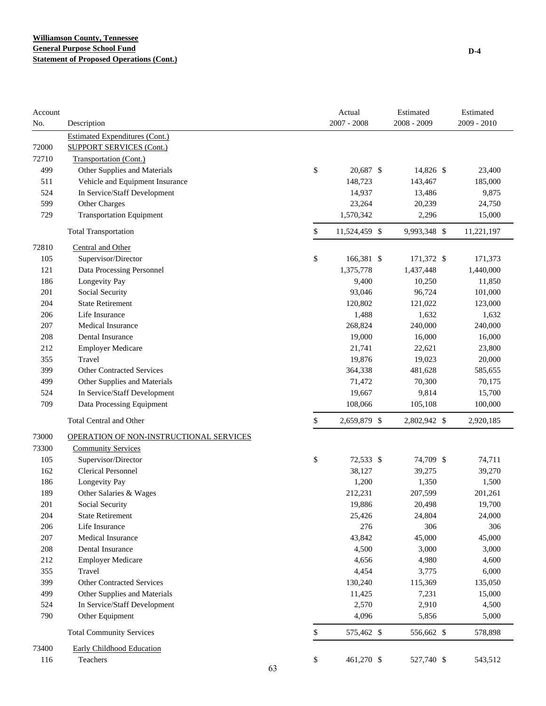| Account |                                         |          | Actual<br>$2007 - 2008$ | Estimated<br>2008 - 2009 | Estimated<br>$2009 - 2010$ |
|---------|-----------------------------------------|----------|-------------------------|--------------------------|----------------------------|
| No.     | Description                             |          |                         |                          |                            |
|         | <b>Estimated Expenditures (Cont.)</b>   |          |                         |                          |                            |
| 72000   | <b>SUPPORT SERVICES (Cont.)</b>         |          |                         |                          |                            |
| 72710   | Transportation (Cont.)                  |          |                         |                          |                            |
| 499     | Other Supplies and Materials            | \$       | 20,687 \$               | 14,826 \$                | 23,400                     |
| 511     | Vehicle and Equipment Insurance         |          | 148,723                 | 143,467                  | 185,000                    |
| 524     | In Service/Staff Development            |          | 14,937                  | 13,486                   | 9,875                      |
| 599     | Other Charges                           |          | 23,264                  | 20,239                   | 24,750                     |
| 729     | <b>Transportation Equipment</b>         |          | 1,570,342               | 2,296                    | 15,000                     |
|         | <b>Total Transportation</b>             | \$       | 11,524,459 \$           | 9,993,348 \$             | 11,221,197                 |
| 72810   | Central and Other                       |          |                         |                          |                            |
| 105     | Supervisor/Director                     | \$       | 166,381 \$              | 171,372 \$               | 171,373                    |
| 121     | Data Processing Personnel               |          | 1,375,778               | 1,437,448                | 1,440,000                  |
| 186     | Longevity Pay                           |          | 9,400                   | 10,250                   | 11,850                     |
| 201     | Social Security                         |          | 93,046                  | 96,724                   | 101,000                    |
| 204     | <b>State Retirement</b>                 |          | 120,802                 | 121,022                  | 123,000                    |
| 206     | Life Insurance                          |          | 1,488                   | 1,632                    | 1,632                      |
| 207     | Medical Insurance                       |          | 268,824                 | 240,000                  | 240,000                    |
| 208     | Dental Insurance                        |          | 19,000                  | 16,000                   | 16,000                     |
| 212     | <b>Employer Medicare</b>                |          | 21,741                  | 22,621                   | 23,800                     |
| 355     | Travel                                  |          | 19,876                  | 19,023                   | 20,000                     |
| 399     | <b>Other Contracted Services</b>        |          | 364,338                 | 481,628                  | 585,655                    |
| 499     | Other Supplies and Materials            |          | 71,472                  | 70,300                   | 70,175                     |
| 524     | In Service/Staff Development            |          | 19,667                  | 9,814                    | 15,700                     |
| 709     | Data Processing Equipment               |          | 108,066                 | 105,108                  | 100,000                    |
|         | <b>Total Central and Other</b>          | \$       | 2,659,879 \$            | 2,802,942 \$             | 2,920,185                  |
| 73000   | OPERATION OF NON-INSTRUCTIONAL SERVICES |          |                         |                          |                            |
| 73300   | <b>Community Services</b>               |          |                         |                          |                            |
| 105     | Supervisor/Director                     | \$       | 72,533 \$               | 74,709 \$                | 74,711                     |
| 162     | <b>Clerical Personnel</b>               |          | 38,127                  | 39,275                   | 39,270                     |
| 186     | Longevity Pay                           |          | 1,200                   | 1,350                    | 1,500                      |
| 189     | Other Salaries & Wages                  |          | 212,231                 | 207,599                  | 201,261                    |
| 201     | Social Security                         |          | 19,886                  | 20,498                   | 19,700                     |
| 204     | <b>State Retirement</b>                 |          | 25,426                  | 24,804                   | 24,000                     |
| 206     | Life Insurance                          |          | 276                     | 306                      | 306                        |
| $207\,$ | Medical Insurance                       |          | 43,842                  | 45,000                   | 45,000                     |
| 208     | Dental Insurance                        |          | 4,500                   | 3,000                    | 3,000                      |
| 212     | <b>Employer Medicare</b>                |          | 4,656                   | 4,980                    | 4,600                      |
| 355     | Travel                                  |          | 4,454                   | 3,775                    | 6,000                      |
| 399     | <b>Other Contracted Services</b>        |          | 130,240                 | 115,369                  | 135,050                    |
| 499     | Other Supplies and Materials            |          | 11,425                  | 7,231                    | 15,000                     |
| 524     | In Service/Staff Development            |          | 2,570                   | 2,910                    | 4,500                      |
| 790     | Other Equipment                         |          | 4,096                   | 5,856                    | 5,000                      |
|         | <b>Total Community Services</b>         | \$       | 575,462 \$              | 556,662 \$               | 578,898                    |
| 73400   | <b>Early Childhood Education</b>        |          |                         |                          |                            |
| 116     | Teachers                                | \$<br>63 | 461,270 \$              | 527,740 \$               | 543,512                    |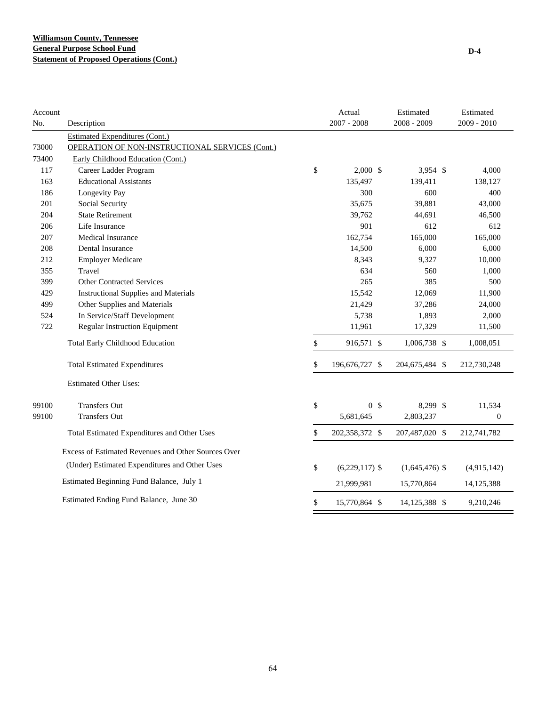| Account |                                                     | Actual                 | Estimated        | Estimated        |
|---------|-----------------------------------------------------|------------------------|------------------|------------------|
| No.     | Description                                         | $2007 - 2008$          | 2008 - 2009      | 2009 - 2010      |
|         | <b>Estimated Expenditures (Cont.)</b>               |                        |                  |                  |
| 73000   | OPERATION OF NON-INSTRUCTIONAL SERVICES (Cont.)     |                        |                  |                  |
| 73400   | Early Childhood Education (Cont.)                   |                        |                  |                  |
| 117     | Career Ladder Program                               | \$<br>2,000S           | $3,954$ \$       | 4,000            |
| 163     | <b>Educational Assistants</b>                       | 135,497                | 139,411          | 138,127          |
| 186     | Longevity Pay                                       | 300                    | 600              | 400              |
| 201     | Social Security                                     | 35,675                 | 39,881           | 43,000           |
| 204     | <b>State Retirement</b>                             | 39,762                 | 44,691           | 46,500           |
| 206     | Life Insurance                                      | 901                    | 612              | 612              |
| 207     | <b>Medical Insurance</b>                            | 162,754                | 165,000          | 165,000          |
| 208     | Dental Insurance                                    | 14,500                 | 6,000            | 6,000            |
| 212     | <b>Employer Medicare</b>                            | 8,343                  | 9,327            | 10,000           |
| 355     | Travel                                              | 634                    | 560              | 1,000            |
| 399     | <b>Other Contracted Services</b>                    | 265                    | 385              | 500              |
| 429     | <b>Instructional Supplies and Materials</b>         | 15,542                 | 12,069           | 11,900           |
| 499     | Other Supplies and Materials                        | 21,429                 | 37,286           | 24,000           |
| 524     | In Service/Staff Development                        | 5,738                  | 1,893            | 2,000            |
| 722     | <b>Regular Instruction Equipment</b>                | 11,961                 | 17,329           | 11,500           |
|         | <b>Total Early Childhood Education</b>              | \$<br>916,571 \$       | 1,006,738 \$     | 1,008,051        |
|         | <b>Total Estimated Expenditures</b>                 | \$<br>196,676,727 \$   | 204,675,484 \$   | 212,730,248      |
|         | <b>Estimated Other Uses:</b>                        |                        |                  |                  |
| 99100   | <b>Transfers Out</b>                                | \$<br>0 <sup>5</sup>   | 8,299 \$         | 11,534           |
| 99100   | <b>Transfers Out</b>                                | 5,681,645              | 2,803,237        | $\boldsymbol{0}$ |
|         | Total Estimated Expenditures and Other Uses         | \$<br>202,358,372 \$   | 207,487,020 \$   | 212,741,782      |
|         | Excess of Estimated Revenues and Other Sources Over |                        |                  |                  |
|         | (Under) Estimated Expenditures and Other Uses       | \$<br>$(6,229,117)$ \$ | $(1,645,476)$ \$ | (4,915,142)      |
|         | Estimated Beginning Fund Balance, July 1            | 21,999,981             | 15,770,864       | 14, 125, 388     |
|         | Estimated Ending Fund Balance, June 30              | \$<br>15,770,864 \$    | 14,125,388 \$    | 9,210,246        |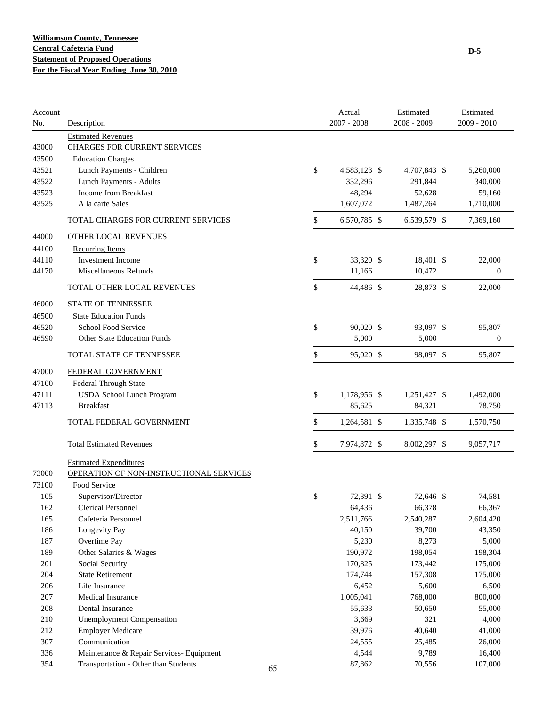| Account |                                          |    | Actual             | Estimated    | Estimated        |
|---------|------------------------------------------|----|--------------------|--------------|------------------|
| No.     | Description                              |    | $2007 - 2008$      | 2008 - 2009  | 2009 - 2010      |
|         | <b>Estimated Revenues</b>                |    |                    |              |                  |
| 43000   | <b>CHARGES FOR CURRENT SERVICES</b>      |    |                    |              |                  |
| 43500   | <b>Education Charges</b>                 |    |                    |              |                  |
| 43521   | Lunch Payments - Children                |    | \$<br>4,583,123 \$ | 4,707,843 \$ | 5,260,000        |
| 43522   | Lunch Payments - Adults                  |    | 332,296            | 291,844      | 340,000          |
| 43523   | Income from Breakfast                    |    | 48,294             | 52,628       | 59,160           |
| 43525   | A la carte Sales                         |    | 1,607,072          | 1,487,264    | 1,710,000        |
|         | TOTAL CHARGES FOR CURRENT SERVICES       |    | \$<br>6,570,785 \$ | 6,539,579 \$ | 7,369,160        |
| 44000   | <b>OTHER LOCAL REVENUES</b>              |    |                    |              |                  |
| 44100   | <b>Recurring Items</b>                   |    |                    |              |                  |
| 44110   | <b>Investment Income</b>                 |    | \$<br>33,320 \$    | 18,401 \$    | 22,000           |
| 44170   | Miscellaneous Refunds                    |    | 11,166             | 10,472       | $\boldsymbol{0}$ |
|         | TOTAL OTHER LOCAL REVENUES               |    | \$<br>44,486 \$    | 28,873 \$    | 22,000           |
| 46000   | <b>STATE OF TENNESSEE</b>                |    |                    |              |                  |
| 46500   | <b>State Education Funds</b>             |    |                    |              |                  |
| 46520   | School Food Service                      |    | \$<br>90,020 \$    | 93,097 \$    | 95,807           |
| 46590   | Other State Education Funds              |    | 5,000              | 5,000        | $\boldsymbol{0}$ |
|         | TOTAL STATE OF TENNESSEE                 |    | \$<br>95,020 \$    | 98,097 \$    | 95,807           |
| 47000   | FEDERAL GOVERNMENT                       |    |                    |              |                  |
| 47100   | <b>Federal Through State</b>             |    |                    |              |                  |
| 47111   | <b>USDA School Lunch Program</b>         |    | \$<br>1,178,956 \$ | 1,251,427 \$ | 1,492,000        |
| 47113   | <b>Breakfast</b>                         |    | 85,625             | 84,321       | 78,750           |
|         |                                          |    |                    |              |                  |
|         | TOTAL FEDERAL GOVERNMENT                 |    | \$<br>1,264,581 \$ | 1,335,748 \$ | 1,570,750        |
|         | <b>Total Estimated Revenues</b>          |    | \$<br>7,974,872 \$ | 8,002,297 \$ | 9,057,717        |
|         | <b>Estimated Expenditures</b>            |    |                    |              |                  |
| 73000   | OPERATION OF NON-INSTRUCTIONAL SERVICES  |    |                    |              |                  |
| 73100   | Food Service                             |    |                    |              |                  |
| 105     | Supervisor/Director                      |    | \$<br>72,391 \$    | 72,646 \$    | 74,581           |
| 162     | <b>Clerical Personnel</b>                |    | 64,436             | 66,378       | 66,367           |
| 165     | Cafeteria Personnel                      |    | 2,511,766          | 2,540,287    | 2,604,420        |
| 186     | Longevity Pay                            |    | 40,150             | 39,700       | 43,350           |
| 187     | Overtime Pay                             |    | 5,230              | 8,273        | 5,000            |
| 189     | Other Salaries & Wages                   |    | 190,972            | 198,054      | 198,304          |
| 201     | Social Security                          |    | 170,825            | 173,442      | 175,000          |
| 204     | <b>State Retirement</b>                  |    | 174,744            | 157,308      | 175,000          |
| 206     | Life Insurance                           |    | 6,452              | 5,600        | 6,500            |
| 207     | Medical Insurance                        |    | 1,005,041          | 768,000      | 800,000          |
| 208     | <b>Dental Insurance</b>                  |    | 55,633             | 50,650       | 55,000           |
| 210     | <b>Unemployment Compensation</b>         |    | 3,669              | 321          | 4,000            |
| 212     | <b>Employer Medicare</b>                 |    | 39,976             | 40,640       | 41,000           |
| 307     | Communication                            |    | 24,555             | 25,485       | 26,000           |
| 336     | Maintenance & Repair Services- Equipment |    | 4,544              | 9,789        | 16,400           |
| 354     | Transportation - Other than Students     |    | 87,862             | 70,556       | 107,000          |
|         |                                          | 65 |                    |              |                  |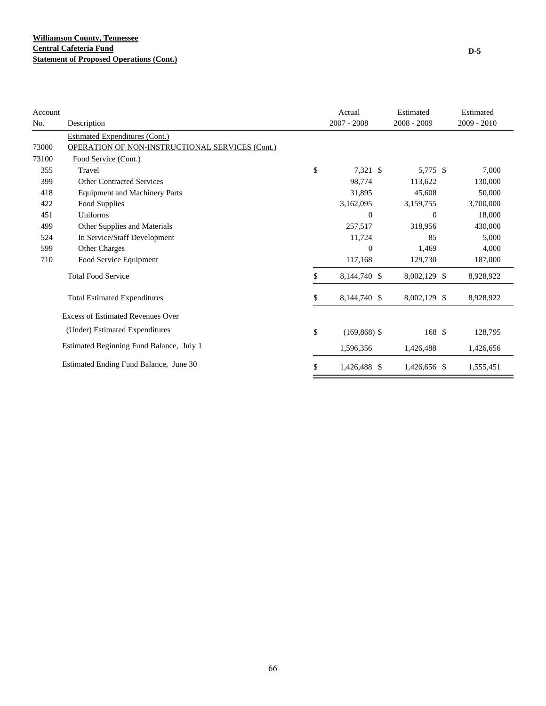| Account |                                                 | Actual                | Estimated      | Estimated   |
|---------|-------------------------------------------------|-----------------------|----------------|-------------|
| No.     | Description                                     | $2007 - 2008$         | 2008 - 2009    | 2009 - 2010 |
|         | <b>Estimated Expenditures (Cont.)</b>           |                       |                |             |
| 73000   | OPERATION OF NON-INSTRUCTIONAL SERVICES (Cont.) |                       |                |             |
| 73100   | Food Service (Cont.)                            |                       |                |             |
| 355     | Travel                                          | \$<br>7,321 \$        | 5,775 \$       | 7,000       |
| 399     | <b>Other Contracted Services</b>                | 98,774                | 113,622        | 130,000     |
| 418     | <b>Equipment and Machinery Parts</b>            | 31,895                | 45,608         | 50,000      |
| 422     | Food Supplies                                   | 3,162,095             | 3,159,755      | 3,700,000   |
| 451     | Uniforms                                        | $\mathbf{0}$          | $\overline{0}$ | 18,000      |
| 499     | Other Supplies and Materials                    | 257,517               | 318,956        | 430,000     |
| 524     | In Service/Staff Development                    | 11,724                | 85             | 5,000       |
| 599     | Other Charges                                   | $\boldsymbol{0}$      | 1,469          | 4,000       |
| 710     | Food Service Equipment                          | 117,168               | 129,730        | 187,000     |
|         | <b>Total Food Service</b>                       | \$<br>8,144,740 \$    | 8,002,129 \$   | 8,928,922   |
|         | <b>Total Estimated Expenditures</b>             | \$<br>8,144,740 \$    | 8,002,129 \$   | 8,928,922   |
|         | <b>Excess of Estimated Revenues Over</b>        |                       |                |             |
|         | (Under) Estimated Expenditures                  | \$<br>$(169, 868)$ \$ | 168 \$         | 128,795     |
|         | Estimated Beginning Fund Balance, July 1        | 1,596,356             | 1,426,488      | 1,426,656   |
|         | Estimated Ending Fund Balance, June 30          | \$<br>1,426,488 \$    | 1,426,656 \$   | 1,555,451   |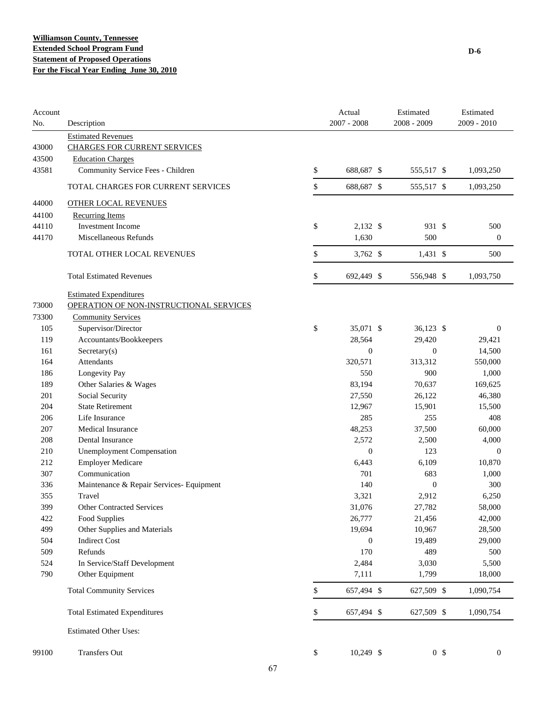| Account<br>No. | Description                              | Actual<br>$2007 - 2008$ | Estimated<br>2008 - 2009 |                | Estimated<br>2009 - 2010 |
|----------------|------------------------------------------|-------------------------|--------------------------|----------------|--------------------------|
|                | <b>Estimated Revenues</b>                |                         |                          |                |                          |
| 43000          | <b>CHARGES FOR CURRENT SERVICES</b>      |                         |                          |                |                          |
| 43500          | <b>Education Charges</b>                 |                         |                          |                |                          |
| 43581          | Community Service Fees - Children        | \$<br>688,687 \$        | 555,517 \$               |                | 1,093,250                |
|                | TOTAL CHARGES FOR CURRENT SERVICES       | \$<br>688,687 \$        | 555,517 \$               |                | 1,093,250                |
| 44000          | <b>OTHER LOCAL REVENUES</b>              |                         |                          |                |                          |
| 44100          | <b>Recurring Items</b>                   |                         |                          |                |                          |
| 44110          | Investment Income                        | \$<br>2,132 \$          | 931 \$                   |                | 500                      |
| 44170          | Miscellaneous Refunds                    | 1,630                   | 500                      |                | $\boldsymbol{0}$         |
|                | TOTAL OTHER LOCAL REVENUES               | \$<br>3,762 \$          | $1,431$ \$               |                | 500                      |
|                |                                          |                         |                          |                |                          |
|                | <b>Total Estimated Revenues</b>          | \$<br>692,449 \$        | 556,948 \$               |                | 1,093,750                |
|                | <b>Estimated Expenditures</b>            |                         |                          |                |                          |
| 73000          | OPERATION OF NON-INSTRUCTIONAL SERVICES  |                         |                          |                |                          |
| 73300          | <b>Community Services</b>                |                         |                          |                |                          |
| 105            | Supervisor/Director                      | \$<br>35,071 \$         | 36,123 \$                |                | $\mathbf{0}$             |
| 119            | Accountants/Bookkeepers                  | 28,564                  | 29,420                   |                | 29,421                   |
| 161            | Sercetary(s)                             | $\boldsymbol{0}$        | $\boldsymbol{0}$         |                | 14,500                   |
| 164            | Attendants                               | 320,571                 | 313,312                  |                | 550,000                  |
| 186            | Longevity Pay                            | 550                     | 900                      |                | 1,000                    |
| 189            | Other Salaries & Wages                   | 83,194                  | 70,637                   |                | 169,625                  |
| 201            | Social Security                          | 27,550                  | 26,122                   |                | 46,380                   |
| 204            | <b>State Retirement</b>                  | 12,967                  | 15,901                   |                | 15,500                   |
| 206            | Life Insurance                           | 285                     | 255                      |                | 408                      |
| 207            | <b>Medical Insurance</b>                 | 48,253                  | 37,500                   |                | 60,000                   |
| 208            | Dental Insurance                         | 2,572                   | 2,500                    |                | 4,000                    |
| 210            | <b>Unemployment Compensation</b>         | $\overline{0}$          | 123                      |                | $\mathbf{0}$             |
| 212            | <b>Employer Medicare</b>                 | 6,443                   | 6,109                    |                | 10,870                   |
| 307            | Communication                            | 701                     | 683                      |                | 1,000                    |
| 336            | Maintenance & Repair Services- Equipment | 140                     | $\boldsymbol{0}$         |                | 300                      |
| 355            | Travel                                   | 3,321                   | 2,912                    |                | 6,250                    |
| 399            | Other Contracted Services                | 31,076                  | 27,782                   |                | 58,000                   |
| 422            | Food Supplies                            | 26,777                  | 21,456                   |                | 42,000                   |
| 499            | Other Supplies and Materials             | 19,694                  | 10,967                   |                | 28,500                   |
| 504            | <b>Indirect Cost</b>                     | $\boldsymbol{0}$        | 19,489                   |                | 29,000                   |
| 509            | Refunds                                  | 170                     | 489                      |                | 500                      |
| 524            | In Service/Staff Development             | 2,484                   | 3,030                    |                | 5,500                    |
| 790            | Other Equipment                          | 7,111                   | 1,799                    |                | 18,000                   |
|                | <b>Total Community Services</b>          | \$<br>657,494 \$        | 627,509 \$               |                | 1,090,754                |
|                | <b>Total Estimated Expenditures</b>      | \$<br>657,494 \$        | 627,509 \$               |                | 1,090,754                |
|                | <b>Estimated Other Uses:</b>             |                         |                          |                |                          |
| 99100          | Transfers Out                            | \$<br>10,249 \$         |                          | 0 <sup>3</sup> | $\mathbf{0}$             |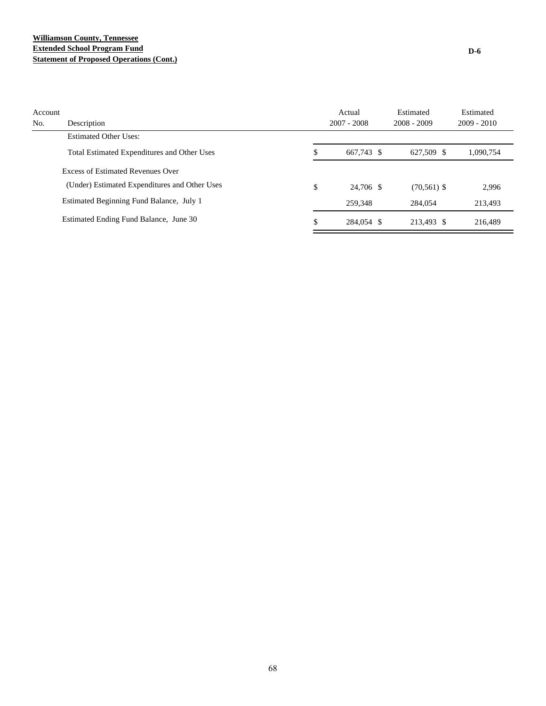## **Williamson County, Tennessee Extended School Program Fund Statement of Proposed Operations (Cont.)**

| Account |                                               | Actual           | Estimated      | Estimated     |
|---------|-----------------------------------------------|------------------|----------------|---------------|
| No.     | Description                                   | $2007 - 2008$    | $2008 - 2009$  | $2009 - 2010$ |
|         | <b>Estimated Other Uses:</b>                  |                  |                |               |
|         | Total Estimated Expenditures and Other Uses   | \$<br>667,743 \$ | 627,509 \$     | 1,090,754     |
|         | Excess of Estimated Revenues Over             |                  |                |               |
|         | (Under) Estimated Expenditures and Other Uses | \$<br>24,706 \$  | $(70, 561)$ \$ | 2,996         |
|         | Estimated Beginning Fund Balance, July 1      | 259,348          | 284,054        | 213.493       |
|         | Estimated Ending Fund Balance, June 30        | \$<br>284,054 \$ | 213.493 \$     | 216.489       |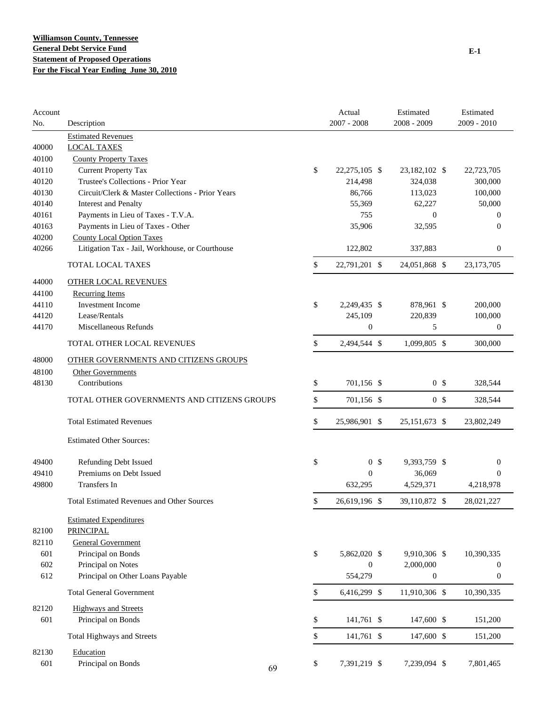| Account<br>No. | Description                                       |          | Actual<br>$2007 - 2008$ | Estimated<br>$2008 - 2009$ | Estimated<br>$2009 - 2010$ |
|----------------|---------------------------------------------------|----------|-------------------------|----------------------------|----------------------------|
|                | <b>Estimated Revenues</b>                         |          |                         |                            |                            |
| 40000          | <b>LOCAL TAXES</b>                                |          |                         |                            |                            |
| 40100          | <b>County Property Taxes</b>                      |          |                         |                            |                            |
| 40110          | <b>Current Property Tax</b>                       | \$       | 22,275,105 \$           | 23,182,102 \$              | 22,723,705                 |
| 40120          | Trustee's Collections - Prior Year                |          | 214,498                 | 324,038                    | 300,000                    |
| 40130          | Circuit/Clerk & Master Collections - Prior Years  |          | 86,766                  | 113,023                    | 100,000                    |
| 40140          | <b>Interest and Penalty</b>                       |          | 55,369                  | 62,227                     | 50,000                     |
| 40161          | Payments in Lieu of Taxes - T.V.A.                |          | 755                     | $\mathbf{0}$               | $\theta$                   |
| 40163          | Payments in Lieu of Taxes - Other                 |          | 35,906                  | 32,595                     | $\theta$                   |
| 40200          | <b>County Local Option Taxes</b>                  |          |                         |                            |                            |
| 40266          | Litigation Tax - Jail, Workhouse, or Courthouse   |          | 122,802                 | 337,883                    | $\boldsymbol{0}$           |
|                | TOTAL LOCAL TAXES                                 | \$       | 22,791,201 \$           | 24,051,868 \$              | 23,173,705                 |
| 44000          | <b>OTHER LOCAL REVENUES</b>                       |          |                         |                            |                            |
| 44100          | <b>Recurring Items</b>                            |          |                         |                            |                            |
| 44110          | <b>Investment Income</b>                          | \$       | 2,249,435 \$            | 878,961 \$                 | 200,000                    |
| 44120          | Lease/Rentals                                     |          | 245,109                 | 220,839                    | 100,000                    |
| 44170          | Miscellaneous Refunds                             |          | $\boldsymbol{0}$        | 5                          | $\boldsymbol{0}$           |
|                | TOTAL OTHER LOCAL REVENUES                        | \$       | 2,494,544 \$            | 1,099,805 \$               | 300,000                    |
| 48000          | OTHER GOVERNMENTS AND CITIZENS GROUPS             |          |                         |                            |                            |
| 48100          | <b>Other Governments</b>                          |          |                         |                            |                            |
| 48130          | Contributions                                     | \$       | 701,156 \$              | 0 <sup>5</sup>             | 328,544                    |
|                | TOTAL OTHER GOVERNMENTS AND CITIZENS GROUPS       | \$       | 701,156 \$              | 0 <sup>5</sup>             | 328,544                    |
|                | <b>Total Estimated Revenues</b>                   | \$       | 25,986,901 \$           | 25, 151, 673 \$            | 23,802,249                 |
|                | <b>Estimated Other Sources:</b>                   |          |                         |                            |                            |
| 49400          | Refunding Debt Issued                             | \$       | 0 <sup>5</sup>          | 9,393,759 \$               | $\boldsymbol{0}$           |
| 49410          | Premiums on Debt Issued                           |          | $\mathbf{0}$            | 36,069                     | $\Omega$                   |
| 49800          | <b>Transfers</b> In                               |          | 632,295                 | 4,529,371                  | 4,218,978                  |
|                | <b>Total Estimated Revenues and Other Sources</b> | \$       | 26,619,196 \$           | 39,110,872 \$              | 28,021,227                 |
| 82100          | <b>Estimated Expenditures</b><br><b>PRINCIPAL</b> |          |                         |                            |                            |
| 82110          | <b>General Government</b>                         |          |                         |                            |                            |
| 601            | Principal on Bonds                                | \$       | 5,862,020 \$            | 9,910,306 \$               | 10,390,335                 |
| 602            | Principal on Notes                                |          | $\boldsymbol{0}$        | 2,000,000                  | $\boldsymbol{0}$           |
| 612            | Principal on Other Loans Payable                  |          | 554,279                 | $\boldsymbol{0}$           | $\boldsymbol{0}$           |
|                | <b>Total General Government</b>                   | \$       | 6,416,299 \$            | 11,910,306 \$              | 10,390,335                 |
| 82120          | <b>Highways and Streets</b>                       |          |                         |                            |                            |
| 601            | Principal on Bonds                                | \$       | 141,761 \$              | 147,600 \$                 | 151,200                    |
|                | <b>Total Highways and Streets</b>                 | \$       | 141,761 \$              | 147,600 \$                 | 151,200                    |
| 82130          | Education                                         |          |                         |                            |                            |
| 601            | Principal on Bonds                                | \$<br>69 | 7,391,219 \$            | 7,239,094 \$               | 7,801,465                  |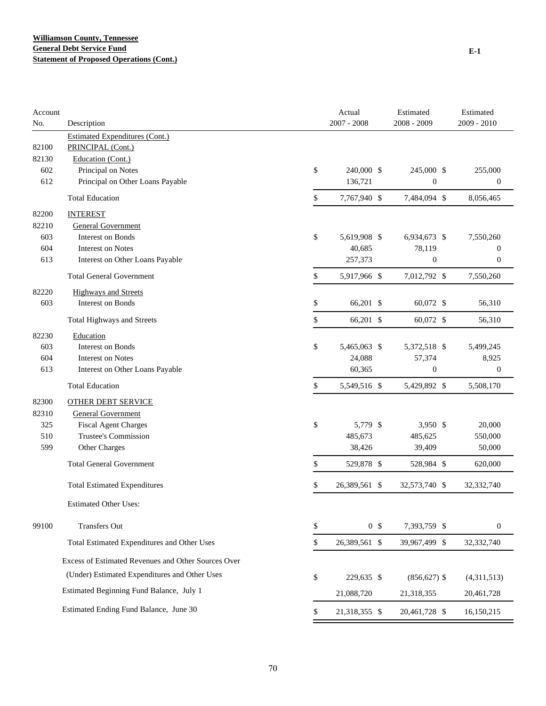| Account<br>No. | Description                                         | Actual<br>$2007 - 2008$ | Estimated<br>2008 - 2009 | Estimated<br>2009 - 2010 |
|----------------|-----------------------------------------------------|-------------------------|--------------------------|--------------------------|
|                | <b>Estimated Expenditures (Cont.)</b>               |                         |                          |                          |
| 82100          | PRINCIPAL (Cont.)                                   |                         |                          |                          |
| 82130          | Education (Cont.)                                   |                         |                          |                          |
| 602            | Principal on Notes                                  | \$<br>240,000 \$        | 245,000 \$               | 255,000                  |
| 612            | Principal on Other Loans Payable                    | 136,721                 | $\boldsymbol{0}$         | $\boldsymbol{0}$         |
|                | <b>Total Education</b>                              | \$<br>7,767,940 \$      | 7,484,094 \$             | 8,056,465                |
| 82200          | <b>INTEREST</b>                                     |                         |                          |                          |
| 82210          | <b>General Government</b>                           |                         |                          |                          |
| 603            | <b>Interest on Bonds</b>                            | \$<br>5,619,908 \$      | 6,934,673 \$             | 7,550,260                |
| 604            | <b>Interest on Notes</b>                            | 40,685                  | 78,119                   | $\boldsymbol{0}$         |
| 613            | Interest on Other Loans Payable                     | 257,373                 | $\mathbf{0}$             | $\boldsymbol{0}$         |
|                | <b>Total General Government</b>                     | \$<br>5,917,966 \$      | 7,012,792 \$             | 7,550,260                |
| 82220          | <b>Highways and Streets</b>                         |                         |                          |                          |
| 603            | Interest on Bonds                                   | \$<br>66,201 \$         | 60,072 \$                | 56,310                   |
|                | Total Highways and Streets                          | \$<br>66,201 \$         | 60,072 \$                | 56,310                   |
| 82230          | Education                                           |                         |                          |                          |
| 603            | Interest on Bonds                                   | \$<br>5,465,063 \$      | 5,372,518 \$             | 5,499,245                |
| 604            | <b>Interest on Notes</b>                            | 24,088                  | 57,374                   | 8,925                    |
| 613            | Interest on Other Loans Payable                     | 60,365                  | $\boldsymbol{0}$         | $\boldsymbol{0}$         |
|                | <b>Total Education</b>                              | \$<br>5,549,516 \$      | 5,429,892 \$             | 5,508,170                |
| 82300          | <b>OTHER DEBT SERVICE</b>                           |                         |                          |                          |
| 82310          | <b>General Government</b>                           |                         |                          |                          |
| 325            | <b>Fiscal Agent Charges</b>                         | \$<br>5,779 \$          | $3,950$ \$               | 20,000                   |
| 510            | Trustee's Commission                                | 485,673                 | 485,625                  | 550,000                  |
| 599            | Other Charges                                       | 38,426                  | 39,409                   | 50,000                   |
|                | <b>Total General Government</b>                     | \$<br>529,878 \$        | 528,984 \$               | 620,000                  |
|                | <b>Total Estimated Expenditures</b>                 | \$<br>26,389,561 \$     | 32,573,740 \$            | 32,332,740               |
|                | <b>Estimated Other Uses:</b>                        |                         |                          |                          |
| 99100          | <b>Transfers Out</b>                                | \$<br>0 <sup>5</sup>    | 7,393,759 \$             | $\boldsymbol{0}$         |
|                | Total Estimated Expenditures and Other Uses         | \$<br>26,389,561 \$     | 39,967,499 \$            | 32,332,740               |
|                | Excess of Estimated Revenues and Other Sources Over |                         |                          |                          |
|                | (Under) Estimated Expenditures and Other Uses       |                         |                          |                          |
|                | Estimated Beginning Fund Balance, July 1            | \$<br>229,635 \$        | $(856, 627)$ \$          | (4,311,513)              |
|                |                                                     | 21,088,720              | 21,318,355               | 20,461,728               |
|                | Estimated Ending Fund Balance, June 30              | \$<br>21,318,355 \$     | 20,461,728 \$            | 16,150,215               |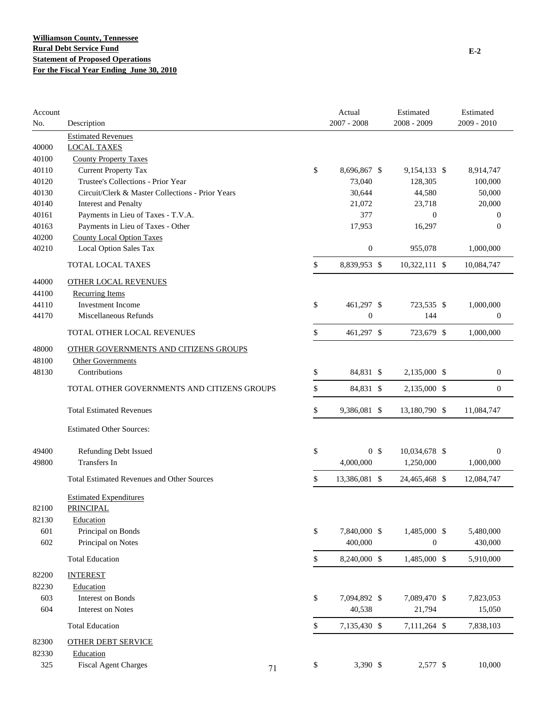| Account<br>No. | Description                                       |    | Actual<br>$2007 - 2008$ | Estimated<br>$2008 - 2009$ | Estimated<br>2009 - 2010 |
|----------------|---------------------------------------------------|----|-------------------------|----------------------------|--------------------------|
|                | <b>Estimated Revenues</b>                         |    |                         |                            |                          |
| 40000          | <b>LOCAL TAXES</b>                                |    |                         |                            |                          |
| 40100          | <b>County Property Taxes</b>                      |    |                         |                            |                          |
| 40110          | <b>Current Property Tax</b>                       | \$ | 8,696,867 \$            | 9,154,133 \$               | 8,914,747                |
| 40120          | Trustee's Collections - Prior Year                |    | 73,040                  | 128,305                    | 100,000                  |
| 40130          | Circuit/Clerk & Master Collections - Prior Years  |    | 30,644                  | 44,580                     | 50,000                   |
| 40140          | <b>Interest and Penalty</b>                       |    | 21,072                  | 23,718                     | 20,000                   |
| 40161          | Payments in Lieu of Taxes - T.V.A.                |    | 377                     | $\mathbf{0}$               | $\theta$                 |
| 40163          | Payments in Lieu of Taxes - Other                 |    | 17,953                  | 16,297                     | $\theta$                 |
| 40200          | <b>County Local Option Taxes</b>                  |    |                         |                            |                          |
| 40210          | Local Option Sales Tax                            |    | $\boldsymbol{0}$        | 955,078                    | 1,000,000                |
|                | <b>TOTAL LOCAL TAXES</b>                          | \$ | 8,839,953 \$            | 10,322,111 \$              | 10,084,747               |
| 44000          | <b>OTHER LOCAL REVENUES</b>                       |    |                         |                            |                          |
| 44100          | <b>Recurring Items</b>                            |    |                         |                            |                          |
| 44110          | Investment Income                                 | \$ | 461,297 \$              | 723,535 \$                 | 1,000,000                |
| 44170          | Miscellaneous Refunds                             |    | $\boldsymbol{0}$        | 144                        | $\boldsymbol{0}$         |
|                | TOTAL OTHER LOCAL REVENUES                        | \$ | 461,297 \$              | 723,679 \$                 | 1,000,000                |
| 48000          | OTHER GOVERNMENTS AND CITIZENS GROUPS             |    |                         |                            |                          |
| 48100          | <b>Other Governments</b>                          |    |                         |                            |                          |
| 48130          | Contributions                                     | \$ | 84,831 \$               | 2,135,000 \$               | $\boldsymbol{0}$         |
|                | TOTAL OTHER GOVERNMENTS AND CITIZENS GROUPS       | \$ | 84,831 \$               | 2,135,000 \$               | $\mathbf{0}$             |
|                | <b>Total Estimated Revenues</b>                   | \$ | 9,386,081 \$            | 13,180,790 \$              | 11,084,747               |
|                | <b>Estimated Other Sources:</b>                   |    |                         |                            |                          |
| 49400          | <b>Refunding Debt Issued</b>                      | \$ | 0 <sup>5</sup>          | 10,034,678 \$              | $\mathbf{0}$             |
| 49800          | Transfers In                                      |    | 4,000,000               | 1,250,000                  | 1,000,000                |
|                |                                                   |    |                         |                            |                          |
|                | <b>Total Estimated Revenues and Other Sources</b> | \$ | 13,386,081 \$           | 24,465,468 \$              | 12,084,747               |
| 82100          | <b>Estimated Expenditures</b><br>PRINCIPAL        |    |                         |                            |                          |
| 82130          | Education                                         |    |                         |                            |                          |
| 601            | Principal on Bonds                                | \$ | 7,840,000 \$            | 1,485,000 \$               | 5,480,000                |
| 602            | Principal on Notes                                |    | 400,000                 | $\boldsymbol{0}$           | 430,000                  |
|                | <b>Total Education</b>                            | \$ | 8,240,000 \$            | 1,485,000 \$               | 5,910,000                |
| 82200          | <b>INTEREST</b>                                   |    |                         |                            |                          |
| 82230          | Education                                         |    |                         |                            |                          |
| 603            | <b>Interest on Bonds</b>                          | \$ | 7,094,892 \$            | 7,089,470 \$               | 7,823,053                |
| 604            | <b>Interest on Notes</b>                          |    | 40,538                  | 21,794                     | 15,050                   |
|                | <b>Total Education</b>                            | \$ | 7,135,430 \$            | 7,111,264 \$               | 7,838,103                |
| 82300          | <b>OTHER DEBT SERVICE</b>                         |    |                         |                            |                          |
| 82330          | Education                                         |    |                         |                            |                          |
| 325            | <b>Fiscal Agent Charges</b>                       | \$ | 3,390 \$                | 2,577 \$                   | 10,000                   |
|                |                                                   | 71 |                         |                            |                          |